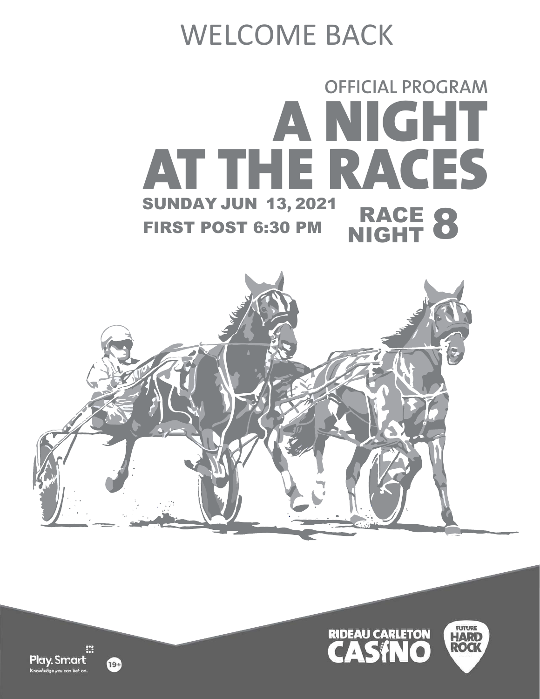# WELCOME BACK







阳 Play. Smart uni can het o

19+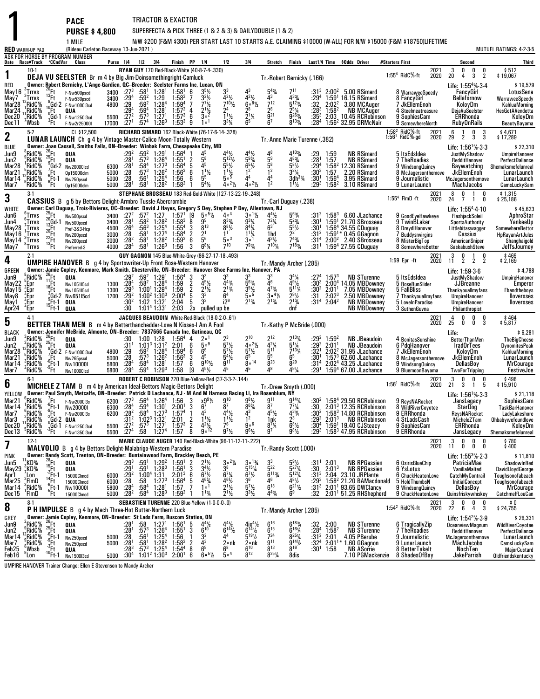|                                                                   |                                                                                                |                                                                                                                                            | <b>PACE</b><br><b>PURSE \$4,800</b>                                                                                                                                                                                                                                                    |                                              |                                                                                      |                                                                                           |                                                                                                                                                                             | TRIACTOR & EXACTOR                                                                                                                                 |                                                 |                                                                                                                                                 |                                                                                                                                                      |                                                                                                                        | SUPERFECTA & PICK THREE (1 & 2 & 3) & DAILYDOUBLE (1 & 2)                                                                             |                                                                                                                                                                 |                                                                                    |                                                                  |                                                                                                                                                                                                  |                 |                                                                                                                                    |              |                                                     |                                                                                                                                                       |                                                                                                                                 |
|-------------------------------------------------------------------|------------------------------------------------------------------------------------------------|--------------------------------------------------------------------------------------------------------------------------------------------|----------------------------------------------------------------------------------------------------------------------------------------------------------------------------------------------------------------------------------------------------------------------------------------|----------------------------------------------|--------------------------------------------------------------------------------------|-------------------------------------------------------------------------------------------|-----------------------------------------------------------------------------------------------------------------------------------------------------------------------------|----------------------------------------------------------------------------------------------------------------------------------------------------|-------------------------------------------------|-------------------------------------------------------------------------------------------------------------------------------------------------|------------------------------------------------------------------------------------------------------------------------------------------------------|------------------------------------------------------------------------------------------------------------------------|---------------------------------------------------------------------------------------------------------------------------------------|-----------------------------------------------------------------------------------------------------------------------------------------------------------------|------------------------------------------------------------------------------------|------------------------------------------------------------------|--------------------------------------------------------------------------------------------------------------------------------------------------------------------------------------------------|-----------------|------------------------------------------------------------------------------------------------------------------------------------|--------------|-----------------------------------------------------|-------------------------------------------------------------------------------------------------------------------------------------------------------|---------------------------------------------------------------------------------------------------------------------------------|
|                                                                   |                                                                                                |                                                                                                                                            | 1 MILE                                                                                                                                                                                                                                                                                 |                                              |                                                                                      |                                                                                           |                                                                                                                                                                             |                                                                                                                                                    |                                                 |                                                                                                                                                 |                                                                                                                                                      |                                                                                                                        |                                                                                                                                       |                                                                                                                                                                 |                                                                                    |                                                                  | N/W \$200 (F&M \$300) PER START LAST 10 STARTS A.E. CLAIMING \$10000 (W-ALL) FOR N/W \$15000 (F&M \$18750)LIFETIME                                                                               |                 |                                                                                                                                    |              |                                                     |                                                                                                                                                       |                                                                                                                                 |
| <b>RED</b> WARM-UP PAD                                            |                                                                                                |                                                                                                                                            | (Rideau Carleton Raceway 13-Jun-2021)<br>ASK FOR HORSE BY PROGRAM NUMBER                                                                                                                                                                                                               |                                              |                                                                                      |                                                                                           |                                                                                                                                                                             |                                                                                                                                                    |                                                 |                                                                                                                                                 |                                                                                                                                                      |                                                                                                                        |                                                                                                                                       |                                                                                                                                                                 |                                                                                    |                                                                  |                                                                                                                                                                                                  |                 |                                                                                                                                    |              |                                                     |                                                                                                                                                       | MUTUEL RATINGS: 4-2-3-5                                                                                                         |
| Date Race#Track °CCndVar                                          |                                                                                                |                                                                                                                                            | Class                                                                                                                                                                                                                                                                                  |                                              | Purse 1/4 1/2 3/4                                                                    |                                                                                           |                                                                                                                                                                             | Finish PP 1/4                                                                                                                                      |                                                 |                                                                                                                                                 | 1/2                                                                                                                                                  | 3 4                                                                                                                    | Stretch                                                                                                                               | Finish                                                                                                                                                          |                                                                                    |                                                                  | Last1/4 Time \$0dds Driver                                                                                                                                                                       | #Starters First |                                                                                                                                    |              |                                                     | Second                                                                                                                                                | Third                                                                                                                           |
| 1<br>RED<br>May 16<br>May7<br>Mar28<br>Mar <sub>24</sub><br>Dec20 | $10-1$<br>$\int_{0}^{3}$ Trrvs<br>.̇Trrvs<br>RidC%<br>RidC%<br>',RidC%                         | ."Ft<br>:Ft<br>(Ft                                                                                                                         | <b>DEJA VU SEELSTER</b> Br m 4 by Big Jim-Doinsomethingright-Camluck<br>Owner: Robert Bernicky, L'Ange-Gardien, OC--Breeder: Seelster Farms Inc, Lucan, ON<br>F-Nw500pscd<br>F-Nw530pscd<br>$10^{9}$ Gd-2 F-Nw100013cd<br>QUA<br>${}^{0}_{2}$ Gd-1 F-Nw125013cd                        | 3400<br>3400<br>4800<br>5500                 | $:27^{3}$<br>$:29^{4}$<br>$\frac{.29}{.29^{4}}$<br>$:27^{2}$                         | :58 $^1$<br>$:59^{2}$<br>$:59^{2}$<br>:59 <sup>4</sup><br>$:57^3$                         | 1:28 <sup>1</sup><br>1:29<br>$1:28^{4}$<br>1:28 <sup>1</sup><br>1:27 <sup>1</sup>                                                                                           | $1:58^1$ 6<br>$1:58^{2}$<br>$1:59^{4}$<br>$1:57^{2}$<br>$1:57^{3}$                                                                                 | 7<br>7<br>4<br>6                                | RYAN GUY 170 Red-Black-White (40-8-7-4-.330)<br>$35$ / <sub>2</sub><br>$3^{2}\%$<br>$7^{7}$ <sup>1</sup> / <sub>2</sub><br>$3\cdot^2$           | $4^{2}\%$<br>$7^{10}$ <sup>1</sup> / <sub>2</sub><br>2 <sup>4</sup><br>$1\frac{1}{2}$                                                                | $4^{2}\frac{1}{2}$<br>$60^{81/2}$<br>28<br>$\frac{1}{2}$ <sup>1</sup> / <sub>4</sub>                                   | Tr.-Robert Bernicky (.166)<br>$5^{4}$ %<br>$7^{12}$<br>$\frac{2^{6}}{9^{21}}$                                                         | 711<br>$4^{3}\frac{3}{4}$<br>5 <sup>123</sup> / <sub>4</sub><br>$25\frac{1}{4}$<br>g <sub>263</sub>                                                             | $:31^{3}$<br>$^{129^4}_{.32}$<br>$:28^{3}$<br>$:35^3$                              | $2:02^2$<br>1:58 <sup>2</sup>                                    | $2:00^2$ 5.00 RSimard<br>$1:591$ 16.15 RSimard<br>3.80 MCAuger<br>NB MCAuger<br>2:03 10.45 RCRobinson                                                                                            |                 | 1:55 <sup>4</sup> RidC <sup>5</sup> %-ft<br>8 WarraweeSpeedy<br>8 FancyGirl<br>7 JkEllemEnoh<br>4 Steelmeatreasure<br>9 SophiesCam | 2021<br>2020 | $\frac{3}{20}$<br>0<br>4                            | 0<br>$\frac{0}{2}$<br>$\tilde{3}$<br>Life: 1:55 <sup>4</sup> % 3.4<br>FancyGirl<br><b>Bellafornow</b><br>KoloyDm<br><b>DejaVuSeelster</b><br>ERRhonda | \$512<br>\$19,067<br>\$19,579<br>LotusSena<br>WarraweeSpeedy<br>KahluaMorning<br><b>HesGotAVendetta</b><br>KoloyDm              |
| Dec 11                                                            | 'Wbsb                                                                                          | $\mathrm{H}^3$                                                                                                                             | F-Nw2r25000I                                                                                                                                                                                                                                                                           | 17000                                        | :27 <sup>1</sup>                                                                     | $:57^4$                                                                                   | $1:26^{3}$                                                                                                                                                                  | $1:53^{3}$                                                                                                                                         | 9                                               | 1 <sup>0</sup>                                                                                                                                  | $3^{3}$ <sup><math>\frac{1}{4}</math></sup>                                                                                                          | 65                                                                                                                     | 6 <sup>7</sup>                                                                                                                        | 8133%                                                                                                                                                           | :284                                                                               |                                                                  | 1:56 <sup>2</sup> 32.95 DRMcNair                                                                                                                                                                 |                 | 9 SomewhereNorth                                                                                                                   |              |                                                     | <b>RubyOnRails</b>                                                                                                                                    | BeautyBayama                                                                                                                    |
| $\mathbf 2$                                                       | $5-2$                                                                                          |                                                                                                                                            | CL \$12,500<br><b>LUNAR LAUNCH</b> Ch g 4 by Vintage Master-Calico Moon-Totally Western                                                                                                                                                                                                |                                              |                                                                                      |                                                                                           |                                                                                                                                                                             |                                                                                                                                                    |                                                 | RICHARD SIMARD 162 Black-White (76-17-6-14-.328)                                                                                                |                                                                                                                                                      |                                                                                                                        | Tr. Anne Marie Turenne (.382)                                                                                                         |                                                                                                                                                                 |                                                                                    |                                                                  |                                                                                                                                                                                                  |                 | 1:58 <sup>2</sup> RidC%-ft<br>$1:561$ RidC%-gd                                                                                     | 2021<br>2020 | 6<br>$\overline{1}$<br>$2\bar{9}$<br>$\overline{2}$ | $\frac{0}{3}$<br>$\frac{3}{3}$                                                                                                                        | \$4,671<br>\$17,289                                                                                                             |
| BLUE<br>Jun9<br>Jun2<br>Mar28<br>Mar21<br>Mar 14<br>Mar7          | RidC%<br>RidC%<br>,'RidC%<br>¦RidC%<br>¦ <sub>°</sub> RidC%<br>'RidC%                          | ′Ft.<br>$6$ Ft-1<br>Έt                                                                                                                     | Owner: Joan Cassell, Smiths Falls, ON-Breeder: Winbak Farm, Chesapeake City, MD<br>$\frac{26}{25}$ Ft QUA<br>$\frac{9}{5}$ Ft QUA<br>$\frac{9}{7}$ Gd-2 Nw20000lcd<br>0p15000clm<br>Nw250pscd<br>0p15000clm                                                                            | 6300<br>5000<br>5000<br>5000                 | $:29^{2}$<br>$: 281$<br>:28 <sup>1</sup><br>:28<br>$\frac{128}{281}$                 | $:57^{3}$<br>:58 <sup>4</sup><br>$:57^{3}$<br>$:56^{1}$<br>:58 <sup>1</sup>               | $:59^2$ 1:29 <sup>1</sup><br>$1:264$<br>1:27 <sup>3</sup><br>$1:26^2$<br>$1:25^{4}$<br>1:28 <sup>2</sup>                                                                    | 1:56 <sup>4</sup><br>1:55 <sup>1</sup><br>1:56 <sup>4</sup><br>$1:56^{3}$<br>1:56<br>1:58 <sup>2</sup>                                             | $\frac{2}{5}$<br>6<br>6                         | 45<br>$\frac{5^8}{4^5}$<br>$1^{11}$<br>5 <sup>5</sup><br>$5^4\%$                                                                                | $5^5\frac{1}{2}$<br>$\frac{11}{2}$<br>5. <sup>5</sup><br>$40^{2}$ %                                                                                  | $5^{9}$ <sup>%</sup><br>$65\frac{\pi}{2}$<br>1 <sup>2</sup><br>44<br>$40^{21/2}$                                       | $4^{8}_{5^{9}_{7}}$<br>$5^{8}_{1^{2}}$                                                                                                | $4^{103}$<br>$4^{8}_{/4}$<br>$5^{8}_{/2}$<br>$3^{2}\%$<br>$3dh3$ %                                                                                              | :29<br>$\overline{.28}$<br>:294<br>:303<br>:30 <sup>1</sup><br>:293                | 1:59<br>1:57<br>1:57<br>1:56 <sup>4</sup><br>1:58 <sup>2</sup>   | <b>NB RSimard</b><br><b>NB RSimard</b><br>1:58 <sup>2</sup> 12.30 RSimard<br>2.20 RSimard<br>3.95 RSimard<br>3.10 RSimard                                                                        |                 | 5 ItsEdsIdea<br>7 TheRoadies<br>9 WindsongQuincy<br>8 McJagersonthemove<br>9 Journalistic M<br>9 LunarLaunch                       |              |                                                     | Life: $1:56^{1}\%$ 3.3<br>JustMyShadow<br>RedditHanover<br>Baywatching<br>JkEllemEnoh<br>McJagersonthemove<br><b>MachJacobs</b>                       | \$22,310<br>UmpireHanover<br>PerfectDaliance<br>Shemaksmefelunreal<br>LunarLaunch<br>LunarLaunch<br>CamsLuckySam                |
| 3                                                                 | $3-1$                                                                                          |                                                                                                                                            | <b>CASSIUS</b> B g 5 by Bettors Delight-Armbro Tussle-Abercrombie                                                                                                                                                                                                                      |                                              |                                                                                      |                                                                                           |                                                                                                                                                                             |                                                                                                                                                    |                                                 |                                                                                                                                                 | STEPHANE BROSSEAU 183 Red-Gold-White (127-13-22-19-.248)                                                                                             |                                                                                                                        | Tr.-Carl Duguay (.238)                                                                                                                |                                                                                                                                                                 |                                                                                    |                                                                  |                                                                                                                                                                                                  |                 | $1:554$ FlmD $\cdot$ ft                                                                                                            | 2021<br>2020 | 0<br>8<br>24<br>$\overline{7}$                      | $\mathbf{1}$<br>0<br>$1 \quad 0$                                                                                                                      | \$1,315<br>\$25,186                                                                                                             |
| WHITE<br>Jun6<br>Jun4<br>May28<br>Maj16<br>May 14<br>May7         | $6$ Trrvs<br>:Trrvs<br>Trrvs:<br>$\frac{1}{3}$ Trrvs<br>$\int_{0}^{5}$ Trrvs<br>$^\circ$ Trrvs | $^{25}_{26}$ Ft<br>Gd-1<br>$\frac{13}{20}$ Ft<br>$\begin{array}{c}\n\text{20Ft} \\ \text{22Ft} \\ \text{13Ft} \\ \text{14Ft}\n\end{array}$ | Owner: Carl Duguay, Trois-Rivieres, OC--Breeder: David J Hayes, Gregory S Dey, Stephen P Dey, Allentown, NJ<br>Nw500pscd<br>Nw500pscd<br>Pref-2&3-Hcp<br>Nw200pscd<br>Nw200pscd<br>Preferred-3                                                                                         | 3400<br>3400<br>4500<br>3000<br>3000<br>4000 | $:27^{2}$<br>$:28^{1}$<br>:26 <sup>4</sup><br>$\frac{128}{28^2}$<br>:28 <sup>4</sup> | $:57^{2}_{158^{2}}$<br>:56 <sup>3</sup><br>$:581$<br>:58 <sup>1</sup><br>:58 <sup>1</sup> | $\frac{1:27}{1:28^2}$<br>$1:25^{4}$<br>$1:274$<br>$1:282$<br>$1:26^{3}$                                                                                                     | 1:57 <sup>1</sup><br>$1.58^{3}$<br>$1.55^{4}$<br>$1:58^{4}$<br>1:59 <sup>2</sup><br>1:56                                                           | [9<br>8<br>3<br>$\frac{2}{6}$<br>3              | $50^{5}$<br>ğ9<br>$8^{13}$<br>$\frac{2^1}{5^6}$<br>$6^{8}$ <sup>1/4</sup>                                                                       | 40 <sup>4</sup><br>$8^{3}$ <sup>3</sup> / <sub>4</sub><br>$8^{8}$ <sup>1/2</sup><br>50 <sup>3</sup><br>$7^{10}$                                      | $9^{3}/4$<br>$8^{4}$ <sup>1</sup> / <sub>4</sub><br>$\frac{11}{4}$<br>3 <sup>o</sup><br>793/4                          | $\frac{4^4\frac{1}{2}}{7^2\frac{1}{4}}$ 6 <sup>3</sup><br>1hd<br>$4^{3}\frac{1}{2}$<br>$7^{10}$ <sup>1</sup>                          | $5^{6}_{2}\%$<br>$\frac{5^{5}\%}{2^{2}}$<br>$\frac{2^{2}}{7^{4}\%}$<br>$7^{18}$ %                                                                               | $:312$<br>:30 <sup>1</sup><br>:30 $^{\circ}$<br>$:312$<br>:31 <sup>4</sup><br>:31' |                                                                  | $1:583$ 6.60 JLachance<br>$1:591$ 21.70 SBrosseau<br>1:56 <sup>4</sup> 34.55 CDuguay<br>1:59 <sup>1</sup> * 0.45 GGagnon<br>2:00 <sup>2</sup> 2.40 SBrosseau<br>1:594 27.55 CDuguay              |                 | 9 GoodEyeHawkeye<br>9 TwinBLaker<br>8 DreydlHanover<br>7 Buddysnvirgins<br>8 MisterBigTop<br>8 SomewhereBettor                     |              |                                                     | Life: $1:554$ 4.10<br>FlashjackSoleil<br>SportsAuthority<br>Littlebitaswagger<br><b>Cassius</b><br>AmericanSniper<br>SaskabushSteve                   | \$45,623<br>AphroStar<br>YankeeUp<br>SomewhereBettor<br>HpRayanArtJules<br>Shanghaigold<br>JeffsJourney                         |
| 4                                                                 | $2-1$                                                                                          |                                                                                                                                            | <b>UMPIRE HANOVER</b> B g 4 by Sportswriter-Up Front Rose-Western Hanover                                                                                                                                                                                                              |                                              |                                                                                      |                                                                                           |                                                                                                                                                                             |                                                                                                                                                    |                                                 |                                                                                                                                                 | GUY GAGNON 145 Blue-White-Grey (86-27-17-18-.493)                                                                                                    |                                                                                                                        | Tr.-Mandy Archer (.285)                                                                                                               |                                                                                                                                                                 |                                                                                    |                                                                  |                                                                                                                                                                                                  |                 | $1:59$ Epr $\cdot$ ft                                                                                                              | 2021<br>2020 | 3<br>0<br>$\frac{6}{2}$<br>11                       | $\begin{matrix} 1 & 0 \\ 2 & 2 \end{matrix}$                                                                                                          | \$469<br>\$2,169                                                                                                                |
| GREEN<br>Jun9<br>May22<br>May15<br>May8<br>May 1<br>Apr24         | $8$ RidC%<br>,'Epr<br>៍:Epr<br>,Epr<br>,Epr<br><sup>2</sup> Epr                                | $^{26}$ Ft<br>Ft<br>$^{18}$ Ft<br>$^{15}$ Ft-1                                                                                             | Owner: Jamie Copley, Kenmore, Mark Smith, Chesterville, ON-Breeder: Hanover Shoe Farms Inc, Hanover, PA<br>QUA<br>Nw1051I5cd<br>Nw1051I5cd<br>$36d-2$ Nw65115cd<br>$9e$ Ft-1 QUA<br>QUA                                                                                                | 1300<br>1300<br>1200                         | :292<br>:28 <sup>4</sup><br>$:29^{3}$<br>$:29^{2}$<br>:30ª<br>:30                    |                                                                                           | $:59^2$ 1:29 <sup>1</sup><br>$:58^2$ 1:28 <sup>4</sup><br>$1:00^1$ $1:29^4$<br>1:00 <sup>2</sup> 1:30 <sup>3</sup><br>$1:02$ $1:321$<br>1:01 <sup>4</sup> 1:33 <sup>1</sup> | $1:56^4$<br>1:59<br>1.59<br>2:00 <sup>4</sup><br>2:04<br>2:03                                                                                      | 3<br>$\overline{2}$<br>$\frac{2}{5}$<br>5<br>2x | 3 <sup>3</sup><br>$4^{5}$ <sup>1</sup> / <sub>2</sub><br>$\frac{2^{11}}{3^{3}}$<br>3 <sup>3</sup><br>pulled up be                               | $4^{4}$ <sup>3</sup> / <sub>4</sub><br>$\frac{2^{13/4}}{6^4}$<br>i2 <sup>6</sup>                                                                     | 3 <sup>3</sup><br>$\frac{563}{3^{5}\frac{1}{2}}$<br>5.5<br>$2^{13}/4$                                                  | $3^3$<br>46<br>$4^{7}\frac{3}{4}$<br>3. <sup>41</sup> / <sub>2</sub><br>$2^{13}/4$                                                    | $3^4\%$<br>$4\frac{9}{2}$<br>5 <sup>11</sup> <sup>/</sup> / <sub>4</sub><br>$29\frac{1}{2}$<br>$2^{13/2}$<br>dnf                                                | $:30^{3}$<br>:30 <sup>2</sup><br>:31                                               | $1:57^{3}$<br>$\frac{2:01}{2:02^3}$<br>$:31^4$ 2:04 <sup>2</sup> | <b>NB STurenne</b><br>$2:004$ 14.05 MBDowney<br>7.05 MBDowney<br>2.50 MBDowney<br><b>NB MBDowney</b><br><b>NB MBDowney</b>                                                                       |                 | 5 ItsEdsIdea<br>5 RoseRunSlider<br>5 FallBliss<br>7 Thankyouallmyfans<br>5 LoveInParadise<br>3 SuthenGuvna                         |              | Life: 1:59-3-6                                      | JustMyShadow<br><b>JJBreanne</b><br>Thankyouallmyfans<br>UmpireHanover<br><b>UmpireHanover</b><br>Philanthropist                                      | \$4,788<br>UmpireHanover<br>Emperor<br>Ebandtheboys<br>lloveroses<br>lloveroses                                                 |
| 5                                                                 | $4-1$                                                                                          |                                                                                                                                            | <b>BETTER THAN MEN</b> B m 4 by Betterthancheddar-Love N Kisses-I Am A Fool                                                                                                                                                                                                            |                                              |                                                                                      |                                                                                           |                                                                                                                                                                             |                                                                                                                                                    |                                                 | JACQUES BEAUDOIN White-Red-Black (18-0-2-0-.61)                                                                                                 |                                                                                                                                                      |                                                                                                                        | Tr. Kathy P McBride (.000)                                                                                                            |                                                                                                                                                                 |                                                                                    |                                                                  |                                                                                                                                                                                                  |                 |                                                                                                                                    | 2021<br>2020 | 4<br>0<br>25<br>0                                   | 0<br>$\frac{0}{3}$<br>Ō                                                                                                                               | $$464$<br>\$5,817                                                                                                               |
| <b>BLACK</b><br>Jun9<br>Jun2<br>Mar28<br>Mar21<br>Mar 14<br>Mar7  | RidC%<br>RidC%<br>"RidC%<br>"RidC%<br>$\frac{3}{2}$ RidC%<br>'RidC%                            | $^{26}_{25}$ Ft<br>′Ft.<br>$^{6}$ Ft-1<br>"Ft                                                                                              | Owner: Jennifer McBride, Almonte, ON-Breeder: 7837666 Canada Inc, Gatineau, QC<br>QUA<br>Nw265pscd<br>Nw100001<br>Nw10000lcd                                                                                                                                                           | 4800<br>5000<br>5800<br>5800                 | :30<br>$:31^{1}$<br>$\frac{.29}{.28}$<br>$:284$<br>:28 <sup>4</sup>                  | :573<br>$:58^4$<br>:59 <sup>4</sup>                                                       | 1:00 1:28<br>$1:01^3$ $1:31^2$<br>:59 <sup>2</sup> $1:28^4$<br>$1:26^2$<br>$1:28^{1}$<br>$1:29^{3}$                                                                         | 1:56 <sup>4</sup><br>$2:01$<br>1:59 <sup>4</sup><br>$1:56^{3}$<br>1:57<br>1:58                                                                     | 4<br>6<br>6<br>3<br>$\frac{6}{9}$               | 2 <sup>0</sup><br>50 <sup>9</sup><br>$\bar{6}^6$<br>45<br>$9^{10}$ %<br>$45\frac{1}{2}$                                                         | $\frac{5^{7}\%}{5^{7}\%}$<br>$5^4\%$                                                                                                                 | $2^{10}$<br>$\bar{4}$ $\circ$ <sup>2</sup> / <sub>2</sub><br>$5^{7}$ %<br>$8^{\circ}$ <sup>14</sup>                    | $2^{12}$<br>$\frac{4^{2}3}{5^{11}}$<br>55<br>$\bar{8}^{23}$<br>Ă8                                                                     | $2^{13}$ <sup>1</sup> / <sub>4</sub><br>$\frac{5}{7}$ <sup>1</sup> / <sub>4</sub><br>7 <sup>13</sup> / <sub>4</sub><br>6 <sup>5</sup><br>829<br>$49\frac{1}{4}$ | :29ª<br>:292<br>$:32^{1}$<br>:30'<br>:31 <sup>4</sup><br>:29 <sup>1</sup>          | $1:59^{2}$<br>2:01 <sup>1</sup>                                  | <b>NB JBeaudoin</b><br><b>NB JBeaudoin</b><br>2:02 <sup>2</sup> 31.95 JLachance<br>$1:573$ 62.60 JLachance<br>2:02 <sup>4</sup> 43.25 JLachance<br>1:59 <sup>4</sup> 67.00 JLachance             |                 | 4 BonitasSunshine<br>6 PdgHanover<br>7 JkEllemEnoh<br>8 McJagersonthemove<br>9 WindsongQuincy<br>9 BluemoonBayama                  |              | Life:                                               | <b>BetterThanMen</b><br><b>IradOrTees</b><br>KoloyDm<br><b>JkEllemEnoh</b><br>DellasBoy<br><b>TwoForTripping</b>                                      | \$6,281<br><b>TheBigCheese</b><br><b>DynomitesPeak</b><br>KahluaMorning<br>LunarLaunch<br><b>MrCourage</b><br><b>FestiveJoe</b> |
| 6                                                                 | $6-1$                                                                                          |                                                                                                                                            | <b>MICHELE Z TAM</b> B m 4 by American Ideal-Bettors Magic-Bettors Delight                                                                                                                                                                                                             |                                              |                                                                                      |                                                                                           |                                                                                                                                                                             |                                                                                                                                                    |                                                 |                                                                                                                                                 | ROBERT C ROBINSON 220 Blue-Yellow-Red (37-3-3-2-.144)                                                                                                |                                                                                                                        | Tr.-Drew Smyth (.000)                                                                                                                 |                                                                                                                                                                 |                                                                                    |                                                                  |                                                                                                                                                                                                  |                 | $1:561$ RidC%-ft                                                                                                                   | 2021<br>2020 | 3<br>0<br>21<br>3                                   | 0<br>0<br>5<br>1                                                                                                                                      | \$496<br>\$15,910                                                                                                               |
| YELLOW<br>Mar21<br>Mar 14<br>Mar7<br>Mar3<br>Dec20<br>Dec13       | $\frac{6}{1}$ RidC%<br>RidC%<br>RidC%<br>$^{\prime}$ RidC $\%$<br>,'RidC%<br>°RidC%            | °Ft                                                                                                                                        | Owner: Paul Smyth, Metcalfe, ON-Breeder: Patrick D Lachance, NJ - M And M Harness Racing LI, Ira Rosenblum, NY<br>$^{7}_{6}$ Ft F-Nw200013s<br>$^{6}_{6}$ Ft-1 Nw200001<br>F-Nw2000I3s<br>$^{9}_{2}$ Ft F-Nw200013s<br>$^{2}$ Gd-2 QUA<br>$^{0}_{3}$ Gd-1 F-Nw125013cd<br>F-Nw1350I3cd | 6200<br>5500                                 | $:28^{2}$<br>$\frac{.31^2}{.27^2}$<br>5500 :274                                      | :58                                                                                       | $:58^4$ 1:27 <sup>3</sup><br>$\frac{1.02^3}{.57^3}$ $\frac{1.32^1}{.27^1}$<br>1:27 <sup>4</sup>                                                                             | $6200$ $:27^3$ $:56^4$ $1:26^4$ $1:56$ 3<br>$6300$ $:28^4$ $:59^4$ $1:30^1$ $2:00^1$ 3<br>1:57 <sup>4</sup><br>$2:01$<br>1:57 <sup>3</sup><br>1:57 | $\frac{2}{8}$                                   | x991/2<br>6 <sup>7</sup><br>43<br>$\frac{1^{1}\frac{1}{2}}{4^{2}\frac{1}{2}}$<br>9 <sup>o</sup> <sup>12</sup>                                   | $9^{10}$<br>$\tilde{8}^7$<br>$4^{4}$ <sup>1</sup> / <sub>2</sub><br>$\frac{1}{7}$ <sup>1</sup> / <sub>2</sub><br>$9^{7}$ <sup>1</sup> / <sub>2</sub> | $9^{8}\frac{1}{2}$<br>$8^{6}\frac{3}{4}$<br>1 <sup>2</sup><br>g.6<br>$96$ %                                            | g <sub>11</sub><br>$\bar{8}^7$<br>$4^{5}$ <sup>1</sup> / <sub>2</sub><br>1ņk<br>$8^{7}$ <sup>1</sup> / <sub>4</sub><br>9 <sup>7</sup> | $9^{14}$ <sup>1</sup> / <sub>4</sub><br>$7^{7}\%$<br>$4^{3}\%$<br>$\frac{2^{3}}{6^{8}}$<br>$9^{8}$                                                              | :292<br>:30ª<br>:293                                                               | 2:01 <sup>3</sup>                                                | $:30^2$ $\:1:58^4$ 29.50 RCRobinson<br>$:30$ $\:2:01^3$ 12.35 RCRobinson<br>$:30^2$ 1:58 ${}^{3}$ 14.80 RCRobinson<br><b>NB RCRobinson</b><br>$1:591$ 19.40 CJSteacy<br>$1:583$ 47.95 RCRobinson |                 | 9 ReysNARocket<br>8 WildRiverCovotee<br>9 ERRhonda<br>4 StLadsCash<br>9 SophiesCam<br>9 ERRhonda                                   |              |                                                     | Life: $1:56^{1}\%$ 3.3<br>JansLegacy<br>StarDog<br>ReysNARocket<br>MicheleZTam<br>ERRhonda<br>JansLegacy                                              | \$21,118<br>SophiesCam<br>TaskBarHanover<br>LadyLakeshore<br>Ohbabywefoundlove<br>KoloyDm<br>Shemaksmefelunreal                 |
| 7                                                                 | $12-1$                                                                                         |                                                                                                                                            | <b>MALVOLIO</b> B g 4 by Bettors Delight-Malabrigo-Western Paradise                                                                                                                                                                                                                    |                                              |                                                                                      |                                                                                           |                                                                                                                                                                             |                                                                                                                                                    |                                                 |                                                                                                                                                 | MARIE CLAUDE AUGER 140 Red-Black-White (96-11-12-11-.222)                                                                                            |                                                                                                                        | Tr.-Randy Scott (.000)                                                                                                                |                                                                                                                                                                 |                                                                                    |                                                                  |                                                                                                                                                                                                  |                 |                                                                                                                                    | 2021<br>2020 | 3<br>0<br>11<br>$\mathbf 0$                         | $\begin{matrix} 0 & 0 \\ 0 & 0 \end{matrix}$                                                                                                          | \$780<br>\$400                                                                                                                  |
| PINK<br>Jun5<br>May29<br>Apr1<br>Mar25<br>Mar 14<br>Dec 15        | ¦KD%<br>$\frac{3}{2}$ KD%<br>,Lon<br>"fimD<br>?RidC%<br>'FimD                                  | $^{28}$ Ft<br>$\frac{15}{2}$ Ft<br>$\frac{14}{14}$ Ft<br>$\frac{14}{6}$ Ft<br>$5$ <sup>6</sup> Ft-1<br>Ft                                  | Owner: Randy Scott, Trenton, ON-Breeder: Buntainwood Farm, Brackley Beach, PE<br>QUA<br>QUA<br>15000Clmcd<br>15000Clmcd<br>Nw10000I<br>15000Clmcd                                                                                                                                      | 6000<br>6000<br>5800<br>5000                 | :29 $^3$<br>$:29^{1}$<br>$:29^{2}$<br>:28<br>:28 <sup>4</sup><br>:28 <sup>2</sup>    | $1:00^4$ 1:31<br>:58<br>:58ª<br>:58 $^4$                                                  | $:59^1$ 1:29 <sup>2</sup><br>$:59^1$ 1:28 <sup>3</sup><br>$1:27^{3}$<br>$1:28^1$<br>$1:28^{3}$                                                                              | $1:591$<br>$1:561$<br>$2:01^{3}$<br>$1:56^{4}$<br>1:57<br>1:59 <sup>2</sup>                                                                        | 2<br>3<br>6<br>5                                | $2^{1}\frac{1}{2}$<br>$3^4$ <sup>1</sup> / <sub>2</sub><br>$6^{7}\frac{1}{2}$<br>4 <sup>63</sup> / <sub>4</sub><br>1 <sup>0</sup><br>$1^{13}/4$ | $30^{2}/4$<br>38<br>$6^{7}\frac{1}{4}$<br>4 <sup>61</sup> / <sub>2</sub><br>$2^{11}/2$<br>$2^{11}/2$                                                 | $30^{13}/4$<br>$5^{15}$ %<br>$6^{7}_{2}$<br>$5^{7}$ <sup>1</sup> / <sub>2</sub><br>$3^{3}$ <sup>1</sup> / <sub>2</sub> | 3 <sup>3</sup><br>$5^{22}$<br>$6^{11}_{4}$ %<br>$6^{18}$<br>$4^{43}$ /4                                                               | $5^9\%$<br>$5^{27}$ <sup>1</sup> / <sub>4</sub><br>$5^{12}$ %<br>$4^{8}\frac{1}{2}$<br>$6^{21}$ %<br>6 <sup>9</sup>                                             | :31'<br>:30<br>$:31^{3}$<br>:293<br>$:31^{3}$<br>:32                               | 2:01<br>$2:01^{3}$                                               | <b>NB RPGassien</b><br><b>NB RPGassien</b><br>2:04, 23.10 JRPlante<br>1:58 <sup>2</sup> 21.20 BAMacdonald<br>$2:011$ 93.65 DWClancy<br>$2:011$ 51.25 RHShepherd                                  |                 | 6 OsirisBlueChip<br>6 YsLotus<br>6 ChuckHeatonLove<br>5 HoldThumbsN<br>9 WindsongQuincy<br>9 ChuckHeatonLove                       |              |                                                     | Life: $1:553% - 2.3$<br>PatriciaMae<br>VanillaMalted<br>CatchMyContrail<br>InitialConcept<br>DellasBoy<br>Quinsfriskywhiskey                          | \$11,810<br>ShadowInRed<br>DavidLloydGeorge<br>Toughsonofabeach<br>Toughsonofabeach<br><b>MrCourage</b><br>CatchmelfLouCan      |
| 8                                                                 | $8-1$                                                                                          |                                                                                                                                            | <b>P H IMPULSE</b> B g 4 by Mach Three-Hot Butter-Northern Luck                                                                                                                                                                                                                        |                                              |                                                                                      |                                                                                           |                                                                                                                                                                             |                                                                                                                                                    |                                                 | SEBASTIEN TURENNE 220 Blue-Yellow (1-0-0-0-.0)                                                                                                  |                                                                                                                                                      |                                                                                                                        | Tr.-Mandy Archer (.285)                                                                                                               |                                                                                                                                                                 |                                                                                    |                                                                  |                                                                                                                                                                                                  |                 | 1:54 <sup>2</sup> RidC%-ft                                                                                                         | 2021<br>2020 | 3<br>0<br>$2\bar{2}$<br>6                           | $\frac{0}{4}$<br>$\frac{0}{3}$                                                                                                                        | \$0<br>\$24,755                                                                                                                 |
| GREY<br>Jun9<br>Jun2<br>Mar 14<br>Mar7<br>Feb25<br>Feb16          | RidC%<br>RidC%<br>$6$ RidC%<br>RidC%<br>Wbsb<br>"Lon                                           | $\frac{26}{26}$ Ft<br>$\frac{25}{6}$ Ft<br>$\frac{6}{3}$ Ft<br>$\frac{3}{10}$ Ft<br>$\frac{1}{10}$ Ft<br>$\frac{1}{10}$<br>$T-t-1$         | Owner: Jamie Copley, Kenmore, ON-Breeder: St Lads Farm, Ruscom Station, ON<br>QUA<br>QUA<br>Nw250pscd<br>Nw250pscd<br>QUA<br>Nw1500I3cd<br><b>UMPIRE HANOVER Trainer Change: Ellen E Stevenson to Mandy Archer</b>                                                                     | 5000<br>5000<br>5000                         | :28'<br>:281<br>:28<br>:28 <sup>1</sup><br>$:28^{3}$<br>:30 <sup>4</sup>             | :58<br>$:57^{3}$<br>:56 <sup>1</sup><br>:58 <sup>1</sup><br>:57 $^3$                      | 1:27 <sup>1</sup><br>$1:264$<br>$1:254$<br>1:28 <sup>2</sup><br>$1:25^{4}$<br>$1:01^2$ 1:30 <sup>3</sup>                                                                    | 1:56'<br>$1:55^{1}$<br>1:56<br>$1:58^{2}$<br>$1:54^{4}$<br>2:00 <sup>1</sup>                                                                       | 5<br>3<br>$\overline{2}$<br>8<br>6              | $4^{4}\frac{1}{2}$<br>$6^{10}$<br>3 <sup>2</sup><br>$4^3$<br>6 <sup>9</sup><br>$6 •^{5\frac{1}{2}}$                                             | $4^4\frac{1}{2}$<br>$6^{14}$ <sup>1</sup> / <sub>2</sub><br>44<br>2∘nk<br>50 <sup>4</sup>                                                            | $4ix^4$ %<br>$6^{14}\frac{1}{2}$<br>2∘nk<br>$6^{10}$<br>$8^{12}$                                                       | $6^{16}$<br>$\frac{6^{15}}{7^{24}}$<br>9 <sup>11</sup><br>$8^{13}$<br>$8^{25}$ <sup>1</sup> / <sub>4</sub>                            | $6^{18}$ %<br>$6^{16}\%$<br>8 <sup>25</sup> <sup>/4</sup><br>$9^{14}\frac{1}{2}$<br>8dis                                                                        | :32<br>$:28^{4}$<br>:31 <sup>2</sup><br>:32 $4$<br>$:30^1$                         | 2:00<br>$1:58^{2}$<br>2:01<br>$2:01^{1*}$<br>1:58                | <b>NB STurenne</b><br>NB STurenne<br>4.05 PBerube<br>1.60 GGagnon<br><b>NB ASorrie</b><br>7.10 PGMackenzie                                                                                       |                 | 6 TragicallyZip<br>7 TheRoadies<br>9 Journalistic<br>9 LunarLaunch<br>8 BetterTakelt<br>8 ShadesOfBay                              |              |                                                     | Life: $1:542%39$<br>OceanviewMagnum<br>RedditHanover<br>McJagersonthemove<br>MachJacobs<br>NochTen<br><b>JakeParrish</b>                              | \$26,331<br><b>WildRiverCoyotee</b><br>PerfectDaliance<br>LunarLaunch<br>CamsLuckySam<br>MajorCustard<br>Oldfriendskentucky     |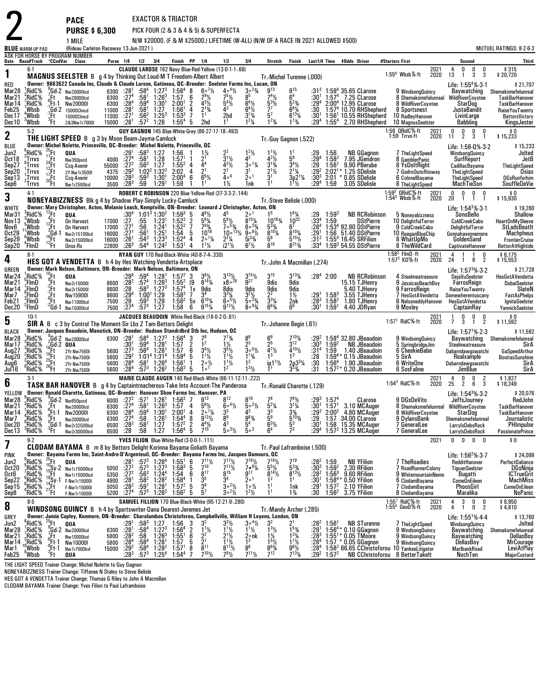|                                                                    |                                                                                   |                                                                                                                      | <b>PACE</b><br><b>PURSE \$6,300</b>                                                                                                                                                                                                                                                       |                                                                               |                                                                                            |                                                                                                                   |                                                                                                                    | <b>EXACTOR &amp; TRIACTOR</b>                                                                                                                                                                  |                                                                                                                                                              | PICK FOUR (2 & 3 & 4 & 5) & SUPERFECTA                                                                                               |                                                                                                                                                  |                                                                                                                                             |                                                                                                                                     |                                                                          |                                                                                                        |                                                                                                                                                                               |                                                                                                                         |              |                                                                                                                                                    |                                                                                                                                         |
|--------------------------------------------------------------------|-----------------------------------------------------------------------------------|----------------------------------------------------------------------------------------------------------------------|-------------------------------------------------------------------------------------------------------------------------------------------------------------------------------------------------------------------------------------------------------------------------------------------|-------------------------------------------------------------------------------|--------------------------------------------------------------------------------------------|-------------------------------------------------------------------------------------------------------------------|--------------------------------------------------------------------------------------------------------------------|------------------------------------------------------------------------------------------------------------------------------------------------------------------------------------------------|--------------------------------------------------------------------------------------------------------------------------------------------------------------|--------------------------------------------------------------------------------------------------------------------------------------|--------------------------------------------------------------------------------------------------------------------------------------------------|---------------------------------------------------------------------------------------------------------------------------------------------|-------------------------------------------------------------------------------------------------------------------------------------|--------------------------------------------------------------------------|--------------------------------------------------------------------------------------------------------|-------------------------------------------------------------------------------------------------------------------------------------------------------------------------------|-------------------------------------------------------------------------------------------------------------------------|--------------|----------------------------------------------------------------------------------------------------------------------------------------------------|-----------------------------------------------------------------------------------------------------------------------------------------|
|                                                                    | <b>BLUE</b> WARM-UP PAD                                                           |                                                                                                                      | 1 MILE<br>(Rideau Carleton Raceway 13-Jun-2021)                                                                                                                                                                                                                                           |                                                                               |                                                                                            |                                                                                                                   |                                                                                                                    |                                                                                                                                                                                                |                                                                                                                                                              |                                                                                                                                      |                                                                                                                                                  | N/W \$20000. (F & M \$25000.) LIFETIME (W-ALL) (N/W OF A RACE IN 2021 ALLOWED \$500)                                                        |                                                                                                                                     |                                                                          |                                                                                                        |                                                                                                                                                                               |                                                                                                                         |              |                                                                                                                                                    | MUTUEL RATINGS: 8-2-6-3                                                                                                                 |
|                                                                    |                                                                                   |                                                                                                                      | ASK FOR HORSE BY PROGRAM NUMBER<br>Date Race#Track "CCndVar Class                                                                                                                                                                                                                         |                                                                               | Purse 1/4 1/2 3/4                                                                          |                                                                                                                   |                                                                                                                    | Finish PP 1/4                                                                                                                                                                                  |                                                                                                                                                              | 1/2                                                                                                                                  | 3 4                                                                                                                                              | Stretch                                                                                                                                     | Finish                                                                                                                              |                                                                          |                                                                                                        | Last1/4 Time \$0dds Driver                                                                                                                                                    | #Starters First                                                                                                         |              | Second                                                                                                                                             | <b>Third</b>                                                                                                                            |
| 1                                                                  | 6-1                                                                               |                                                                                                                      | MAGNUS SEELSTER B g 4 by Thinking Out Loud M T Freedom Albert Albert                                                                                                                                                                                                                      |                                                                               |                                                                                            |                                                                                                                   |                                                                                                                    |                                                                                                                                                                                                |                                                                                                                                                              | CLAUDE LAROSE 162 Navy Blue-Red-Yellow (13-0-1-1-.68)                                                                                |                                                                                                                                                  |                                                                                                                                             | Tr.-Michel Turenne (.000)                                                                                                           |                                                                          |                                                                                                        |                                                                                                                                                                               | 1:55 <sup>4</sup> Wbsb $%$ -ft                                                                                          | 2021<br>2020 | 0<br>0<br>4<br>0<br>3<br>3<br>13<br>1                                                                                                              | \$315<br>\$20,720                                                                                                                       |
| RED<br>Mar28<br>Mar21<br>Mar 14<br>Feb25<br>Dec 17<br>Dec 10       | RidC <sup>5</sup> %<br>'RidC%<br>RidC%<br>Wbsb<br>*Wbsb<br>$3$ Wbsb               | ′Ft∴<br>′Ft<br>്Ft                                                                                                   | Owner: 9663622 Canada Inc, Claude & Claude Larose, Gatineau, QC-Breeder: Seelster Farms Inc, Lucan, ON<br>Gd-2 Nw20000lcd<br>Nw20000lcd<br>Ft-1 Nw200001,<br>Gd-2 15000Clmcd;<br>15000Clmcd<br>2&3Nw1r7000I                                                                               | 6300 $:281$<br>$6300$ $:27^4$<br>6300 $:28^4$<br>11000<br>11000<br>15000 :281 | $\frac{.28}{.27}$                                                                          | $:59^{4}$<br>$:58^{1}$<br>$:56^2$<br>$:57^{2}$                                                                    | $:58^4$ 1:27 <sup>3</sup><br>:58 <sup>1</sup> 1:26 <sup>3</sup><br>1:30 <sup>1</sup><br>1:27<br>$1:25^{3}$<br>1:26 | $1:56^4$ 8<br>1:57<br>2:00 <sup>1</sup><br>$1:56^{1}$<br>$1:53^{3}$<br>$1:55^{4}$                                                                                                              | $6^{\circ}$ <sup>7</sup> %<br>$79\frac{1}{2}$<br>6<br>$\overline{2}$<br>$4^{3}\frac{1}{2}$<br>$\overline{4}$<br>$2^{13/4}$<br>$\overline{7}$<br>2hd<br>-5    | $4 \circ 4\frac{1}{2}$<br>$75\frac{1}{2}$<br>$5^{4}$ <sup>1</sup> / <sub>2</sub><br>43<br>2hd<br>1 <sup>1</sup>                      | $30^{23}$<br>$6^{4}$ <sup>1</sup> / <sub>2</sub><br>$6^{4}\frac{1}{2}$<br>$3^{1}\frac{3}{4}$<br>$1^{2}$ <sup>1</sup> / <sub>4</sub>              | g <sub>13</sub><br>$74\frac{1}{2}$<br>$5^{3}$ <sup>1</sup> / <sub>2</sub><br>77<br>5 <sup>7</sup><br>$1^{23/4}$                             | $6^{15}$<br>$\bar{5}^{23}$ /4<br>$6^{81/4}_{6^{131/4}}$<br>$1^{13}/4$                                                               | $:31^{3}$<br>:30'<br>:29 <sup>4</sup><br>:30<br>:301<br>:29 <sup>4</sup> | 1:57 <sup>4</sup><br>$1:55^{4}$                                                                        | $1:59^{4}$ 35.65 CLarose<br>$1:574$ 7.25 CLarose<br>2:00 <sup>4</sup> 12.95 CLarose<br>$1:574$ 10.70 RHShepherd<br>$1:561$ 10.55 RHShepherd<br>2.70 RHShepherd                | 9 WindsongQuincy<br>8 Shemaksmefelunreal<br>8 WildRiverCoyotee<br>8 Sportsnest<br>10 RadleyHanover<br>10 MagnusSeelster |              | Life: $1:554%·3·1$<br>Baywatching<br><b>WildRiverCoyotee</b><br>StarDog<br>JustaBandit<br>LivinLarge<br>Babbling                                   | \$21,707<br>Shemaksmefelunreal<br>TaskBarHanover<br>TaskBarHanover<br>RaiseYouTwenty<br>BettorsVictory<br>KingsJester                   |
| $\mathbf 2$                                                        | $5-2$                                                                             |                                                                                                                      | THE LIGHT SPEED B g 3 by Moon Beam-Jayma-Camluck                                                                                                                                                                                                                                          |                                                                               |                                                                                            |                                                                                                                   |                                                                                                                    |                                                                                                                                                                                                |                                                                                                                                                              | GUY GAGNON 145 Blue-White-Grey (86-27-17-18-.493)                                                                                    |                                                                                                                                                  |                                                                                                                                             | Tr.-Guy Gagnon (.522)                                                                                                               |                                                                          |                                                                                                        |                                                                                                                                                                               | 1:56 QRidC%-ft<br>1:59 Trrvs-ft                                                                                         | 2021<br>2020 | $\frac{0}{2}$<br>$\frac{0}{3}$<br>$\begin{smallmatrix} 0 \\ 11 \end{smallmatrix}$<br>0                                                             | \$0<br>\$15,233                                                                                                                         |
| BLUE<br>Jun2<br>Oct18<br>Sep27<br>Sep20<br>Sep13<br>Sep6           | <sup>6</sup> ,RidC%<br>$n^{\circ}$ Trrvs<br>Trrvs,<br>Trrvs<br>៉ូTrrvs<br>"Trrvs  | $^{25}_{11}$ Ft<br>$^{11}_{24}$ Ft<br>$^{24}_{12}$ Ft<br>$^{17}_{20}$ Ft                                             | Owner: Michel Nolette, Princeville, QC-Breeder: Michel Nolette, Princeville, QC<br>QUA<br>Nw350pscd<br>Ccq-Avenir<br>2Y-Nw1r3500I<br>Ccq-Avenir<br>Nw1r2500lcd                                                                                                                            | $29^1$<br>4000 :274<br>55000<br>4375<br>10000<br>3500                         | $:27^{2}$<br>$:29^{3}$<br>$:28^{3}$<br>$:28^{3}$                                           | $:58^3$ 1:27<br>$:58^{1}$<br>:56 $^3$<br>$:59^{3}$<br>:59                                                         | $\frac{1.28}{1.27}$<br>$1:02^2$ 1:32 <sup>3</sup><br>1:30 <sup>1</sup><br>1:29 <sup>1</sup>                        | 1:56<br>1:57 <sup>1</sup><br>$1:55^2$ 4<br>$2:02 \quad 4$<br>$2:00^4$<br>1:59                                                                                                                  | $2^1$<br>4 <sup>4</sup><br>$\frac{2^1}{6^5\%}$<br>6                                                                                                          | $\frac{2^2}{3^1\frac{1}{2}}$<br>$4^{3}$ <sup>1</sup> / <sub>2</sub><br>2 <sup>1</sup><br>40 <sup>4</sup><br>$1\frac{1}{2}$           | $1^2$ <sup>1</sup> / <sub>2</sub><br>4 <sup>3</sup><br>$30^{11}/4$<br>3 <sup>1</sup><br>20 <sup>1</sup><br>1nk                                   | $1^{11}/2$<br>$4^{2}\frac{1}{2}$<br>$3^{13/4}$<br>$2^{11/2}$                                                                                | 1 <sup>1</sup><br>5 <sup>6</sup><br>$\frac{3^4}{2^1}$ / <sub>4</sub><br>$3p^2^1$ <sup>1</sup> /4<br>$1^{11}$                        | :29<br>:29 <sup>4</sup><br>$\frac{.29}{.29^{2}}$<br>$:30^{3}$<br>:294    | 1:56<br>$1:58^{2}$<br>1:56 <sup>1</sup><br>2:02 <sup>1</sup><br>2:01<br>1:59                           | <b>NB GGagnon</b><br>7.95 JGendron<br>9.90 PBerube<br>1.25 SDelisle<br>$*$ $0.85$ SDelisle<br>3.05 SDelisle                                                                   | / TheLightSpeed<br>8 GamblerPanic<br>8 YsDoltRight<br>7 GodroOutofhisway<br>6 ColonelBayama<br>8 TheLightSpeed          |              | Life: 1:56-0%-3-2<br><b>WindsongQuincy</b><br>SurfReport<br>CadillacBayama<br>TheLightSpeed<br>TheLightSpeed<br>MachTieSon                         | \$15,233<br>Jolted<br>JetB<br>TheLightSpeed<br>Osias<br><b>DGsRunforhim</b><br>SouffleDeVie                                             |
| 3                                                                  | $4-1$                                                                             |                                                                                                                      | <b>NONEYABIZZNESS</b> Blk g 4 by Shadow Play-Simply Lucky-Camluck                                                                                                                                                                                                                         |                                                                               |                                                                                            |                                                                                                                   |                                                                                                                    |                                                                                                                                                                                                |                                                                                                                                                              | ROBERT C ROBINSON 220 Blue-Yellow-Red (37-3-3-2-.144)                                                                                |                                                                                                                                                  |                                                                                                                                             | Tr. Steve Belisle (.000)                                                                                                            |                                                                          |                                                                                                        |                                                                                                                                                                               | 1:59 <sup>3</sup> QRidC%-ft<br>1:54 <sup>3</sup> Wbsb%-ft                                                               | 2021<br>2020 | 0<br>0<br>$0\quad 0$<br>2Ō<br>$\overline{1}$<br>$\tilde{1}$                                                                                        | 0 \$<br>15,930 \$                                                                                                                       |
| WHITE<br>Mar31<br>Nov13<br>Nov6<br>Oct29<br>Sep29<br>Sep20         | $3$ RidC%<br>. Wbsb<br>'Wbsb<br>'Wbsb<br>&Wbsb<br>"FimD                           | ' <sup>2</sup> Ft<br><sup>4</sup> Ft<br><sup>3</sup> Ft<br><sup>3</sup> Gd-1<br><sup>12</sup> Ft<br><sup>12</sup> Ft | Owner: Mary Christopher, Acton, Melanie Leach, Kemptville, ON-Breeder: Leonard J Christopher, Acton, ON<br>QUA<br><b>On Harvest</b><br><b>On Harvest</b><br>Nw2r15100lcd<br>Nw2r15000lcd<br>Onss-Rs                                                                                       | 17000 :27<br>17000<br>16000<br>16000<br>22800                                 | :30ª<br>$\frac{1}{27}$ <sup>1</sup><br>$\frac{.26^1}{.26^3}$                               | :55<br>:56<br>$:56^{1}$<br>$:54^{3}$<br>:54 <sup>4</sup>                                                          | $1:231$<br>1:24 <sup>1</sup><br>1:25 <sup>1</sup><br>$\frac{1:23^3}{1:24^2}$                                       | $1:01^3$ 1:30 <sup>2</sup> 1:59 <sup>3</sup><br>$1:52^{3}$<br>$1:52^2$<br>1:54<br>1:52 <sup>4</sup><br>1:53 <sup>1</sup>                                                                       | -5<br>$46$ <sup>1</sup> / <sub>2</sub><br>$5^{8}$ <sup>%</sup><br>793/4<br>$\overline{7}$<br>$10^{16}$<br>5<br>$2^{\circ 1/4}_{11/2}$<br>$\overline{4}$<br>4 | $\frac{5^{8}\frac{1}{2}}{7^{6}\frac{53}{4}}$<br>$\frac{2^2\frac{1}{4}}{12^{1}\frac{1}{2}}$                                           | $8^{10}\%$<br>$6^{3}\%$<br>$10^{\circ}$ <sup>13</sup> <sup>/</sup> / <sub>2</sub><br>$9.8\frac{1}{2}$<br>$\frac{5i^{3}\%}{6^{7}\%}$              | 15<br>10163/4<br>$5^{\frac{3}{4}}$<br>$8^{10}$ %<br>56<br>$8^{16}$                                                                          | $16\frac{1}{4}$<br>$10^{32}$<br>$8^{10}\%$<br>$5^{15}$ /2<br>8 <sup>313</sup> /4                                                    | :29<br>$:33^{4}$<br>:28ª<br>$:29^{1}$<br>$:31^{2}$<br>:33ª               | $1:59^{3}$<br>1:59                                                                                     | <b>NB RCRobinson</b><br><b>DStPierre</b><br>1:53 <sup>4</sup> 92.90 DStPierre<br>1:56 51.40 DStPierre<br>$1:554$ 16.45 SRFilion<br>$1:593$ 54.55 DStPierre                    | 5 Noneyabizzness<br>10 DelightfulTerror<br>9 ColdCreekCabo<br>10 ReaganBlueChip<br>8 WhatUpMo<br>8 TheWildCard          |              | Life: $1:54^3\%$ 3-1<br><b>SonoBello</b><br>ColdCreekCabo<br>DelightfulTerror<br>Gonnahaveonemore<br>GoldenSand<br>CaptivateHanover                | \$19,280<br>Shallow<br>HeartOnMySleeve<br><b>StLadsBeatIt</b><br>Machpheus<br><b>FrontierCruise</b><br><b>BettorAtHightide</b>          |
| 4                                                                  | $8-1$                                                                             |                                                                                                                      | <b>HES GOT A VENDETTA B</b> h 4 by Hes Watching Vendetta Artsplace                                                                                                                                                                                                                        |                                                                               |                                                                                            |                                                                                                                   |                                                                                                                    | <b>RYAN GUY 170 Red-Black-White (40-8-7-4-.330)</b>                                                                                                                                            |                                                                                                                                                              |                                                                                                                                      |                                                                                                                                                  |                                                                                                                                             | Tr. John A Macmillan (.274)                                                                                                         |                                                                          |                                                                                                        |                                                                                                                                                                               | $1:583$ FlmD -ft<br>1:57 $3$ KD%-ft                                                                                     | 2021<br>2020 | 4<br>1<br>0<br>$\overline{2}$<br>24<br>6<br>$\overline{1}$                                                                                         | \$ 6,175<br>\$ 15,553                                                                                                                   |
| <b>GREEN</b><br>Mar24<br>Mar21<br>Mar 14<br>Mar7<br>Feb21<br>Dec20 | $_{c}^{1}$ RidC%<br>FimD)<br>¦FlmD<br>, FimD<br>3FlmD<br><sup>2</sup> FlmD        | $^{10}$ Ft<br>(Ft<br>$\frac{2}{7}$ Ft<br>$\frac{6}{5}$ Ft                                                            | Owner: Mark Nelson, Baltimore, ON-Breeder: Mark Nelson, Baltimore, ON<br>QUA<br>Nw2r15000l<br>Nw2r15000I<br>Nw15900I<br>Nw11000lcd<br><sup>2</sup> Gd-1 Nw15000lcd                                                                                                                        | 8600<br>8600<br>8600<br>7500<br>7500                                          | $:29^{4}$<br>$:28^{2}$<br>:28<br>$^{129^4}_{.29}$<br>:27 <sup>4</sup>                      | $:59^{4}$<br>:57 <sup>4</sup><br>$:58^3$ 1:27 <sup>3</sup><br>$1:00^1$ 1:29<br>:59 <sup>3</sup> 1:29<br>$:57^{3}$ | $1:281$<br>$1:263$<br>1:27                                                                                         | $1:57^{2}$<br>$1:55^{2}$<br>1:57 <sup>4</sup><br>$1.58^{3}$<br>$1:58^{2}$<br>1:58                                                                                                              | 3<br>$3\frac{1}{2}$<br>$8^{14}\frac{1}{4}$<br>[9]<br>1x<br>9dis<br>$6^{10}$ %<br>5х<br>6<br>$9^{15}$ %                                                       | $\substack{3^{13}\%\\ \times8^{\circ}}$<br>8dis<br>$3^{3}\frac{1}{4}$<br>6. <sup>51</sup> / <sub>2</sub><br>$9^{12}\%$               | $3^{15}$ %<br>$\overline{9}^{27}$<br>9dis<br>$3^{2}\frac{1}{2}$<br>5.3 <sub>3</sub> / <sub>4</sub><br>$80^{93}/4$                                | 3 <sup>15</sup><br>9dis<br>9dis<br>22<br>$\bar{3}^{3}\%$<br>$6^{63}$                                                                        | $3^{13}$ <sup>1</sup> / <sub>4</sub><br>9dis<br>9dis<br>$1\frac{1}{2}$<br>2nk<br>6 <sup>6</sup>                                     | :291<br>:283<br>$:30^1$                                                  | $:28^4$ 2:00<br>$1:58^3$<br>$1:58^2$<br>1:59 <sup>1</sup>                                              | <b>NB RCRobinson</b><br>15.15 TJHenry<br>5.40 TJHenry<br>3.55 TJHenry<br>1.80 TJHenry<br>4.40 JDRyan                                                                          | 4 Steelmeatreasure<br>9 JessicasBeachBoy<br>9 FarrosReign<br>7 HesGotAVendetta<br>6 NelsoneddyHanover<br>9 Moxley       |              | Life: 1:57 <sup>3</sup> % 3.2<br>DejaVuSeelster<br>FarrosReign<br>RaiseYouTwenty<br>Somewherentuscany<br>HesGotAVendetta<br>CaptainRay             | \$21,728<br>HesGotAVendetta<br><b>DubaiSeelster</b><br>SlateN<br><b>FastAsPhelps</b><br><b>IgniteSeelster</b><br><b>YannickSeelster</b> |
| 5                                                                  | $10-1$                                                                            |                                                                                                                      | SIR A B c 3 by Control The Moment-Sir Lbs Z Tam-Bettors Delight                                                                                                                                                                                                                           |                                                                               |                                                                                            |                                                                                                                   |                                                                                                                    |                                                                                                                                                                                                |                                                                                                                                                              | JACQUES BEAUDOIN White-Red-Black (18-0-2-0-.61)                                                                                      |                                                                                                                                                  |                                                                                                                                             | Tr. Johanne Begin (.61)                                                                                                             |                                                                          |                                                                                                        |                                                                                                                                                                               | $1:571$ RidC $%$ -ft                                                                                                    | 2021<br>2020 | $\frac{0}{2}$<br>$_{3}^{\rm 0}$<br>0<br>1<br>$\overline{7}$<br>$\mathbf{1}$                                                                        | $$0$<br>\$11,592                                                                                                                        |
| <b>BLACK</b><br>Mar28<br>Mar 17<br>Aug27<br>Aug20<br>Aug6<br>Jul16 | RidC%<br>$\frac{3}{2}$ RidC%<br>°RidC,<br>$2$ RidC $%$<br>$2$ RidC%<br>RidC%      | Ft<br>$\frac{^{25}F1}{^{26}F1}$                                                                                      | Owner: Jacques Beaudoin, Manotick, ON-Breeder: Hudson Standrdbrd Stb Inc, Hudson, OC<br>$\int_{2}^{5}$ Gd-2 Nw200001cd<br>$^{\circ}_{\circ}$ Gd-2 QUA<br>2Yr-Nw7500I<br>2Yr-Nw7500I<br>2Yr-Nw7500I<br>2Yr-Nw7500I                                                                         | 6300 : 28 <sup>1</sup><br>5600<br>5600<br>5600<br>5600                        | $:30^{1}$<br>$:27^{3}$<br>$:29^{2}$<br>:28 <sup>4</sup><br>:28 $4$                         | $:59^{4}$<br>:56 $4$<br>1:01 <sup>4</sup> 1:31 <sup>4</sup><br>:58 <sup>1</sup><br>:57 $^3$                       | $:58^4$ 1:27 <sup>3</sup><br>1:28 <sup>1</sup><br>1:26 <sup>1</sup><br>1:26 <sup>4</sup><br>$1:26^2$               | 1:56 <sup>4</sup><br>1:57<br>1:57<br>$1:59^{4}$<br>1:56 <sup>1</sup><br>$1:56^{3}$                                                                                                             | 3<br>$\frac{7^8}{1^2}$<br>$\overline{2}$<br>6<br>$3^{4}\frac{1}{2}$<br>$1^{1}\frac{1}{2}$<br>5<br>$2 \circ \frac{1}{2}$<br>-1<br>1 <sup>0</sup><br>5         | $7^{73}/4$<br>$1\frac{1}{2}$<br>$3^{5}\frac{1}{2}$<br>$1^{1}\frac{1}{2}$<br>$1^{11}/2$                                               | 8 <sup>9</sup><br>2 <sup>3</sup><br>$30^{5}$ %<br>$1^{13}/4$<br>1 <sup>2</sup><br>$1^{3}$ <sup>1</sup> / <sub>2</sub>                            | 6 <sup>9</sup><br>25<br>$\bar{4}^{7}\%$<br>1 <sup>3</sup><br>in 1 $\frac{11}{2}$                                                            | $7^{10}_{312}$<br>$4^{10}$ %<br>1 <sup>3</sup><br>$2p3^{3}/4$<br>$3^{3}/4$                                                          | :294<br>$:30^{3}$<br>:31 <sup>4</sup><br>:28<br>:30<br>:31               | $1:59^{2}$<br>1:59<br>1:59 <sup>4</sup><br>1.56 <sup>4</sup>                                           | $1:584$ 32.80 JBeaudoin<br><b>NB JBeaudoin</b><br>1.40 JBeaudoin<br>0.15 JBeaudoin<br>1.90 JBeaudoin<br>$1:57^{2*}$ 0.20 JBeaudoin                                            | 9 WindsongQuincy<br>5 SpringbridgeJim<br>6 CheekieBabe<br>5 SirA<br>6 WriteOne<br>6 SosFaline                           |              | Life: $1:57^{1}\% \cdot 2 \cdot 3$<br>Baywatching<br>Steelmeatreasure<br>Dabarndawgswatchi<br>Realxample<br>Dabarndawgswatchi<br>JimBlue           | \$11,592<br>Shemaksmefelunreal<br>SirA<br>GaSpeedArthur<br><b>BonitasSunshine</b><br>SirA<br>SirA                                       |
| 6                                                                  | $3-1$                                                                             |                                                                                                                      | <b>TASK BAR HANOVER</b> B g 4 by Captaintreacherous Take Into Account The Panderosa                                                                                                                                                                                                       |                                                                               |                                                                                            |                                                                                                                   |                                                                                                                    |                                                                                                                                                                                                |                                                                                                                                                              | MARIE CLAUDE AUGER 140 Red-Black-White (96-11-12-11-.222)                                                                            |                                                                                                                                                  |                                                                                                                                             | Tr.-Ronald Charette (.129)                                                                                                          |                                                                          |                                                                                                        |                                                                                                                                                                               | $1:54^3$ RidC%-ft                                                                                                       | 2021<br>2020 | $\frac{0}{2}$<br>0<br>$\frac{2}{3}$<br>4<br>25<br>6                                                                                                | \$1,827<br>\$18,249                                                                                                                     |
| YELLOW<br>Mar 14<br>Mar7<br>Dec20<br>Dec 13                        | Mar28 <sup>9</sup> RidC%<br>Mar21 - RidC%<br>RidC%<br>,'RidC%<br>¦RidC%<br>"RidC% | $\int_{0}^{6}$ Ft-1<br>"Ft.<br>. <sub>3</sub> Gd-1<br>"Ft                                                            | Owner: Ronald Charette, Gatineau, QC-Breeder: Hanover Shoe Farms Inc, Hanover, PA<br>$\frac{9}{7}$ Gd-2 Nw650pscd<br>$\frac{7}{6}$ Et Nw20000lcd<br><b>Nw20000I</b><br>Nw20000lcd<br>Nw2r32500lcd<br>Nw2r30000Icd                                                                         | 6300<br>6300<br>6500<br>6500                                                  | $^{128^4}_{127^4}$<br>$^{:28^2}_{:28}$                                                     | $\frac{.59^4}{.58}$<br>$\frac{.58}{.58}$                                                                          | 1:30 <sup>1</sup><br>1:26 <sup>1</sup><br>1:27<br>1:27                                                             | 6000 :27 <sup>2</sup> :57 <sup>1</sup> 1:26 <sup>1</sup> 1:56 <sup>3</sup> 7<br>$6300$ $:27^4$ $:58^1$ $1.26^3$ $1.57$ 4<br>2:00 <sup>1</sup><br>$1:54^{4}$<br>$1:57^{2}$<br>1:56 <sup>4</sup> | $9^{13}$<br>$2^0$ <sup>1</sup> / <sub>4</sub><br>4<br>$\bar{9}^{13}\%$<br>8<br>$\frac{2}{5}$<br>$\frac{4^4}{7^{10}}$                                         | $8^{12}$<br>$5^{6}$ %<br>$6^{\circ}$ <sup>4</sup> $\frac{1}{2}$<br>$\frac{3^3}{8^9}$<br>$4^3$<br>$5.3\%$                             | $8^{10}$<br>43<br>$9^{8}$ <sup>3</sup> / <sub>4</sub><br>5 <sup>4</sup><br>$\bar{5}$ °3                                                          | 78<br>$5 \circ 2\frac{1}{2}$<br>$5^2\%$<br>$\frac{3^3}{5^9}$<br>$6^{3}/_{2}$<br>6 <sup>4</sup>                                              | $76$ <sup>1</sup> / <sub>2</sub><br>$3^{1}$ %<br>$3\frac{3}{4}$<br>5 <sup>10</sup> <sub>3</sub> / <sub>4</sub><br>$\frac{5^3}{7^3}$ | $\frac{.29^3}{.29}$<br>:30 <sup>1</sup><br>:29ª                          | $:29^3$ 1:57 <sup>4</sup><br>1:57                                                                      | CLarose<br>$\frac{1}{2}$ 30 <sup>1</sup> 1:57 <sup>1</sup> 3.10 MCAuger<br>$2:002$ 4.80 MCAuger<br>34.00 CLarose<br>1:58 15.35 MCAuger<br>1:57 $2$ 13.25 MCAuger              | 9 DGsDeVito<br>8 WildRiverCoyotee<br>9 DylansBank<br>7 GeneralLee<br>7 GeneralLee                                       |              | Life: $1:543% 3.2$<br>JeffsJourney<br>8 Shemaksmefelunreal WildRiverCoyotee<br>StarDog<br>Shemaksmefelunreal<br>LarryIsDebsRock<br>LarryIsDebsRock | \$20,076<br>RedJohn<br>TaskBarHanover<br><b>TaskBarHanover</b><br>Journalistic<br>PHImpulse<br>PassionatePrince                         |
| 7                                                                  | $9-2$                                                                             |                                                                                                                      | <b>CLODAM BAYAMA</b> B m 8 by Bettors Delight-Korinna Bayama-Goliath Bayama                                                                                                                                                                                                               |                                                                               |                                                                                            |                                                                                                                   |                                                                                                                    | YVES FILION Blue-White-Red (3-0-0-1-.111)                                                                                                                                                      |                                                                                                                                                              |                                                                                                                                      |                                                                                                                                                  |                                                                                                                                             | Tr. Paul Laframboise (.500)                                                                                                         |                                                                          |                                                                                                        |                                                                                                                                                                               |                                                                                                                         | 2021         | 0<br>0<br>$0\quad 0$                                                                                                                               | \$0                                                                                                                                     |
| PINK<br>Jun2<br><b>Oct20</b><br>Oct6<br>Sep22<br>Sep15<br>Sep8     | ,<br>RidC%<br>,RidC%<br>,RidC%<br>°RidC%<br>RidC%<br>'RidC%                       | $^{25}_{10}$ Ft<br>$19$ <sup>H</sup><br>.Ft<br>$^{27}$ Ft                                                            | Owner: Bayama Farms Inc, Saint-Andre-D'Argenteuil, QC--Breeder: Bayama Farms Inc, Jacques Damours, QC<br>QUA<br>$^{10}_{15}$ Sy-2 Nw1r15000lcd<br>Nw1r15000lcd<br>$^{18}_{14}$ Sy-1 F-Nw1r150001<br>F-Nw1r15000I<br>F-Nw1r15000l                                                          | 5050<br>5350<br>4900<br>5050<br>5200                                          | :28'<br>$:27^{2}$<br>:27 <sup>2</sup><br>:28 <sup>1</sup><br>$:28^{2}$<br>.27 <sup>4</sup> | $:57^{3}$<br>:57 <sup>3</sup><br>$:56^3$<br>:58 <sup>2</sup><br>:59 <sup>1</sup><br>$:57^{3}$                     | $1:26^{4}$<br>$1:27^{3}$<br>1:24 <sup>4</sup><br>1:28 <sup>2</sup><br>1:28 <sup>1</sup><br>$1:26^2$                | $1:55^{1}$<br>1:58 <sup>3</sup><br>1:54<br>$1:58^{4}$<br>1:57 <sup>2</sup><br>$1:56^{2}$                                                                                                       | $7^{11}\frac{1}{2}$<br>$^6_5$<br>$8^{17}$<br>6<br>$3^{5}_{3^{4}}$<br>$5^{7}$<br>1<br>5<br>5                                                                  | $7^{17}\frac{1}{2}$<br>$7^{11}\frac{1}{2}$<br>$8^{15}$<br>3 <sup>4</sup><br>$3^{\circ}{}^{2}\%$<br>$3^{\circ}{}^{2}\%$               | $7^{19}\frac{1}{2}$<br>$7 \cdot 6\frac{1}{4}$<br>9 <sup>17</sup><br>2 <sup>0</sup><br>$1 \circ \frac{1}{2}$<br>$1^2$ <sup>1</sup> / <sub>2</sub> | $\begin{array}{l} 7^{19}\% \\ 5^{5}\% \\ 8^{14}\% \end{array}$<br>$1^2$                                                                     | 719<br>$\frac{5^{33}}{8^{13}\%}$<br>1 <sup>1</sup><br>1nk<br>$1\frac{3}{4}$                                                         | $: 282\n: 303\n: 282$<br>:30 <sup>1</sup><br>$^{129}_{30}$               | $\begin{array}{c} 1:59 \\ 1:59^2 \\ 1:56^3 \end{array}$<br>$1:58^{4*}$<br>$1:572$<br>1:56 <sup>2</sup> | <b>NB YFilion</b><br>2.30 RFilion<br>9.60 RFilion<br>0.50 YFilion<br>2.10 YFilion<br>3.75 YFilion                                                                             | <b>7 TheRoadies</b><br>7 RoadRunnerColony<br>9 WhitemountainNemo<br>6 ClodamBayama<br>7 ClodamBayama<br>8 ClodamBayama  |              | Life: $1:56^{2}\% \cdot 3.7$<br>RedditHanover<br>TiguanSeelster<br>Bugatti<br><b>ComeOnEileen</b><br>PhoosGirl<br>Maralika                         | \$24,099<br>PerfectDaliance<br>DGsNinja<br><b>ICTrueGrit</b><br><b>MachMiss</b><br><b>ComeOnEileen</b><br><b>NoPanic</b>                |
| 8                                                                  | 8-5                                                                               |                                                                                                                      | <b>WINDSONG QUINCY</b> B h 4 by Sportswriter-Dana Dearest-Jeremes Jet                                                                                                                                                                                                                     |                                                                               |                                                                                            |                                                                                                                   |                                                                                                                    |                                                                                                                                                                                                |                                                                                                                                                              | SAMUEL FILLION 170 Blue-Black-White (95-12-21-9-.280)                                                                                |                                                                                                                                                  |                                                                                                                                             | Tr. Mandy Archer (.285)                                                                                                             |                                                                          |                                                                                                        |                                                                                                                                                                               | $1:551$ RidC $%$ -ft<br>$1:554$ GeoD%-ft                                                                                | 2021<br>2020 | 3<br>$_{\rm 0}^{\rm 0}$<br>4<br>$\frac{0}{2}$<br>4<br>$\mathbf{1}$                                                                                 | \$8,950<br>\$4,810                                                                                                                      |
| GREY<br>Jun2<br>Mar28<br>Mar21<br>Mar 14<br>Mar 1<br>Feb25         | 'RidC%<br>RidC <sup>%</sup><br>¦RidC%<br>RidC%<br>,Wbsb<br>°Wbsb                  | $\sqrt[25]{5}$ Ft<br>'.Ft<br>$6Ft-1$<br>;Ft-1<br>Ήt                                                                  | Owner: Jamie Copley, Kenmore, ON-Breeder: Charalambos Christoforou, Campbellville, William H Loyens, London, ON<br>QUA<br>$\zeta$ Gd-2 Nw20000lcd<br>Nw10000lcd<br>Nw10000I<br>Nw1r7000lcd<br>QUA                                                                                         | 6300<br>5800<br>5800<br>15000                                                 | :29'<br>:28 <sup>1</sup><br>$:28^{2}$<br>:28 <sup>4</sup><br>$:29^{2}$<br>:283             | $:58^3$<br>:58 <sup>4</sup><br>$\frac{.58}{.584}$<br>$:58^{4}$<br>$:57^{3}$                                       | 1:27<br>$\frac{1:27^3}{1:26^3}$<br>1:28 <sup>1</sup><br>1:28 <sup>2</sup><br>1:25 <sup>4</sup>                     | 1:56<br>1:56 <sup>4</sup><br>$1:55^{1}$<br>1:57<br>1:57 <sup>1</sup><br>1:54 <sup>4</sup>                                                                                                      | 3 <sup>2</sup><br>3<br>$\frac{2}{6}$<br>$1^{11}$<br>$\frac{2^2}{2^1}$<br>5<br>$8^{11}$<br>8<br>$7^{10}$ <sup>1</sup> / <sub>2</sub><br>7                     | $3^{3}$ <sup>1</sup> / <sub>2</sub><br>$11\frac{1}{2}$<br>$2^{11/2}$<br>$1^{11/2}$<br>$8^{11}$ %<br>$79$ <sup>1</sup> / <sub>2</sub> | $3^{\circ}$ <sup>4</sup> $\frac{1}{2}$<br>$1^{11}$<br>2∘nk<br>1 <sup>3</sup><br>8 <sup>6</sup><br>$7^{11}$ <sup>1</sup> / <sub>2</sub>           | 3 <sup>2</sup><br>$1^{3}$ <sup>1</sup> / <sub>2</sub><br>$\frac{1\frac{1}{2}}{1^{5}\frac{1}{2}}$<br>$8^{6}_{7}$ <sup>4</sup> / <sub>4</sub> | $1^{5}_{4}$<br>$1^{3}\frac{1}{4}$<br>$1^{7}\frac{1}{2}$<br>$9^{6}$ <sup>1</sup> / <sub>2</sub><br>$7^{13}$ <sup>1</sup>             | :284<br>$:29$ <sup>1</sup><br>$:28^{3}$<br>:284<br>$:28^{4}$<br>:292     | 1:56'<br>1:57<br>1:57 <sup>2</sup>                                                                     | <b>NB STurenne</b><br>$1:56^{4*}$ 0.10 GGagnon<br>$1:55^{1*}$ 0.05 TMoore<br>$*$ 0.05 GGagnon<br>1:58 <sup>2</sup> 66.65 CChristoforou 10 YankeeLitigator<br>NB CChristoforou | 7 TheLightSpeed<br>9 WindsongQuincy<br>9 WindsongQuincy<br>9 WindsongQuincy<br>8 BetterTakelt                           |              | Life: $1:55^{1}\%$ 4.4<br>WindsongQuincy<br>Baywatching<br>Baywatching<br><b>DellasBoy</b><br>MarlbankRoad<br>NochTen                              | \$13,760<br>Jolted<br>Shemaksmefelunreal<br>DellasBoy<br><b>MrCourage</b><br>LeviAtPlay<br>MajorCustard                                 |
|                                                                    |                                                                                   |                                                                                                                      | THE LIGHT SPEED Trainer Change: Michel Nolette to Guy Gagnon<br><b>NONEYABIZZNESS Trainer Change: Tiffanee N Staley to Steve Belisle</b><br>HES GOT A VENDETTA Trainer Change: Thomas G Riley to John A Macmillan<br><b>CLODAM BAYAMA Trainer Change: Yves Filion to Paul Laframboise</b> |                                                                               |                                                                                            |                                                                                                                   |                                                                                                                    |                                                                                                                                                                                                |                                                                                                                                                              |                                                                                                                                      |                                                                                                                                                  |                                                                                                                                             |                                                                                                                                     |                                                                          |                                                                                                        |                                                                                                                                                                               |                                                                                                                         |              |                                                                                                                                                    |                                                                                                                                         |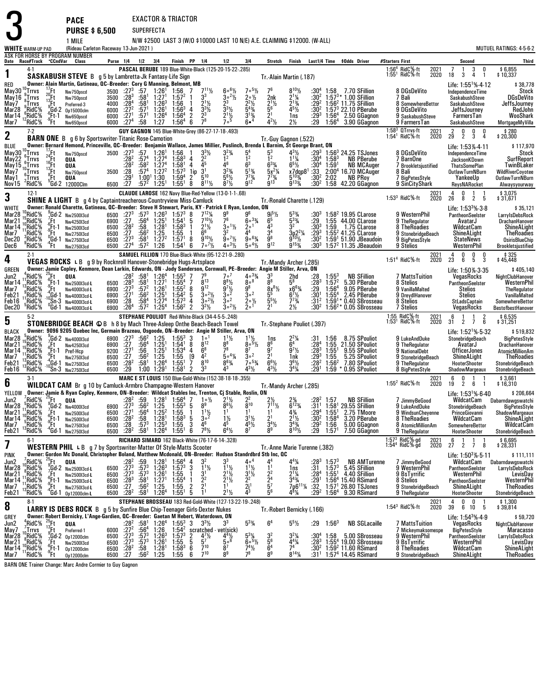EXACTOR & TRIACTOR

**PURSE \$ 6,500** SUPERFECTA 1 MILE

**PACE**

3

N/W \$2500 LAST 3 (W/O \$10000 LAST 10 N/E) A.E. CLAIMING \$12000. (W-ALL)

|                                                              | <b>WHITE</b> WARM-UP PAD                                                       |                                                                                            | I IVIILL<br>(Rideau Carleton Raceway 13-Jun-2021)                                                                                                                                                                                                                                                                                                           |                                           |                                                                                         |                                                                                                   |                                                                                                                             |                                                                                                                            |                                          |                                                                                                                           |                                                                                                      |                                                                                                                                             | IN YES OU LAUT J WIU YTOUUU LAUT TU INLI A.L. ULAIINIINU YTEUUU. W'ALL           |                                                                                                                                   |                                                                              |                                                                                           |                                                                                                                                                 |                                                                                                              |              |                                                                                                                                      | MUTUEL RATINGS: 4-5-6-2                                                                                                             |
|--------------------------------------------------------------|--------------------------------------------------------------------------------|--------------------------------------------------------------------------------------------|-------------------------------------------------------------------------------------------------------------------------------------------------------------------------------------------------------------------------------------------------------------------------------------------------------------------------------------------------------------|-------------------------------------------|-----------------------------------------------------------------------------------------|---------------------------------------------------------------------------------------------------|-----------------------------------------------------------------------------------------------------------------------------|----------------------------------------------------------------------------------------------------------------------------|------------------------------------------|---------------------------------------------------------------------------------------------------------------------------|------------------------------------------------------------------------------------------------------|---------------------------------------------------------------------------------------------------------------------------------------------|----------------------------------------------------------------------------------|-----------------------------------------------------------------------------------------------------------------------------------|------------------------------------------------------------------------------|-------------------------------------------------------------------------------------------|-------------------------------------------------------------------------------------------------------------------------------------------------|--------------------------------------------------------------------------------------------------------------|--------------|--------------------------------------------------------------------------------------------------------------------------------------|-------------------------------------------------------------------------------------------------------------------------------------|
|                                                              |                                                                                |                                                                                            | ASK FOR HORSE BY PROGRAM NUMBER<br>Date Race#Track "CCndVar Class                                                                                                                                                                                                                                                                                           |                                           | Purse 1/4 1/2 3/4                                                                       |                                                                                                   |                                                                                                                             | Finish PP 1/4                                                                                                              |                                          |                                                                                                                           | 1/2                                                                                                  | 3 4                                                                                                                                         | Stretch Finish                                                                   |                                                                                                                                   |                                                                              |                                                                                           | Last1/4 Time \$0dds Driver                                                                                                                      | #Starters First                                                                                              |              | Second                                                                                                                               | Third                                                                                                                               |
| 1                                                            | $4-1$                                                                          |                                                                                            |                                                                                                                                                                                                                                                                                                                                                             |                                           |                                                                                         |                                                                                                   |                                                                                                                             |                                                                                                                            |                                          |                                                                                                                           | PASCAL BERUBE 189 Blue-White-Black (125-20-15-22-.285)                                               |                                                                                                                                             |                                                                                  |                                                                                                                                   |                                                                              |                                                                                           |                                                                                                                                                 | 1:56 $4$ RidC $%$ ft<br>$1:551$ RidC%-ft                                                                     | 2021<br>2020 | 3<br>18<br>3<br>4                                                                                                                    | \$6,855<br>\$10,337                                                                                                                 |
| RED<br>May30<br>May 16<br>May7<br>Mar28<br>Mar 14<br>Mar7    | Trrvs<br>Trrvs)<br>Trrvs<br>'RidC%<br>$\frac{6}{3}$ RidC%<br>'RidC%            | $rac{6}{6}$<br>$rac{6}{6}$<br>$rac{6}{6}$<br>$rac{1}{6}$<br>$rac{1}{6}$<br><br>$rac{1}{6}$ | SASKABUSH STEVE B g 5 by Lambretta-Jk Fantasy-Life Sign<br>Owner: Alain Martin, Gatineau, QC--Breeder: Cory G Manning, Belmont, MB<br>Nw750pscd<br>Nw750pscd<br>Preferred-3<br>Op15000clm<br>Nw650pscd<br>Nw650pscd                                                                                                                                         | 3500<br>3500<br>4000<br>6000<br>6000      | $:27^{3}$<br>$:28^{3}$<br>$:28^{4}$<br>$\frac{.27^2}{.27^1}$<br>6000 :274               | :57<br>:58 <sup>1</sup><br>:58 <sup>1</sup><br>:57 <sup>1</sup><br>:57 <sup>1</sup><br>:58        | $1:26^1$<br>1.271<br>$1:26^{3}$<br>1:26 <sup>1</sup><br>$1.26^{4}$<br>1:27                                                  | $1:56$<br>$1:57^2$<br>1:56<br>$1:56^{3}$<br>1:56 <sup>4</sup><br>$1:56^{4}$                                                | -1<br>4<br>$\frac{2}{6}$                 | $7^{11}\frac{1}{2}$<br>$2^{11/2}$<br>$\frac{3^{3}y_{2}}{2^{3}}$                                                           | $60^{6}$ %<br>$3\circ 2\%$<br>$2^3$<br>$3^{3}$ <sup>1</sup> / <sub>2</sub><br>$\frac{2^{11}}{7^{5}}$ | 7°5%<br>$2 \circ \frac{1}{2}$<br>$2^2\frac{1}{2}$<br>$5^{4}$ <sup>3</sup> / <sub>4</sub><br>$3^{13}/4$<br>$6 \cdot \frac{4}{3}$             | Tr. Alain Martin (.187)<br>2nk<br>$2^{11/2}$<br>56<br>$\frac{5}{1}$<br>$4^{2}$ % | $\frac{2^{1}\frac{1}{4}}{2^{1}\frac{3}{4}}$<br>$4^{5}$ <sup>1</sup> / <sub>2</sub><br>1ns<br>$2\frac{1}{2}$                       | :30 <sup>2</sup><br>:29 <sup>2</sup><br>:30 <sup>2</sup><br>$:29^{3}$<br>:29 | 1:58<br>$1:56^{4}$<br>$1:56^{4}$                                                          | 7.70 SFillion<br>$1:57^{3*}$ 1.00 SFillion<br>$1:562$ 11.75 SFillion<br>$1:573$ 22.10 PBerube<br>2.50 GGagnon<br>3.90 GGagnon                   | 8 DGsDeVito<br>7 Bali<br>8 SomewhereBettor<br>9 DGsDeVito<br>9 SaskabushSteve<br>9 FarmersTan                |              | Life: $1:55^{1}\%$ 4.12<br>IndependenceTime<br>SaskabushSteve<br>SaskabushSteve<br>JeffsJourney<br>FarmersTan<br>SaskabushSteve      | \$38,778<br>Stock<br><b>DGsDeVito</b><br>JeffsJourney<br>RedJohn<br>WooShark<br>MortgageMyVilla                                     |
| $\overline{\mathbf{2}}$                                      | $7-2$                                                                          |                                                                                            |                                                                                                                                                                                                                                                                                                                                                             |                                           |                                                                                         |                                                                                                   |                                                                                                                             |                                                                                                                            |                                          |                                                                                                                           | GUY GAGNON 145 Blue-White-Grey (86-27-17-18-.493)                                                    |                                                                                                                                             |                                                                                  |                                                                                                                                   |                                                                              |                                                                                           |                                                                                                                                                 | $1:583$ QTrrvs-ft<br>$1:541$ RidC $%$ -ft                                                                    | 2021<br>2020 | $2\overline{9}$<br>0<br>0<br>0<br>$\overline{2}$<br>3<br>4                                                                           | \$280<br>20,300 \$                                                                                                                  |
| BLUE<br>May30<br>May22<br>May 15<br>May7<br>May 1<br>Nov15   | Trrvs!<br>:Trrvs<br>Trrvs:<br>$T_{\rm B}$ Trrvs<br>Trrvs:<br><sup>2</sup> RidC | Ήt<br>°Gd-2                                                                                | <b>BARN ONE</b> B g 6 by Sportswriter-Titanic Rose-Camotion<br>Owner: Bernard Hemond, Princeville, QC-Breeder: Benjamin Wallace, James Millier, Puslinch, Brenda L Barnim, St George Brant, ON<br>Nw750pscd<br>QUA<br>QUA<br>Nw750pscd<br>QUA<br>12000Clm                                                                                                   | 3500<br>6500 :27                          | 3500 : 27 <sup>3</sup><br>$:28^{2}$<br>:28ª<br>$\overline{.28}$<br>:29'                 | :57<br>:57 <sup>4</sup><br>:57ª                                                                   | 1:26<br>1:27 <sup>4</sup><br>$:58^2$ 1:27 <sup>4</sup><br>$1:27^{2}$<br>1:00 <sup>1</sup> 1:30<br>$:57^2$ 1:25 <sup>1</sup> | $\begin{array}{c} \n 1.56 \\ \n 1.58 \n \end{array}$<br>1:58 <sup>1</sup><br>$1:57^{3}$<br>$1:59^{4}$<br>1:55 <sup>1</sup> | 4<br>4<br>1ip<br>$\overline{2}$<br>8     | $3^{3}\%$<br>2 <sup>2</sup><br>$\bar{5}^{10}$<br>$8^{11}$ %                                                               | $3^{23}/4$<br>$5^{6}$ %<br>$8^{7}$ <sup>1</sup> / <sub>2</sub>                                       | $\overline{1}$ <sup>2</sup><br>6 <sup>3</sup><br>$\frac{5^{13}}{7^{73}}$<br>$9^{12}$                                                        | Tr.-Guy Gagnon (.522)<br>ī2<br>5x <sup>21</sup> /4<br>$7^{73}$ /4<br>$9^{13}$    | $4^{3}\frac{1}{2}$<br>$1^{1}\frac{1}{4}$<br>$6^5\%$<br>x7dqp8 <sup>1</sup><br>$5^{10\frac{3}{4}}$<br>$9^{133}$                    | $:29^{3}$<br>:30ª<br>:30ª<br>:33<br>:30 <sup>2</sup><br>:30 $^{2}$           | $1:58^{3}$<br>1:59'<br>2:02<br>1:58                                                       | 1:56 <sup>3</sup> 24.25 TSJones<br><b>NB PBerube</b><br><b>NB MCAuger</b><br>2:00 <sup>4</sup> 16.70 MCAuger<br><b>NB PRoy</b><br>42.20 GGagnon | 8 DGsDeVito<br>7 BarnOne<br>7 Brookletsjustified<br>8 Bali<br>7 BigPetesStyle<br>9 SinCityShark              |              | Life: 1:53%-4-11<br>IndependenceTime<br>JacksonKDown<br><b>ThatsSomePlan</b><br><b>OutlawTurnNBurn</b><br>YankeeUp<br>ReysNARocket   | \$117,970<br>Stock<br><b>SurfReport</b><br>TwinBLaker<br><b>WildRiverCoyotee</b><br><b>OutlawTurnNBurn</b><br>Alwaysyourway         |
| 3                                                            | $12-1$                                                                         |                                                                                            | SHINE A LIGHT B g 4 by Captaintreacherous-Countryview Miss-Camluck                                                                                                                                                                                                                                                                                          |                                           |                                                                                         |                                                                                                   |                                                                                                                             |                                                                                                                            |                                          |                                                                                                                           | CLAUDE LAROSE 162 Navy Blue-Red-Yellow (13-0-1-1-.68)                                                |                                                                                                                                             | Tr.-Ronald Charette (.129)                                                       |                                                                                                                                   |                                                                              |                                                                                           |                                                                                                                                                 | $1:533$ RidC $%$ -ft                                                                                         | 2021<br>2020 | 4<br>0<br>1<br>8<br>26<br>$\overline{2}$<br>- 5                                                                                      | \$3,075<br>\$31,671                                                                                                                 |
| WHITE<br>Mar28<br>Mar21<br>Mar 14<br>Mar7<br>Dec20<br>Dec6   | RidC <sup>5</sup> %<br>RidC%<br>RidC%<br>RidC%<br>'RidC%<br>'RidC%             | .Ft<br>$-\frac{6}{9}$ Ft-1<br>ĭH                                                           | Owner: Ronald Charette, Gatineau, QC-Breeder: Steve H Stewart, Paris, KY - Patrick E Ryan, London, ON<br>$3d-2$ Nw250013cd<br>Nw4250I3cd<br>Nw2500I3cd<br>Nw2750I3cd<br>Gd-1 Nw275013cd<br>4 Ft Nw275013cd<br>Nw2750I3cd                                                                                                                                    | 6900<br>6500<br>6500<br>6500<br>6500      | :27<br>:28 <sup>2</sup><br>:27<br>$\frac{.27^3}{.27^4}$                                 | :56ª<br>.58<br>$:56^2$<br>:58 $^1$<br>:57 <sup>2</sup>                                            | $1:25^{1}$<br>$1:28^{1}$<br>1:25<br>1:27 <sup>2</sup><br>1:26                                                               | 6500 :273 :573 1:263 1:573 8<br>$1:54^{1}$<br>$1:58^{3}$<br>1:55<br>1:57 <sup>1</sup><br>1:54 <sup>1</sup>                 | -5<br>8<br>6                             | $7^{12}$ <sup>1</sup> / <sub>4</sub><br>$7^{10}$ %<br>$2^{11/2}$<br>$9^{10}$ %<br>$7 \cdot \frac{7}{2}$                   | -76<br>$3 \cdot 1\frac{1}{2}$<br>3 <sup>2</sup><br>9°7%<br>$40^{31/2}$                               | $60^{3}/4$<br>2 <sup>0</sup><br>$906\frac{3}{4}$<br>$5 \circ 4\frac{1}{2}$                                                                  | 65<br>43<br>3 <sup>4</sup><br>$\bar{9}^8$<br>9 <sup>12</sup>                     | $5^{3}$ %<br>$\frac{53}{3^2}$<br>$\overset{3p}{9} \overset{2^2\frac{1}{4}}{9^{10\frac{1}{2}}}$                                    | $:30^{3}$<br>:29<br>:30ª<br>$:29^{3}$<br>:304<br>:303                        |                                                                                           | $1:582$ 19.95 CLarose<br>1:55 44.00 CLarose<br>1:59 1.75 CLarose<br>$1:552$ 41.25 CLarose<br>$1:591$ 51.90 JBeaudoin<br>$1:572$ 11.35 JBeaudoin | 9 WesternPhil<br>9 TheRegulator<br>8 TheRoadies<br>9 StonebridgeBeach<br>9 BigPetesStyle<br>9 Stelios        |              | Life: $1:533%388$<br>PantheonSeelster<br>AvatarJ<br>WildcatCam<br>ShineALight<br><b>StateNews</b><br>WesternPhil                     | \$35,121<br>LarryIsDebsRock<br>DrachanHanover<br>ShineALight<br><b>TheRoadies</b><br><b>OsirisBlueChip</b><br>Brookletsjustified    |
| 4                                                            | $2-1$                                                                          |                                                                                            | <b>VEGAS ROCKS</b> L B g 9 by Rocknroll Hanover-Stonebridge Hugs-Artsplace                                                                                                                                                                                                                                                                                  |                                           |                                                                                         |                                                                                                   |                                                                                                                             |                                                                                                                            |                                          |                                                                                                                           | <b>SAMUEL FILLION 170 Blue-Black-White (95-12-21-9-.280)</b>                                         |                                                                                                                                             | Tr.-Mandy Archer (.285)                                                          |                                                                                                                                   |                                                                              |                                                                                           |                                                                                                                                                 | $1:514$ RidC $%$ -ft                                                                                         | 2021<br>2020 | $\frac{0}{5}$<br>4<br>0<br>0<br>6<br>23<br>3                                                                                         | \$325<br>\$45,448                                                                                                                   |
| GREEN<br>Jun2<br>Mar 14<br>Mar7<br>Feb21<br>Feb16<br>Dec20   | RidC%<br>RidC%<br>RidC%<br>RidC%<br>RidC%<br>'RidC%                            | $_{9}^{6}$ Ft-1<br>.Ft                                                                     | Owner: Jamie Copley, Kenmore, Dean Larkin, Edwards, ON - Jody Sanderson, Cornwall, PE-Breeder: Angie M Stiller, Arva, ON<br><b>QUA</b><br>Nw2500l3cd-L<br>Nw4000I3cd-L<br>$\begin{array}{c} \n ^{4} \text{Gd-1} \quad \text{Nw400013cd-L} \\ \n ^{0} \text{Sn-3} \quad \text{Nw400013cd-L} \\ \n ^{0} \text{Gd-1} \quad \text{Nw400013cd-L} \n \end{array}$ | 6500<br>6900<br>6900<br>6900<br>6900 :264 | $:28^{3}$<br>$:27^{3}$<br>$:27^{1}$<br>$\overline{.28}$                                 | :58 <sup>1</sup><br>:581<br>:57 <sup>2</sup><br>:56 <sup>2</sup><br>$:58^{4}$<br>:57 <sup>2</sup> | 1:26 <sup>4</sup><br>1:27 <sup>1</sup><br>$1:26^{1}$<br>$1:25^{1}$<br>$1.27^{4}$<br>1:25 <sup>4</sup>                       | $1:55^{3}$<br>$1:55^{4}$<br>$1:55^2$ 8<br>$1:54^{2}$<br>$1:57^{3}$<br>$1:56^{2}$                                           | $\overline{7}$<br>-5<br>4<br>2           | $8^{13}$<br>9 <sup>12</sup><br>$30^{21}$<br>$3^{\circ 2}$<br>$3^2\frac{1}{2}$                                             | 7ه 7<br>$8^{8}$ <sup>1</sup> / <sub>2</sub><br>$\frac{9^7}{2^0}$<br>30 <sup>2</sup><br>$30^{2}/2$    | $40^{3}\%$<br>8008<br>$9^8$<br>$3^{\circ}$ <sup>2</sup><br>$20\frac{1}{2}$<br>2 <sup>0</sup>                                                | 33<br>Ā8<br>$\frac{8x^{8}}{5^{5}}$<br>$55\%$                                     | $\frac{2hd}{5^8}$<br>$x6^{63/4}$<br>$6^{7}\frac{1}{2}$<br>$7^{3}\frac{1}{4}$<br>$2\frac{1}{2}$                                    | $: 28$<br>:28 <sup>3</sup><br>:29<br>:30<br>:31 <sup>2</sup><br>:30ª         | $1:553$<br>$1:572$<br>$1:56^{4}$<br>$1:55^{4}$                                            | <b>NB SFillion</b><br>5.30 PBerube<br>9.05 PBerube<br>2.45 PBerube<br>$1:59^{1*}$ 0.40 SBrosseau<br>$1:56^{2*}$ 0.05 SBrosseau                  | 7 MattsTuition<br>8 Stelios<br>9 VanillaMalted<br>9 DreydlHanover<br>8 Stelios<br>7 Stelios                  |              | Life: 1:50% 3:35<br>VegasRocks<br>PantheonSeelster<br><b>Stelios</b><br><b>Stelios</b><br>StLadsCaptain<br>VegasRocks                | \$405,140<br>NightClubHanover<br>WesternPhil<br>TheRegulator<br>VanillaMalted<br>SomewhereBettor<br>BestofbestHanover               |
| 5                                                            | $5-2$                                                                          |                                                                                            | STONEBRIDGE BEACH C B h 8 by Mach Three-Asleep Onthe Beach-Beach Towel                                                                                                                                                                                                                                                                                      |                                           |                                                                                         |                                                                                                   |                                                                                                                             |                                                                                                                            |                                          |                                                                                                                           | STEPHANE POULIOT Red-White-Black (34-4-5-5-.248)                                                     |                                                                                                                                             | Tr. Stephane Pouliot (.397)                                                      |                                                                                                                                   |                                                                              |                                                                                           |                                                                                                                                                 | 1:55 RidC%-ft<br>1:53 <sup>1</sup> RidC%-ft                                                                  | 2021<br>2020 | 6<br>1<br>2<br>$7\overline{ }$<br>31<br>$\overline{2}$<br>6                                                                          | \$ 6,535<br>\$ 31,251                                                                                                               |
| BLACK<br>Mar28<br>Mar21<br>Mar 14<br>Mar7<br>Feb21<br>Feb16  | RidC%<br>RidC%<br>RidC%<br>RidC%<br>RidC%<br>'RidC%                            | 'Ft<br>(Ft-1<br>.rt                                                                        | Owner: 9096 9205 Quebec Inc, Germain Brazeau, Osgoode, ON-Breeder: Angie M Stiller, Arva, ON<br>Gd-2 Nw400013cd<br>Nw425013cd<br>Pref-Hcp<br>Nw2750I3cd<br>Gd-1 Nw275013cd<br>$^{\prime}$ Sn- $3$ Nw275013cd                                                                                                                                                | 6900<br>9200<br>6500<br>6500<br>6500      | 6900 :273<br>.27<br>$\frac{127}{27}$<br>$:28^2$<br>.29                                  | $:56^2$ 1:25<br>:56 <sup>4</sup><br>:56<br>$:56^2$<br>:58 <sup>1</sup>                            | $1:25^{1}$<br>$1:251$<br>1:25<br>1:26 <sup>4</sup><br>$1:00$ $1:291$                                                        | $1:55^{3}$<br>1:54 <sup>1</sup><br>1:53 <sup>4</sup><br>1:55<br>$1:55^{1}$<br>1:58 <sup>1</sup>                            | 3<br>8<br>4<br>[9<br>$\overline{7}$<br>2 | 1 <sup>0</sup><br>$8^{12}$<br>6 <sup>8</sup><br>$\mathbf{4}^2$<br>$8^{10}$<br>3 <sup>3</sup>                              | $1^{11}/2$<br>88<br>78<br>$504\%$<br>$8^{6}_{4}$                                                     | $\frac{1^{1}\frac{1}{2}}{8^{6}\frac{5}{2}}$<br>87<br>$3^{\circ}$ <sup>2</sup><br>$75$ <sup>5</sup> <sup>3</sup> / <sub>4</sub><br>$4^{3}\%$ | 1ns<br>86<br>21<br>$6^{6}$ <sup>1</sup> / <sub>2</sub><br>431/2                  | $2^{2}\frac{1}{4}$<br>$97$ %<br>1nk<br>$36$ %<br>$3^{4}$ <sup>1</sup> / <sub>4</sub>                                              | :31<br>:284<br>$: 283$<br>:29 <sup>3</sup><br>:28 <sup>2</sup><br>:29'       | 1:56<br>1:55<br>$1:55^{1}$<br>$1:55$<br>$1:56^{2}$<br>1:59                                | 8.75 SPouliot<br>21.50 SPouliot<br>9.55 SPouliot<br>5.25 SPouliot<br>7.80 SPouliot<br>0.95 SPouliot                                             | 9 LukeAndDuke<br>9 TheRegulator<br>9 NationalDebt<br>9 StonebridgeBeach<br>9 TheRegulator<br>8 BigPetesStyle |              | Life: $1:52^{1}\%$ 5.32<br>StonebridgeBeach<br>AvatarJ<br><b>OfficerJones</b><br>ShineALight<br>HooterShooter<br>ShadowMargeaux      | \$519,832<br><b>BigPetesStyle</b><br>DrachanHanover<br><b>AtomicMillionAm</b><br>TheRoadies<br>StonebridgeBeach<br>StonebridgeBeach |
| 6                                                            | $3-1$                                                                          |                                                                                            | <b>WILDCAT CAM</b> Br g 10 by Camluck-Armbro Champagne-Western Hanover                                                                                                                                                                                                                                                                                      |                                           |                                                                                         |                                                                                                   |                                                                                                                             |                                                                                                                            |                                          |                                                                                                                           | MARC E ST LOUIS 150 Blue-Gold-White (152-38-18-18-.355)                                              |                                                                                                                                             | Tr.-Mandy Archer (.285)                                                          |                                                                                                                                   |                                                                              |                                                                                           |                                                                                                                                                 | 1:55 $^2$ RidC $%$ -ft                                                                                       | 2021<br>2020 | $\begin{smallmatrix} &6\19\end{smallmatrix}$<br>$\frac{0}{2}$<br>6                                                                   | \$3,661<br>\$16,310                                                                                                                 |
| YELLOW<br>Jun2<br>Mar28<br>Mar21<br>Mar 14<br>Mar 7<br>Feb21 | RidC%<br>RidC%<br>RidC%<br>RidC%<br>RidC%<br>'RidC%                            | $^{25}$ Ft<br>°Ft-1<br>.Ft<br>'Gd-1                                                        | Owner: Jamie & Ryan Copley, Kenmore, ON-Breeder: Wildcat Stables Inc, Trenton, Cj Stable, Roslin, ON<br><b>QUA</b><br>$7\frac{1}{7}$ Gd-2 Nw400013cd<br>$3\frac{1}{7}$ Ft Nw250013cd<br>Nw2500I3cd<br>Nw275013cd<br>Nw2750I3cd                                                                                                                              | 6900<br>6500<br>6500<br>6500<br>6500      | :28ª<br>$:27^{3}$<br>:27 <sup>1</sup><br>:28 <sup>2</sup><br>$: 28$<br>:28 <sup>2</sup> | :59<br>$:56^2$<br>$:56^{4}$<br>:58<br>$:57^{3}$<br>:58 <sup>1</sup>                               | 1:28 <sup>1</sup><br>1:25<br>$1.25^{2}$<br>1:28 <sup>1</sup><br>$1:25^{3}$<br>$1:26^{4}$                                    | $1:56^{4}$<br>$1:55^{3}$<br>$1:55$<br>$1:58^{3}$<br>$1:55$<br>$1:55$ <sup>1</sup>                                          | 7<br>5<br>5<br>3<br>6                    | $1 \circ \frac{1}{2}$<br>8 <sup>9</sup><br>$1\frac{1}{2}$<br>30 <sup>2</sup><br>46<br>$7^{8}$ <sup>1</sup> / <sub>2</sub> | $2^{11/2}$<br>$8^{6}$ <sup>1</sup> / <sub>2</sub><br>$1\frac{1}{2}$<br>$6^{4}$ %                     | $\bar{8}^{10}$<br>$\overline{1}$<br>$3^{1}/_{2}$<br>$4^5\frac{1}{2}$                                                                        | $2\frac{1}{2}$<br>$7^{11}$ %<br>$\bar{3}^{4}_{2}$ %                              | $2\frac{3}{4}$<br>6 <sup>12</sup> <sub>3</sub> / <sub>4</sub><br>$4\frac{3}{4}$<br>$2^{1}/_{2}$<br>$3^{4}_{3/4}$<br>$8^{10}_{/2}$ | :28ª<br>:31'<br>.29 <sup>4</sup><br>:30 <sup>2</sup><br>$:29^2$<br>$:29$     | 1:57<br>1:58 <sup>1</sup><br>$1:55^{1}$<br>1:58 <sup>4</sup><br>1:56<br>1:57 <sup>1</sup> | <b>NB SFillion</b><br>29.55 SFillion<br>2.75 TMoore<br>3.20 PBerube<br>5.00 GGagnon<br>7.50 GGagnon                                             | 7 JimmyBeGood<br>9 LukeAndDuke<br>9 WindsunCheyenne<br>8 TheRoadies<br>8 AtomicMillionAm<br>9 TheRegulator   |              | Life: 1:53 <sup>1</sup> %-6-40<br>WildcatCam<br>StonebridgeBeach<br>PrinceGiovanni<br>WildcatCam<br>SomewhereBettor<br>HooterShooter | \$206,664<br>Dabarndawgswatchi<br><b>BigPetesStyle</b><br>ShadowMargeaux<br>ShineALight<br>WildcatCam<br>StonebridgeBeach           |
| 7                                                            | b-l                                                                            |                                                                                            | <b>WESTERN PHIL LB</b> g 7 by Sportswriter-Matter Of Style-Matts Scooter                                                                                                                                                                                                                                                                                    |                                           |                                                                                         |                                                                                                   |                                                                                                                             |                                                                                                                            |                                          | <b>RICHARD SIMARD</b> 162 Black-White (76-17-6-14-.328)                                                                   |                                                                                                      |                                                                                                                                             | Tr. Anne Marie Turenne (.382)                                                    |                                                                                                                                   |                                                                              |                                                                                           |                                                                                                                                                 | 1:57 <sup>3</sup> RidC%-gd<br>1:54 <sup>4</sup> RidC%-gd                                                     | 2021<br>2020 | b<br>$2 \quad 7$<br>27<br>8                                                                                                          | \$6,695<br>\$28,331                                                                                                                 |
| PINK<br>Jun2                                                 | RidC%                                                                          | $^{25}$ Ft                                                                                 | Owner: Gordon Mc Donald, Christopher Boland, Matthew Mcdonald, ON-Breeder: Hudson Standrdbrd Stb Inc, QC<br>QUA                                                                                                                                                                                                                                             |                                           |                                                                                         |                                                                                                   | 1:28 <sup>1</sup>                                                                                                           |                                                                                                                            |                                          |                                                                                                                           |                                                                                                      | 4۰                                                                                                                                          |                                                                                  | 44%                                                                                                                               |                                                                              |                                                                                           | <b>NB AMTurenne</b>                                                                                                                             | 7 JimmvBeGood                                                                                                |              | Life: $1:503% 5.11$<br>WildcatCam                                                                                                    | \$111,111<br>Dabarndawgswatchi                                                                                                      |
| Mar28<br>Mar21<br>Mar 14<br>Mar7<br>Feb21                    | RidC%<br>'RidC%<br><sup>'</sup> RidC%<br><sub>?</sub> RidC%<br>'RidC%          | .rt                                                                                        | $\frac{9}{2}$ Gd-2 Nw250013cd-L<br>Nw2500l3cd-L<br>$^{6}$ Ft-1 Nw250013cd-L<br>$^{4}$ Ft Nw275013cd-L<br>$^{4}$ Gd-1 0p12000clm-L                                                                                                                                                                                                                           | 6500<br>6500<br>6500<br>6500              | $:27^{3}$<br>$:27^{3}$<br>$^{1283}_{127}$<br>6500 $:282$                                | :59.573<br>$:57^{3}$<br>$:58^{1}$<br>:56 <sup>2</sup><br>$:58^1$                                  | $1.26^{3}$<br>$1:26^{1}$<br>$1:271$<br>1:25<br>1:26 <sup>4</sup>                                                            | $1:56^{4}$<br>$1:57^{3}$<br>1:55<br>$1:55^{4}$<br>$1:55$<br>$1:55^{1}$                                                     | 3<br>$\overline{2}$<br>5                 | $1^{11}/2$<br>3 <sup>1</sup><br>$\frac{2^2}{2^1}$                                                                         | $1\frac{1}{2}$<br>$2^{11/2}$<br>$2^{11/2}$<br>$2^{1}$ <sup>1</sup> / <sub>2</sub>                    | $1^{11}$<br>$\frac{3^{1}\sqrt{2}}{2^{2}}$<br>$\frac{2^{1}}{4^{3}}$                                                                          | 2 <sup>2</sup><br>$\frac{24}{5^7}$<br>5 <sup>6</sup>                             | 1ns<br>$2^{11/4}$<br>$\frac{3^{4}\%}{7p6^{11}\%}$<br>$4^{8}$ <sup>1</sup> / <sub>4</sub>                                          | $: 283$<br>:31<br>:28 <sup>4</sup><br>$\frac{.29}{.32}$<br>:29 <sup>2</sup>  | $1:573$<br>$1:573$<br>$1:55^{1}$<br>$1:56^{4}$                                            | 5.45 SFillion<br>4.40 SFillion<br>$1:564$ 15.40 RSimard<br>$1:571$ 26.80 TSJones<br>9.30 RSimard                                                | 9 WesternPhil<br>9 BsTyrrific<br>8 Stelios<br>9 StonebridgeBeach<br>9 TheRegulator                           |              | PantheonSeelster<br>WesternPhil<br>PantheonSeelster<br>ShineALight<br>HooterShooter                                                  | LarryIsDebsRock<br>LevisDay<br>WesternPhil<br><b>TheRoadies</b><br>StonebridgeBeach                                                 |
| 8                                                            | $8-1$                                                                          |                                                                                            | LARRY IS DEBS ROCK B g 5 by Sunfire Blue Chip-Teenager Girls-Dexter Nukes                                                                                                                                                                                                                                                                                   |                                           |                                                                                         |                                                                                                   |                                                                                                                             |                                                                                                                            |                                          |                                                                                                                           | STEPHANE BROSSEAU 183 Red-Gold-White (127-13-22-19-.248)                                             |                                                                                                                                             | Tr. Robert Bernicky (.166)                                                       |                                                                                                                                   |                                                                              |                                                                                           |                                                                                                                                                 | $1:54^3$ RidC $%$ -ft                                                                                        | 2021<br>2020 | 4<br>0<br>0<br>39<br>- 5<br>6 10                                                                                                     | \$1,300<br>\$39,814                                                                                                                 |
| GREY<br>Jun2<br>May7<br>Mar28<br>Mar21<br>Mar 14<br>Mar7     | RidC%<br>Trrvs<br>RidC%<br>RidC%<br>'RidC%<br>RidC%                            | $^{25}_{13}$ Ft<br>$\frac{6}{6}$ Ft-1<br>"Ft                                               | Owner: Robert Bernicky, L'Ange-Gardien, QC--Breeder: Gaetan M Hebert, Waterdown, ON<br><b>QUA</b><br>$\frac{13}{9}$ Ft Preferred-1<br>7Gd-2 Op12000clm<br>Nw2500I3cd<br>Op12000clm<br>Op12000clm<br>BARN ONE Trainer Change: Marc Andre Cormier to Guy Gagnon                                                                                               | 6000<br>6500<br>6500<br>6500<br>6500      | :28ª<br>$: 27^2$<br>$:27^{3}$<br>$:27^{3}$<br>$:28^2$<br>:27                            | $:58^1$<br>$:56^4$<br>$:57^{3}$<br>.57 <sup>3</sup><br>:58<br>:56 <sup>2</sup>                    | $1:26^4$<br>1:26<br>$1:26^{3}$<br>1:26 <sup>1</sup><br>1:28 <sup>1</sup><br>1:25                                            | $1:55^3$ 3 $3\frac{3}{2}$<br>$1:54^{2}$<br>$1:57^{3}$<br>$1:55$<br>$1:58^{3}$<br>1:55                                      | $\frac{2}{5}$<br>6<br>6                  | $\frac{4^7}{5^7}$<br>$7^{10}$<br>$7^{10}$                                                                                 | scratched - vet(sick)<br>$\frac{4^4}{5^6}$<br>8 <sup>7</sup><br>8 <sup>9</sup>                       | $5^{3}$ <sup>%</sup><br>$5^{3}\frac{1}{4}$<br>$6^{5}\frac{1}{2}$<br>$7^{4}\frac{1}{2}$<br>78                                                | 6 <sup>4</sup><br>32<br>$\frac{5^{6}}{6^{4}}$<br>8 <sup>9</sup>                  | $5^5\frac{1}{2}$<br>$3^{2}\frac{1}{4}$<br>4 <sup>4</sup> $\frac{1}{4}$<br>7 <sup>4</sup><br>$8^{14}$ %                            | :29<br>$:30^{4}$<br>$:28^{3}$<br>:30 <sup>2</sup><br>:31'                    | $1:56^3$<br>1:58                                                                          | <b>NB SGLacaille</b><br>5.00 SBrosseau<br>1:55 <sup>4</sup> 19.00 SBrosseau<br>1:59 $2$ 11.60 RSimard<br>1:57 <sup>4</sup> 14.45 RSimard        | 7 MattsTuition<br>/ Mickeymaksomespe<br>9 WesternPhil<br>9 BsTyrrific<br>8 TheRoadies<br>9 StonebridgeBeach  |              | Life: $1:54^{3}\%$ 4.9<br>VegasRocks<br>BigPetesStyle<br>PantheonSeeİster<br>WesternPhil<br>WildcatCam<br><b>ShineALight</b>         | \$59,720<br>NightClubHanover<br><b>Maracasso</b><br>LarryIsDebsRock<br>LevisDay<br>ShineALight<br><b>TheRoadies</b>                 |
|                                                              |                                                                                |                                                                                            |                                                                                                                                                                                                                                                                                                                                                             |                                           |                                                                                         |                                                                                                   |                                                                                                                             |                                                                                                                            |                                          |                                                                                                                           |                                                                                                      |                                                                                                                                             |                                                                                  |                                                                                                                                   |                                                                              |                                                                                           |                                                                                                                                                 |                                                                                                              |              |                                                                                                                                      |                                                                                                                                     |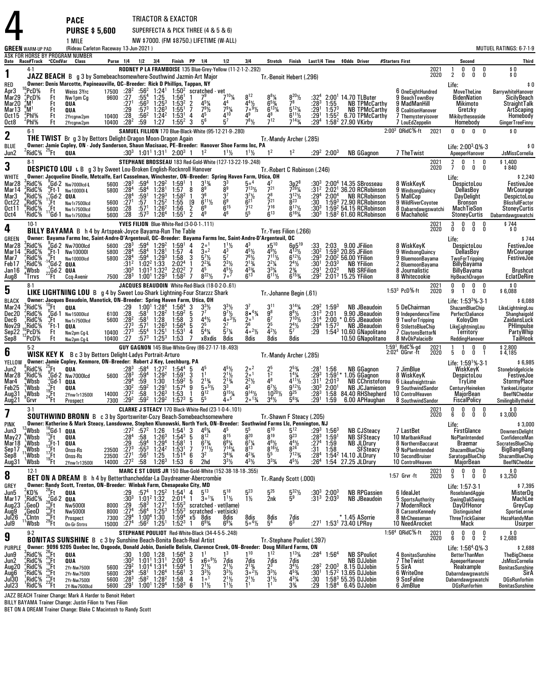|                                                                              |                                                                                                |                                                                                                                                                                  | <b>PACE</b><br><b>PURSE \$5,600</b>                                                                                                                                                                                             |                                                             |                                                                                |                                                                                    |                                                                                                                                                                                 | TRIACTOR & EXACTOR                                                                                     |                                                                                                                                                                              | SUPERFECTA & PICK THREE (4 & 5 & 6)                                                                                                              |                                                                                                                                    |                                                                                                                                        |                                                                                                                                                         |                                                                       |                                                                  |                                                                                                                                                |                                                                                                                               |              |                                                                                                                                                          |                                                                                                                               |
|------------------------------------------------------------------------------|------------------------------------------------------------------------------------------------|------------------------------------------------------------------------------------------------------------------------------------------------------------------|---------------------------------------------------------------------------------------------------------------------------------------------------------------------------------------------------------------------------------|-------------------------------------------------------------|--------------------------------------------------------------------------------|------------------------------------------------------------------------------------|---------------------------------------------------------------------------------------------------------------------------------------------------------------------------------|--------------------------------------------------------------------------------------------------------|------------------------------------------------------------------------------------------------------------------------------------------------------------------------------|--------------------------------------------------------------------------------------------------------------------------------------------------|------------------------------------------------------------------------------------------------------------------------------------|----------------------------------------------------------------------------------------------------------------------------------------|---------------------------------------------------------------------------------------------------------------------------------------------------------|-----------------------------------------------------------------------|------------------------------------------------------------------|------------------------------------------------------------------------------------------------------------------------------------------------|-------------------------------------------------------------------------------------------------------------------------------|--------------|----------------------------------------------------------------------------------------------------------------------------------------------------------|-------------------------------------------------------------------------------------------------------------------------------|
|                                                                              |                                                                                                |                                                                                                                                                                  | 1 MILE                                                                                                                                                                                                                          |                                                             |                                                                                |                                                                                    |                                                                                                                                                                                 |                                                                                                        |                                                                                                                                                                              | NW \$7000. (FM \$8750.) LIFETIME (W-ALL)                                                                                                         |                                                                                                                                    |                                                                                                                                        |                                                                                                                                                         |                                                                       |                                                                  |                                                                                                                                                |                                                                                                                               |              |                                                                                                                                                          |                                                                                                                               |
|                                                                              | <b>GREEN WARM-UP PAD</b>                                                                       |                                                                                                                                                                  | (Rideau Carleton Raceway 13-Jun-2021)<br>ASK FOR HORSE BY PROGRAM NUMBER                                                                                                                                                        |                                                             |                                                                                |                                                                                    |                                                                                                                                                                                 |                                                                                                        |                                                                                                                                                                              |                                                                                                                                                  |                                                                                                                                    |                                                                                                                                        |                                                                                                                                                         |                                                                       |                                                                  |                                                                                                                                                |                                                                                                                               |              |                                                                                                                                                          | MUTUEL RATINGS: 6-7-1-9                                                                                                       |
|                                                                              | Date Race#Track °CCndVar<br>4-1                                                                |                                                                                                                                                                  | Class                                                                                                                                                                                                                           |                                                             |                                                                                | Purse 1/4 1/2 3/4                                                                  |                                                                                                                                                                                 |                                                                                                        | Finish PP 1/4                                                                                                                                                                | 1/2<br>RODNEY P LA FRAMBOISE 135 Blue-Grey-Yellow (11-2-1-2-.292)                                                                                | 3 4                                                                                                                                |                                                                                                                                        | Stretch Finish                                                                                                                                          |                                                                       |                                                                  | Last1/4 Time \$0dds Driver                                                                                                                     | #Starters First                                                                                                               | 2021<br>2020 | Second<br>0<br>$_{0}^{0}$<br>$^0_0$                                                                                                                      | Third<br>$\begin{smallmatrix} * & 0 \ * & 0 \end{smallmatrix}$                                                                |
| 1<br>RED<br>Apr3<br>Mar29<br>Mar20<br>Mar13<br>Oct 15                        | $^{10}$ PcD%<br>$z$ PcD%<br>$3^3M1$<br>ຶM'<br>$\degree$ PhI%                                   | Ft<br>Ft<br>Ft<br>Ft<br>Ft                                                                                                                                       | JAZZ BEACH B g 3 by Somebeachsomewhere-Southwind Jazmin-Art Major<br>Owner: Denis Marcotte, Papineauville, QC--Breeder: Rick D Phillips, Tappan, NY<br>Weiss 3Yrc<br>Nw1pm Cg<br><b>QUA</b><br>QUA                              | 9600<br>10400 :28                                           | 17500 :28 <sup>2</sup><br>: 27<br>:27 <sup>1</sup><br>:29                      | :56 $^2$<br>$:55^{4}$<br>$:56^3$<br>$:57^{3}$<br>:56 <sup>2</sup>                  | $1:241$<br>$1:252$<br>$1:25^{3}$<br>$1:26^{3}$<br>$1:24^2$                                                                                                                      | $1:56^{1}$<br>1:53 <sup>2</sup><br>1:55 <sup>1</sup><br>$1:53^{1}$                                     | $\frac{2}{7}$<br>$4^{5}$ <sup>1</sup> / <sub>4</sub><br>$7^{9}$ <sup>1</sup> / <sub>2</sub><br>4 <sup>5</sup><br>4                                                           | 1.50 <sup>2</sup> scratched vet<br>1.50 <sup>2</sup> scratched vet<br>7 <sup>9</sup><br>$7^{9}$ <sup>1</sup> / <sub>4</sub><br>$\mathbf{A}^{10}$ | $8^{12}$<br>$\frac{4^4\frac{1}{2}}{7^6\frac{9}{2}}$<br>$4^9$                                                                       | Tr. Benoit Hebert (.296)<br>$8^{8}$ <sup>1</sup> / <sub>4</sub><br>$6^{5}$ <sup>3</sup> / <sub>4</sub><br>$6^{13}$ %<br>48             | $\frac{8^{20}\%}{7^8}$<br>$5^{12}$ <sup>1</sup> / <sub>4</sub><br>$6^{11}$ %                                                                            | :32 $4$<br>:283<br>:29 <sup>1</sup><br>:291                           | 1:55<br>$1:57^{3}$<br>$1:55^{2}$                                 | $2:001$ 14.70 TLButer<br><b>NB TPMcCarthy</b><br><b>NB TPMcCarthy</b><br>6.70 TPMcCarthy                                                       | 6 OneEightHundred<br>9 BeachTownBoy<br>9 MadManHill<br>8 CoalitionHanover<br>7 Themysteryisover                               |              | $\overline{2}$<br>0<br>Life:<br><b>MoveTheLine</b><br><b>BidenNation</b><br>Mikimoto<br>Gretzky<br>Mikibytheseaside                                      | \$0<br>BarrywhiteHanover<br>SicilyBeach<br>StraightTalk<br>ArtScaping<br>Homebody                                             |
| Oct8                                                                         | 'PhI%                                                                                          | Ft                                                                                                                                                               | 2Yrcgnw2pm<br>2Yrcgnw2pm                                                                                                                                                                                                        |                                                             | 10400 : 28 <sup>2</sup>                                                        | :59                                                                                | 1:27                                                                                                                                                                            | $1:55^{2}$                                                                                             | 56<br>3                                                                                                                                                                      | 57                                                                                                                                               | $7^{8}$ <sup>1/2</sup>                                                                                                             | $7^{12}$                                                                                                                               | $7^{143}$                                                                                                                                               | :29ª                                                                  |                                                                  | 1:58 <sup>2</sup> 27.90 VKirby                                                                                                                 | 7 LouEdZeppelin                                                                                                               |              | Homebody                                                                                                                                                 | <b>GingerTreeFinny</b>                                                                                                        |
| 2                                                                            | $6-1$                                                                                          |                                                                                                                                                                  | <b>THE TWIST</b> Br g 3 by Bettors Delight-Dragon Moon-Dragon Again                                                                                                                                                             |                                                             |                                                                                |                                                                                    |                                                                                                                                                                                 |                                                                                                        |                                                                                                                                                                              | SAMUEL FILLION 170 Blue-Black-White (95-12-21-9-.280)                                                                                            |                                                                                                                                    | Tr.-Mandy Archer (.285)                                                                                                                |                                                                                                                                                         |                                                                       |                                                                  |                                                                                                                                                | 2:00 <sup>3</sup> QRidC <sup>5</sup> %-ft 2021                                                                                |              | $0\quad 0\quad 0\quad 0$                                                                                                                                 | \$0                                                                                                                           |
| <b>BLUE</b><br>Jun2                                                          | $2$ RidC% $25$ Ft                                                                              |                                                                                                                                                                  | Owner: Jamie Copley, ON - Jody Sanderson, Shaun Macisaac, PE-Breeder: Hanover Shoe Farms Inc, PA<br>QUA                                                                                                                         |                                                             |                                                                                |                                                                                    |                                                                                                                                                                                 | :30 <sup>3</sup> 1:01 <sup>1</sup> 1:31 <sup>1</sup> 2:00 <sup>3</sup> 1                               | 1 <sup>2</sup>                                                                                                                                                               | $1^{11}$                                                                                                                                         | $1^{11}$                                                                                                                           | 1 <sup>2</sup>                                                                                                                         | 1 <sup>2</sup>                                                                                                                                          |                                                                       | $:29^2$ 2:00 <sup>3</sup>                                        | <b>NB GGagnon</b>                                                                                                                              | 7 The Twist                                                                                                                   |              | Life: $2:00^3.0\%$ .3<br>ApeeperHanover                                                                                                                  | \$0<br>JsMissCornelia                                                                                                         |
| 3                                                                            | $8-1$                                                                                          |                                                                                                                                                                  | <b>DESPICTO LOU LB</b> g 3 by Sweet Lou-Broken English-Rocknroll Hanover                                                                                                                                                        |                                                             |                                                                                |                                                                                    |                                                                                                                                                                                 |                                                                                                        |                                                                                                                                                                              | STEPHANE BROSSEAU 183 Red-Gold-White (127-13-22-19-.248)                                                                                         |                                                                                                                                    |                                                                                                                                        |                                                                                                                                                         |                                                                       |                                                                  |                                                                                                                                                |                                                                                                                               | 2021<br>2020 | $\frac{2}{7}$<br>$_{\rm 0}^{\rm 0}$<br>$\mathbf{1}$<br>0<br>Ó<br>Ō                                                                                       | $$1,400$<br>$$840$                                                                                                            |
| <b>WHITE</b>                                                                 |                                                                                                |                                                                                                                                                                  | Owner: Jacqueline Dinelle, Metcalfe, Earl Casselman, Winchester, ON-Breeder: Spring Haven Farm, Utica, OH                                                                                                                       |                                                             |                                                                                |                                                                                    |                                                                                                                                                                                 |                                                                                                        |                                                                                                                                                                              |                                                                                                                                                  |                                                                                                                                    | Tr. Robert C Robinson (.246)                                                                                                           |                                                                                                                                                         |                                                                       |                                                                  |                                                                                                                                                |                                                                                                                               |              | Life:                                                                                                                                                    | \$2,240                                                                                                                       |
| Mar28<br>Mar 14<br>Mar3<br><b>Oct22</b><br><b>Oct11</b>                      | RidC%<br>'RidC%<br>'RidC%<br>*RidC%<br>RidC%                                                   | $^{2}_{11}$ Gd-2 0UA<br>(Ft                                                                                                                                      | $_{c}^{9}$ Gd-2 Nw7000lcd-L<br><sup>o</sup> Ft-1 Nw100001-L<br>Nw1r7500lcd<br>Nw1r7500lcd                                                                                                                                       | 5800<br>5600<br>5600                                        | 5600 :283<br>$:28^{4}$<br>$\frac{.28}{.27}$<br>$\overline{28}$                 | :59 $^4$<br>:58 <sup>4</sup><br>$\frac{159}{27}$<br>:57 <sup>1</sup>               | $1:29^2$<br>$1:28^1$<br>$1:29^{3}$<br>$1:25^{2}$<br>$1:26^2$                                                                                                                    | 1:59 <sup>1</sup><br>1:57<br>$1:58^{2}$<br>1:55<br>1:56                                                | $3^{13}/4$<br>8 <sup>9</sup><br>8<br>36<br>$\overline{1}$<br>$6^{11}$ %<br>$^{\rm{[9]}}_2$<br>6 <sup>9</sup>                                                                 | $\frac{3^3}{8^9}$<br>$\frac{3}{6}$ <sup>3</sup><br>6 <sup>9</sup>                                                                                | 50 <sup>4</sup><br>$7^{13}$ <sup>1</sup> / <sub>2</sub><br>$\frac{3^{7}\frac{1}{2}}{6^{21}}$                                       | $7^{21}$<br>$\frac{2^8}{7^{21}}$<br>$7^{16}$                                                                                           | $3p28$<br>$7261/4$<br>$3^{12}\frac{1}{2}$<br>8 <sup>23</sup><br>$8^{17}$ %                                                                              | $:30^3$<br>$:31^2$<br>:29ª<br>:30<br>:30ª                             | $2:00^4$                                                         | $2:004$ 14.35 SBrosseau<br>$2:021$ 36.20 RCRobinson<br><b>NB RCRobinson</b><br>1:593 72.90 RCRobinson<br>1:59 <sup>2</sup> 54.15 RCRobinson    | 8 WiskKeyK<br>9 WindsongQuincy<br>5 MallCop<br>9 WildRiverCoyotee<br>8 Dabarndawgswatchi                                      |              | DespictoLou<br>DellasBoy<br><b>DavDelight</b><br><b>Bronson</b><br>MachTieSon                                                                            | FestiveJoe<br>MrCourage<br>DespictoLou<br><b>BlissfullFactor</b><br>StoneyCurtis                                              |
| Oct4                                                                         | 'RidC%                                                                                         |                                                                                                                                                                  | Gd-1 Nw1r7500lcd                                                                                                                                                                                                                | 5600 :28                                                    |                                                                                | $:57^{3}$                                                                          | 1:26 <sup>4</sup>                                                                                                                                                               | $1:55^{1}$                                                                                             | $\overline{2}$<br>4 <sup>9</sup><br>YVES FILION Blue-White-Red (3-0-0-1-.111)                                                                                                |                                                                                                                                                  | 5 <sup>5</sup>                                                                                                                     | $6^{13}$                                                                                                                               | $6^{16}$                                                                                                                                                | $:30^3$                                                               |                                                                  | $1:582$ 61.60 RCRobinson                                                                                                                       | 6 Machaholic                                                                                                                  |              | <b>StoneyCurtis</b>                                                                                                                                      | Dabarndawgswatchi                                                                                                             |
| 4                                                                            | $10-1$                                                                                         |                                                                                                                                                                  | <b>BILLY BAYAMA</b> B h 4 by Artspeak-Joyce Bayama-Run The Table                                                                                                                                                                |                                                             |                                                                                |                                                                                    |                                                                                                                                                                                 |                                                                                                        |                                                                                                                                                                              |                                                                                                                                                  |                                                                                                                                    | Tr. Yves Filion (.266)                                                                                                                 |                                                                                                                                                         |                                                                       |                                                                  |                                                                                                                                                |                                                                                                                               | 2021<br>2020 | 3<br>0<br>$_{0}^{0}$<br>0<br>$\begin{smallmatrix} 0 \ 0 \end{smallmatrix}$<br>Ō                                                                          | \$744<br>\$0                                                                                                                  |
| <b>GREEN</b><br>Mar28<br>Mar14<br>Mar7<br>Feb17<br>Jan16                     | RidC%<br>RidC%<br>RidC%<br>RidC%<br>Wbsb                                                       |                                                                                                                                                                  | Owner: Bayama Farms Inc, Saint-Andre-D'Argenteuil, QC--Breeder: Bayama Farms Inc, Saint-Andre-D'Argenteuil, QC<br>${}^{9}_{6}$ Gd-2 Nw7000lcd<br>$\frac{19}{19}$ Ft-1 Nw100001<br>14Ft Nw100001cd<br>Nw10000lcd<br>$4$ Gd-2 QUA | 5800<br>5800                                                | $5600 : 28^3$<br>$:28^4$<br>$:28^4$<br>:312<br>:303                            | $:58^4$                                                                            | $:59^4$ 1:29 <sup>2</sup><br>1:28 <sup>1</sup><br>$\frac{1.594}{1.022}$ 1:29 <sup>3</sup><br>$1:01^3$ 1:32 <sup>3</sup>                                                         | $1:59^{1}$<br>1:57<br>1:58<br>2:02 <sup>4</sup><br>2:02 <sup>2</sup>                                   | $\frac{4}{4}$<br>$20^{1}$<br>30 <sup>2</sup><br>$5^{7}$ <sup>1</sup> / <sub>2</sub><br>3<br>$2^{23}/4$<br>$\mathbf{1}$<br>7                                                  | $\frac{1^{11}}{4^{3}}$<br>$\overline{5}$ <sup>7</sup><br>$2^{3}$ <sup>1/2</sup>                                                                  | $4^{5}\frac{1}{2}$<br>$7^{6}\frac{1}{2}$<br>$2^{1}\frac{3}{4}$                                                                     | x5 <sup>10</sup><br>$\frac{4^{\overline{9}}\frac{1}{2}}{7^{11}\frac{1}{2}}$<br>$2^2\frac{1}{4}$<br>$3^{3}$ <sup>1</sup> / <sub>4</sub> | $6p5^{19}$<br>4 $13\frac{1}{2}$<br>$6^{12}\%$<br>$2^{4}\frac{1}{2}$                                                                                     | :33<br>$:30^2$<br>$:29^{3}$<br>:301<br>:29'                           | 2:03<br>$2:03^{3}$<br>$2:02^{3}$                                 | 9.00 JFilion<br>$1:59^3$ 20.85 JFilion<br>2:00 <sup>2</sup> 56.00 YFilion<br><b>NB YFilion</b><br><b>NB SRFilion</b>                           | 8 WiskKeyK<br>9 WindsongQuincy<br>9 BluemoonBayama<br>2 BluemoonBayama<br>8 Journalistic                                      |              | Life:<br>DespictoLou<br>DellasBoy<br><b>TwoForTripping</b><br><b>BillyBayama</b><br>BillyBayama                                                          | \$744<br>FestiveJoe<br><b>MrCourage</b><br><b>FestiveJoe</b><br><b>Brushcut</b>                                               |
| Aug8                                                                         | 'Trrvs                                                                                         | $22$ <sup>1</sup> Gd-2 QUA<br>$22$ Ft Ccq-l                                                                                                                      | Ccq-Avenir                                                                                                                                                                                                                      |                                                             | 7500 : 28 <sup>3</sup>                                                         |                                                                                    | $1:001$ 1:29 <sup>3</sup>                                                                                                                                                       | $1:58^{2}$                                                                                             | $8^{22}\%$<br>7                                                                                                                                                              | $\frac{4^{5}y_{2}}{7^{5}}$                                                                                                                       | $\frac{4^{33}}{6^{13}}$                                                                                                            | $6^{11}\%$                                                                                                                             | $\frac{2\frac{3}{4}}{6^{15}\frac{3}{4}}$                                                                                                                | :292                                                                  |                                                                  | $2:013$ 15.25 YFilion                                                                                                                          | 8 Whitecookie                                                                                                                 |              | HpBeachDragon                                                                                                                                            | <b>EclatDeRire</b>                                                                                                            |
| 5                                                                            | $8-1$                                                                                          |                                                                                                                                                                  | LIKE LIGHTNING LOU B g 4 by Sweet Lou-Shark Lightning-Four Starzzz Shark                                                                                                                                                        |                                                             |                                                                                |                                                                                    |                                                                                                                                                                                 |                                                                                                        |                                                                                                                                                                              | JACQUES BEAUDOIN White-Red-Black (18-0-2-0-.61)                                                                                                  |                                                                                                                                    | Tr. Johanne Begin (.61)                                                                                                                |                                                                                                                                                         |                                                                       |                                                                  |                                                                                                                                                | $1.533$ PcD $%$ -ft                                                                                                           | 2021<br>2020 | 0<br>0<br>0<br>0<br>9<br>0<br>0<br>1                                                                                                                     | \$0<br>\$6,088                                                                                                                |
| <b>BLACK</b><br>Mar <sub>24</sub><br>Dec20<br>Dec6<br>Nov29<br>Sep22<br>Sep8 | RidC%<br>,RidC%<br>RidC <sup>%</sup><br>'RidC%<br>PcD%<br>PcD%                                 | <sup>10</sup> Ft<br>_0Gd-1<br>"Ft<br>′Ft∙1<br>Ft<br>Ft                                                                                                           | Owner: Jacques Beaudoin, Manotick, ON-Breeder: Spring Haven Farm, Utica, OH<br>QUA<br>Nw15000lcd<br>Nw1r7500lcd<br>QUA<br>Nw2pm Cg-L<br>Nw2pm Cg-L                                                                              | 6100<br>5600<br>10400 :273<br>10400                         | $:29$<br>$:28$<br>$:28^2$<br>:273<br>$\overline{.27}$                          | :58 <sup>1</sup><br>:58 <sup>1</sup><br>:57 <sup>1</sup><br>$:55^{4}$<br>$:57^{3}$ | $1:00^1$ $1:28^4$<br>$1:28^{2}$<br>1:28<br>$1:26^{3}$<br>$1:25^{1}$<br>$1:25^{3}$                                                                                               | $1:56^{4}$<br>$1:59^{2}$<br>1:58<br>1:56 <sup>4</sup><br>1:53 <sup>1</sup><br>1:53                     | -3<br>$3^{3}\frac{1}{2}$<br>5<br>$4^{4}$ <sup>1</sup> / <sub>2</sub><br>3<br>25<br>5<br>4<br>$5^4\%$<br>$\overline{7}$<br>x8xdis                                             | $9^{7}$<br>$40^{3}$<br>27<br>$\bar{5}^{7}\%$<br>8dis                                                                                             | 3 <sup>7</sup><br>$8 • 4\frac{3}{4}$<br>2 <sup>0</sup><br>$\overline{2}^6$<br>$\bar{4}$ $\circ$ <sup>2</sup> $\frac{1}{2}$<br>8dis | 3 <sup>11</sup><br>$\frac{9^8}{6^7}$<br>$\frac{5}{2}$<br>$\bar{4}^{2}\frac{1}{2}$<br>8dis                                              | $3^{14}$ <sup>1</sup> / <sub>4</sub><br>$\frac{8^{8}\frac{1}{2}}{7^{10}\frac{1}{2}}$<br>$\frac{2^4}{5^7}$<br>8dis                                       | :292<br>$:31^{3}$<br>:31 <sup>4</sup><br>:29 <sup>4</sup><br>:29      | $1:59^{3}$<br>2:01                                               | <b>NB JBeaudoin</b><br>9.90 JBeaudoin<br>2:00 * 0.65 JBeaudoin<br>$1:573$ NB JBeaudoin<br>1:54 $3$ 10.60 GNapolitano<br>10.50 GNapolitano      | 5 DeChairman<br>9 IndependenceTime<br>9 TwoForTripping<br>6 StilettoBlueChip<br>7 ClaytonsBettorN<br>8 MvOkPalacioBr          |              | Life: $1:533%3.1$<br>ShazamBlueChip<br>PerfectDaliance<br>KoloyDm<br>LikeLightningLou<br>Territory<br>ReddingHanover                                     | \$6,088<br>LikeLightningLou<br>Shanghaigold<br>ZaidansLuck<br>PHImpulse<br>PartyWhip<br>TailHook                              |
| 6                                                                            | $5-2$                                                                                          |                                                                                                                                                                  | <b>WISK KEY K</b> B c 3 by Bettors Delight-Ladys Portrait-Arturo                                                                                                                                                                |                                                             |                                                                                |                                                                                    |                                                                                                                                                                                 |                                                                                                        |                                                                                                                                                                              | GUY GAGNON 145 Blue-White-Grey (86-27-17-18-.493)                                                                                                |                                                                                                                                    | Tr.-Mandy Archer (.285)                                                                                                                |                                                                                                                                                         |                                                                       |                                                                  |                                                                                                                                                | 1:59 <sup>1</sup> RidC%-gd<br>2:02 <sup>4</sup> OGrvr -ft                                                                     | 2021<br>2020 | $\begin{matrix} 0 & 0 \\ 0 & 1 \end{matrix}$<br>5 0                                                                                                      | $$2,800$<br>$$4,185$                                                                                                          |
| YELLOW<br>Jun2<br>Mar28<br>Mar4<br>Feb25<br>Aug31<br>Aug21                   | $\mathrm{R}^8$ RidC $\%$<br>,RidC%<br>Wbsb)<br>Wbsb<br>,Wbsb<br>$96$ rvr                       | $^{25}$ Ft<br>$\begin{array}{r}\n360 - 2 \text{ NW/}0 \\ 360 - 1 \text{ QUA} \\ 19 \text{ Ft} \\ 24 \text{ Ft} \\ 2 \text{ Pto} \\ 2 \text{ Pto} \\ \end{array}$ | Owner: Jamie Copley, Kenmore, ON-Breeder: Robert J Key, Leechburg, PA<br>QUA<br>$^9$ Gd-2 Nw7000lcd<br>2Ynw1r13500I<br>Prospect                                                                                                 | $14000 \t 27^2$<br>7300                                     | :283<br>$5600 \t : 28^3$<br>:294<br>:30 <sup>2</sup><br>$:29^{2}$              | :58 $4$<br>$:59^{4}$<br>:59<br>$\frac{159^2}{58}$<br>$:59^2$                       | $1:272$<br>$1:292$<br>$1:30$<br>$1:29$<br>$1:26^{3}$<br>$1:29^2$                                                                                                                | $1:54^{4}$<br>1:59 <sup>1</sup><br>$1:59^{2}$<br>1:57 <sup>4</sup><br>1:53<br>$1:57^{3}$               | $\frac{4^5}{1^1}$<br>3<br>$2^{13/4}$<br>5. 5%<br>5<br>$\frac{9}{1}$<br>$9^{12}$<br>$\overline{5}$ <sup>5</sup><br>5                                                          | $4^{5}\frac{1}{2}$<br>2 <sup>1</sup> $\frac{1}{2}$<br>$\frac{2^{13}}{3^{3}}$<br>$9^{15}$ %<br>$4\circ$ <sup>5</sup>                              | $\frac{2}{2}$ ° <sup>2</sup><br>$\frac{2^{2}y_{2}}{4^{2}}$<br>$\frac{9^{14}\frac{1}{2}}{2^{0^{13}\frac{1}{4}}}$                    | $\frac{2^5}{1^2}$<br>48<br>$6^7\frac{1}{2}$<br>$10^{20}$ <sup>1/2</sup><br>$3^4$ <sup>1</sup> / <sub>2</sub>                           | $2^{5}_{4}$<br>$1^{4}$ $\frac{1}{4}$<br>$4^{11}$ %<br>$9^{12}\frac{1}{2}$<br>$5^{6}_{/4}$                                                               | $:28^{1}$<br>:29 <sup>3</sup><br>$:31^{1}$<br>$:30^3$<br>:283<br>:291 | $2:01^3$<br>2:00 <sup>1</sup><br>1:59                            | 1:56 NB GGagnon<br>1:59 <sup>1</sup> * 1.05 GGagnon<br><b>NB JCJamieson</b><br>1:58 84.40 RHShepherd<br>6.00 APHaughan                         | 7 JimBlue<br>8 WiskKeyK<br>NB CChristoforou 6 Likeafreighttrain<br>9 SouthwindSandor<br>10 ControlHeaven<br>8 SouthwindSandor |              | Life: $1:59^{1}\%$ 3-1<br>WiskKevK<br><b>DespictoLou</b><br><b>TryLine</b><br>CenturyHeineken<br>MajorBean<br><b>FiscalPolicy</b>                        | \$6,985<br>Stonebridgelcicle<br>FestiveJoe<br><b>StormyPlace</b><br>YankeeLitigator<br>BeefNCheddar<br>Smilingbillythekid     |
| 7                                                                            | $3-1$                                                                                          |                                                                                                                                                                  | <b>SOUTHWIND BRONN</b> B c 3 by Sportswriter-Cozy Beach-Somebeachsomewhere                                                                                                                                                      |                                                             |                                                                                |                                                                                    |                                                                                                                                                                                 |                                                                                                        |                                                                                                                                                                              | CLARKE J STEACY 170 Black-White-Red (23-1-0-4-.101)                                                                                              |                                                                                                                                    | Tr.-Shawn F Steacy (.205)                                                                                                              |                                                                                                                                                         |                                                                       |                                                                  |                                                                                                                                                |                                                                                                                               | 2021<br>2020 | 0<br>0<br>$_{0}^{0}$<br>0<br>6<br>Ō<br>Ō                                                                                                                 | $$0$<br>\$3,000                                                                                                               |
| PINK<br>Jun3<br>May27<br>Mar 18<br>Sep1/<br>Sep8<br>Aug31                    | Wbsb<br>'Wbsb<br>, Wbsb<br>, Wbsb<br>Wbsb<br>'Wbsb                                             | $15 + 3 + 1$<br>$13 + 1 + 1$<br>$17 + 19 + 1$<br>$19 + 1$                                                                                                        | Owner: Katherine & Mark Steacy, Lansdowne, Stephen Klunowski, North York, ON-Breeder: Southwind Farms Llc, Pennington, NJ<br>$^{6}$ Gd-1 QUA<br>QUA<br>QUA<br>Onss-Rs<br>Onss-Rs<br>2Ynw1r13500I                                | 23500<br>$23500$ :27 <sup>1</sup><br>14000 :27 <sup>2</sup> | $:27^{2}$<br>:284<br>:29<br>: 27 <sup>3</sup>                                  | $:57^2$ 1:26<br>:58<br>$:59^{4}$<br>$:55^{3}$<br>:56 <sup>1</sup><br>:58           | $1:26^{3}$<br>$1:29^{4}$<br>$1:24^{2}$<br>1:25<br>$1:26^{3}$                                                                                                                    | 1:54 <sup>1</sup><br>$1.54^{3}$<br>1:58 <sup>1</sup><br>1:53 <sup>1</sup><br>1:51 <sup>4</sup><br>1:53 | -3<br>$\frac{4^6}{8^{12}}$<br>$\overline{5}$<br>$6^{7}$ <sup>3</sup> / <sub>4</sub><br>$\mathbf{1}$<br>$7^{11}$ <sup>1</sup><br>7<br>3 <sup>2</sup><br>6<br>6<br>2hd         | 815<br>$6\frac{9\frac{1}{4}}{7^{14}\frac{1}{4}}$<br>$3^{4}\%$<br>$3^{3}$ <sup>1</sup> / <sub>2</sub>                                             | $\frac{5^5}{8^{20}}$<br>$6^{7}\frac{1}{4}$<br>$4^{23}$ /4<br>431/2                                                                 | $6^{10}$<br>$\tilde{8}^{19}$<br>$4^{6}\frac{1}{2}$<br>8 <sup>16</sup> <sup>1</sup> / <sub>2</sub><br>$\bar{5}^5$<br>$3^{3}\%$          | $5^{12}$<br>$\frac{5}{9}$ <sup>23</sup><br>$rac{44}{8^{24}}$<br>$7^{123}$ / <sub>4</sub><br>$4^{5}$ <sup>1/2</sup>                                      | $: 283$<br>:27 <sup>4</sup><br>:31<br>:28ª<br>:26 $4$                 | $:29^{3}$ 1:56 <sup>3</sup><br>1:59 <sup>1</sup><br>1:59<br>1:58 | <b>NB CJSteacy</b><br>NB SFSteacy<br>NB JLDrury<br>1:54 <sup>2</sup> 14.10 JLDrury<br>1:54 27.25 JLDrury                                       | 7 LastBet<br>10 MarlbankRoad<br>8 NorthernBaccarat<br>9 NoPlanIntended<br>10 SecondBruiser<br>10 ControlHeaven                |              | Life:<br><b>FirstGlance</b><br><b>NoPlanIntended</b><br>Braemar<br>ShazamBlueChip<br>SaratogaBlueChip<br>MajorBean                                       | \$3,000<br><b>DownersDelight</b><br>ConfidenceMan<br>SocratesBlueChip<br>BigBangBang<br>ShazamBlueChip<br><b>BeefNCheddar</b> |
| 8                                                                            | $12-1$                                                                                         |                                                                                                                                                                  | BET ON A DREAM B h 4 by Betterthancheddar-La Daydreamer-Abercrombie                                                                                                                                                             |                                                             |                                                                                |                                                                                    |                                                                                                                                                                                 |                                                                                                        |                                                                                                                                                                              | MARC E ST LOUIS JR 150 Blue-Gold-White (152-38-18-18-.355)                                                                                       |                                                                                                                                    | Tr.-Randy Scott (.000)                                                                                                                 |                                                                                                                                                         |                                                                       |                                                                  |                                                                                                                                                | 1:57 Grvr -ft                                                                                                                 | 2021<br>2020 | $\mathsf{n}$<br>0<br>0<br>$\begin{smallmatrix} 0 \ 5 \end{smallmatrix}$<br>Ō<br>0<br>$\mathbf{1}$                                                        | $$0$ \$ 3,250                                                                                                                 |
| GREY<br>Jun5<br>Mar <sub>17</sub><br>Aug23<br>Aug9<br>Jul26                  | KD%<br>RidC%<br>,GeoD<br>,'GeoD<br>CIntn',                                                     |                                                                                                                                                                  | Owner: Randy Scott, Trenton, ON-Breeder: Winbak Farm, Chesapeake City, MD<br><b>Nw5000I</b><br>Nw5000I<br>Prospect                                                                                                              | 8000<br>8000<br>7300                                        | $^{129}_{130^3}$<br>:29<br>$:27^{4}$<br>$.29^{4}$                              | $:58^3$<br>:56ª                                                                    | $:57^4$ 1:25 <sup>2</sup><br>$1:01^2$ 1:32<br>$1.27^{1}$<br>$1:25^{3}$<br>1:00 <sup>4</sup> 1:30                                                                                | $1:54^1$ 4<br>2:01 <sup>4</sup><br>$1:55^{3}$<br>$1:55^{3}$<br>$1:59^{4}$                              | $5^{13}$<br>$\overline{1}$<br>$3 \circ 1\frac{1}{4}$<br>х5<br>8dis<br>6 <sup>93</sup> ⁄4                                                                                     | 518<br>$1^{11}$<br>scratched - vet(lame)<br>scratched - vet(sick)<br>8dis<br>6 <sup>9</sup> %                                                    | $5^{23}$<br>$1\frac{1}{2}$<br>8dis<br>5. <sup>41</sup> / <sub>2</sub>                                                              | $5^{25}$<br>2nk<br>8dis<br>5 <sup>4</sup>                                                                                              | $\frac{5^{32}\%}{5^9}$<br>$\frac{7}{6^3}$                                                                                                               | $:30^3$<br>$:31^3$                                                    | $2:00^{3}$<br>$2:03^{3}$                                         | <b>NB RPGassien</b><br><b>NB JBeaudoin</b><br>* 1.45 ASorrie                                                                                   | 6 IdealJet<br>5 SportsAuthority<br>7 ModernRock<br>8 CarsonsKennedy<br>8 MrCheeseman                                          |              | Life: 1:57-3-1<br>RoselslandAggie<br>SwingDaliSwing<br><b>DayOfHonor</b><br>Distinguished<br><b>ThreeTrickGainer</b>                                     | \$7,395<br>MisterDa<br>MachLee<br>GreyCup<br>SportieLornie<br>HezaHandyMan                                                    |
| $J\ddot{\mathbf{u}}$                                                         | Wbsb<br>$9-2$                                                                                  |                                                                                                                                                                  | On-Gr-Strtrs                                                                                                                                                                                                                    | 15000                                                       | :27 <sup>4</sup>                                                               | $:56^2$ 1:25 <sup>1</sup>                                                          |                                                                                                                                                                                 | $1:52^{3}$                                                                                             |                                                                                                                                                                              | STEPHANE POULIOT Red-White-Black (34-4-5-5-.248)                                                                                                 |                                                                                                                                    |                                                                                                                                        |                                                                                                                                                         | :271                                                                  |                                                                  | $1:531$ 73.40 LPRov                                                                                                                            | 10 NeedArocket<br>$1:564$ QRidC $%$ -ft                                                                                       |              | Mack<br>0                                                                                                                                                | Usurper                                                                                                                       |
| 9                                                                            |                                                                                                |                                                                                                                                                                  | <b>BONITAS SUNSHINE</b> B c 3 by Sunshine Beach-Bonita Beach-Real Artist<br>Owner: 9096 9205 Quebec Inc, Osgoode, Donald Jobin, Danielle Belisle, Clarence Creek, ON-Breeder: Doug Millard Farms, ON                            |                                                             |                                                                                |                                                                                    |                                                                                                                                                                                 |                                                                                                        |                                                                                                                                                                              |                                                                                                                                                  |                                                                                                                                    | Tr. Stephane Pouliot (.397)                                                                                                            |                                                                                                                                                         |                                                                       |                                                                  |                                                                                                                                                |                                                                                                                               | 2021<br>2020 | $0\atop 0$<br>0<br>6<br>$\frac{0}{2}$<br>Ō                                                                                                               | $$0$<br>\$2,688                                                                                                               |
| PURPLE<br>Jun9<br>Jun2<br>Aug20<br>Aug6<br>Jul30<br>Jul23                    | <sup>3</sup> RidC%<br><sup>2</sup> RidC%<br>$2$ RidC%<br>,RidC%<br>RidC <sup>5</sup><br>'RidC% | 26 Ft<br>25 Ft<br>19 Ft<br>25 Ft<br>25 Ft<br>23 Ft                                                                                                               | QUA<br>QUA<br>2Yr-Nw7500I<br>2Yr-Nw7500I<br>2Yr-Nw7500I<br>2Y-Nw7500lcd                                                                                                                                                         | 5600<br>5600<br>5600<br>5600                                | :30<br>$:30^3$<br>$:29^2$<br>:28 <sup>4</sup><br>$:28^{3}$<br>:29 <sup>1</sup> | :58 <sup>1</sup>                                                                   | $1:00$ $1:28$<br>$1:01$ <sup>1</sup> $1:31$ <sup>1</sup><br>1:01 <sup>4</sup> 1:31 <sup>4</sup><br>$1:26^4$<br>$:58^2$ 1:28 <sup>2</sup><br>1:00 <sup>1</sup> 1:29 <sup>4</sup> | $1:56^{4}$<br>$2:00^{3}$<br>$1:59^{4}$<br>1:56 <sup>1</sup><br>1.58<br>$1:58^{3}$                      | 1 <sup>1</sup><br>$\frac{3}{5}$<br>$x6 \circ 9\frac{1}{2}$<br>$\frac{2^{1}\frac{1}{2}}{3^{3}\frac{1}{2}}$<br>1 <sup>o</sup> <sup>1</sup><br>$\frac{3}{4}$<br>6<br>$1^{11}/2$ | 7dis<br>$\frac{2^{1}\frac{1}{2}}{3^{3}\frac{1}{2}}$<br>$\frac{2^{1}\frac{1}{2}}{2^{1}\frac{1}{2}}$<br>$1^{11}/2$                                 | 110<br>7dis<br>$\frac{2^{13/4}}{3^{02/4}}$<br>$2^{11/2}$                                                                           | $1^{12}$<br>7 <sub>dis</sub><br>$2^3$<br>$3^{3}\frac{1}{2}$<br>$3^{11}/2$                                                              | $1^{13}$ <sup>1</sup> / <sub>4</sub><br>7dis<br>$3^{4}\frac{1}{2}$<br>4 <sup>53</sup> / <sub>4</sub><br>4 <sup>3</sup> / <sub>4</sub><br>$3\frac{3}{4}$ | :28ª<br>:30'<br>:30<br>:29                                            | : 28 <sup>4</sup> 1: 56 <sup>4</sup><br>$2:00^{3}$<br>$1:58^{4}$ | <b>NB SPouliot</b><br><b>NB DJJobin</b><br>$2:00^3$ 8.15 DJJobin<br>1:57 $^2$ 13.65 DJJobin<br>1:58 <sup>3</sup> 55.35 DJJobin<br>6.45 DJJobin | 4 BonitasSunshine<br>7 The Twist<br>5 SirA<br>6 WriteOne<br>9 SosFaline<br>6 JimBlue                                          |              | Life: $1:564 \cdot 0\% \cdot 3$<br><b>BetterThanMen</b><br>ApeeperHanover<br>Realxample<br>Dabarndawgswatchi<br>Dabarndawgswatchi<br><b>DGsRunforhim</b> | \$2,688<br>TheBigCheese<br><b>JsMissCornelia</b><br><b>BonitasSunshine</b><br>SirA<br><b>DGsRunforhim</b><br>BonitasSunshine  |
|                                                                              |                                                                                                |                                                                                                                                                                  | JAZZ BEACH Trainer Change: Mark A Harder to Benoit Hebert<br>BILLY BAYAMA Trainer Change: Justin Filion to Yves Filion<br>BET ON A DREAM Trainer Change: Blake C Macintosh to Randy Scott                                       |                                                             |                                                                                |                                                                                    |                                                                                                                                                                                 |                                                                                                        |                                                                                                                                                                              |                                                                                                                                                  |                                                                                                                                    |                                                                                                                                        |                                                                                                                                                         |                                                                       |                                                                  |                                                                                                                                                |                                                                                                                               |              |                                                                                                                                                          |                                                                                                                               |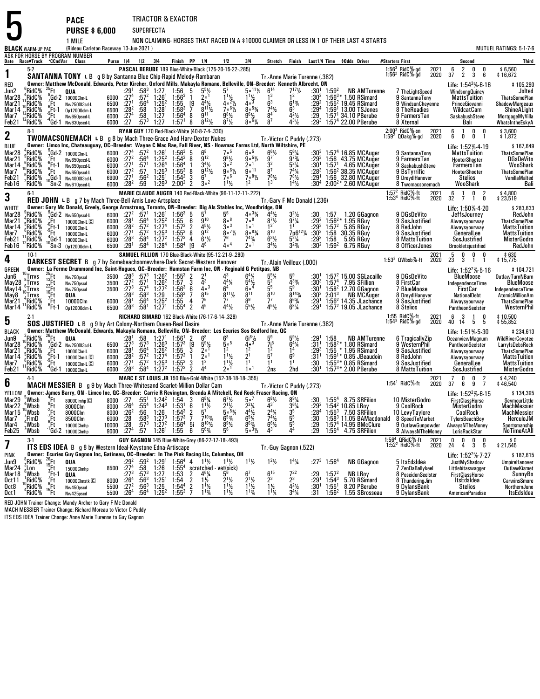|                                                                                                                                  |                                                                                                                                      |                                                                                            | <b>PACE</b>                                                                                                                                                                                                                               |                                                                                                                    |                                                                                                                                                                         |                                                                                                                      | TRIACTOR & EXACTOR                                                                                       |                                                                                                                                                                                                                                                                                                    |                                                                                                                         |                                                                                                         |                                                                                                                                                           |                                                                                                                                                       |                                                                             |                                                                                         |                                                                                                                                                                    |                                                                                                             |              |                                                                                                                                                |                                |                                                                                                                                                     |
|----------------------------------------------------------------------------------------------------------------------------------|--------------------------------------------------------------------------------------------------------------------------------------|--------------------------------------------------------------------------------------------|-------------------------------------------------------------------------------------------------------------------------------------------------------------------------------------------------------------------------------------------|--------------------------------------------------------------------------------------------------------------------|-------------------------------------------------------------------------------------------------------------------------------------------------------------------------|----------------------------------------------------------------------------------------------------------------------|----------------------------------------------------------------------------------------------------------|----------------------------------------------------------------------------------------------------------------------------------------------------------------------------------------------------------------------------------------------------------------------------------------------------|-------------------------------------------------------------------------------------------------------------------------|---------------------------------------------------------------------------------------------------------|-----------------------------------------------------------------------------------------------------------------------------------------------------------|-------------------------------------------------------------------------------------------------------------------------------------------------------|-----------------------------------------------------------------------------|-----------------------------------------------------------------------------------------|--------------------------------------------------------------------------------------------------------------------------------------------------------------------|-------------------------------------------------------------------------------------------------------------|--------------|------------------------------------------------------------------------------------------------------------------------------------------------|--------------------------------|-----------------------------------------------------------------------------------------------------------------------------------------------------|
|                                                                                                                                  |                                                                                                                                      |                                                                                            | <b>PURSE \$6,000</b>                                                                                                                                                                                                                      |                                                                                                                    | <b>SUPERFECTA</b>                                                                                                                                                       |                                                                                                                      |                                                                                                          |                                                                                                                                                                                                                                                                                                    |                                                                                                                         |                                                                                                         |                                                                                                                                                           |                                                                                                                                                       |                                                                             |                                                                                         |                                                                                                                                                                    |                                                                                                             |              |                                                                                                                                                |                                |                                                                                                                                                     |
|                                                                                                                                  | <b>BLACK WARM-UP PAD</b>                                                                                                             |                                                                                            | 1 MILE<br>(Rideau Carleton Raceway 13-Jun-2021)                                                                                                                                                                                           |                                                                                                                    |                                                                                                                                                                         |                                                                                                                      |                                                                                                          |                                                                                                                                                                                                                                                                                                    |                                                                                                                         |                                                                                                         |                                                                                                                                                           |                                                                                                                                                       |                                                                             |                                                                                         | NON CLAIMING-HORSES THAT RACED IN A \$10000 CLAIMER OR LESS IN 1 OF THEIR LAST 4 STARTS                                                                            |                                                                                                             |              |                                                                                                                                                |                                | MUTUEL RATINGS: 5-1-7-6                                                                                                                             |
|                                                                                                                                  |                                                                                                                                      |                                                                                            | ASK FOR HORSE BY PROGRAM NUMBER<br>Date Race#Track CCndVar Class                                                                                                                                                                          |                                                                                                                    | Purse 1/4 1/2 3/4                                                                                                                                                       |                                                                                                                      | Finish PP 1/4                                                                                            |                                                                                                                                                                                                                                                                                                    | 1/2                                                                                                                     | 3 4                                                                                                     |                                                                                                                                                           | Stretch Finish                                                                                                                                        |                                                                             |                                                                                         | Last1/4 Time \$0dds Driver                                                                                                                                         | #Starters First                                                                                             |              | Second                                                                                                                                         |                                | Third                                                                                                                                               |
| 1                                                                                                                                | $5-2$                                                                                                                                |                                                                                            | SANTANNA TONY L B g 8 by Santanna Blue Chip-Rapid Melody-Rambaran                                                                                                                                                                         |                                                                                                                    |                                                                                                                                                                         |                                                                                                                      |                                                                                                          |                                                                                                                                                                                                                                                                                                    | PASCAL BERUBE 189 Blue-White-Black (125-20-15-22-.285)                                                                  |                                                                                                         | Tr. Anne Marie Turenne (.382)                                                                                                                             |                                                                                                                                                       |                                                                             |                                                                                         |                                                                                                                                                                    | 1:56 $3$ RidC $%$ -gd<br>1:56 $2$ RidC $%$ -gd                                                              | 2021<br>2020 | $\frac{2}{2}$<br>6<br>0<br>37<br>3                                                                                                             | 0<br>6                         | \$6,560<br>\$16,672                                                                                                                                 |
| RED<br>Jun2<br>Mar28<br>Mar21<br>Mar 14<br>Mar7<br>Feb21                                                                         | $6$ RidC%<br>7RidC%<br>$^{11}_{10}$ RidC %<br>RidC%:<br><sup>2</sup> RidC <sup>%</sup>                                               | $^{25}$ Ft<br>$\frac{7}{6}$ Ft<br>$_{9}^{\circ}$ Ft-1<br>:Ft                               | Owner: Matthew McDonald, Edwards, Peter Kircher, Oxford Mills, Makayla Romano, Belleville, ON-Breeder: Kenneth Albrecht, ON<br>QUA<br><sup>9</sup> Gd-2 10000Clm-L<br>Nw2500l3cd-L<br>Op12000clm-L<br>Nw650pscd-L<br>$4$ Gd-1 Nw630pscd-L | 6000<br>6500<br>6500<br>6000<br>6000 :27                                                                           | $:58^3$<br>:572<br>$:29^{1}$<br>$:27^{4}$<br>$:56^{4}$<br>:27 <sup>1</sup><br>$:28^2$<br>:58<br>:58<br>:27 <sup>4</sup><br>$:57^{3}$                                    | 1:27<br>$1:26^{1}$<br>1:25 <sup>2</sup><br>$1:28^{1}$<br>1:27<br>1:27                                                | $1:56$ 5<br>$1.56^{3}$<br>1:55<br>$1:58^{3}$<br>$1:56^{4}$<br>1:57 <sup>1</sup>                          | $\frac{5^{5}\%}{2^{01}}$<br>$\mathbf{1}$<br>[9<br>$4^{4}$ %<br>$8^{11}\%$<br>$\tilde{9}^{11}$<br>8<br>$8^{12}\%$<br>8                                                                                                                                                                              | $11\frac{1}{2}$<br>$40^{21}$<br>7°6%<br>$9^{8}$ <sup>1/2</sup><br>$8^{7}$ <sup>1</sup> / <sub>2</sub>                   | $5^{\circ}$ <sup>11</sup> %<br>$\frac{11\frac{1}{2}}{40^{3}}$<br>$80^{53}$<br>$96$ %<br>$800^{6}$       | $\frac{6^{14}}{1^3}$<br>6 <sup>3</sup><br>$7^4$ <sup>1</sup> / <sub>2</sub><br>8 <sup>7</sup>                                                             | $7^{17}_{2}$ <sup>17</sup><br>$6^{13}/4$<br>6 <sup>3</sup><br>$4^{2}\frac{1}{2}$<br>$4^{3}$ <sup>1</sup> / <sub>2</sub>                               | :30ª<br>:292<br>:294<br>:29<br>$:29^{3}$                                    | $:30^{1}$ 1:59 <sup>2</sup>                                                             | <b>NB AMTurenne</b><br>$1:56^{3*}$ 1.50 RSimard<br>$1:552$ 19.45 RSimard<br>$1:591 13.00$ TSJones<br>$1:571$ 34.10 PBerube<br>1:57 <sup>4</sup> 22.00 PBerube      | 7 TheLightSpeed<br>9 SantannaTony<br>9 WindsunCheyenne<br>8 TheRoadies<br>9 FarmersTan<br>8 Xternal         |              | Life: $1:54^2\%$ -6-16<br>WindsongQuincy<br><b>MattsTuition</b><br>PrinceGiovanni<br>WildcatCam<br>SaskabushSteve<br>Bali                      |                                | \$105,290<br>Jolted<br><b>ThatsSomePlan</b><br>ShadowMargeaux<br>ShineALight<br><b>MortgageMyVilla</b><br>WhatsIntheEskyA                           |
| $\mathbf 2$                                                                                                                      | $8-1$                                                                                                                                |                                                                                            | <b>TWOMACSONEMACH L B</b> g 8 by Mach Three-Grace And Harv-Dexter Nukes                                                                                                                                                                   |                                                                                                                    |                                                                                                                                                                         |                                                                                                                      |                                                                                                          | RYAN GUY 170 Red-Black-White (40-8-7-4-.330)                                                                                                                                                                                                                                                       |                                                                                                                         |                                                                                                         |                                                                                                                                                           |                                                                                                                                                       |                                                                             |                                                                                         |                                                                                                                                                                    | $2:00^2$ RidC%-sn<br>1:59 <sup>2</sup> QOakg%-gd                                                            | 2021<br>2020 | 0<br>$^6_6$<br>$\overline{1}$<br>Ò<br>0                                                                                                        | $\mathbf{0}$<br>$\overline{1}$ | \$3,600<br>\$1,872                                                                                                                                  |
| BLUE<br>Mar28<br>Mar21<br>Mar 14<br>Mar7<br>Feb21<br>Feb16                                                                       | 'RidC%<br>$\frac{8}{6}$ RidC%<br>$\,{}^{\circ}_{\circ}\mathrm{RidC}\%$<br>RidC%:<br>$\frac{9}{3}$ RidC%<br>'RidC%                    | ′Ft∴<br>(Ft-1<br>:Ft                                                                       | Owner: Limco Inc, Chateauguay, QC-Breeder: Wayne C Mac Rae, Fall River, NS - Howmac Farms Ltd, North Wiltshire, PE<br>Gd-2 10000clm-L<br>Nw650pscd-L<br>Nw650pscd-L<br>Nw650pscd-L<br>$^{4}_{0}$ Gd-1 Nw400013cd-L<br>'Sn-2 Nw610pscd-L   | 6000<br>6000<br>6000<br>6000<br>6900<br>6000 :28 <sup>2</sup>                                                      | :27 <sup>4</sup><br>$.27^{2}$<br>$.56^{4}$<br>:27 <sup>1</sup><br>$\frac{.57}{.57}$<br>$:27^{2}$<br>:27 <sup>1</sup><br>$:56^2$<br>:59                                  | $:57^2$ 1:26 <sup>1</sup><br>1:25 <sup>2</sup><br>1:26 <sup>4</sup><br>$1:25^{3}$<br>1:25 <sup>1</sup><br>$1:29^{3}$ | $1:56^{3}$<br>$1:54^2$ 8<br>1.56 <sup>4</sup><br>$1:55^{3}$<br>$1:54^{2}$<br>$2:00^2$                    | $6^8$<br>5<br>$9^{12}$<br>$3^{4}\frac{1}{2}$<br>9 <sup>12</sup> / <sub>2</sub><br>8<br>6 <sup>7</sup><br>3<br>$3^{\circ}$ <sup>2</sup><br>$\overline{2}$                                                                                                                                           | 7 <sub>0</sub> 5<br>$\frac{9^{8}1}{3^{0}}$<br>9°6%<br>$7\degree$ <sup>6</sup><br>$1^{11}/2$                             | 60 <sup>5</sup><br>$9.5\%$<br>2 <sup>0</sup><br>$9^{\circ}$ <sup>11</sup><br>$7.8\%$<br>1 <sup>2</sup>  | Tr. Victor C Puddy (.273)<br>$6^{6}$ <sup>1</sup> / <sub>2</sub><br>$9^7$<br>3 <sup>2</sup><br>$7^{8}$ <sup>1</sup> / <sub>2</sub><br>1 <sup>3</sup>      | $5^{6}\frac{1}{4}$<br>9 <sup>73</sup> / <sub>4</sub><br>$5^{2}$ <sup>1</sup> / <sub>4</sub><br>741/4<br>$7^{8}$ <sup>1</sup> / <sub>2</sub><br>$14$ % | $:30^{3}$<br>$:29^{3}$<br>:30 <sup>1</sup><br>:283<br>$:29^{1}$<br>:30 $4$  |                                                                                         | $1:574$ 16.85 MCAuger<br>1:56 43.75 MCAuger<br>1:57 <sup>1</sup> 4.65 MCAuger<br>1:56 <sup>2</sup> 38.35 MCAuger<br>1:56 32.80 MCAuger<br>$2:00^{2*}$ 2.60 MCAuger | 9 SantannaTony<br>9 FarmersTan<br>9 SaskabushSteve<br>9 BsTyrrific<br>9 DreydlHanover<br>8 Twomacsonemach   |              | Life: 1:52% 4-19<br>MattsTuition<br>HooterShooter<br>FarmersTan<br>HooterShooter<br><b>Stelios</b><br>WooShark                                 |                                | \$167,649<br><b>ThatsSomePlan</b><br><b>DGsDeVito</b><br>WooShark<br><b>ThatsSomePlan</b><br>VanillaMalted<br>Bali                                  |
| 3                                                                                                                                | $6-1$                                                                                                                                |                                                                                            | RED JOHN L B g 7 by Mach Three-Bell Amis Love-Artsplace                                                                                                                                                                                   |                                                                                                                    |                                                                                                                                                                         |                                                                                                                      |                                                                                                          |                                                                                                                                                                                                                                                                                                    | MARIE CLAUDE AUGER 140 Red-Black-White (96-11-12-11-.222)                                                               |                                                                                                         | Tr.-Gary F Mc Donald (.236)                                                                                                                               |                                                                                                                                                       |                                                                             |                                                                                         |                                                                                                                                                                    | 1:57 <sup>2</sup> RidC%-ft<br>1:53 <sup>4</sup> RidC%-ft                                                    | 2021<br>2020 | 6<br>$\mathbf 0$<br>$\overline{1}$<br>32 7 1                                                                                                   | $\overline{2}$<br>0            | \$4,800<br>\$23,519                                                                                                                                 |
| <b>WHITE</b><br>Mar28<br>Mar21<br>Mar 14<br>Mar7<br>Feb21<br>Feb16                                                               | $9$ RidC%<br>"RidC%<br>$\lambda$ RidC $\%$<br>$^{8}$ RidC%<br>¦RidC%<br>'RidC%                                                       | $\frac{6}{9}$ Ft 1<br>$\frac{9}{4}$ Ft 1<br>(Gd-1<br>$^{10}$ Sn $-3$                       | Owner: Gary Mc Donald, Greely, George Armstrong, Toronto, ON-Breeder: Big Als Stables Inc, Woodbridge, ON<br><sup>9</sup> Gd-2 Nw650pscd-L<br>10000Clm-L C<br>10000Clm-L<br>10000Clm-L<br>10000Clm-L<br>Op12000clm-L                      | 6000 :27 <sup>2</sup> :57 <sup>1</sup> 1:26 <sup>1</sup><br>6000<br>6000<br>6000<br>6000 : 28 <sup>3</sup><br>6500 | :28 <sup>1</sup><br>:56 <sup>4</sup><br>$:57^{2}$<br>$: 28^{2}$<br>:27 <sup>1</sup><br>$.58^{4}$<br>:29 <sup>1</sup><br>:58 <sup>4</sup>                                | $1:25^2$<br>1:27 <sup>4</sup><br>$:57^2$ 1:25 <sup>3</sup><br>$1:27^{2}$<br>1:28 <sup>4</sup>                        | $1:56^{3}$<br>1:55<br>$1:57^{2}$<br>$1:55^{3}$<br>$1:57^{3}$<br>$1:58^{4}$                               | -5<br>$9^{10}$<br>6<br>45%<br>$\overline{2}$<br>$9^{12}$<br>8<br>$6^7\frac{1}{2}$<br>4<br>$\sqrt{9}$<br>4 <sup>6</sup>                                                                                                                                                                             | $8^{\circ8}$<br>$3\circ$ <sup>3</sup><br>8°7%<br>76<br>$4\circ^4$                                                       | $40^{33}/4$<br>$70$ 8<br>1 <sup>0</sup><br>$808\frac{3}{4}$<br>$7^{43}$ /4<br>$2^{\circ}$ <sup>1</sup>  | $4^{4}$ <sup>1</sup> / <sub>2</sub><br>$8^{7}$ <sup>1</sup> / <sub>2</sub><br>12<br>$8^{10}$<br>$6^{3}$ <sup>1</sup> / <sub>2</sub><br>$3^{4}\frac{1}{2}$ | $3^{2}\frac{1}{2}$<br>$9^{7}\frac{1}{4}$<br>7p6 <sup>12</sup> <sup>1</sup> / <sub>4</sub><br>$\frac{5^2}{3^2}$ %                                      | :30<br>$:29^2$<br>$:29^{3}$<br>$:30^{3}$<br>:293<br>:30ª                    | 1:57<br>1:58<br>$1:59^{2}$                                                              | 1.20 GGagnon<br>$1:56^{2*}$ 1.95 RGuy<br>1:57 $2$ 5.85 RGuy<br>1:58 30.35 RGuy<br>5.95 RGuy<br>6.75 RGuy                                                           | 9 DGsDeVito<br>9 SosJustified<br>8 RedJohn<br>9 SosJustified<br>8 MattsTuition<br>8 OfficerJones            |              | Life: 1:50% 4-20<br>JeffsJourney<br>Alwaysyourway<br>Alwaysyourway<br>GeneralLee<br>SosJustified<br>Brookletsjustified                         |                                | \$283,633<br>RedJohn<br><b>ThatsSomePlan</b><br><b>MattsTuition</b><br><b>MattsTuition</b><br><b>MisterGodro</b><br>RedJohn                         |
| 4                                                                                                                                | $10-1$                                                                                                                               |                                                                                            | DARKEST SECRET B g 7 by Somebeachsomewhere-Dark Secret-Western Hanover                                                                                                                                                                    |                                                                                                                    |                                                                                                                                                                         |                                                                                                                      |                                                                                                          |                                                                                                                                                                                                                                                                                                    | SAMUEL FILLION 170 Blue-Black-White (95-12-21-9-280)                                                                    |                                                                                                         | Tr. Alain Veilleux (.000)                                                                                                                                 |                                                                                                                                                       |                                                                             |                                                                                         |                                                                                                                                                                    | 1:53 $2$ QWbsb $%$ -ft                                                                                      | 2021<br>2020 | 5<br>$\mathbf{0}$<br>0<br>23<br>3 1                                                                                                            | 0<br>$\overline{1}$            | \$630<br>\$15,775                                                                                                                                   |
| GREEN<br>Jun6<br>May 28 <sup>8</sup> Trrvs<br>May 14 <sup>6</sup> Trrvs<br>May 14 <sup>10</sup> Trrvs<br>May8<br>Mar21<br>Mar 14 | $^{10}$ . Trrvs<br>Trrvs:<br>4RidC%<br>"RidC%                                                                                        | $^{25}$ Ft<br>$^{13}$ Ft<br>:Ft<br>$^{10}{\rm{F}}{\rm{t}}$<br>$\frac{7}{6}$ Ft<br>$6$ Ft-1 | Owner: La Ferme Drummond Inc, Saint-Hugues, QC-Breeder: Hamstan Farm Inc, ON - Reginald G Petitpas, NB<br>Nw750pscd<br>Nw750pscd<br>Nw750pscd<br>QUA<br>10000Clm<br>0p12000clm-L                                                          | 3500<br>3500<br>3500 :273<br>6000<br>6500 :283                                                                     | $:28^{3}$<br>$:27^{2}$<br>:57 $1$<br>.57 <sup>4</sup><br>:283<br>$:58^3$<br>$:28^{1}$<br>:56 $^4$<br>:58 <sup>1</sup>                                                   | $:57^3$ 1:26 <sup>2</sup><br>$1:26^2$<br>$1:27^{2}$<br>1:29<br>$1:25^{2}$<br>1:27 <sup>1</sup>                       | $\begin{array}{cc} 1:55^3 & 2 \\ 1:57 & 3 \end{array}$<br>$1:56^{3}$<br>$1:58^{3}$<br>1:55<br>$1:55^{4}$ | $\frac{2^1}{4^3}$<br>$4\circ$ <sup>3</sup><br>6<br>$8^{15}$<br>7<br>76<br>4<br>45<br>$\overline{2}$                                                                                                                                                                                                | Δ3<br>$4^{4}$ <sup>1</sup> / <sub>4</sub><br>6 <sup>4</sup><br>$8^{11}$ %<br>-77<br>$4^{4}$ <sup>1</sup> / <sub>2</sub> | $5^{4}$<br>60 <sup>4</sup><br>$8^{11}$<br>8 <sup>9</sup><br>$5^{5}$ <sup>1</sup> / <sub>2</sub>         | 5 <sup>5</sup><br>$8^{10}$<br>$4^{5}$ <sup>1</sup> / <sub>2</sub>                                                                                         | 433/4<br>5 <sup>9</sup><br>$\bar{R}^{143}$<br>$8^{63}/4$<br>$6^{8}$ <sup>1</sup> / <sub>4</sub>                                                       | :30'<br>:303<br>:30†<br>$:30^{2}$<br>$:29^{1}$<br>:29 <sup>1</sup>          | $1:57^{4}$<br>2:01 <sup>3</sup>                                                         | $1:572$ 15.00 SGLacaille<br>7.95 SFillion<br>1:58 <sup>2</sup> 12.70 GGagnon<br>NB MCAuger<br>$1:562$ 14.35 JLachance<br>$1:572$ 19.05 JLachance                   | 9 DGsDeVito<br>8 FirstCar<br>7 BlueMoose<br>8 DreydlHanover<br>9 SosJustified<br>8 Stelios                  |              | Life: 1:52 <sup>2</sup> %-5-16<br>BlueMoose<br><b>IndependenceTime</b><br>FirstCar<br><b>NationalDebt</b><br>Alwaysyourway<br>PantheonSeelster |                                | \$104,721<br><b>OutlawTurnNBurn</b><br><b>BlueMoose</b><br>IndependenceTime<br>AtomicMillionAm<br><b>ThatsSomePlan</b><br>WesternPhil               |
| 5                                                                                                                                | $2-1$                                                                                                                                |                                                                                            | SOS JUSTIFIED L B g 9 by Art Colony-Northern Queen-Real Desire                                                                                                                                                                            |                                                                                                                    |                                                                                                                                                                         |                                                                                                                      |                                                                                                          | RICHARD SIMARD 162 Black-White (76-17-6-14-.328)                                                                                                                                                                                                                                                   |                                                                                                                         |                                                                                                         | Tr. Anne Marie Turenne (.382)                                                                                                                             |                                                                                                                                                       |                                                                             |                                                                                         |                                                                                                                                                                    | 1:55 RidC%-ft<br>1:54 $3$ RidC $%$ -gd                                                                      | 2021<br>2020 | 6<br>$\overline{\mathbf{3}}$<br>$\mathbf{1}$<br>40 14<br>5                                                                                     | 0<br>5                         | \$10.500<br>\$55,852                                                                                                                                |
| <b>BLACK</b><br>Jun9<br>Mar28<br>Mar21<br>Mar 14<br>Mar7<br>Feb21                                                                | RidC%<br>$^{10}$ RidC %<br>& <sup>3</sup> RidC<br>&RidC<br>'RidC%                                                                    | $^{26}$ Ft<br>′.Ft<br>$6$ Ft-1<br>$^{9}$ Ft<br>'Gd-1                                       | Owner: Matthew McDonald, Edwards, Makayla Romano, Belleville, ON-Breeder: Les Ecuries Sos Bedford Inc, QC<br>QUA<br>$^{9}_{7}$ Gd-2 Nw250013cd-L<br>10000Clm-L<br>10000Clm-L<br>10000Clm-L C<br>10000Clm-L                                | 6500<br>6000<br>6000<br>6000<br>6000                                                                               | :281<br>:58<br>$:27^{3}$<br>$:57^{3}$<br>$:56^{4}$<br>:57 <sup>2</sup><br>:28 <sup>1</sup><br>$:28^{2}$<br>.27 <sup>1</sup><br>$:57^{2}$<br>:58 <sup>4</sup><br>$:28^3$ | 1:27 <sup>1</sup><br>$1:26^{3}$<br>$1:25^2$<br>1:27 <sup>4</sup><br>$1:25^{3}$<br>1:27 <sup>2</sup>                  | 1:56 <sup>1</sup><br>$1:57^{3}$<br>1:55<br>$1:57^{2}$<br>$1:55^{3}$<br>$1:57^{3}$                        | 2<br>$6^8$<br>$\overline{[9]}$<br>$5^{9}$ %<br>3<br>2 <sup>0</sup><br>20 <sup>1</sup><br>-1<br>1 <sup>2</sup><br>3<br>4 <sup>4</sup><br>$\overline{2}$                                                                                                                                             | $6^8$<br>500<br>1 <sup>2</sup><br>$1^{11}/2$<br>$1^{11}/2$<br>1ه 9                                                      | $4\cdot^3$<br>1 <sup>2</sup><br>2 <sup>1</sup><br>1 <sup>1</sup><br>1 <sup>0</sup>                      | $\frac{71^5}{1^2}$<br>$5^7$<br>1 <sup>1</sup><br>2ns                                                                                                      | $6^{4}$ <sup>1</sup> / <sub>4</sub><br>6 <sup>9</sup><br>1 <sup>1</sup><br>2hd                                                                        | :29'<br>$:31^{1}$<br>$: 293$<br>:31 <sup>1</sup><br>:30<br>:30 <sup>1</sup> | 1:58<br>1:55                                                                            | <b>NB AMTurenne</b><br>1:58 <sup>2</sup> * 1.80 RSimard<br>$*$ 1.95 RSimard<br>$1:59^{1*}$ 0.85 JBeaudoin<br>$1:55^{3*}$ 0.85 RSimard<br>$1:57^{3*}$ 2.00 PBerube  | 6 TragicallyZip<br>9 WesternPhil<br>9 SosJustified<br>8 RedJohn<br>9 SosJustified<br>8 MattsTuition         |              | Life: 1:51% 5-30<br>OceanviewMagnum<br>PantheonSeelster<br>Alwaysyourway<br>Alwaysyourway<br>GeneralLee<br>SosJustified                        |                                | \$234,613<br><b>WildRiverCoyotee</b><br>LarryIsDebsRock<br><b>ThatsSomePlan</b><br><b>MattsTuition</b><br><b>MattsTuition</b><br><b>MisterGodro</b> |
| 6                                                                                                                                | 4-1                                                                                                                                  |                                                                                            | <b>MACH MESSIER</b> B g 9 by Mach Three-Whitesand Scarlet-Million Dollar Cam                                                                                                                                                              |                                                                                                                    |                                                                                                                                                                         |                                                                                                                      |                                                                                                          |                                                                                                                                                                                                                                                                                                    | MARC E ST LOUIS JR 150 Blue-Gold-White (152-38-18-18-.355)                                                              |                                                                                                         | Tr. Victor C Puddy (.273)                                                                                                                                 |                                                                                                                                                       |                                                                             |                                                                                         |                                                                                                                                                                    | $1:54^1$ RidC%-ft                                                                                           | 2021<br>2020 | $\overline{7}$<br>0<br>0<br>37<br>6<br>9                                                                                                       | $\frac{2}{7}$                  | \$4,240<br>\$46,540                                                                                                                                 |
| YELLOW<br>Mar29<br>$Mar22$ $^{4}_{4}Wbsb$<br>Mar15<br>Mar7<br>Mar4<br>Feb25                                                      | Wbsb?<br>$\frac{9}{7}$ Wbsb<br>$^7$ FlmD<br>,Wbsb<br>'Wbsb                                                                           | "Ft<br>$^{9}$ Ft<br>$\frac{2}{7}$ Ft<br>$\frac{9}{7}$ Ft<br>$^{\prime}$ Gd-2               | Owner: James Barry, ON - Limco Inc, QC--Breeder: Carrie R Revington, Brenda A Mitchell, Red Rock Fraser Racing, ON<br>8000 $C$ Imhp $C$<br>8000Clm<br>8000Clm<br>8500Clm<br>10000Clmhp<br>10000Clmhp                                      | $\begin{array}{c} 8000 \ 6000 \end{array}$<br>10000<br>9000                                                        | :56<br>$:26^2$<br>$\overline{.28}$<br>$:58^{3}$<br>$\frac{.28}{.274}$<br>$:57^{3}$                                                                                      | 1:26<br>$1:27^3$<br>$1:27^2$<br>$1:26^{1}$                                                                           | $1:54^{3}$<br>$1:57^{3}$<br>$1:56^{4}$<br>1:55                                                           | 8000 :27 :55 <sup>1</sup> 1:24 <sup>2</sup> 1:54 3 6 <sup>8</sup> <sup>1</sup> / <sub>4</sub> 8000 :26 <sup>4</sup> :55 <sup>4</sup> 1:24 <sup>3</sup> 1:53 <sup>1</sup> 6 1 <sup>11</sup> / <sub>2</sub><br>$5^7$<br>$\frac{2}{7}$ 5i<br>6<br>$7^{10}$ <sup>%</sup><br>$8^{10}\%$<br>$5^{6}_{/4}$ | $6^7\frac{1}{2}$<br>$2^{11/2}$<br>$\bar{5}$ $\frac{53}{4}$<br>$6^{5}_{/4}$<br>$8\frac{91}{2}$                           | $5^{\circ}$<br>$2^2\frac{1}{4}$<br>$4\frac{7}{6}$<br>$6\frac{5}{4}$<br>$8\frac{3}{4}$<br>$5\frac{3}{2}$ | $6^{8}$ <sup>1</sup> / <sub>2</sub><br>Δ3<br>$\frac{2^4\frac{1}{4}}{7^4\frac{1}{2}}$<br>6 <sup>6</sup> <sup>1/2</sup><br>4 <sup>3</sup>                   | $8^{9}$ <sup>1</sup> / <sub>4</sub><br>$3^{6}$ <sup>1</sup> / <sub>4</sub><br>$3^5$<br>$5^5$<br>$5^5$<br>$4^4$                                        | :28ª<br>:30<br>$:29 \ 29$                                                   | $1:55^{4}$                                                                              | :30 $1:55^{4}$ 8.75 SRFilion<br>:29 $^2$ 1:54 $^2$ 10.85 LRov<br>$1:553$ 7.50 SRFilion<br>$1:583$ 11.05 BAMacdonald<br>1:574 14.95 BMcClure<br>4.75 SRFilion       | 10 MisterGodro<br>9 CoolRock<br>10 LevyTaylore<br>8 SpeedToMarket<br>9 OutlawGunpowder<br>8 AlwaysNTheMoney |              | Life: $1:52^2\%$ -6-15<br><b>FirstClassHorse</b><br>MisterGodro<br>CoolRock<br>TylersBeachBoy<br>AlwaysNTheMoney<br>LorisRockStar              |                                | \$134,395<br>SeymourLittle<br>MachMessier<br><b>MachMessier</b><br>HerculeJM<br>Sportsmanship<br>NoTimeAtAll                                        |
| 7                                                                                                                                | $3-1$                                                                                                                                |                                                                                            | <b>ITS EDS IDEA</b> B g 8 by Western Ideal-Keystone Edna-Artiscape                                                                                                                                                                        |                                                                                                                    |                                                                                                                                                                         |                                                                                                                      |                                                                                                          | GUY GAGNON 145 Blue-White-Grey (86-27-17-18-.493)                                                                                                                                                                                                                                                  |                                                                                                                         |                                                                                                         | Tr.-Guy Gagnon (.522)                                                                                                                                     |                                                                                                                                                       |                                                                             |                                                                                         |                                                                                                                                                                    | 1:56 <sup>4</sup> QRidC%-ft<br>1:52 <sup>2</sup> RidC%-ft                                                   | 2021<br>2020 | $\frac{0}{3}$<br>0<br>0<br>24<br>$\overline{4}$                                                                                                | $\frac{0}{5}$                  | 0 \$<br>21,545 \$                                                                                                                                   |
| PINK<br>Jun9<br>Mar24<br>Mar18<br>Oct 11<br>Oct8<br>Oct1                                                                         | $\degree$ RidC%<br>¦Lon<br>$\int_{1}^{8}$ Wbsb<br>$n$ RidC%<br>,RidC%<br>$4$ $\frac{1}{2}$ $\frac{1}{2}$ $\frac{1}{2}$ $\frac{1}{2}$ | $\frac{26}{15}$ Ft<br>$\frac{3}{7}$ Ft-1<br>$\frac{6}{15}$ Ft<br>15Ft                      | Owner: Ecuries Guy Gagnon Inc, Gatineau, OC-Breeder: In The Pink Racing Llc, Columbus, OH<br>QUA<br>15000Clmhp<br>QUA<br>10000Clmstk <sup>C</sup><br>Nw450pscd<br>Nw425pscd                                                               | 8500<br>8000<br>5500<br>5500                                                                                       | :292<br>$:59^2$<br>:58<br>:27 <sup>4</sup><br>$:27^{3}$<br>$:57^{3}$<br>$:56^{3}$<br>:56 <sup>3</sup><br>$\frac{.26^4}{.27^2}$<br>:26 $4$<br>$:56^4$                    | 1:29 <sup>1</sup><br>1:26<br>1:27<br>$\frac{1:25}{1:25}$<br>$\frac{1:25}{1:25^2}$                                    | $1:56^4$ 4<br>$1:55^4$ scr<br>$1:53$ 2<br>$1:54$<br>$1:54^4$<br>$1.55^{3}$                               | $1^{11}/2$<br>scratched vet(sick)<br>2 $4^6\frac{1}{4}$ $5^6$<br>$\frac{2}{2}$<br>$4^{6}\%$<br>$1\frac{1}{2}$<br>$1\frac{1}{2}$<br>$1^{13}/4$<br>7                                                                                                                                                 | $1\frac{1}{2}$<br>$2^{1}\frac{1}{2}$<br>$1^{11}/2$                                                                      | $1^{11}$ / <sub>2</sub><br>$2^{1}\frac{1}{2}$<br>$1^{1}\frac{1}{2}$<br>$1^{1}\frac{3}{4}$               | $1^2$ <sup>1</sup> / <sub>2</sub><br>$6^{15}$<br>$\frac{2^3}{1\frac{1}{2}}$<br>1 <sup>1</sup> <sup>/</sup> / <sub>4</sub>                                 | $1^4\%$<br>$7^{22}_{23}$<br>$4^{2}\frac{1}{2}$<br>$3^{4}\frac{1}{4}$                                                                                  | $:27^{3}$<br>:29<br>:29'<br>:30'<br>:31                                     | 1:56 <sup>4</sup><br>1:57 <sup>2</sup><br>$1.54^{3}$<br>$1:55^{1}$<br>1:56 <sup>2</sup> | <b>NB GGagnon</b><br><b>NB LRoy</b><br>5.70 RSimard<br>8.20 PBerube<br>1.55 SBrosseau                                                                              | 5 ItsEdsIdea<br>7 ZenDaBallykeel<br>8 PoseidonSeelster<br>8 ThunderingJim<br>9 DylansBank<br>9 DylansBank   |              | Life: 1:52 <sup>2</sup> %-7-27<br>JustMyShadow<br>Littlebitaswagger<br><b>FirstClassHorse</b><br>ItsEdsIdea<br>Stelios<br>AmericanParadise     |                                | \$182,615<br><b>UmpireHanover</b><br><b>OutlawKismet</b><br>SunnyBo<br><b>CarwinsSmore</b><br>NorthernJuno<br>ItsEdsIdea                            |

Oct 1 ARIO F5 15Ft Ww425pscd 5500 :264 :56<br>RED JOHN Trainer Change: Mandy Archer to Gary F Mc Donald<br>MACH MESSIER Trainer Change: Richard Moreau to Victor C Puddy<br>ITS EDS IDEA Trainer Change: Anne Marie Turenne to Guy Gagn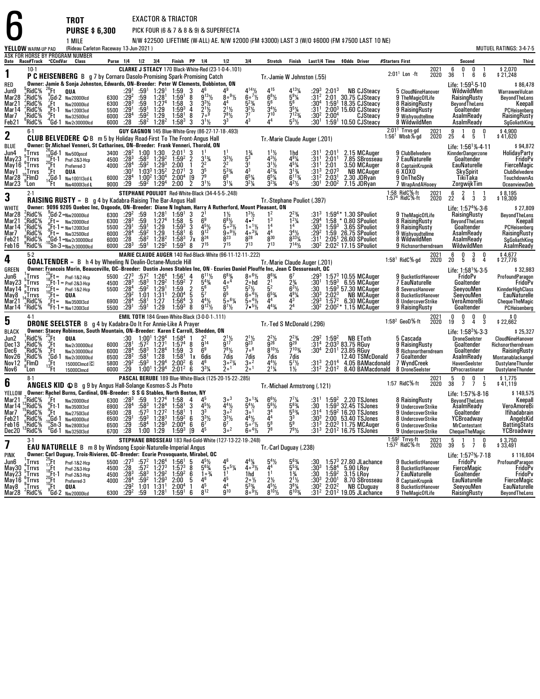6 ASK FOR HORSE BY PROGRAM NUMBER **Date Race#Track**F**CCndVar ClassYELLOW** WARM-UP PAD**TROT** EXACTOR & TRIACTOR **PURSE \$ 6,300** PICK FOUR (6 & 7 & 8 & 9) & SUPERFECTA 1 MILE N/W \$22500 LIFETIME (W-ALL) AE. N/W \$2000 (FM \$3000) LAST 3 (W/O \$6000 (FM \$7500 LAST 10 NE) (Rideau Carleton Raceway 13-Jun-2021 ) MUTUEL RATINGS: 3-4-7-5 **Purse 1/4 1/2 3/4 Finish PP 1/4 1/2 3/4 Stretch Finish Last1/4 Time \$Odds Driver #Starters First Second Third 110-1**<br> **P CLARKE J STEACY** 170 Black-White-Red (23-1-0-4-.101)<br> **P Cornary Lamin & Sepie Johnston, Education Only Promising Spark-Promising Catch**<br> **P CORN BLACKER CATE ON PRODUCT DATA CON** RED Jun9 Tr.-Jamie W Johnston (.55) **Owner: Jamie & Sonja Johnston, Edwards, ON--Breeder: Peter W Clements, Dobbinton, ON** Life: 1:59WildwildMen Life:  $1:59<sup>3</sup> \cdot 5 \cdot 10$ 86,478 \$<br>WarraweeVulcan 2021 2020 <sup>6</sup> <sup>0</sup> <sup>0</sup> <sup>1</sup> \$ 2,070 2:01 <sup>36</sup> <sup>1</sup> <sup>6</sup> <sup>6</sup> \$ 21,248  $2:01<sup>1</sup>$  Lon  $-ft$  Mar28 $^5$ RidC $\%$ <sup>56</sup> <sup>26</sup><sub>6</sub>Ft **QUA** :29<sup>1</sup> :59<br><sup>56</sup> <sup>9</sup>Gd-2 Nw20000lcd 6300 :29<sup>2</sup> :59<br><sup>56</sup> <sup>8</sup>Ft Nw20000lcd 6300 :291 :59<br><sup>56 9</sup>Ft Nw12000lcd 6000 :28<sup>4</sup> :59<br><sup>56 9</sup>Ft Nw32500lcd 6000 :28 :58<br><sup>56 4</sup>Gd-1 Nw2r30000lcd 6000 :28 :58  $:29<sup>1</sup>$  :59 1 1:29 1 1:59 <sup>3</sup> <sup>4</sup> :59 1:28 1 1:59 1 :59 1:27 4 1:586 $\begin{array}{ccc} 3 & 4^6 & 4 \ 8 & 9^{13}\frac{1}{2} & 8 \ 3 & 3^{3}\frac{1}{2} & 4 \ 4 & 2^{1}\frac{1}{2} & 2 \ 8 & 7^{9} & 7 \ 9 & 2^{11} & 2 \end{array}$  $\frac{1}{2}$   $\frac{1}{2}$   $\frac{4^4}{2^1}$   $\frac{5}{3}$ <br> $\frac{2^{11}}{2^{81}}$   $\frac{3}{7}$ 49  $4^{14}$ <sup>1</sup>/<sub>2</sub>  $\begin{array}{llll} \frac{1}{2} & 4^{15} & 4^{13}\% & 29 \ \frac{1}{2} & 6^{8}\% & 5^{9}\% & 31 \ \frac{1}{4} & 5^{6} & 5^{6} & 30 \ \frac{1}{2} & 3^{4}\% & 3^{6}\% & 31 \ \frac{1}{2} & 3^{12} & 3^{13}\% & 31 \ \frac{1}{2} & 3^{14}\% & 31^{12}\% & 31 \ \end{array}$ <sup>131</sup>⁄4 :29<sup>3</sup><br><sup>91⁄4</sup> :31<sup>2</sup><br>130<sup>4</sup> :3  $3\ \ 2:01^3$ Mar28 ;RidC% ;Gd-2 <sub>Nw20000icd</sub> 6300 :29<sup>2</sup> :59 1:28' 1:59' 8 9<sup>131</sup>½ 8°<sup>41</sup>½ 6°<sup>1</sup>½ 5<sup>81</sup>¼ :31<sup>2</sup> 2:01 30.75 CJSteacy 9 TheMagicOfLife RaisingRusty BeyondTheLens<br>Mar21 :RidC% .Ft Nw2nnnnicd **NB CJSteacy** 5 CloudNineHanover WildwildMen WarraweeVulcan<br>9 TheMagicOfLife RaisingRusty BeyondTheLens Mar<sub>21</sub> RidC% 2<br>RidC%<br>RidC% 0 :29<sup>2</sup><br>0 :28<sup>3</sup><br>201 8 $\begin{array}{cccc} \frac{1}{2} & 6 \circ \frac{7}{2} & 6 \\ & 5 \circ \frac{7}{4} & 5 \\ & 3 \circ \frac{7}{2} & 3 \\ \end{array}$ 91⁄4<br>6  $Mar14$ 7<sup>4</sup> 1:58 3 3<br>9 1:59<sup>3</sup> 4 2<br>0 1:591 0 7  $\frac{2\frac{1}{2}}{7}$   $\frac{3\frac{1}{2}}{7}$   $\frac{3\frac{5}{4}}{7}$   $\frac{3\frac{1}{2}}{3}$   $\frac{3\frac{1}{2}}{3}$  1 $1\,2:00^3\,15.60$ Mar21 \$RidC% Ft <sub>Nw20000icd</sub> 6300 :28<sup>3</sup> :59 1:27ª 1:58 3 3<sup>31</sup>½ 4ª 5<sup>23</sup>% 5<sup>6</sup> 5<sup>6</sup> :30ª 1:59' 18.35 CJSteacy 8 RaisingRusty BeyondTheLens Keepall<br>Mar14 \$RidC% Ft-1 <sub>Nw12003cd 5500 :29<sup>1</sup> :59<sup>1</sup> 1:29 1:59<sup>3</sup> 4 2<sup>1</sup>% 2<sup>1</sub></sup> 1:591 59<sup>2</sup>: <sup>4</sup><br>202 1:29Mar7 ¦RidC% <sup>v</sup>Ft <sub>Nw32500icd</sub> 6000 :28<sup>4</sup> :59<sup>2</sup> 1:29 1:58<sup>1</sup> 8 7°<sup>9</sup> 7<sup>8</sup>½ 7<sup>7</sup> 7<sup>10</sup> 7<sup>1:3</sup>% :30<sup>2</sup> 2:00<sup>4</sup> CJSteacy 9 Wishyoudtellme AsalmReady RaisingRusty<br>Feb21 PRidC% Gd-1 Nw2r30000icd 6000 :28 :58<sup>2</sup> 1:58<sup>3</sup> 3 31½ Mar14 ;RidC% ;Ft-1 <sub>Nw120013cd</sub> 5500 :29<sup>1</sup> :59<sup>1</sup> 1:29 1:59<sup>3</sup> 4 2<sup>11</sup>½ 2<sup>11</sup>½ 3<sup>41</sup>½ 3<sup>41</sup>½ 3<sup>51</sup>¼ :31<sup>1</sup> 2:00<sup>3</sup> 15.60 CJSteacy 9.RaisingRusty Goaltender PCHeisenberg<br>Mar7 ,RidC% Ft <sub>Nw32500kd 6000 :28<sup>4</sup> :59<sup></sub></sup> Feb21 .<br>RidC % 6000<br>6000  $0.38^4$ <sup>2</sup> 1:29<br><sup>2</sup> 1:28<sup>2</sup> 9 1:58<sup>1</sup><br>8<sup>2</sup> 1:58<sup>3</sup> 8 $3^{1}/_{2}$ 7<sup>8</sup>½ 7<br>3<sup>3</sup> 4  $\frac{23}{4}$  :30<sup>2</sup><br> $\frac{1}{2}$  :30<sup>1</sup> CJSteacy 9 Wishyoudtellme AsalmReady RaisingRusty<br>0 CJSteacy 8 WildwildMen AsalmReady SgGoliathKing  $^6$ RidC $\%$  $8^2$  1:58<sup>3</sup> 3 3<sup>1</sup><sup>1</sup><sub>2</sub> 3 3 $4<sup>3</sup>$ 3  $4^4$  $\frac{4}{5^{3}\%}$ **22.** 6-1 **GUY GAGNON** 145 Blue-White-Grey (86-27-17-18-493)<br>CLUB BELVEDERE © B m 5 by Holiday Road-First To The Front-Angus Hall Tr.-Marie Claude Auger (.201)<br>Rivers The Michael Venneri, St Catherines All Prodder: Exam Kha **BLUE**  Jun4BLUE **8Wher: Dr.Michael Venneri, St Catharines, ON-Breeder: Frank Venneri, Thorold, ON 1:30<br>Jun4**  $^{8}$  **57rvs**  $^{16}$  **16Gl-1 Nw500pscd 3400 :28<sup>2</sup> :00 1:30 2:01<sup>1</sup> 3 1<sup>1</sup> 1<sup>1</sup> 1<sup>9</sup>4 1<sup>1</sup>% 1hd :31<sup>1</sup> 2:01<sup>1</sup> 2.15 MCAuger 9 Cl**  Life: 1:56KinnderDangerzone Life:  $1:56^{1}\%$ -4-11 94,872<br>HolidayParty<br>FridoPy 2:01<sup>1</sup> Trrvs-gd<br>1:56<sup>1</sup> Wbsb%-gd 2021 <sup>9</sup> <sup>1</sup> <sup>0</sup> <sup>0</sup> \$ 4,900 <sup>25</sup> <sup>4</sup> <sup>5</sup> <sup>1</sup> \$ 41,620 <sup>2020</sup>May23 0 1:30 2:01<sup>1</sup><br>3 1:30 1:50  $3^{3}$ <sup>1</sup>/<sub>2</sub>  $\frac{3\gamma_2}{2}$   $\frac{5^3}{3^1}$  4<br>2 31  $\begin{array}{cccc} \frac{3}{4} & 1\frac{1}{2} & 1 \\ 1 & 4\frac{3}{2} & 4 \\ 1 & 3\frac{1}{2} & 4 \\ 3 & 4\frac{2}{4} & 3 \\ 5\frac{1}{4} & 6\frac{5}{4} & 6 \\ 2\frac{2}{4} & 3\frac{2}{4} & 4 \end{array}$  $\frac{1}{2}$  1 hd<br>  $\frac{1}{2}$   $\frac{4^5}{4^5}$   $\frac{31}{4^5}$   $\frac{31}{4^5}$   $\frac{31}{4^5}$   $\frac{31}{4^5}$   $\frac{31}{4^5}$   $\frac{31}{4^5}$   $\frac{31}{4^5}$   $\frac{31}{4^5}$   $\frac{31}{4^5}$   $\frac{31}{4^5}$   $\frac{31}{4^5}$ 1 :31<br>11 :31<br>11 :31 <sup>1</sup> 2:01<sup>1</sup> 2.15<br><sup>1</sup> 2:01<sup>1</sup> 7.85<br><sup>1</sup> 2:01 3.50 <sup>1</sup> 2.15<br><sup>1</sup> 7.85 May168<sup>3</sup> 1:29<sup>2</sup> 1:59<sup>2</sup><br>0<sup>2</sup> 1:203 2:00 SBrosseau <sup>7</sup> EauNaturelle Goaltender FridoPv <sup>10</sup>FlmD $^{6}_{1}$ Trrvs 9<sup>2</sup> 1:29<sup>3</sup> 2:00<br>กว<sup>รรา:วิธี 2:07</sup>  $\frac{2^2}{5^3}$  3  $\frac{3^1}{4^3}$  3 3<sup>3</sup> 1:35<sup>2</sup> 2:07<sup>1</sup><br>0<sup>2</sup> 1:204 2:004  $\begin{matrix} 5^3\% & 4\6^8 & 6 \end{matrix}$ <sup>3</sup>/<sub>4</sub> :31<sup>3</sup><br>13/<sub>4</sub> :312 <sup>3</sup> 2:07<sup>3</sup><br>2 2:03<sup>1</sup> <sup>3</sup> NB MCAuger 6 XOXO 2 1:30 4 2:00 42 1:294 2:00 $3^{1}$ <sup> $\frac{1}{4}$ </sup> 6<sup>5</sup>% 6<br>3<sup>2</sup>% 3  $1\,2:00$ 2.30 JDRvan JDRyan <sup>9</sup> OnTheSly TikiTaka TouchdownAs JDRyan <sup>7</sup> WrapAndAHooey ZorgwijkTimMar<sub>23</sub>  $9^{\circ}$  Lon  $9^4$  2:00 2  $3^{1}\frac{1}{2}$   $3^{1}\frac{1}{4}$  3  $4^{2}\%$  $\frac{1}{2}$  :30<sup>1</sup> 7.15 JDRyan **ZorgwijkTim**<br> **Companyight Company**<br> **Company**<br> **Company**<br> **Company**<br> **Company**<br> **Company**<br> **Company**<br> **Company**<br> **Company**<br> **Company**<br> **Company**<br> **Company 33.** <sup>2-1</sup> STEPHANE POULIOT Red-White-Black (34-4-5-5-.248)<br>**RAISING RUSTY** = B g 4 by Kadabra-Raising The Bar-Angus Hall Treating Tr.-Stephane Pouliot (.397)<br>WILLTE RAISING ROBE 8305 Quabra-Line Deceader Dil Prender: Disp WHITE Mar28**Owner: 9096 9205 Quebec Inc, Osgoode, ON--Breeder: Diane N Ingham, Harry A Rutherford, Mount Pleasant, ON**WHITE Juvier: 9996 9205 Quebec Inc., Usgoode, UN-Breeder: Diane N Ingham, Harry A Rutherford, Mount Pleasant, UN<br>Mar21 2RidC% Fit= Nw20000dd 6300 :29<sup>3</sup> :59 1:28<sup>1</sup> 1:58 5 6<sup>9</sup> 6<sup>91</sup>½ 4\* 1<sup>2</sup> 12% 1:59<sup>4</sup> 1:58\* 0.80 SPoulio 7<sup>4</sup>%-3-6<br>Pusty \$ 27,809 1:58 RidC%-ft<br>1:57<sup>4</sup> RidC%-ft t 2021<br>ft 2020 <sup>6</sup> <sup>2</sup> <sup>1</sup> <sup>1</sup> \$ 8,195 <sup>22</sup> <sup>4</sup> <sup>3</sup> <sup>3</sup> \$ 19,309 Mar<sub>21</sub>  ${}^{2}_{2}$ RidC ${}^{5}_{8}$  $2$ RidC $\%$ % 9Gd-2=Nw20000lcd 6300 :29<sup>2</sup> :59<br>% Pt= Nw20000lcd 6300 :28<sup>3</sup> :59<br>% s<sub>9</sub>Ft-1=Nw12003cd 5500 :291 :59<br>% -4Gd-1=Nw2r30000lcd 6000 :28<br>% -10Sn-3=Nw2r30000lcd 6000 :28<sup>3</sup> :59<br>% <sup>10</sup>Sn-3=Nw2r30000lcd 6000 :28<sup>3</sup> :59  $0^{+29^2}_{0}$ 59 :59<br>1 :591<br>1 :592 :59<br>1 :592 :593 9 1:28<sup>1</sup><br>9 1:27<sup>4</sup><br>01 1:30  $1:28<sup>1</sup>$  $1.59^{1}$ <sup>4</sup> 1:58  $\frac{3}{5}$  $3 \t2^1$  $1\frac{1}{2}$  $\frac{1}{2}$   $\frac{1}{2}$   $\frac{6}{3}$   $\frac{1}{2}$   $\frac{1}{3}$ <br> $\frac{1}{2}$   $\frac{5}{9}$   $\frac{3}{2}$   $\frac{1}{4}$  $\frac{3\frac{1}{2}}{2}$  1  $1<sup>2</sup>$  $\begin{array}{ccc} 2 & 2^{2}\frac{3}{4} \\ 3 & 1^{2}\frac{1}{4} \\ 4 & 14 \end{array}$ Mar14 2RidC% <sup>6</sup>Ft-1<br><sup>1</sup>RidC% <sup>9</sup>Ft= 7<sup>4</sup> 1:58 5 6<br>9 1:59<sup>3</sup> 3 4<br>9 1:58<sup>1</sup> 6 9<br><sup>2</sup> 1:58<sup>1</sup> 5 8  $\frac{5}{3}$   $\frac{6^9}{4^5\frac{1}{2}}$   $\frac{6}{5}$  $\begin{array}{ccc} 1, & 4 \cdot 2 & 1 \\ \frac{1}{2} & 1 \cdot \frac{1}{2} & 1 \\ \frac{1}{2} & 4 \cdot \frac{3}{4} & 4 \\ \frac{2}{3} & 8 & 8 \end{array}$ 1<sup>4</sup> 1<br>4<sup>4</sup> 3 i3 14<sup>1</sup> 1:29<br><sup>2</sup> 1:29 <sup>3</sup> 3<br>16  $3^{4}\frac{1}{2}$ <br>0331 Feb<sub>21</sub>  $\frac{6}{7}$   $\frac{9^{12}}{24}$   $\frac{9}{22}$  $9^{12}$   $9^{0.9}\frac{1}{2}$   $4^{0.3}\frac{1}{4}$   $4^{4}$   $3^{4}\frac{1}{2}$ <br>  $3^{24}$   $3^{23}$   $3^{24}$   $3^{28}$   $3^{30}$   $3^{31}$ <br>  $3^{31}$   $3^{31}$ Feb16  $RidC\%$  $2^{2}$  1:28<sup>2</sup>  $1:29^2$  $2$  1:58 $3$  7x  $^2$  1:59 $^3$ <sup>9</sup>RidC<sup>%</sup>  $:28^{3}$  $^3$  :59 $^1$  88  $7^{15}$   $7^{15}$   $7^{13}$   $7^{13}$   $7^{14}\%$  $7^{14}\frac{1}{2}$  :30<sup>2</sup>  $^2$  2:02 $^2$  17.15 9 Richsnortherndream WildwildMen AsalmReady<br>6 0 3 0 \$ 4,677<br>0 5 6 4 \$ 27.776 **44.** 5-2 **MARIE CLAUDE AUGER** 140 Red-Black-White (96-11-12-11-.222)<br>GOALTENDER = B h 4 by Wheeling N Dealin-Octane-Muscle Hill Press and Tr.-Marie Claude Auger (.201)<br>GOESNALTENDER Marin-Boqueoville OC Brooder: Durin-Ione GREEN Jun6**Owner: Francois Morin, Beauceville, QC--Breeder: Dustin Jones Stables Inc, ON - Ecuries Daniel Plouffe Inc, Jean C Dessureault, QC** Life: 1:58 1:57<sup>3</sup> 10.55FridoPv  $Life: 1:58<sup>1</sup>%-3.5$ \$ 32,983<br>ProfoundParagon<br>FridoPv 2021 <sup>6</sup> <sup>0</sup> <sup>3</sup> <sup>0</sup> \$ 4,677 <sup>20</sup> <sup>5</sup> <sup>6</sup> <sup>4</sup> \$ 27,776 1:58<sup>1</sup> RidC%<sub>\*</sub>gd  $2020$ May23 Trrvs 25 <sup>25</sup><sub>18</sub>Ft= Pref-1&2-Hcp 5500 :27<br>
27 22 2Ft-1=Pref-2&3-Hcp 4500 :28<br>
27 15 10Ft= **Pref-1&2-Hcp** 5500 :28<br>
28 <sup>7</sup> 15 **10 1A**<br>
3<sup>5</sup> 15 1 Nw3500l3cd 6900 :28<br>
7% <sup>6</sup> Ft-1 = Nw1200l3cd 5500 :29  $:27^{3}$  :57 2 :58 3 :592 $2^{2}$  1:26<sup>4</sup> <sup>3</sup> 1:29<sup>2</sup><br>2 1:29<sup>1</sup>  $4$  1:56 $1$  $2 \quad 1:59^2$  $\frac{1}{2}$  4  $\begin{array}{ccc} 4 & 6^{11}\frac{1}{2} & 6^{8} \ 7 & 5^{4}\frac{3}{4} & 4 \ \frac{2}{5} & 5^{6} & 5^{5} \ 5 & 5^{7} & 6^{5} \end{array}$  $\frac{83}{4}$  8 。  $8.61/2$  $\begin{array}{ccc} \frac{1}{2} & 8^{6}\frac{3}{4} & 6 \\ 10 & 2^{1} & 2 \\ \frac{1}{2} & 5^{2} & 6 \\ \frac{1}{2} & 6^{5}\frac{3}{4} & 4 \\ \frac{1}{2} & 4^{4} & 4 \end{array}$ 863/  $\mathsf{R}^7$  $^{7}$   $:29^{3}$  1 1:59 <sup>3</sup> 6.55 MCAuger <sup>7</sup> EauNaturelle Goaltender FridoPv May14<sup>3</sup> 57.30Jun6 <mark>5Trrvs 19</mark>Ft= Pref-182-Hcp 5500 :27<sup>3</sup> :57<sup>2</sup> 1:26<sup>4</sup> 1:56<sup>1</sup> 4 6<sup>11</sup>½ 6<sup>83</sup>⁄4 8°<sup>61</sup>⁄2 8<sup>63</sup>⁄4 6<sup>7</sup> :29<sup>3</sup> 1:57<sup>3</sup> 10.55 MCAuger 9 BucketlistHanover FridoPv ProfoundParagon<br>May23 <sub>a</sub>Trrvs <sub>29</sub>Ft-1=Pref-283-Hcp 4500 May 14 Trrvs 0 :28<sup>3</sup><br>0 :28<sup>4</sup><br>202 1:59<sup>4</sup> 2∘hd<br>5<sup>2</sup>½ 2N :30 <sup>3</sup>L<sup>9</sup>MMay<sup>8</sup> **Trrvs**  $\frac{2}{4}$  1:01 1:31<sup>1</sup>  $\frac{2}{5}$ 5<sup>5</sup> 5<sup>2</sup><br>6<sup>5</sup> 6∘ 5<sup>21</sup>⁄2 5<br>6∘<sup>41</sup>⁄2 6 ½ :30 1:59<br>¼ ·30<sup>3</sup> ?·02 MCAuger <sup>8</sup> SeverusHanover SeeyouMen KinnderHighClass May8Mar21 <sup>9</sup>Trrvs $1\,2:00^4\,5$ 7 1:56<sup>4</sup><br>9 1:59<sup>3</sup>  $\begin{array}{ccc} 5 & 5^7 & 6^5 \ 3 & 4^4\frac{1}{2} & 5^5 \ 8 & 9^{12}\frac{1}{2} & 8^7 \end{array}$  $5^{\circ}$ %  $\frac{6}{4}$ ,  $\frac{6}{5}$ ,  $\frac{4}{2}$ ,  $\frac{6}{4}$ <br>  $\frac{7}{2}$ ,  $\frac{5}{4}$ ,  $\frac{4}{2}$ <br>  $\frac{7}{2}$ ,  $\frac{5}{2}$ <br>  $\frac{7}{2}$ <sup>91</sup>⁄4 :30<sup>3</sup><br>3 :29<sup>3</sup><br>30<sup>2</sup>:  $3\quad 2:02^3$  1:57NB MCAuger MCAuger <sup>8</sup> BucketlistHanover SeeyouMen EauNaturelle Mar21'1 <sup>14</sup>RidC%<br>4 <sup>2</sup>RidC% 4<br>1 :58 1 :591<sup>1</sup> 1:27<br><sup>1</sup> 1:29 3 $4\frac{4}{4}$  4<br> $4\frac{4}{2}$  $^{43}_{24}$  $2:00$ 6.30 MCAuger Mar21 "RidC% Ft= <sub>Nw350013cd</sub> 6900 :28<sup>4</sup> :58<sup>1</sup> 1:27 1:56<sup>4</sup> 3 4<sup>4</sup>½ 5°<sup>5%</sup>4 5°<sup>4</sup>% 4° - 29° 1:57° 6.30 MCAuger 8 UndercoverStrike VeroAmoreBi ChequeTheMagic<br>Mar14 PRidC% Ft:1=Nw12n013cd 5500 :29' :59' 1:29 1:59  $9'$  1:29 1:59<sup>3</sup> 8  $9'2\frac{1}{2}$  8 8 $8^{7}$ % 1.15 MCAuger 9 RaisingRusty Goaltender PCHeisenberg<br>
2021 0 0 0 0 \$ 0<br>
2 GeoD%-ft 2020 19 3 4 3 \$ 22,662 **55** <sup>4-1</sup><br>**DRONE SEELSTER** B g 4 by Kadabra-Do It For Annie-Like A Prayer<br>DIACK **DRITICES Branch Stages Behinese Seuth Meuntain ON Procedur: Kenne E Carcell Shedden, ON** BLACK Jun2 Tr.-Ted S McDonald (.296) **Owner: Stacey Robinson, South Mountain, ON--Breeder: Karen E Carroll, Shedden, ON**n<br>1990 - 1990 - 1990 - 1990 - 1990 - 1990 - 1990 - 1990 - 1990 - 1990 - 1990 - 1990 - 1990 - 1990 - 1990 - 1990 **DroneSeelster**  $Life: 1:58<sup>2</sup>$ % $-3.3$  \$ 25,327 EToth <sup>5</sup> Cascada DroneSeelster CloudNineHanover 2021<br>1 2020 <sup>0</sup> <sup>0</sup> <sup>0</sup> <sup>0</sup> \$ 0 <sup>19</sup> <sup>3</sup> <sup>4</sup> <sup>3</sup> \$ 22,662 1:58<sup>2</sup> GeoD%-ft Dec13<sup>1</sup>RidC%<br>!RidC% 25Ft **QUA** :30 1:00<br>26 aft Nw2r30000lcd 6000 :28<sup>1</sup> :57<sup>2</sup><br>26 aft Nw2r30000lcd 6000 :28<sup>4</sup> :58<sup>3</sup><br>26 and Nw2r30000lcd 6500 :28<sup>2</sup> :58<sup>1</sup><br>26 and 13Ft 15000Clmcd 5800 :29<sup>2</sup> :59<sup>3</sup><br>29 1<sup>1</sup> 15000Clmcd 6000 :29 1:00 1:00<sup>1</sup> 1:29<sup>4</sup><br>1 :57<sup>2</sup> 1:27<sup>1</sup> -<br>1 :58<sup>3</sup> 1:28<sup>4</sup> 1:58 4 1 1:574 8 $\begin{array}{ccc} 1 & 2^2 & 2 \ 8 & 9^{14} & 9 \ 3 & 6^9 & 7 \end{array}$ 2 $\frac{2}{14}$   $\frac{2^{1}\frac{1}{2}}{9^{17}}$  2  $1\frac{1}{2}$  $\begin{array}{ccccccc} 1 & 2^2 & 2^{11}\!\! /_2 & 2^{11}\!\! /_2 & 2^{21}\!\! /_2 & 2^{23}\!\! /_4 & 2^{22}\!\! /_3 & 2^{23}\!\! /_3 & 3^{24}\!\! /_3 & 3^{25} & 3^{26} & 3^{28} & 3^{21}\!\! /_3 & 3^{28} & 3^{21}\!\! /_2 & 3^{21}\!\! /_2 & 3^{21}\!\! /_2 & 3^{21}\!\! /_2 & 3^{21}\!\! /_2 & 3^{21}\!\! /_3 & 3^{21}\!\!$ 23/4 <sup>3</sup>/4 :29<sup>2</sup><br>9 :31<sup>4</sup><br>03/ .2014 <sup>2</sup> 1:59<sup>2</sup> NB<br><sup>4</sup> 2:03<sup>3</sup> 83.75<br><sup>4</sup> 2:01<sup>1</sup> 23.85 **Decfi** 14<sup>4</sup> 1:59 9 RaisingRusty<br>
8 Richsnortherndream<br>
Richsnortherndream<br>
Goaltender RaisingRusty<br>
RaisingRusty Dec6 "RidC% "Ft <sub>Nw2r30</sub>nnni<sub>d"</sub> 6000 :28<sup>4</sup> :58<sup>3</sup> 1:28<sup>4</sup> 1:59 3 6<sup>9</sup> 7<sup>8</sup>% 70<sup>8</sup> 8<sup>10</sup>% 7<sup>103</sup>% :30<sup>4</sup> 2:01<sup>1</sup> 23.85 RGuv 8 Richsnortherndream Goaltender RaisingRust Nov26 RidC<sup>5</sup> :58 1 :593<sup>1</sup> 1:28<br><sup>3</sup> 1:29<sup>4</sup> 936<br>8<sup>1</sup>1x6 7<sup>81</sup>½ 7∘<br>7dis 7d  $8\frac{1}{2}$  $\frac{1}{2}$  7<sup>103</sup>/<sub>4</sub> :30<br>s 7dis Nov26 RidC% 3Gd-1 <sub>Wy2:30000kd</sub> 6500 :28<sup>2</sup> :58<sup>1</sup> 1:28 1:58<sup>1</sup> 1x 6dis 7dis 7dis 7dis 7dis 1.31 2:01 12.40 TSMcDonald 7 Goaltender AsalmReady Montanablackangel<br>Nov12 FlmD 13Ft 15000Climed 5800 :29 1:00<sup>1</sup> 1:29<sup>4</sup> 2:00<sup>2</sup> 23.85 RGuy 8 Richsnortherndream<br>12.40 TSMcDonald 7 Goaltender Goaltender RaisingRusty Nov26Nov<sub>12</sub> 1RidC%<br>8FlmD Nw2r30000lcd 6500<br>150000lmcd C 5800 2<sup>2</sup><br>29<sup>2</sup> 5800 :29<sup>2</sup><br>29: 6000 :29 8 1:58<sup>1</sup><br>9<sup>4</sup> 2:00<sup>2</sup> Nov<sub>6</sub> 8.......<br>"Lon 15000Clmcd D $9 \quad 1:00^1$  1:29<sup>4</sup>  $4$  2:01<sup>2</sup>  $\begin{smallmatrix}2&6\2&6\end{smallmatrix}$  $\begin{matrix} 6 & 4^6 & 3^6 \\ 6 & 3^3\% & 2^6 \end{matrix}$  $\frac{2\frac{1}{4}}{1}$  $\frac{2\frac{1}{4}}{1}$   $\frac{3}{2}$   $\circ$   $\frac{2}{1}$  $\frac{44\frac{1}{2}}{2\frac{1}{4}}$   $\frac{5^7\frac{1}{2}}{1\frac{1}{2}}$  :31  $7 \text{dis}$ <br> $5^{7}$  /<sub>2</sub><br> $1$  /<sub>2</sub>  $9^4$  2:01<sup>2</sup> 6  $3^{3}\frac{1}{4}$  2.0<sup>1</sup> 2 8 DroneSeelster DProcrastinator DustylaneThunder<br>2021 5 0 0 1 \$1,775<br>7 RidC%-ft 2020 38 7 7 5 \$41.119 **6**8-1 **B**<br>**6 ANGELS KID 
 ANGELS B g 9 by Angus Hall-Solange Kosmos-S Js Photo ANGELS ANGELS ANGELS ANGELS ANGELES ANGELES<br>VELLOW <b>Anggar: Boobal Burgs, Cadigal AN, Brooder: S S G Stables North Booton, NY** YELLOWMar21<br>سم **Owner: Rachel Burns, Cardinal, ON--Breeder: S S G Stables, North Boston, NY** Tr.-Michael Armstrong (.121) Life: 1:57%-8-16<br>BeyondTheLens \$ 149,575 2021 <sup>5</sup> <sup>0</sup> <sup>0</sup> <sup>1</sup> \$ 1,775 <sup>38</sup> <sup>7</sup> <sup>7</sup> <sup>5</sup> \$ 41,119  $1.57$  Rid $C\%$ -ft  $2020$ <sup>2</sup>RidC%<br><sup>3</sup>RidC% % <sup>7</sup>Ft Nw20000lcd 6300 :28<sup>3</sup> :59 1:27<sup>4</sup> 1:58<br>% <sup>6</sup>Ft-1 Nw3500l3cd 6900 :28<sup>4</sup> :58<sup>3</sup> 1:28<sup>4</sup> 1:58<br>% <sup>4</sup>Gd-1 Nw40000lcd 6500 :28 :57<sup>3</sup> 1:27<sup>2</sup> 1:58<br>% <sup>10</sup>Gd-1 Nw40000lcd 6500 :29 :58<sup>4</sup> 1:29<sup>3</sup> 2:00<br>% <sup>0</sup>Gd-1 Nw3250l3cd <sup>6300</sup> :28<sup>3</sup><br>294 - 6900  $\begin{array}{r} 3 & :59 & 1:27^4 \ 4 & :58^3 & 1:28^4 \ 557^3 & 1:27^2 \ 1 & :59^3 & 1:28^3 \ 158^4 & 1:29^3 \end{array}$  1:58844<br>8<sup>1</sup>34  $4^5$  $5^5$   $3^{\circ}$  $\frac{5\frac{1}{2}}{3}$   $\frac{4\frac{1}{2}}{3}$   $\frac{5}{3}$   $\frac{3\frac{1}{2}}{3}$   $\frac{3\frac{1}{2}}{4}$  $\begin{array}{r} 3 \ 4 \ \frac{4}{2} \ 2 \ 3 \ 1 \ \frac{3}{2} \ 4 \ \frac{4}{2} \ \frac{3}{2} \ 3 \ \frac{1}{2} \ \frac{4}{5} \ \frac{4}{2} \ \frac{5}{2} \ \frac{7}{2} \ \frac{6}{2} \ \frac{6}{2} \ \frac{6}{2} \ \frac{6}{2} \ \frac{6}{2} \ \frac{1}{2} \ \frac{1}{2} \ \frac{1}{2} \ \frac{1}{2} \ \frac{1}{2} \ \frac{1}{2} \ \frac{1}{2} \ \frac{1}{2} \ \frac{1}{2} \ \frac{1}{2} \$  $\begin{array}{r} 6^6\frac{1}{2} & 7 \ 5^6\frac{1}{2} & 5 \ 3^4 & 5^3 \ 5^8 & 5 \end{array}$ 7 1/4<br>6 3/4  $\begin{array}{@{}ll}7\% & :31^1 \quad 1:59 \ 6\% & :30 & 1:59 \ 5\% & :31^4 \quad 1:59 \ 3 & :30^3 \quad 2:00 \ 9 & :31^3 \quad 2:02 \end{array}$ Mar21 {RidC% {Ft Nw20000icd 6300 :28<sup>3</sup> :59 1:27<sup>4</sup> 1:58 4 4<sup>5</sup> 3°<sup>3</sup> 3°<sup>13</sup>4 6<sup>61</sup>½ 7<sup>7</sup>¼ :31<sup>1</sup> 1:59<sup>2</sup> 2.20<code>TSJones 8</code> RaisingRusty BeyondTheLens Keepall<br>Mar14 :RidC% Ft-1 Nw3500i3cd 6900 :28<sup>4</sup> :58<sup>3</sup> 1:28<sup>4</sup> 1:58<sup>1</sup> 3 14<br>14 15RidC%<br>7 15RidC%<br>21 5RidC%<br>16 5RidC%  $4$  1:58 $1$ <sup>2</sup> 1:58<sup>1</sup> 1<br><sup>3</sup> 1:59<sup>2</sup> 6  $\begin{array}{ccc} 3 & 4^{5}\frac{1}{2} & 4 \ 1 & 3^{3} & 3 \ 6 & 3^{3}\frac{1}{2} & 3 \ 6 & 6^{7} & 6 \end{array}$  $45%$ Example 11 Control of the Magnetic Control of the Meepall<br>
1 UndercoverStrike AsalmReady VeroAmoreBi<br>
1 UndercoverStrike Goaltender Ifihadabrain Mar<sub>7</sub>  $\frac{5^{53}}{2^{3}}$ Mar7 "RidC% "Ft <sub>Nw275013cd</sub> 6500 :28 :573 1:27<sup>2</sup> 1:58<sup>1</sup> 1 3<sup>3</sup> 3° 3° 3° 3<sup>1</sup> 5<sup>5</sup>% :31<sup>4</sup> 1:59<sup>2</sup> 16.20 TSJones 9 UndercoverStrike Goaltender Ifihadabrain<br>Feb21 RidC% GGd-1 ww2n010cd 6500 :29 :58<sup>4</sup> 1:28<sup>3</sup> 2:00<sup>4</sup> 6 9 UndercoverStrike Coaltender Thibadabrain<br>8 UndercoverStrike TCBroadway AngelsKid Feb21Feb<sub>16</sub>  $\begin{array}{c} .28 \\ .29 \\ .29 \end{array}$  $3\quad2:00^4$  6Dec20  $1.00$   $1.29$ α3  $\tilde{6}$  $\frac{4}{3}$  [9 4]  $\tilde{6}$  $7 \frac{67}{ }$  $5^5$   $3^{\circ}$ <sup>2</sup>  $\frac{2}{604\frac{1}{2}}$  7 8 79 $\frac{1}{2}$  $\frac{1}{2}$  :31<sup>3</sup>  $^{\rm 3}$  2:01 $^{\rm 2}$  16.75 Feb16 3RidC% 85 Mov28003cd 6500 :29 :58<sup>4</sup> 1:29<sup>3</sup> 2:00<sup>4</sup> 6 6<sup>7</sup> 6<sup>7</sup> 5<sup>3</sup>% 5<sup>8</sup> 5<sup>9</sup> :31<sup>3</sup> 2:02<sup>3</sup> 11.75 MCAuger 6 UndercoverStrike MrContestant BattingStats<br>Dec20 RidC% Gd-1 <sub>Nw325013cd 6700 :28 1:00 1:29 1:59<sup>3</sup> 19 4<sup></sub></sup>  $\frac{13 \text{NudC}\%}{3.1}$  $\check{4}^5$ 78 9 UndercoverStrike ChequeTheMagic YCBroadway<br>
9<sup>2</sup> Trrvs-ft 2021 5 1 1 0 \$ 3,750<br>
<sup>2</sup> RidC<sup>%</sup>-ft 2020 39 5 7 6 \$ 33,491 **73-1 3-1 STEPHANE BROSSEAU** 183 Red-Gold-White (127-13-22-19-.248)<br> **EAU NATURELLE** B m 8 by Windsong Espoir-Naturelle-Imperial Angus<br> **EAU NATURELLE** B m 8 by Windson OC Breader: Equipment Angusta Mirabel OC PINK Jun6 Tr.-Carl Duguay (.238) **Owner: Carl Duguay, Trois-Rivieres, QC--Breeder: Ecurie Provoquante, Mirabel, QC** Life: 1:577<sup>25</sup>⁄8-7-18<br>Դ \$ 116,604<br>ProfoundParagon<br>FridoPv 1:59<sup>2</sup> Trrvs-ft1:57 $^2$  RidC  $\%$  ft t 2021<br>ft 2020 <sup>5</sup> <sup>1</sup> <sup>1</sup> <sup>0</sup> \$ 3,750 <sup>39</sup> <sup>5</sup> <sup>7</sup> <sup>6</sup> \$ 33,491 May30 Trrvs  $s = \frac{25}{17}$ Ft Pref-1&2-Hcp 5500  $0.37^{3}$ 0 :28<br>0 :28<sup>3</sup><br>0 :28<sup>4</sup> 7<sup>3</sup> :57<sup>2</sup><br>8 :57<sup>2</sup><br>8<sup>3</sup> :58<sup>3</sup> <sup>2</sup> 1:26<sup>4</sup><br><sup>2</sup> 1:27<sup>3</sup><br><sup>3</sup> 1:29<sup>2</sup>  $4$  1:56 $1$ <sup>3</sup> 1:57<sup>3</sup><br><sup>2</sup> 1:59<sup>2</sup> 5 $\frac{5}{8}$   $\frac{4^{5}\%}{5^{6}\%}}$   $\frac{4}{5}$  $4^6$  $\frac{6}{100}$   $\frac{44\frac{1}{4}}{400}$   $\frac{5\frac{1}{4}}{4}$   $\frac{44\frac{1}{4}}{4}$   $\frac{1}{4}$   $\frac{1}{4}$   $\frac{1}{4}$   $\frac{1}{4}$   $\frac{1}{4}$  $54%$  $\frac{4\frac{1}{2}}{4}$ <br>  $\frac{5\frac{5\frac{3}{4}}{5\frac{3}{4}}}{\frac{1\frac{3}{4}}{2\frac{1\frac{1}{2}}{2}}}$  :30 1:57 1:58 1:57<sup>3</sup> 27.80 JLachance Jun6 ¦Trrvs <sup>-3</sup>Ft <sub>Pref-1</sub>82.Hcp 5500 :27<sup>3</sup> :57<sup>2</sup> 1:26<sup>4</sup> 1:56<sup>1</sup> 5 4<sup>51</sup>½ 4<sup>6</sup> 4<sup>41</sup>¼ 5<sup>41</sup>½ 5<sup>63</sup>¼ :30 1:57<sup>3</sup> 27.80 JLachance 9 BucketlistHanover FridoPv ProfoundParagon<br>May30 <sub>a</sub>Trrvs <sub>19</sub>Ft <sub>Pref-283.Hcp 4500 :28 :</sub>  $Ma\dot{v}$ 23 4\*\*\*\*\*\*\*<br>5Trrvs<br>6Trrvs Pref-1&2-Hcp 5500<br>Pref-2&3-Hcp 4500<br>Pref-2&3-Hcp 4500 8 $8\frac{5^{6}\%}{1^{3}}$ 3∦ 5.∘<br>3∦ 1.1 <sub>5</sub>51/<sub>4</sub>  $\frac{1}{2}$   $\frac{4^4}{1^1}$  $\frac{53}{4}$   $\frac{30^3}{1.59}$   $\frac{1.59}{1/2}$   $\frac{1.30^3}{30^2}$   $\frac{2.00}{2.02}$ <br> $\frac{30^3}{2.02}$   $\frac{2.00}{2.02}$ <sup>4</sup> 5.90<br><sup>2</sup> 3.15 May30 Trrvs is for pet-2&3-Hcp 4500 :28 :57<sup>2</sup> 1:27<sup>3</sup> 1:57<sup>3</sup> 8 5°% 5°% 4°<sup>31</sup>⁄2 4° 5°% :30<sup>3</sup> 1:58° 5.90<code>LRoy 8</code> BucketlistHanover FierceMagic FridoPv<br>May23 Trrvs <sub>ap</sub>Ft-1 pet-2&3-Hcp 4500 :28<sup>3</sup> :58<sup>3</sup> 1:29<sup>2</sup> 1:59<sup>2</sup> 6 May1618Ft-1 Pref-2&3-H<br>S 20Ft Pref-2&3-H<br>S 10Ft Preferred-3<br>S 9Gd-2 Nw200000 Pref-2&3-Hcp<br>Preferred-3  $4.59^{2}$  $2^{2}$  1:29<sup>3</sup> <sup>3</sup> 2:00 94 6 1<br>0 5 4<br>0 1 4  $1 \circ \frac{3}{4}$ °<sup>3⁄4</sup> 1.<br>6 4.5  $\begin{array}{ccccc} 1 & & 1 \text{hd} & & 1 \ 5 & & 2 \circ \frac{1}{2} & & 2 \end{array}$  $2\frac{1}{2}$  LRoy <sup>7</sup> EauNaturelle Goaltender FridoPv May8 <sup>4000</sup>A  $:29^2$ <br>2022 - 2020 - 2021 1:0101 1:31'<br><mark>9 1:28</mark>'  $4^{6}$  4 $\frac{3}{4}$   $\frac{21}{2}$   $\frac{21}{3}$  :30<br>  $\frac{3}{4}$   $\frac{45}{2}$   $\frac{38}{4}$  :31<br>  $\frac{31}{2}$   $\frac{810}{2}$   $\frac{610}{4}$  :31  $2:00<sup>1</sup>$  2:02 2 NB CDuguay <sup>8</sup> BucketlistHanover SeeyouMen EauNaturelle Mar28 2:01<sup>2</sup> 19.058.70 SBrosseau May16 strvs 19Ft Preferred 3 4000 :28<sup>4</sup> :59<sup>2</sup> 1:29<sup>3</sup> 2:00 5 4<sup>6</sup> 4<sup>5</sup> 20½ 2½ :30<sup>3</sup> 2:00 8.70 SBrosseau 8 CaptainKrupnik EauNaturelle FierceMagic<br>May8 ,Trrvs <sub>a</sub>Ft **QUA**  $\frac{9}{3}$ Trrvs <sup>1</sup> 2:00<sup>4</sup> 1<br><sup>1</sup> 1:59<sup>1</sup> 6  $\begin{array}{ccc} 1 & 4^5 & 4^4 & 5^3 \\ 6 & 8^{12} & 9^{10} & 8 \end{array}$  $\vec{4}^5$  $\begin{matrix} 4 & & 5^3\frac{3}{4} & 4 \ 10 & & 8\, \circ\, \frac{9}{2} & 8 \end{matrix}$  $\frac{3^{8}\frac{1}{4}}{6^{10}\%}$ 20<sup>2</sup> (2014)<br>212 (212 8 BucketlistHanover Chang SeeyouMen EauNaturelle<br>9 TheMagicOfLife RaisingRusty BeyondTheLens

 $\overline{g}$ 10

6

Mar28

 $2$ RidC $%$ 

Nw20000lcd 6300

:59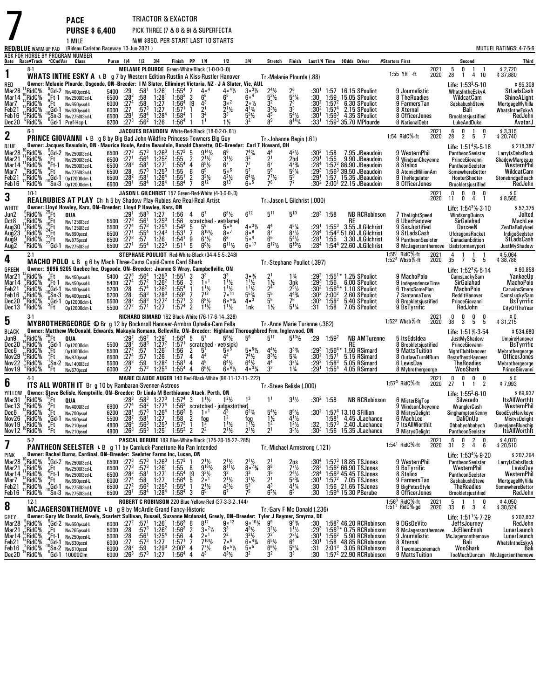|                                                                                 |                                                                             |                                                | <b>PACE</b>                                                                                                                                                                                                                                                                                                                                                                                   |                                              |                                                                                                  |                                                                                         |                                                                                                                       | TRIACTOR & EXACTOR                                                                                                                |                                                                                                                                                                                                          |                                                                                                                                                                                        |                                                                                                                                         |                                                                                    |                                                                                                                    |                                                         |                                                                     |                                                                                                                                                                   |                                                                                                 |                                                                                  |         |                                                                                                                              |                                                     |                                                                                                                       |
|---------------------------------------------------------------------------------|-----------------------------------------------------------------------------|------------------------------------------------|-----------------------------------------------------------------------------------------------------------------------------------------------------------------------------------------------------------------------------------------------------------------------------------------------------------------------------------------------------------------------------------------------|----------------------------------------------|--------------------------------------------------------------------------------------------------|-----------------------------------------------------------------------------------------|-----------------------------------------------------------------------------------------------------------------------|-----------------------------------------------------------------------------------------------------------------------------------|----------------------------------------------------------------------------------------------------------------------------------------------------------------------------------------------------------|----------------------------------------------------------------------------------------------------------------------------------------------------------------------------------------|-----------------------------------------------------------------------------------------------------------------------------------------|------------------------------------------------------------------------------------|--------------------------------------------------------------------------------------------------------------------|---------------------------------------------------------|---------------------------------------------------------------------|-------------------------------------------------------------------------------------------------------------------------------------------------------------------|-------------------------------------------------------------------------------------------------|----------------------------------------------------------------------------------|---------|------------------------------------------------------------------------------------------------------------------------------|-----------------------------------------------------|-----------------------------------------------------------------------------------------------------------------------|
|                                                                                 |                                                                             |                                                | <b>PURSE \$6,400</b><br>1 MILE                                                                                                                                                                                                                                                                                                                                                                |                                              |                                                                                                  |                                                                                         |                                                                                                                       |                                                                                                                                   |                                                                                                                                                                                                          | PICK THREE (7 & 8 & 9) & SUPERFECTA<br>N/W \$850. PER START LAST 10 STARTS                                                                                                             |                                                                                                                                         |                                                                                    |                                                                                                                    |                                                         |                                                                     |                                                                                                                                                                   |                                                                                                 |                                                                                  |         |                                                                                                                              |                                                     |                                                                                                                       |
|                                                                                 | <b>RED/BLUE</b> WARM-UP PAD                                                 |                                                | (Rideau Carleton Raceway 13-Jun-2021)<br>ASK FOR HORSE BY PROGRAM NUMBER                                                                                                                                                                                                                                                                                                                      |                                              |                                                                                                  |                                                                                         |                                                                                                                       |                                                                                                                                   |                                                                                                                                                                                                          |                                                                                                                                                                                        |                                                                                                                                         |                                                                                    |                                                                                                                    |                                                         |                                                                     |                                                                                                                                                                   |                                                                                                 |                                                                                  |         |                                                                                                                              |                                                     | MUTUEL RATINGS: 4-7-5-6                                                                                               |
|                                                                                 |                                                                             |                                                | Date Race#Track °CCndVar Class                                                                                                                                                                                                                                                                                                                                                                |                                              | Purse 1/4 1/2 3/4                                                                                |                                                                                         |                                                                                                                       |                                                                                                                                   | Finish PP 1/4                                                                                                                                                                                            | 1/2                                                                                                                                                                                    | 3 4                                                                                                                                     | Stretch                                                                            | Finish                                                                                                             |                                                         |                                                                     | Last1/4 Time \$0dds Driver                                                                                                                                        | #Starters First                                                                                 |                                                                                  |         | Second                                                                                                                       |                                                     | <b>Third</b>                                                                                                          |
| 1                                                                               | $8-1$                                                                       |                                                | WHATS INTHE ESKY A L B g 7 by Western Edition-Rustlin A Kiss-Rustler Hanover                                                                                                                                                                                                                                                                                                                  |                                              |                                                                                                  |                                                                                         |                                                                                                                       |                                                                                                                                   |                                                                                                                                                                                                          | MELANIE PLOURDE Green-White-Black (1-0-0-0-.0)                                                                                                                                         |                                                                                                                                         | Tr. Melanie Plourde (.88)                                                          |                                                                                                                    |                                                         |                                                                     |                                                                                                                                                                   | $1:55$ YR $\cdot$ ft                                                                            | 2021<br>2020                                                                     | 5<br>28 | 0<br>$\overline{1}$                                                                                                          | 1<br>4 10                                           | \$2,720<br>37,880                                                                                                     |
| red<br>Mar28<br>Mar14<br>Mar7<br>Feb21<br>Feb16<br>Dec20                        | RidC <sup>5</sup> %<br>RidC%<br>RidC%<br>RidC%<br>RidC%<br>$6$ RidC $%$     | Ηt                                             | Owner: Melanie Plourde, Osgoode, ON-Breeder: I M Slater, Elliminyt Victoria, NZ · J A Slater, Vic, AUL<br>$_{c}^{9}$ Gd-2 Nw400pscd-L<br>Ft-1 Nw250013cd-L<br>Nw650pscd-L<br>Gd-1 Nw630pscd-L<br>$\overline{S}$ n-3 Nw275013cd-L<br><sup>0</sup> Gd-1 Pref-Hcp-L                                                                                                                              | 6500<br>6000<br>6000<br>6500                 | 5400 :29<br>$:28^{2}$<br>:27 <sup>4</sup><br>$^{127}_{129}$<br>$9200 : 27^3$                     | :58<br>$:57^{3}$<br>:58 <sup>4</sup><br>$:56^2$                                         | $:58^1$ 1:26 <sup>1</sup><br>:58 1:28 <sup>1</sup><br>1.27<br>1:27<br>1:28 <sup>4</sup><br>1:26                       | $\begin{array}{cc} 1.55^4 & 7 \\ 1.58^3 & 3 \end{array}$<br>$1:56^{4}$ [9<br>1:57 <sup>1</sup><br>$1:58^{4}$<br>1:56 <sup>4</sup> | $4\circ4$<br>$6^8$<br>$4^3$<br>2 <sup>1</sup><br>$\bar{3}^4$                                                                                                                                             | $\frac{4}{6^5}$ <sup>41</sup> / <sub>2</sub><br>$3^{\circ}$ <sup>2</sup><br>$\frac{2^{1}}{3^{3}}$<br>$1\frac{1}{2}$                                                                    | $3^{\circ}3\frac{1}{2}$<br>60 <sup>4</sup><br>2∘½<br>$4^{13}/4$<br>$5^{3}$ %<br>32                                                      | $2^{4}\frac{1}{2}$<br>5 <sup>3</sup> $\frac{1}{2}$<br>32<br>$\frac{3^{3}1}{4^{5}}$ | $\frac{2^6}{5^2\%}$<br>7 <sup>3</sup><br>$\mathbf{\dot{3}}^3$<br>$5^{4}$ %<br>$8^{14}$ <sup>1</sup> / <sub>4</sub> | :30'<br>:30<br>$:30^2$<br>$:30^{2}$<br>:30'<br>:33 $^1$ | 1:59<br>$1:57^{2}$<br>1:57 <sup>4</sup><br>$1:59^{3}$               | 1:57 16.15 SPouliot<br>15.05 SPouliot<br>6.30 SPouliot<br>2.15 SPouliot<br>4.35 SPouliot<br>$1:593$ 35.70 MPlourde                                                | 9 Journalistic<br>8 TheRoadies<br>9 FarmersTan<br>8 Xternal<br>8 OfficerJones<br>8 NationalDebt |                                                                                  |         | Life: $1:533$ 5 10<br>WhatsIntheEskyA<br>WildcatCam<br>SaskabushSteve<br>Bali<br>Brookletsjustified<br>LukeAndDuke           |                                                     | \$95,308<br>StLadsCash<br>ShineALight<br>MortgageMyVilla<br>WhatsIntheEskyA<br>RedJohn<br>AvatarJ                     |
| 2                                                                               | $6-1$                                                                       |                                                | <b>PRINCE GIOVANNI</b> L B g 8 by Big Bad John-Wildfire Princess-Towners Big Guy                                                                                                                                                                                                                                                                                                              |                                              |                                                                                                  |                                                                                         |                                                                                                                       |                                                                                                                                   |                                                                                                                                                                                                          | JACQUES BEAUDOIN White-Red-Black (18-0-2-0-.61)                                                                                                                                        |                                                                                                                                         | Tr. Johanne Begin (.61)                                                            |                                                                                                                    |                                                         |                                                                     |                                                                                                                                                                   | 1:54 RidC%-ft                                                                                   | 2021<br>2020                                                                     | 6<br>28 | 0<br>$\overline{2}$                                                                                                          | $\mathbf{1}$<br>0<br>5<br>7                         | \$3,315<br>\$20,740                                                                                                   |
| BLUE<br>Mar28<br>Mar21<br>Mar14<br>Mar7<br>Feb21<br>Feb16                       | RidC <sup>5</sup> %<br>¦RidC%<br>RidC%<br>'RidC%<br>$^{13}$ RidC%<br>'RidC% | $E_{6}$ Ft<br>:Ft-1<br>.H                      | Owner: Jacques Beaudoin, ON - Maurice Houle, Andre Beaudoin, Ronald Charette, QC--Breeder: Carl T Howard, OH<br>"Gd-2 Nw250013cd·L<br>Nw250013cd-L<br>Nw250013cd-L<br>Nw275013cd-L<br>Gd-1 0p12000clm-L<br>$'Sn-3$ $0p12000cm-L$                                                                                                                                                              | 6500<br>6500<br>6500<br>6500<br>6500         | $:27^{3}$<br>:27 <sup>1</sup><br>6500 :283<br>$\overline{.28}$<br>: 28 <sup>2</sup><br>$:29^{1}$ | $:56^{4}$<br>$:58^1$<br>$:57^{3}$<br>$:58^1$<br>:58 <sup>4</sup>                        | $:57^3$ 1:26 <sup>3</sup><br>$1:25^{2}$<br>1:27 <sup>1</sup><br>$1:25^{3}$<br>1:26 <sup>4</sup><br>1:28 <sup>4</sup>  | $1:57^3$ 5<br>1:55<br>$1:55^{4}$<br>1:55<br>1:55 <sup>1</sup><br>1:58 <sup>4</sup>                                                | $9^{14}$ <sup>1</sup> / <sub>2</sub><br>$2^{11/2}$<br>$\overline{2}$<br>$\overline{4}$<br>$6^{9}$ <sup>1</sup> / <sub>2</sub><br>6<br>6 <sup>9</sup><br>$\overline{2}$<br>$3^{2}\frac{1}{2}$<br>$8^{12}$ | $3^{1}/2$<br>$5\circ ^6$<br>$4^{2}\frac{1}{2}$<br>$8^{13}$                                                                                                                             | $7^{4}\frac{3}{4}$<br>$7^{7}$<br>5 <sup>7</sup><br>$6^{4}$ <sup>3</sup> / <sub>4</sub><br>$6\circ^6$                                    | $\frac{2^1}{6^7}$<br>$\frac{7}{7}$ / <sub>2</sub>                                  | $4^{2}\frac{1}{2}$<br>2hd<br>$4^{73}$ /4<br>$5^{8}$ <sup>1</sup> / <sub>4</sub><br>$\frac{5^9}{7^7}$               | :30ª<br>$:29^{1}$<br>:284<br>:293<br>:291               | 1:58<br>1:55                                                        | 7.95 JBeaudoin<br>9.90 JBeaudoin<br>$1:572 86.90$ JBeaudoin<br>$1:563$ 39.50 JBeaudoin<br>1:57 15.35 JBeaudoin<br>:30 $^{2}$ 2:00 <sup>1</sup> 22.15 JBeaudoin    | 9 WesternPhil<br>8 Stelios<br>9 TheRegulator<br>8 OfficerJones                                  | 9 WindsunCheyenne<br>8 AtomicMillionAm                                           |         | PantheonSeelster<br>PrinceGiovanni<br>PantheonSeelster<br>SomewhereBettor<br>HooterShooter<br>Brookletsjustified             | Life: $1:514%-5.18$                                 | \$218,387<br>LarryIsDebsRock<br>ShadowMargeaux<br>WesternPhil<br>WildcatCam<br>StonebridgeBeach<br>RedJohn            |
| 3                                                                               | $10-1$                                                                      |                                                | REALRUBIES AT PLAY Ch h 5 by Shadow Play-Rubies Are Real-Real Artist                                                                                                                                                                                                                                                                                                                          |                                              |                                                                                                  |                                                                                         |                                                                                                                       |                                                                                                                                   |                                                                                                                                                                                                          | JASON L GILCHRIST 157 Green-Red-White (4-0-0-0-.0)                                                                                                                                     |                                                                                                                                         | Tr. Jason L Gilchrist (.000)                                                       |                                                                                                                    |                                                         |                                                                     |                                                                                                                                                                   |                                                                                                 | 2021<br>2020                                                                     | 0<br>11 | 0<br>0                                                                                                                       | 0<br>0<br>4<br>$\overline{1}$                       | $$0$<br>\$8,565                                                                                                       |
| WHITE<br>Jun2                                                                   | °RidC%                                                                      | $^{23}$ Ft                                     | Owner: Lloyd Howley, Kars, ON-Breeder: Lloyd P Howley, Kars, ON<br>QUA                                                                                                                                                                                                                                                                                                                        |                                              | :29'                                                                                             |                                                                                         | $:58^3$ 1:27                                                                                                          | 1:56                                                                                                                              | $4 \t 6^7$                                                                                                                                                                                               | $6^{8}$ <sup>1/2</sup>                                                                                                                                                                 | $6^{12}$                                                                                                                                | $5^{11}$                                                                           | $5^{10}$                                                                                                           | $:28^3$ 1:58                                            |                                                                     | <b>NB RCRobinson</b>                                                                                                                                              |                                                                                                 | 7 TheLightSpeed                                                                  |         | WindsongQuincy                                                                                                               | Life: 1:54 <sup>3</sup> % 3-10                      | \$52,375<br>Jolted                                                                                                    |
| Oct8<br>Aug30<br>Aug23<br>Aug9<br><u>Aug2</u>                                   | RidC%<br>RidC%<br>$\frac{7}{1}$ RidC%<br>¦RidC%<br>'RidC%                   | <sup>9</sup><br>16Ft<br>24Ft<br>22Ft<br>22Gd-1 | Nw1250I3cd<br>Nw1250I3cd<br>Nw890pscd<br>Nw875pscd<br>Nw275013cd                                                                                                                                                                                                                                                                                                                              | 5500<br>5500<br>6500<br>6500<br>6500         | $:27^{3}$<br>:27 <sup>4</sup><br>$\frac{127^1}{127^3}$<br>$\frac{127^3}{127^1}$                  | :56'<br>$:57^{3}$<br>$:55^4$<br>:57.554                                                 | $1:25^{3}$<br>$1:25^{4}$<br>$1:24^{3}$<br>1:26<br>$1:22^{3}$                                                          | 1:56<br>$1:54^{3}$<br>1:53 <sup>1</sup><br>1:54 <sup>1</sup><br>1:51 <sup>1</sup>                                                 | 5<br>56<br>$8^{10}$ %<br>7<br>9<br>$6^7\frac{1}{2}$<br>5<br>$6^{8}\%$                                                                                                                                    | scratched - vet(lame)<br>50 <sup>5</sup><br>$8^{\circ}$ <sup>7</sup><br>$6^{11}$ %                                                                                                     | $403\frac{1}{2}$<br>$8^{\circ}$ <sup>6</sup><br>50 <sup>4</sup><br>$\bar{6}$ ° <sup>17</sup>                                            | 44<br>$\frac{8^7}{6^5}$<br>$6^{17}$ %                                              | $4^{5}\%$<br>$8^{7}\%$<br>$5^{4}\frac{1}{2}$<br>6 <sup>18</sup> <sup>1</sup> / <sub>2</sub>                        | :291<br>:28 <sup>4</sup><br>$: 281$<br>:28 <sup>4</sup> | $1:55^{3}$                                                          | RE<br>3.55 JLGilchrist<br>1:543 51.60 JLGilchrist<br>1:55 3.30 JLGilchrist<br>1:54 <sup>4</sup> 22.60 JLGilchrist                                                 | 9 SosJustified<br>9 StLadsCash                                                                  | 6 UberHanover<br>9 PantheonSeelster<br>8 McJagersonthemove                       |         | SirGalahad<br>DarceeN<br>UfdragonsRocket<br><b>CanadianEdition</b><br>Badstormanyport                                        |                                                     | MachLee<br>ZenDaBallykeel<br>IndigoSeelster<br>StLadsCash<br>JustMyShadow                                             |
| 4                                                                               | $2-1$                                                                       |                                                | MACHO POLO L B g 6 by Mach Three-Cams Cupid-Cams Card Shark                                                                                                                                                                                                                                                                                                                                   |                                              |                                                                                                  |                                                                                         |                                                                                                                       |                                                                                                                                   |                                                                                                                                                                                                          | STEPHANE POULIOT Red-White-Black (34-4-5-5-.248)                                                                                                                                       |                                                                                                                                         | Tr. Stephane Pouliot (.397)                                                        |                                                                                                                    |                                                         |                                                                     |                                                                                                                                                                   | 1:55 <sup>1</sup> RidC%-ft<br>1:52 <sup>3</sup> Wbsb%-ft                                        | 2021<br>2020                                                                     | 4<br>35 | $\overline{7}$                                                                                                               | 1<br>5 5                                            | \$5,064<br>\$38,788                                                                                                   |
| <b>GREEN</b><br>Mar2 <sup>1</sup><br>Mar 14<br>Feb21<br>Feb16<br>Dec20<br>Dec13 | $^{12}$ RidC%<br>RidC%<br>$^8$ RidC%<br>'RidC%<br>RidC%<br>$6$ RidC $%$     | '.Ft<br>Ft-1,<br>Έt                            | Owner: 9096 9205 Quebec Inc, Osgoode, ON-Breeder: Joanne S Wray, Campbellville, ON<br>Nw450pscd-L<br>Nw450pscd-L<br>Gd-1 Nw400pscd-L<br>Sn-3 Nw400pscd-L<br>Op12000clm-L                                                                                                                                                                                                                      | 5400<br>5400<br>5200<br>5500                 | $:27^{3}$<br>:27 <sup>4</sup><br>5200 :28<br>.28<br>:28 <sup>2</sup><br>5500 :272                | :564<br>$:57^{2}$<br>$:58^3$<br>$:58^{3}$<br>:57 <sup>1</sup>                           | $1:25^{3}$<br>$1:26^2$<br>$:57^4$ 1:26 <sup>2</sup><br>$1:28^{3}$<br>1:27 <sup>2</sup><br>1:27                        | $\frac{1:55}{1:56}$<br>$1:55^{4}$<br>$1:59^{2}$<br>$1:57^1$ 3<br>1.57 <sup>4</sup>                                                | 3<br>3 <sup>3</sup><br>1 <sup>0</sup><br>-3<br>$1^{11}$<br>$\mathbf{1}$<br>713<br>7<br>$6^{8}$ <sup>1</sup> / <sub>2</sub><br>2<br>$1^{11}$                                                              | $11\frac{1}{2}$<br>$\frac{1^{11}}{7^{11}}$<br>$60^{5}$ %<br>$1^{11}/2$                                                                                                                 | $3 \cdot \frac{3}{4}$<br>$1 \frac{1}{2}$<br>$1\frac{1}{2}$<br>$\frac{5^{5}}{4^{3}}$<br>1nk                                              | $2^{1}_{1/2}$<br>$2^{4}_{5}$<br>$5^{5}_{5}$<br>$1\frac{1}{2}$                      | $1\frac{3}{4}$<br>3nk<br>$2^{5}\frac{1}{2}$<br>$\frac{4^{43}}{7^{6}}$<br>$5^{1}$ <sup>%</sup>                      | $:29^{3}$<br>$:30^3$<br>:304<br>:31                     | $2:00^{2}$<br>$1:58^{2}$<br>1:58                                    | 1:55 <sup>1</sup> * 1.25 SPouliot<br>1:56 6.00 SPouliot<br>:30 <sup>2</sup> 1:56 <sup>4</sup> * 1.10 SPouliot<br>2.60 SPouliot<br>5.40 SPouliot<br>7.05 SPouliot  | 9 MachoPolo<br>9 BsTyrrific                                                                     | 9 IndependenceTime<br>6 ThatsSomePlan<br>7 SantannaTony<br>8 Brookletsjustified  |         | CamsLuckySam<br>SirGalahad<br>MachoPolo<br>RedditHanover<br>PrinceGiovanni<br>RedJohn                                        | Life: 1:52 <sup>3</sup> % 5 14                      | \$90,858<br>YankeeUp<br><b>MachoPolo</b><br><b>CarwinsSmore</b><br>CamsLuckySam<br><b>BsTyrrific</b><br>CityOfTheYear |
| 5                                                                               | $3-1$                                                                       |                                                | MYBROTHERGEORGE © Br g 12 by Rocknroll Hanover-Armbro Ophelia-Cam Fella                                                                                                                                                                                                                                                                                                                       |                                              |                                                                                                  |                                                                                         |                                                                                                                       |                                                                                                                                   |                                                                                                                                                                                                          | RICHARD SIMARD 162 Black-White (76-17-6-14-.328)                                                                                                                                       |                                                                                                                                         | Tr. Anne Marie Turenne (.382)                                                      |                                                                                                                    |                                                         |                                                                     |                                                                                                                                                                   | 1:52 $3$ Wbsb $%$ -ft                                                                           | 2021<br>2020                                                                     | 0<br>38 | 0<br>3                                                                                                                       | 0<br>0<br>5<br>5                                    | \$0<br>\$31,215                                                                                                       |
| <b>BLACK</b><br>Jun9<br>Dec20<br>Dec6<br>Nov29<br>Nov22<br>Nov19                | &RidC?<br>'RidC%<br>RidC%<br>RidC%<br>$\mathrm{RidC\%}$<br>"RidC%           | $^{26}$ Ft<br>"Ft<br>:Ft                       | Owner: Matthew McDonald, Edwards, Makayla Romano, Belleville, ON-Breeder: Highland Thoroughbred Frm, Inglewood, ON<br>QUA<br>$^{0}$ Gd-1 0p12000clm<br>0p10000clm<br>Nw870pscd<br>$6 + 2$ Nw 140013cd<br>$6 + 1$ Nw 140013cd                                                                                                                                                                  | 5500<br>6500<br>5500<br>6000                 | 5500 :28 <sup>2</sup><br>$:27^{2}$<br>:27 <sup>4</sup><br>$:28^{3}$<br>: 27                      | $:58^3$<br>$\frac{.57}{.57}$<br>:59<br>$:57^{2}$                                        | $:29^2$ $:59^2$ 1:29 $^1$<br>1:27 <sup>2</sup><br>1:26 <sup>1</sup><br>1:26<br>1:28 <sup>2</sup><br>1:25 <sup>4</sup> | $1:57^{1}$<br>1:56<br>1:57<br>1:58 <sup>1</sup><br>$1:55^{4}$                                                                     | $1:56^4$ 5 $5^7$<br>2<br>5'<br>4 <sup>4</sup><br>4<br>45<br>4<br>$6^{6}\%$<br>4                                                                                                                          | $5^{6}$ %<br>scratched - vet(sick)<br>500<br>44<br>$6^4\frac{1}{2}$<br>$60^{6}$                                                                                                        | 56<br>$5 \cdot \frac{5\frac{1}{2}}{2}$<br>$74\frac{1}{2}$<br>$6^{4}\frac{1}{2}$<br>$403\frac{3}{4}$                                     | $5^{11}$<br>$4^{4}\frac{1}{2}$<br>$8^{3}\frac{1}{2}$<br>44<br>3 <sup>2</sup>       | $5^{13}$ <sup>1</sup> / <sub>2</sub><br>$3^{3}_{4}$<br>5%<br>$3^{2}\%$<br>$1\frac{3}{4}$                           | :29<br>$\frac{.29^3}{.30^2}$<br>$:29^{2}$<br>:291       | 1:59 <sup>2</sup><br>$1:564$<br>$1:571$<br>$1:58^{3}$<br>$1:55^{4}$ | <b>NB AMTurenne</b><br><b>RE</b><br>1.50 RSimard<br>5.15 RSimard<br>5.05 RSimard<br>4.05 RSimard                                                                  | 5 ItsEdsIdea<br>6 LevisDay                                                                      | 8 Brookletsjustified<br>9 MattsTuition<br>8 OutlawTurnNBurn<br>8 Mybrothergeorge |         | Life: 1:51% 3-54<br>JustMyShadow<br>PrinceGiovanni<br>NightClubHanover<br>BestofbestHanover<br><b>TheRoadies</b><br>WooShark |                                                     | \$534,680<br>UmpireHanover<br>BsTyrrific<br>Mybrothergeorge<br>OfficerJones<br>Mybrothergeorge<br>PrinceGiovanni      |
| 6                                                                               | 4.1                                                                         |                                                | ITS ALL WORTH IT Br g 10 by Rambaran-Svenner-Astreos                                                                                                                                                                                                                                                                                                                                          |                                              |                                                                                                  |                                                                                         |                                                                                                                       |                                                                                                                                   |                                                                                                                                                                                                          | MARIE CLAUDE AUGER 140 Red-Black-White (96-11-12-11-.222)                                                                                                                              |                                                                                                                                         | Tr.-Steve Belisle (.000)                                                           |                                                                                                                    |                                                         |                                                                     |                                                                                                                                                                   | 1:57 $3$ RidC $%$ -ft                                                                           | 2021<br>2020                                                                     | 0<br>27 | 0<br>-1                                                                                                                      | 0<br>0<br>$\overline{2}$<br>$\mathbf{1}$            | 0 \$<br>7,993 \$                                                                                                      |
| YELLOW<br>Mar31                                                                 |                                                                             |                                                | Owner: Steve Belisle, Kemptville, ON-Breeder: Dr Linda M Berthiaume Atack, Perth, ON                                                                                                                                                                                                                                                                                                          |                                              |                                                                                                  |                                                                                         |                                                                                                                       |                                                                                                                                   |                                                                                                                                                                                                          |                                                                                                                                                                                        | 1 <sup>3</sup>                                                                                                                          | 1 <sup>1</sup>                                                                     | $3^{1}$ <sup>1</sup> / <sub>2</sub>                                                                                | $:30^2$ 1:58                                            |                                                                     | <b>NB RCRobinson</b>                                                                                                                                              | 6 MisterBigTop                                                                                  |                                                                                  |         | Life: $1:55^2.6.10$<br>Silverado                                                                                             |                                                     | \$69,937<br><b>ItsAllWorthIt</b>                                                                                      |
| Dec6<br>Nov26<br>Nov19<br>Nov12                                                 | Dec13 .*RidC%<br>RidC%<br>,RidC%<br>¦RidC%<br>°RidC%                        | $5$ Ft                                         | $^{1}$ RidC% $^{12}_{3}$ Ft QUA<br>$^{4}$ RidC% $^{3}$ Ft Nw400013cd<br>$R_{\rm B}$<br>$R_{\rm B}$<br>$R_{\rm B}$<br>$R_{\rm B}$<br>$R_{\rm B}$<br>$R_{\rm B}$<br>$R_{\rm B}$<br>$R_{\rm B}$<br>$R_{\rm B}$<br>$R_{\rm B}$<br>$R_{\rm B}$<br>$R_{\rm B}$<br>$R_{\rm B}$<br>$R_{\rm B}$<br>$R_{\rm B}$<br>$R_{\rm B}$<br>$R_{\rm B}$<br>$R_{\rm B}$<br>$R_{\rm B}$<br>$R_{\rm B}$<br>Nw210pscd | 6200<br>5500<br>4800                         | :28 <sup>1</sup><br>$:28^{2}$<br>4800 :264<br>:26 $3$                                            | $:57^{3}$<br>:58 $^{1}$<br>$:56^3$<br>:55 <sup>3</sup>                                  | $1:26^4$<br>1:27<br>$1:25^{3}$<br>$1:25^{\circ}$                                                                      | $1:56^{3}$<br>1:58<br>$1:57^{3}$<br>$1:55^{2}$                                                                                    | 5<br>اه[<br>$\overline{2}$<br>$\begin{array}{c}\n\text{fog} \\ 1^2\n\end{array}$<br>2 <sup>2</sup><br>$\overline{2}$                                                                                     | $:28^3$ $:58^3$ $:27^3$ $:157^4$ 3 $1\frac{1}{2}$ $:2\frac{1}{2}$ $:3\frac{1}{2}$ $:27^4$ $:58^2$ $:27^4$ $:56^3$ scratched iudoes (other)<br>1 <sup>2</sup><br>$1^{11}$<br>$2^{11/2}$ | $6^{2}$ <sup>3</sup> / <sub>4</sub><br>tog<br>$1^{11}$ / <sub>2</sub><br>$2^{11/2}$                                                     | $5^4\%$<br>$\frac{1}{2}$<br>2 <sup>1</sup>                                         | $8^{6}\%$<br>$4^{1}$ %<br>$1^2$ <sup>1</sup> / <sub>2</sub><br>$3^{3}$ <sup>1</sup> / <sub>2</sub>                 | :30ª<br>:32<br>:30ª                                     | $1:58^{1}$<br>$1:57^{3}$                                            | 1:57 <sup>4</sup> 13.10 SFillion<br>4.45 JLachance<br>2.40 JLachance<br>1:56 15.35 JLachance                                                                      | 8 MistysDelight<br>6 MachLee<br>9 MistysDelight                                                 | 9 WindsunCheyenne<br>7 ItsAllWorthIt                                             |         | WranglerCash<br>SinghamptonKenny<br><b>DaliOnUp</b><br>Ohbabyohbabyoh<br>PantheonSeelster                                    |                                                     | WesternPhil<br>GoodEyeHawkeye<br><b>MistysDelight</b><br>QueenjaneBluechip<br><b>ItsAllWorthIt</b>                    |
| 7                                                                               | $5-2$                                                                       |                                                | <b>PANTHEON SEELSTER L B</b> g 11 by Camluck-Panettone-No Pan Intended                                                                                                                                                                                                                                                                                                                        |                                              |                                                                                                  |                                                                                         |                                                                                                                       |                                                                                                                                   |                                                                                                                                                                                                          | PASCAL BERUBE 189 Blue-White-Black (125-20-15-22-.285)                                                                                                                                 |                                                                                                                                         | Tr. Michael Armstrong (.121)                                                       |                                                                                                                    |                                                         |                                                                     |                                                                                                                                                                   | $1:54^1$ RidC %-ft                                                                              | 2021<br>2020                                                                     | 6<br>31 | 0<br>$\overline{2}$                                                                                                          | $\frac{2}{4}$<br>0<br>6                             | \$4,070<br>20,510 \$                                                                                                  |
| PINK<br>Mar28<br>Mar21<br>Mar 14<br>Mar7<br>Feb21<br>Feb16                      | RidC%<br>'RidC%<br>RidC%<br>,RidC%<br>RidC%!<br>"RidC%                      | .Ft<br>Ft-1<br>:Ft                             | Owner: Rachel Burns, Cardinal, ON-Breeder: Seelster Farms Inc, Lucan, ON<br>Gd-2 Nw250013cd-L<br>Nw2500l3cd-L<br>Nw2500l3cd-L<br>Nw650pscd-L<br>;Gd-1 Nw2750l3cd-L<br><sup>U</sup> Sn-3 Nw275013cd-L                                                                                                                                                                                          | 6500<br>6500<br>6500<br>6000<br>6500<br>6500 | $:27^{3}$<br>$:27^{3}$<br>:28 $^3$<br>:27 <sup>4</sup><br>:27 <sup>2</sup><br>:29 $^1$           | $:57^{3}$<br>:57 <sup>3</sup><br>:58 <sup>1</sup><br>:58<br>:56 <sup>2</sup><br>$:58^4$ | 1:26 <sup>3</sup><br>$1:26^{1}$<br>1:27 <sup>1</sup><br>1:27<br>$1:25^{2}$<br>1:28 <sup>4</sup>                       | $1:57^{3}$<br>1:55<br>$1:55^{4}$<br>$1.56^{4}$<br>$1:55^{4}$<br>$1:58^{4}$                                                        | $\frac{5}{9}$ <sup>16</sup> <sup>2</sup> / <sub>2</sub><br>8<br>[9<br>$3^{3}\frac{1}{2}$<br>$2^{\circ}$ <sup>1</sup><br>5<br>$2^{1}$ <sup>1</sup> / <sub>2</sub><br>-1<br>6 <sup>9</sup><br>3            | $\frac{2^{1}\frac{1}{2}}{8^{1}\frac{1}{2}}$<br>3 <sup>3</sup><br>$2^{11/2}$<br>$\frac{1}{4}$ <sup>3</sup> / <sub>2</sub><br>6 <sup>7</sup>                                             | $2^{1}\frac{1}{2}$<br>$2^{7}\frac{3}{4}$<br>3 <sup>3</sup><br>$3^{11/2}$<br>75                                                          | $\frac{2^1}{8^8}$<br>$3^{5}_{2^{1}}$<br>4 <sup>3</sup><br>65%                      | $\frac{2ns}{7}$<br>$\frac{2^4}{6^2}$<br>$4^{1}\%$<br>65                                                            | :30"<br>:283<br>:28 <sup>4</sup><br>:30'<br>:30<br>:30  |                                                                     | $1:573$ 18.85 TSJones<br>$1:562 66.90$ TSJones<br>$1:56^3$ 45.45 TSJones<br>$1:572$ 7.05 TSJones<br>1:56 21.65 TSJones<br>1:59 <sup>4</sup> 15.30 PBerube         | 9 WesternPhil<br>9 BsTyrrific<br>8 Stelios<br>9 FarmersTan<br>9 BigPetesStyle<br>8 OfficerJones |                                                                                  |         | PantheonSeelster<br>WesternPhil<br>PantheonSeelster<br>SaskabushSteve<br>TheRoadies<br>Brookletsjustified                    | Life: $1:534%-9-20$                                 | \$207,294<br>LarryIsDebsRock<br>LevisDay<br>WesternPhil<br>MortgageMyVilla<br>SomewhereBettor<br>RedJohn              |
| 8                                                                               | $12-1$                                                                      |                                                | <b>MCJAGERSONTHEMOVE</b> L B $\,$ g 9 by McArdle-Grand Fancy-Historic                                                                                                                                                                                                                                                                                                                         |                                              |                                                                                                  |                                                                                         |                                                                                                                       |                                                                                                                                   |                                                                                                                                                                                                          | ROBERT C ROBINSON 220 Blue-Yellow-Red (37-3-3-2-.144)                                                                                                                                  |                                                                                                                                         | Tr.-Gary F Mc Donald (.236)                                                        |                                                                                                                    |                                                         |                                                                     |                                                                                                                                                                   | $1.56^3$ RidC $%$ -ft<br>$1:511$ RidC%-gd                                                       | 2021<br>2020                                                                     | 5<br>33 | 6                                                                                                                            | $\overline{1}$<br>0<br>3<br>4                       | \$4,050<br>\$30,524                                                                                                   |
| GREY<br>Mar28<br>Mar21<br>Mar 14<br>Feb21<br>Feb16<br>Dec20                     | "RidC%<br>RidC%<br>,RidC%<br>RidC%<br>RidC%<br>"RidC%                       | $E_{\rm B}$<br>:Ft-1<br>Gd 1                   | Owner: Gary Mc Donald, Greely, Scarlett Sullivan, Russell, Suzanne Mcdonald, Greely, ON-Breeder: Tyler J Raymer, Smyrna, DE<br>Gd-2 Nw650pscd-L<br>Nw265pscd-L<br>Nw250pscd-L<br>Nw630pscd<br>$^{10}_{0}$ Sn-2 Nw610pscd<br>'Gd-1 10000Clm                                                                                                                                                    | 6000<br>5000<br>5000<br>6000<br>6000<br>6000 | $:27^2$<br>:28<br>$:28$<br>:27<br>$:28^{2}$<br>:26 $^3$                                          | :57 $1$<br>$.57^{3}$<br>$:56^1$<br>:57 <sup>3</sup><br>.59<br>$:57^{3}$                 | $1:26^1$<br>$1:26^2$<br>$1:25^{4}$<br>1:27<br>$1:29^{3}$<br>1:27                                                      | $1:56^{3}$<br>$1:56^{3}$<br>1:56<br>1:57 <sup>1</sup><br>$2:00^{2}$ 4<br>$1:56^{4}$                                               | $8^{12}$<br>6<br>$\begin{array}{c} 2 \\ 4 \\ 7 \end{array}$<br>$3^{\circ}2\frac{1}{2}$<br>2 <sup>0</sup><br>$7^{10}$ %<br>$7^{7}\frac{1}{2}$<br>$4^3$<br>4                                               | 9 <sup>0</sup><br>3 <sup>3</sup><br>$\frac{2^2}{7}$ <sub>0</sub> <sup>6</sup><br>$60^{51/2}$<br>$4^{3}\frac{1}{2}$                                                                     | $9^{\circ}$ <sup>103</sup> / <sub>4</sub><br>$4^{3}\frac{1}{2}$<br>$3^{2}\frac{1}{2}$<br>6 - $^{4}\frac{1}{4}$<br>500<br>3 <sup>2</sup> | 9 <sup>9</sup><br>$\frac{3^2}{2^2}$<br>$6^{5}\frac{1}{2}$<br>$6^{6}\%$<br>32       | $9^{8}$ <sup>3</sup> / <sub>4</sub><br>$1^{11}$<br>$\frac{2^{2}y_{4}}{6^{4}}$<br>$5^{6}\%$<br>33                   | :30<br>:293<br>:30'<br>:30'<br>:31<br>:30               | $1:56^{2}$                                                          | $1:582$ 46.20 RCRobinson<br>$1:563*$ 0.75 RCRobinson<br>5.90 RCRobinson<br>1:58 48.85 RCRobinson<br>$2:013$ 3.05 RCRobinson<br>1:57 <sup>2</sup> 22.90 RCRobinson | 9 DGsDeVito<br>9 Journalistic<br>8 Xternal                                                      | 8 McJagersonthemove<br>8 Twomacsonemach<br>9 MattsTuition                        |         | JeffsJourney<br>JkEllemEnoh<br>Bali<br>WooShark                                                                              | Life: 1:51 <sup>1</sup> %-7-29<br>McJagersonthemove | \$202,832<br>RedJohn<br>LunarLaunch<br>LunarLaunch<br>WhatsIntheEskyA<br>Bali<br>TooMuchDuncan McJagersonthemove      |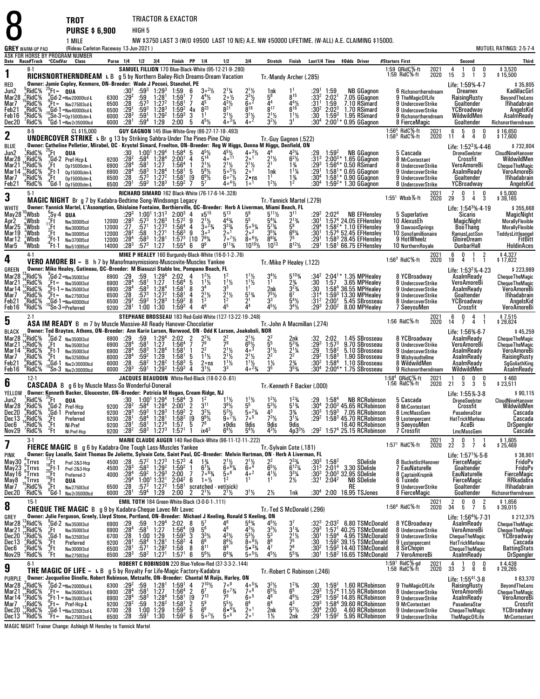**TROTPURSE \$ 6,900** HIGH 5 1 MILE

8

NW \$3750 LAST 3 (W/O \$9500 LAST 10 N/E) A.E. NW \$50000 LIFETIME. (W-ALL) A.E. CLAIMING \$15000. (Rideau Carleton Raceway 13-Jun-2021 ) MUTUEL RATINGS: 2-5-7-4

| . <u>.</u>                           |  |
|--------------------------------------|--|
| (Ridgeu Carloton Racoway 13, Jun. 20 |  |

|                                  | <b>GREY</b> WARM-UP PAD              |                           | (Rideau Carleton Raceway 13-Jun-2021 )<br>ASK FOR HORSE BY PROGRAM NUMBER                                                                     |                                      |                                                         |                                       |                                                                 |                                        |                                                                |                                                                   |                                                                             |                                                                 |                                                                      |                                              |                               |                            |                                                                |                                                                          |                                                                                           | MUTUEL RATINGS: 2-5-7-4                          |
|----------------------------------|--------------------------------------|---------------------------|-----------------------------------------------------------------------------------------------------------------------------------------------|--------------------------------------|---------------------------------------------------------|---------------------------------------|-----------------------------------------------------------------|----------------------------------------|----------------------------------------------------------------|-------------------------------------------------------------------|-----------------------------------------------------------------------------|-----------------------------------------------------------------|----------------------------------------------------------------------|----------------------------------------------|-------------------------------|----------------------------|----------------------------------------------------------------|--------------------------------------------------------------------------|-------------------------------------------------------------------------------------------|--------------------------------------------------|
| Date                             | Race#Track <b>CCndVar</b>            |                           | Class                                                                                                                                         |                                      | Purse 1/4 1/2 3/4                                       |                                       |                                                                 | Finish PP 1/4                          |                                                                |                                                                   | 1/2                                                                         | 3 4                                                             | Stretch                                                              | Finish                                       |                               |                            | Last1/4 Time \$0dds Driver                                     | #Starters First                                                          | Second                                                                                    | Third                                            |
| 1                                | 8-1                                  |                           | RICHSNORTHERNDREAM L B g 5 by Northern Bailey-Rich Dreams-Dream Vacation                                                                      |                                      |                                                         |                                       |                                                                 |                                        |                                                                |                                                                   | <b>SAMUEL FILLION 170 Blue-Black-White (95-12-21-9-280)</b>                 |                                                                 | Tr. Mandy Archer (.285)                                              |                                              |                               |                            |                                                                | 1:59 QRidC%-ft<br>2021<br>1:59 RidC%-ft<br>2020                          | $\pmb{0}$<br>4<br>0<br>-1<br>15<br>3<br>3<br>1                                            | \$3,520<br>\$15,500                              |
| RED                              |                                      |                           | Owner: Jamie Copley, Kenmore, ON-Breeder: Wade J Peconi, Stanchel, PE                                                                         |                                      |                                                         |                                       |                                                                 |                                        |                                                                |                                                                   |                                                                             |                                                                 |                                                                      |                                              |                               |                            |                                                                |                                                                          | Life: 1:59% 4-7                                                                           | \$35,805                                         |
| Jun2<br>Mar28                    | RidC <sup>5</sup> %<br>:RidC%        | $25$ Ft= QUA              | Gd-2 =Nw20000lcd-L                                                                                                                            | 6300                                 | $:30^{1}$<br>$:29^{2}$                                  | $^{:59^3}_{:59}$                      | $1:29^{3}$<br>$1:28^{1}$                                        | 1:59<br>1:59 <sup>1</sup>              | 6<br>7                                                         | $3^{\circ}{}^{2}\%$<br>$4^{4}\%$                                  | $20\frac{1}{2}$                                                             | $\frac{2^{1}\frac{1}{2}}{2^{3}\frac{1}{2}}$<br>6 <sup>°</sup>   | $\frac{1}{5}$ <sup>8</sup>                                           | $8^{15}$                                     | $:29^1$<br>$:33^2$            | $1:59$<br>$2:021$          | <b>NB GGagnon</b><br>7.05 GGagnon                              | 6 Richsnortherndream<br>9 TheMagicOfLife                                 | Dreamex<br>RaisingRusty                                                                   | KadillacGirl<br>BeyondTheLens                    |
| Mar7<br>Feb21                    | RidC%<br>RidC%                       |                           | $Ft = Nw275013cd$                                                                                                                             | 6500<br>6500                         | :28                                                     | $:57^{3}$                             | 1:27 <sup>2</sup><br>$1:28^{3}$                                 | 1:58 <sup>1</sup><br>$1:59^{2}$        | 7<br>4х                                                        | $8^{23}$                                                          | 43½<br>$8^{21}$                                                             | $8^{18}$                                                        | R <sup>17</sup>                                                      | $\frac{44}{8}$ <sup>4</sup>                  | :31 <sup>1</sup><br>$:30^{2}$ | 1:59<br>$2:02^3$           | 7.10 RSimard<br>1.70 RSimard                                   | 9 UndercoverStrike<br>8 UndercoverStrike                                 | Goaltender<br>YCBroadway                                                                  | <b>Ifihadabrain</b><br>AngelsKid                 |
| Feb16                            | RidC%;                               |                           | $^{+4}_{10}$ Gd-1 =Nw40000lcd-L<br>$^{+0}_{0}$ Sn-3 =0p15000clm-L                                                                             | 6000                                 | $\frac{1}{2}$ .29 <sup>1</sup>                          | $:59^{3}$<br>:59 <sup>1</sup>         | 1:29 <sup>2</sup>                                               | $1:59^{3}$                             | 3                                                              | 1 <sup>1</sup>                                                    | $2^{11}/2$                                                                  | $\frac{3^{1}\frac{1}{2}}{4^{0}}$                                | $2^{11/2}$                                                           | $11\frac{1}{2}$                              | :30                           | $1:59^{3}$                 | 1.95 RSimard                                                   | 9 Richsnortherndream                                                     | WildwildMen                                                                               | AsalmReady                                       |
| Dec20                            | 'RidC%<br>8-5                        |                           | ${}^0$ Gd- $1$ = Nw2r35000lcd<br>CL \$15,000                                                                                                  | 6000                                 | :281                                                    | $:59^{4}$                             | 1:29                                                            | 2:00                                   | 5                                                              | $4^{5}$ <sup>1</sup> / <sub>2</sub>                               | $4 \circ 3\frac{1}{4}$<br>GUY GAGNON 145 Blue-White-Grey (86-27-17-18-.493) |                                                                 | $3^2\%$                                                              | 3 <sup>1</sup>                               | :30ª                          | 2:00 <sup>1</sup>          | 0.95 GGagnon                                                   | 8 FierceMagic                                                            | Goaltender<br>6<br>0                                                                      | Richsnortherndream                               |
| 2                                |                                      |                           | <b>UNDERCOVER STRIKE</b> L Br g 13 by Striking Sahbra-Under The Pines-Pine Chip                                                               |                                      |                                                         |                                       |                                                                 |                                        |                                                                |                                                                   |                                                                             |                                                                 | Tr.-Guy Gagnon (.522)                                                |                                              |                               |                            |                                                                | 1:56 <sup>4</sup> RidC%-ft<br>1:58 <sup>3</sup> RidC%-ft<br>2021<br>2020 | $\frac{5}{4}$<br>$\begin{smallmatrix} 0 \ 4 \end{smallmatrix}$<br>11<br>0                 | \$16,650<br>\$17,600                             |
| <b>BLUE</b><br>Jun2              | RidC%                                | °Ft                       | Owner: Catheline Pelletier, Mirabel, QC - Krystel Simard, Freelton, ON-Breeder: Req W Hiqqs, Donna M Hiqqs, Denfield, ON<br>QUA               |                                      | :30                                                     |                                       | $1:00^1$ $1:29^4$                                               | $1:58^4$ 5                             |                                                                | $4^{5}$ <sup>1</sup> / <sub>2</sub>                               |                                                                             | $40^{3}$                                                        | 44                                                                   | 431⁄4                                        |                               | 1:59 <sup>2</sup>          | <b>NB GGagnon</b>                                              | 5 Cascada                                                                | Life: $1:52^3\%$ 4.46<br><b>DroneSeelster</b>                                             | \$732,804<br>CloudNineHanover                    |
| Mar28                            | RidC%                                |                           | Gd-2 Pref-Hcp- <b>L</b>                                                                                                                       | 9200                                 | :28 <sup>2</sup>                                        | :58 $4$                               | 1:28 <sup>4</sup>                                               | 2:00 <sup>1</sup>                      | $\overline{4}$                                                 | $5^{14}$                                                          | $4^{\circ}$ <sup>11</sup>                                                   | 200 <sup>1</sup>                                                | $\frac{2^{1}}{2^{1}}$                                                | $6^{2}$ %                                    | $\frac{1}{3}$ <sup>3</sup>    |                            | $2:00^{3*}$ 1.65 GGagnon                                       | 8 MrContestant                                                           | Crossfit                                                                                  | WildwildMen                                      |
| Mar <sub>21</sub><br>Mar14       | RidC%<br>'RidC%                      | $E_6$<br>(Ft-1            | 0p15000clm-L<br>Op15000clm-L                                                                                                                  | 6900<br>6900                         | $: 284$<br>:28 <sup>4</sup>                             | :58 <sup>1</sup><br>$:58^3$           | 1:27<br>1:28 <sup>4</sup>                                       | 1:56 <sup>4</sup><br>1:58 <sup>1</sup> | $\mathbf{1}$<br>5                                              | $\frac{2^{1}\frac{1}{2}}{5^{8}\frac{1}{2}}$                       | $2^{1}\frac{1}{2}$<br>5° <sup>5</sup> 1/ <sub>2</sub>                       | $2^{11/2}$                                                      | 1nk                                                                  | $1\frac{3}{4}$<br>$1\frac{1}{4}$             | $:29^{3}$<br>$:29^{1}$        |                            | 1:56 <sup>4</sup> * 0.50 RSimard<br>$1:58^{1*}$ 0.65 GGagnon   | 8 UndercoverStrike<br>9 UndercoverStrike                                 | <b>VeroAmoreBi</b><br>AsalmReady                                                          | <b>ChequeTheMagic</b><br>VeroAmoreBi             |
| Mar7<br>Feb21                    | RidC%<br>'RidC%                      | :Ft<br>"Gd-1              | Op15000clm-L<br>Op15000clm-L                                                                                                                  | 6500<br>6500                         | :28<br>:29 <sup>1</sup>                                 | $:57^3$<br>$:59^{3}$                  | 1:27 <sup>2</sup><br>1:28 <sup>3</sup>                          | 1:58 <sup>1</sup><br>$1:59^{2}$        | 19                                                             | $6^{9}$ <sup>1/2</sup><br>5'                                      | $6^{\circ}$ <sup>7</sup> 1/ <sub>2</sub><br>$4 \circ 4\frac{1}{2}$          | 2•ns<br>1 <sup>0</sup>                                          | 1 <sup>1</sup><br>$1^2$ <sup>1</sup> / <sub>2</sub>                  | $1\frac{3}{4}$<br>1 <sup>2</sup>             | :30ª<br>:30ª                  |                            | $1:58^{1*}$ 0.90 GGagnon<br>$1:59^{2*}$ 1.30 GGagnon           | 9 UndercoverStrike<br>8 UndercoverStrike                                 | Goaltender<br>YCBroadway                                                                  | <b>Ifihadabrain</b><br>AngelsKid                 |
|                                  | $5-1$                                |                           |                                                                                                                                               |                                      |                                                         |                                       |                                                                 |                                        |                                                                |                                                                   | RICHARD SIMARD 162 Black-White (76-17-6-14-.328)                            |                                                                 |                                                                      |                                              |                               |                            |                                                                | 2021<br>2020                                                             | $\frac{0}{3}$<br>$\overline{7}$<br>0<br>$\mathbf{1}$                                      | \$5,000                                          |
| 3                                |                                      |                           | <b>MAGIC NIGHT</b> Br g 7 by Kadabra-Bedtime Song-Windsongs Legacy                                                                            |                                      |                                                         |                                       |                                                                 |                                        |                                                                |                                                                   |                                                                             |                                                                 | Tr. Yannick Martel (.279)                                            |                                              |                               |                            |                                                                | $1:551$ Wbsb $%$ -ft                                                     | 29<br>3<br>4                                                                              | \$39,165                                         |
| WHITE<br>May28                   | Wbsb                                 | $\int_{0}^{6}$ Sy-4 Qua   | Owner: Yannick Martel, L'Assomption, Ghislaine Fontaine, Berthierville, QC-Breeder: Herb A Liverman, Miami Beach, FL                          |                                      | :29 $^3$                                                |                                       | $1:00^1$ 1:31 <sup>3</sup>                                      | $2:00^3$ 4                             |                                                                | x5 <sup>15</sup>                                                  | $5^{13}$                                                                    | 59                                                              | $5^{11}$ %                                                           | $3^{11}$                                     | :292                          | 2:02 <sup>4</sup>          | <b>NB EFHensley</b>                                            | 5 Superlative                                                            | Life: 1:54 <sup>3</sup> %-4-19<br>Sicario                                                 | \$355,668<br><b>MagicNight</b>                   |
| Apr2<br>Mar25                    | Wbsb<br>°Wbsb                        | $^{4}Ft$<br>$Ft$          | Nw300015cd<br>Nw300015cd                                                                                                                      | 12000<br>12000                       | $\frac{1}{28}$<br>$\frac{28}{27}$                       | $:57^{3}$<br>:571                     | $1:26^{3}$<br>1:27 <sup>3</sup>                                 | $1:57^{2}$<br>1.564                    | 9<br>$\overline{4}$                                            | $\frac{2^{1}\frac{1}{2}}{3^{o}2\frac{3}{4}}$                      | $4^{4}_{3/4}$<br>$3^{3}_{/4}$                                               | $\tilde{5}^5$<br>$\bar{5}$ $\circ$ $\frac{5}{4}$                | $\frac{5^4}{4^7}$                                                    | $\frac{2^{13}}{5^{8}}$                       | :301<br>$:29^{4}$             |                            | 1:57 <sup>4</sup> 24.05 EFHensley<br>$1:582 * 1.10$ EFHensley  | 10 AlexusEh<br>9 DawsonSprings                                           | <b>MagicNight</b><br>BooThang                                                             | <b>MorallyFlexible</b><br><b>MorallyFlexible</b> |
| Mar 19                           | ¦Wbsb                                | :Ft<br>$^{3}$ Et-1        | Nw3000I5cd                                                                                                                                    | 12000                                | :28 <sup>2</sup>                                        | :58                                   | 1:27 <sup>1</sup>                                               | $1:56^{3}$                             | 9                                                              | 30 <sup>3</sup><br>$7^9\%$                                        | 1ه 9<br>7°7%                                                                | $200^2$<br>$806\%$                                              | 351⁄4                                                                | $6^{6}$ <sup>%</sup><br>75                   | :30'                          |                            | $1:574$ 52.45 EFHensley                                        | 10 Sonofamillionaire                                                     | RamasLastSon                                                                              | TeddysLittleangel<br>FitBitt                     |
| Mar12<br>Mar5                    | ,Wbsb<br>'Wbsb                       | TFt-1                     | Nw370015cd<br>Nw510015cd                                                                                                                      | 12000<br>14000                       | $: 28^{4}$<br>$: 28^{3}$                                | :58 <sup>3</sup><br>$:57^{3}$         | 1:28 <sup>1</sup><br>1:27                                       | $1:57^{3}$<br>1:55 <sup>4</sup>        | [10]<br>6                                                      | 9 <sup>9</sup>                                                    | $9^{113}$                                                                   | $10^{10}\frac{1}{2}$                                            | $10^{13}$                                                            | $8^{12}\%$                                   | $:29^{1}$<br>$:29^{1}$        |                            | 1:583 28.45 EFHensley<br>$1:581$ 66.75 EFHensley               | 9 HotWheelz<br>10 NorthernRoyale                                         | <b>GloireDream</b><br>DunbarHall                                                          | <b>HoldinAces</b>                                |
| 4                                | 4-1                                  |                           | <b>VERO AMORE BI</b> = B h 7 by Manofmanymissions-Muscovite-Muscles Yankee                                                                    |                                      |                                                         |                                       |                                                                 |                                        |                                                                |                                                                   | MIKE P HEALEY 160 Burgundy-Black-White (16-0-1-2-.76)                       |                                                                 |                                                                      |                                              |                               |                            |                                                                | 2021<br>$1:563$ RidC $%$ -ft<br>2020                                     | 6<br>0<br>$\overline{1}$<br>2<br>19<br>$\overline{4}$<br>$\overline{1}$<br>$\overline{1}$ | \$4,327<br>\$17,622                              |
| <b>GREEN</b>                     |                                      |                           | Owner: Mike Healey, Gatineau, QC--Breeder: M Biasuzzi Stable Inc, Pompano Beach, FL                                                           |                                      |                                                         |                                       |                                                                 |                                        |                                                                |                                                                   |                                                                             |                                                                 | Tr.-Mike P Healey (.122)                                             |                                              |                               |                            |                                                                |                                                                          | Life: 1:53 <sup>2</sup> %-4-23                                                            | \$223,989                                        |
| Mar28<br>Mar21                   | RidC%<br>RidC%                       |                           | <sup>3</sup> Gd-2 =Nw350013cd<br>$Ft = Nw350013cd$                                                                                            |                                      | 6900 :29<br>6900 :28 <sup>4</sup>                       | :59.581                               | $1:29^{4}$<br>$1:27$                                            | $2:02$<br>$1:564$                      | 4<br>5                                                         | $1^{2}\frac{1}{2}$<br>$1^{1}\frac{1}{2}$                          | $1^{11}/2$                                                                  | $1\frac{1}{2}$<br>$1\frac{1}{2}$                                | $3^{4}\frac{1}{2}$                                                   | $5^{10}$ %<br>$2\frac{3}{4}$                 | :34 <sup>2</sup><br>:30       | 1:57                       | $2:04^{1*}$ 1.35 MPHealey<br>3.65 MPHealey                     | 8 YCBroadway<br>8 UndercoverStrike                                       | AsalmReady<br>VeroAmoreBi                                                                 | <b>ChequeTheMagic</b><br><b>ChequeTheMagic</b>   |
| Mar 14                           | RidC%                                |                           | Ft-1 = Nw350013cd                                                                                                                             | 6900                                 | :28 $^4$                                                | $:58^3$                               | 1:28 <sup>4</sup>                                               | 1:58 <sup>1</sup>                      | 8                                                              | 3 <sup>4</sup>                                                    | 33                                                                          | 1 <sup>1</sup>                                                  | 2nk                                                                  | $3^{23}/4$                                   | :30                           |                            | $1:584$ 36.55 MPHealev                                         | 9 UndercoverStrike                                                       | AsalmReady                                                                                | <b>VeroAmoreBi</b>                               |
| Mar7<br>Feb21                    | ¦RidC%<br>RidC%"                     |                           | $^{9}_{4}$ Ft = Nw275013cd<br>, Gd-1 = <sub>Nw40000lcd</sub>                                                                                  | 6500<br>6500                         | $\frac{.28}{.29}$                                       | $:57^{3}$<br>$:59^{3}$                | 1:27 <sup>2</sup><br>$1:28^{3}$                                 | 1:58 <sup>1</sup><br>1:59 <sup>2</sup> | 4<br>8                                                         | $\frac{2^{1}}{1^{2}}$                                             |                                                                             | $5^{13}/4$                                                      | 75½<br>$3^3$                                                         | 6 <sup>7</sup><br>$5^{4}$ %                  | :314<br>:31 <sup>2</sup>      | $2:00^{1}$                 | $1:593$ 13.30 MPHealey<br>5.45 SBrosseau                       | 9 UndercoverStrike<br>8 UndercoverStrike                                 | Goaltender<br>YCBroadway                                                                  | <b>Ifihadabrain</b><br>AngelsKid                 |
| Feb16                            | "RidC%<br>$2-1$                      |                           | Sn-3=Preferred                                                                                                                                |                                      | 9200 $:281$                                             | 1:00 1:30                             |                                                                 | $1:59^{3}$                             | 4                                                              | 46                                                                | 45<br>STEPHANE BROSSEAU 183 Red-Gold-White (127-13-22-19-.248)              |                                                                 | $4^5\frac{1}{2}$                                                     | $3^{4}$ <sup>1</sup> / <sub>2</sub>          |                               | $: 29^3$ 2:00 <sup>2</sup> | 8.00 MPHealey                                                  | 7 SeeyouMen                                                              | Crossfit                                                                                  | VeroAmoreBi                                      |
| 5                                |                                      |                           | ASA IM READY B m 7 by Muscle Massive-All Ready Hanover-Chocolatier                                                                            |                                      |                                                         |                                       |                                                                 |                                        |                                                                |                                                                   |                                                                             |                                                                 | Tr.-John A Macmillan (.274)                                          |                                              |                               |                            |                                                                | 2021<br>2020<br>1:56 RidC%-ft                                            | $\frac{6}{14}$<br>$\frac{0}{7}$<br>$\frac{4}{4}$<br>-1                                    | \$7,515<br>\$29,624                              |
| <b>BLACK</b><br>Mar28            | 'RidC%                               |                           | Owner: Ted Brayton, Athens, ON-Breeder: Ann Karin Larsen, Norwood, ON - Odd K Larsen, Joakobsli, NOR<br>$Gd-2$ Nw350013cd                     | 6900                                 | :29                                                     | :59                                   | $1:29^{4}$                                                      |                                        |                                                                | $2^2\frac{1}{2}$                                                  |                                                                             | $2^1\frac{1}{2}$                                                |                                                                      | 2nk                                          |                               | 2:02                       | 1.45 SBrosseau                                                 | 8 YCBroadway                                                             | Life: 1:56%-6-7<br>AsalmReady                                                             | \$45,259<br><b>ChequeTheMagic</b>                |
| Mar21                            | RidC%                                | .Ft                       | Nw3500l3cd                                                                                                                                    | 6900                                 | : 28 <sup>4</sup>                                       | :58 <sup>1</sup>                      | 1:27                                                            | $2:02$ 2<br>1:56 <sup>4</sup> 7        |                                                                | 79<br>$2^2$                                                       | $\frac{2^2}{7^9}$                                                           | $6^{51/2}$<br>4 <sup>o3</sup>                                   | $\frac{2^2}{5^5}$                                                    | $5^{3}$ %                                    | :293                          | $1:57^{3}$                 | 9.70 SBrosseau                                                 | 8 UndercoverStrike                                                       | VeroAmoreBi                                                                               | ChequeTheMagic<br>VeroAmoreBi                    |
| Mar14<br>Mar7                    | RidC%<br>RidC%                       | $_{9}^{6}$ Ft-1<br>.Ft∶   | Nw3500I3cd<br>Nw32500lcd                                                                                                                      | 6900<br>6000                         | $:28^{4}$<br>:28 <sup>4</sup>                           | :58 <sup>3</sup><br>$:59^2$           | $1:284$<br>1:29                                                 | $1:58^{1}$<br>1:58 <sup>1</sup>        | -1<br>5                                                        | $1^{11}/2$                                                        | $\frac{2^{1}\frac{1}{2}}{2^{1}\frac{1}{2}}$                                 | $2^{11}/2$                                                      | $\frac{3^{1}1}{2^{2}}$                                               | $\frac{2^{1}}{2^{2}}$                        | : 29.292                      | $1.58^{2}$<br>$1:58^{3}$   | 5.10 SBrosseau<br>1.90 SBrosseau                               | 9 UndercoverStrike<br>9 Wishyoudtellme                                   | <b>AsalmReady</b><br>AsalmReady                                                           | RaisingRusty                                     |
| Feb21<br>Feb16                   | RidC%<br>'RidC%                      | :Gd-1                     | Nw2r30000lcd<br>Sn-3 Nw2r30000lcd                                                                                                             | 6000<br>6000                         | :28<br>$:28^{3}$                                        | $:58^2$<br>:59 $^1$                   | 1:28 <sup>2</sup><br>1:29 <sup>2</sup>                          | $1:58^{3}$<br>$1:59^{3}$               | 5<br>4                                                         | $2 \circ ns$<br>$3^{1}$ %                                         | $1^{11}/2$                                                                  | $\frac{1}{4}$ $\frac{1}{2}$<br>4 $\frac{2}{4}$                  | $1\frac{1}{2}$<br>3 <sup>5</sup>                                     | $2\frac{3}{4}$<br>$3^{5}_{4}$                | :30ª<br>:30ª                  | 1:58 <sup>4</sup>          | 1.10 SBrosseau<br>$2:00^{4*}$ 1.75 SBrosseau                   | 8 WildwildMen<br>9 Richsnortherndream                                    | AsalmReady<br>WildwildMen                                                                 | SgGoliathKing<br>AsalmReady                      |
| 6                                | $12-1$                               |                           |                                                                                                                                               |                                      |                                                         |                                       |                                                                 |                                        |                                                                |                                                                   | JACQUES BEAUDOIN White-Red-Black (18-0-2-0-.61)                             |                                                                 |                                                                      |                                              |                               |                            |                                                                | 1:58 <sup>4</sup> QRidC%-ft<br>2021<br>2020<br>1:56 RidC%-ft             | $\frac{0}{3}$<br>$\frac{0}{5}$<br>0<br>1<br>3<br>21                                       | \$460<br>\$23,511                                |
| YELLOW                           |                                      |                           | <b>CASCADA</b> B g 6 by Muscle Mass-So Wonderful-Donerail<br>Owner: Kenneth Backer, Gloucester, ON-Breeder: Patricia M Hogan, Cream Ridge, NJ |                                      |                                                         |                                       |                                                                 |                                        |                                                                |                                                                   |                                                                             |                                                                 | Tr.-Kenneth F Backer (.000)                                          |                                              |                               |                            |                                                                |                                                                          | Life: 1:55% 3-8                                                                           | \$90,115                                         |
| Jun2                             | RidC%                                | .Ft                       | QUA                                                                                                                                           |                                      | :30                                                     |                                       | $1:00^1$ 1:29 <sup>4</sup>                                      | 1:58 <sup>4</sup>                      | 3                                                              | $1^2$<br>$3^{11}$                                                 | $1^{11}/2$                                                                  | $1^{11/2}$                                                      | $1^2$ <sup>1</sup> / <sub>2</sub>                                    | $1^{23}/4$                                   | :29                           | $1:58^{4}$                 | <b>NB RCRobinson</b>                                           | 5 Cascada                                                                | <b>DroneSeelster</b>                                                                      | CloudNineHanover                                 |
| Mar28<br>Dec20                   | ,RidC%<br>RidC%!                     | (Gd-1                     | $^{9}_{0}$ Gd-2 Pref-Hcp<br>Preferred                                                                                                         | 9200<br>9200                         | $\frac{.28^2}{.28^3}$                                   | :58 $4$<br>$:59^{3}$                  | 1:28 <sup>4</sup><br>$1:28^{3}$                                 | 2:00 <sup>1</sup><br>1:59 <sup>2</sup> | $\frac{2}{2}$                                                  | $3^{2}\%$                                                         | $3\frac{3}{2}\frac{1}{2}$                                                   | $50^{2}$ %                                                      | $5^{3}$ <sup>1</sup> / <sub>2</sub>                                  | $\frac{5^{13}}{3^{34}}$                      | $:30^4$<br>$:30^{3}$          | $1:59^{3}$                 | 2:00 <sup>3</sup> 45.65 RCRobinson<br>7.05 RCRobinson          | 8 MrContestant<br>8 LmcMassGem                                           | Crossfit<br>PasadenaStar                                                                  | WildwildMen<br>Cascada                           |
| Dec 13<br>Dec6                   | ,RidC%<br>RidC%                      | :Ft<br>$^{4}$ Ft          | Preferred<br>NI-Pref                                                                                                                          | 9200<br>9200                         | :28 <sup>1</sup>                                        | $:58^4$<br>:58 <sup>1</sup>           | 1:28 <sup>1</sup>                                               | $1:58^{2}$                             | $\bar{[9]}$<br>5                                               | $9^{9}$ <sup>1</sup> / <sub>2</sub><br>78                         | $9°^{7}\%$<br>x9dis                                                         | 7 <sup>5</sup>                                                  | 73½<br>9dis                                                          | $3^{1}$ <sup>1</sup> / <sub>4</sub><br>9dis  | $:29^2$                       |                            | $1:583$ 45.70 RCRobinson<br>16.40 RCRobinson                   | 9 Lestenpercent<br>9 SeeyouMen                                           | HatTrickMarleau<br>AceBi                                                                  | Cascada<br><b>DrSpengler</b>                     |
| Nov29                            | 'RidC%                               | "Ft                       | NI-Pref-Hcp                                                                                                                                   | 9200                                 | $\frac{128}{282}$                                       | $:58^3$                               | $1:274$<br>$1:273$                                              | $1:57$<br>$1:57$                       |                                                                | ix4 <sup>3</sup>                                                  | $6^4\%$                                                                     | $\frac{9}{5}$<br>$\frac{4}{2}$                                  | 431/2                                                                | 4p3 <sup>3</sup> /2                          |                               |                            | :29 <sup>2</sup> 1:57 <sup>4</sup> 25.15 RCRobinson            | 7 Crossfit                                                               | LmcMassGem                                                                                | Cascada                                          |
| $\prime$                         | $3-1$                                |                           | <b>FIERCE MAGIC</b> B g 6 by Kadabra-One Tough Lass-Muscles Yankee                                                                            |                                      |                                                         |                                       |                                                                 |                                        |                                                                |                                                                   | MARIE CLAUDE AUGER 140 Red-Black-White (96-11-12-11-.222)                   |                                                                 | Tr.-Sylvain Cote (.181)                                              |                                              |                               |                            |                                                                | 2021<br>$1:571$ RidC%-ft<br>2020                                         | 3<br>$\mathbf 0$<br>-1<br>22 3 7 4                                                        | \$1,605<br>\$25,469                              |
| <b>PINK</b>                      | :Trrvs                               |                           | Owner: Guy Lasalle, Saint Thomas De Joliette, Sylvain Cote, Saint Paul, QC-Breeder: Melvin Hartman, ON - Herb A Liverman, FL                  |                                      |                                                         |                                       |                                                                 |                                        | 4                                                              |                                                                   |                                                                             |                                                                 |                                                                      |                                              |                               |                            |                                                                |                                                                          | Life: 1:57 <sup>1</sup> %-5-6<br>FierceMagic                                              | \$38,901<br>FridoPv                              |
| May30<br>May23                   | ្គ $Trrus$                           | ¦′Ft                      | Pref-2&3-Hcp                                                                                                                                  |                                      | 4500 :28<br>4500 :28 <sup>3</sup>                       | $:57^{2}_{158^{3}}$                   | $1:273$<br>$1:292$                                              | $1:57^{3}$<br>1:59 <sup>2</sup>        | $\mathbf{1}$                                                   | $1\frac{3}{4}$<br>6 <sup>7</sup> / <sub>4</sub>                   | $2^{1}\frac{1}{2}$<br>6. <sup>61</sup> / <sub>4</sub>                       | $\frac{2^{1}\frac{1}{2}}{6^{04}}$                               | $2^2$<br>6 <sup>5</sup> %                                            | $2^{33/4}$<br>6 <sup>12</sup> / <sub>4</sub> | $:30^{3}$<br>$:31^{3}$        | $1:58^2$<br>$2:01^4$       | SDelisle<br>3.30 SDelisle                                      | 8 BucketlistHanover<br>7 EauNaturelle                                    | Goaltender                                                                                | FridoPv                                          |
| May16 <sup>°</sup> Trrvs<br>May8 | $T_{15}$ Trrvs                       |                           |                                                                                                                                               |                                      | $4000$ :28 <sup>4</sup><br>:29 <sup>4</sup><br>6500 :28 | $:59^{2}$                             | $1:29^{3}$                                                      | 2:00<br>$2.04^{2}$ 6                   | 7                                                              | $7^{\circ}$ <sup>93</sup> / <sub>4</sub><br>$1 \circ \frac{1}{2}$ | 506<br>1 <sup>2</sup>                                                       | 4.02<br>1 <sup>1</sup>                                          | $4\frac{1}{2}$<br>1 <sup>1</sup>                                     | $\frac{3^{3}\%}{2\%}$                        | $:32^{1}$                     | $2:04^2$                   | $:30^3$ 2:00 $^3$ 32.95 SDelisle<br><b>NB SDelisle</b>         | 8 CaptainKrupnik<br>6 Tuxedo                                             | EauNaturelle                                                                              | FierceMagic<br>RRkadabra                         |
| Mar7<br>Dec20                    | ,RidC%<br>'RidC%                     |                           | 18-Ft-1 Pref-283-Hcp<br>20-Ft-1 Pref-283-Hcp<br>10-Ft Preferred-3<br>-9-Ft Nw275013cd<br>0-Gd-1 Nw27350001cd                                  |                                      | 6000 :28 <sup>1</sup>                                   | :59 $^4$                              | $1.00^1$ $1.32^1$<br>:57 <sup>3</sup> 1:27 <sup>2</sup><br>1:29 | 1:58 <sup>1</sup><br>2:00              | 2                                                              | $2^{1}\frac{1}{2}$                                                | scratched - vet(sick)<br>$2^{11}/2$                                         | $3^{1}/2$                                                       | $2\frac{1}{2}$                                                       | 1nk                                          |                               |                            | RE<br>$:304$ 2:00 16.95 TSJones                                | 9 UndercoverStrike<br>8 FierceMagic                                      | FierceMagic<br>Goaltender<br>Goaltender                                                   | Ifihadabrain<br>Richsnortherndream               |
|                                  | $15-1$                               |                           |                                                                                                                                               |                                      |                                                         |                                       |                                                                 |                                        |                                                                | EMIL TOTH 184 Green-White-Black (3-0-0-1-.111)                    |                                                                             |                                                                 |                                                                      |                                              |                               |                            |                                                                | 2021<br>2020                                                             | $\frac{2}{34}$<br>$\frac{0}{5}$<br>$\frac{0}{7}$<br>$\frac{2}{5}$                         | \$1,656<br>\$39,015                              |
| 8                                |                                      |                           | <b>CHEQUE THE MAGIC B</b><br>Owner: Julie Ferguson, Greely, Lloyd Stone, Portland, ON-Breeder: Michael J Keeling, Ronald S Keeling, ON        | g 9 by Kadabra-Cheque Lavec-Mr Lavec |                                                         |                                       |                                                                 |                                        |                                                                |                                                                   |                                                                             |                                                                 | Tr.-Ted S McDonald (.296)                                            |                                              |                               |                            |                                                                | 1:56 <sup>4</sup> RidC%-ft                                               |                                                                                           |                                                  |
| GREY<br>Mar <sub>28</sub>        | ¦,°RidC%                             |                           | Gd-2 Nw350013cd                                                                                                                               |                                      | 6900 :29                                                | :59                                   | 1:29 <sup>4</sup><br>1:27                                       | $2:02$ 8<br>1:56 <sup>4</sup> [9       |                                                                | 5 <sup>7</sup>                                                    |                                                                             | $5^{4}\%$<br>$4^{3}\%$                                          | $4^5\frac{1}{2}$                                                     | 3 <sup>7</sup>                               |                               |                            | :32 $3\,$ 2:03 $2\,$ 6.80 TSMcDonald                           | 8 YCBroadway                                                             | Life: $1:564% 7.31$<br>AsalmReady                                                         | \$212,375<br><b>ChequeTheMagic</b>               |
| Mar21<br>Dec20                   | $^4$ RidC%<br>, <sup>3</sup> RidC%   | .Ft<br>$\frac{0}{3}$ Gd-1 | Nw3500l3cd<br>Nw3250I3cd                                                                                                                      | 6900<br>6700                         | :28 <sup>4</sup>                                        | :58 <sup>1</sup>                      |                                                                 | $1:59^{3}$                             | $\tilde{[9]}$                                                  | 56                                                                | 46                                                                          |                                                                 | $3^{3}\frac{1}{2}$<br>$5^{3}\frac{1}{2}$<br>$8^{6}\frac{1}{2}$       | $3^{13}/4$                                   | :29 $^3$<br>:30 <sup>1</sup>  |                            | $1:571$ 40.25 TSMcDonald<br>$1:594$ 4.95 TSMcDonald            | 8 UndercoverStrike<br>9 UndercoverStrike                                 | VeroAmoreBi<br><b>ChequeTheMagic</b>                                                      | <b>ChequeTheMagic</b><br>YCBroadway              |
| Dec13                            | ¦RidC%                               | "Ft                       | Preferred                                                                                                                                     | 9200                                 | $\frac{.28}{.28}$<br>:28 <sup>1</sup>                   | $1:00$<br>:58 <sup>4</sup><br>:57 $1$ | $\frac{1.29}{1.28}$<br>$1:28^{2}$                               | $1:58^{2}$                             | $\frac{3}{4}$<br>8                                             | 6 <sup>6</sup><br>$8^{11}$                                        | $4^{3}\frac{1}{2}$<br>8 <sup>6</sup> $\frac{1}{2}$<br>8 <sup>9</sup>        | $\frac{5^{3}\sqrt{2}}{8^{6}\sqrt{2}}$<br>$5 \cdot \frac{33}{4}$ | 4 <sup>7</sup>                                                       | $\frac{2^{11}}{7^{5}}$<br>$2^8$              | :30<br>:304                   |                            | 1:59 <sup>2</sup> 39.15 TSMcDonald<br>$1:593$ 14.40 TSMcDonald | 9 Lestenpercent                                                          | HatTrickMarleau                                                                           | Cascada                                          |
| Dec6                             | ;RidC%<br>Nov29 RidC%                | 7Ft.<br>'Ft               | Nw3000l3cd<br>Nw2750I3cd                                                                                                                      | 6500                                 | 6500 : 28 <sup>3</sup>                                  | :58 $^{2}$                            | 1:27 <sup>1</sup>                                               | 1:58<br>1:57 <sup>1</sup>              | 6                                                              | $5^{6}$ <sup>1</sup> / <sub>2</sub>                               | $6^{4}$ <sup>3</sup> / <sub>4</sub>                                         | $50^{51/2}$                                                     | $4^5\frac{1}{2}$                                                     | $\bar{5}^{53}$                               | :30 $^{\circ}$                |                            | 1:58 <sup>2</sup> 16.65 TSMcDonald                             | 8 SirChopin<br>7 VeroAmoreBi                                             | <b>ChequeTheMagic</b><br>AsalmReady                                                       | <b>BattingStats</b><br>DrSpengler                |
| 9                                | $6-1$                                |                           | <b>THE MAGIC OF LIFE</b> = $\angle B$ g 5 by Royalty For Life-Magic Factory-Kadabra                                                           |                                      |                                                         |                                       |                                                                 |                                        |                                                                |                                                                   | ROBERT C ROBINSON 220 Blue-Yellow-Red (37-3-3-2-.144)                       |                                                                 | Tr.-Robert C Robinson (.246)                                         |                                              |                               |                            |                                                                | 1:59 <sup>1</sup> RidC%-gd<br>1:58 RidC%-ft<br>2021<br>2020              | $_6^0$<br>0<br>4<br>-1<br>33<br>$3\phantom{.0}$<br>6                                      | \$4,438<br>29,265 \$                             |
|                                  |                                      |                           | PURPLE Owner: Jacqueline Dinelle, Robert Robinson, Metcalfe, ON-Breeder: Chantal M Ruijs, Harley, ON                                          |                                      |                                                         |                                       |                                                                 |                                        |                                                                |                                                                   |                                                                             |                                                                 |                                                                      |                                              |                               |                            |                                                                |                                                                          | Life: $1:55^{41} \cdot 3.8$                                                               | \$63,370                                         |
| Mar28.<br>Mar <sub>21</sub>      | RidC%<br>$^{14}_{13}$ RidC%          |                           | Gd-2 =Nw20000lcd-L<br>$7.7$ The NW350013cd-L                                                                                                  | 6300<br>6900                         |                                                         |                                       | $:29^2$ :59 1:28 <sup>1</sup>                                   | 1:59 <sup>1</sup>                      | 4                                                              | $7^{10}\%$                                                        | 7°8<br>$60^{73/4}$                                                          | $40^{5}$ %<br>7 <sup>6</sup>                                    | $3^{2}\frac{1}{2}$<br>6 <sup>5</sup> $\frac{1}{2}$<br>4 <sup>6</sup> | $1^{23/4}$                                   | :30<br>:293                   |                            | $1:591$ 1.60 RCRobinson<br>1:574 11.55 RCRobinson              | 9 TheMagicOfLife<br>8 UndercoverStrike                                   | RaisingRusty<br>VeroAmoreBi                                                               | BeyondTheLens<br><b>ChequeTheMagic</b>           |
| Mar 14                           | ',RidC%                              |                           | $\zeta$ Ft-1 = Nw350013cd-L                                                                                                                   | 6900                                 | $\frac{128}{284}$                                       | $:581$<br>$:583$                      | $1:27$<br>$1:284$                                               | $1:564$<br>1:58 <sup>1</sup>           | $\frac{2}{9}$                                                  | $7^{13}$                                                          | -79                                                                         | 600                                                             |                                                                      | 461/2                                        | $:29^{3}$                     |                            | 1:59 <sup>2</sup> 14.85 RCRobinson                             | 9 UndercoverStrike                                                       | AsalmReady                                                                                | <b>VeroAmoreBi</b>                               |
| Mar7                             | RidC%;<br>Dec 20 $^{13}_{14}$ RidC % |                           | Ft= Pref-Hcp-L<br>${}^{0}_{2}$ Gd-1=Nw325013cd-L                                                                                              | 9200<br>6700                         | $: 28^2$<br>:28<br>:28<br>:28                           | :59<br>1:00                           | $1:28^2$<br>$\frac{1:29}{1:30}$                                 | 1:58 <sup>1</sup><br>$1:59^{3}$        | $\overline{2}$<br>$\begin{smallmatrix}5\cr 6\end{smallmatrix}$ | $\frac{5^9}{6^8}$                                                 | $5^5\%$<br>6∙'                                                              | 6 <sup>4</sup><br>$2^{\circ}$ <sup>1</sup>                      | 6 <sup>4</sup><br>2nk                                                | 43<br>$5^{2}$ %                              | $:29^{3}$<br>$:30^{4}$        | $^{2:00}_{1:59^2}$         | 1:58 <sup>4</sup> 39.60 RCRobinson<br>4.60 RCRobinson          | 9 MrContestant<br>9 UndercoverStrike                                     | PasadenaStar<br><b>ChequeTheMagic</b>                                                     | Crossfit<br>YCBroadway                           |
| Dec13                            | '"RidC%                              | `Ft≔                      | Nw275013cd-L                                                                                                                                  | 6500                                 |                                                         | $:59^{1}$                             |                                                                 | $1:59^{2}$                             |                                                                | $5 \cdot \frac{7}{2}$                                             | 50 <sup>5</sup>                                                             | 1ه 2                                                            | $1\frac{1}{2}$                                                       | 2nk                                          | :291                          |                            | 5.95 RCRobinson                                                | 9 UndercoverStrike                                                       | <b>TheMagicOfLife</b>                                                                     | <b>MrContestant</b>                              |

MAGIC NIGHT Trainer Change: Ashleigh M Hensley to Yannick Martel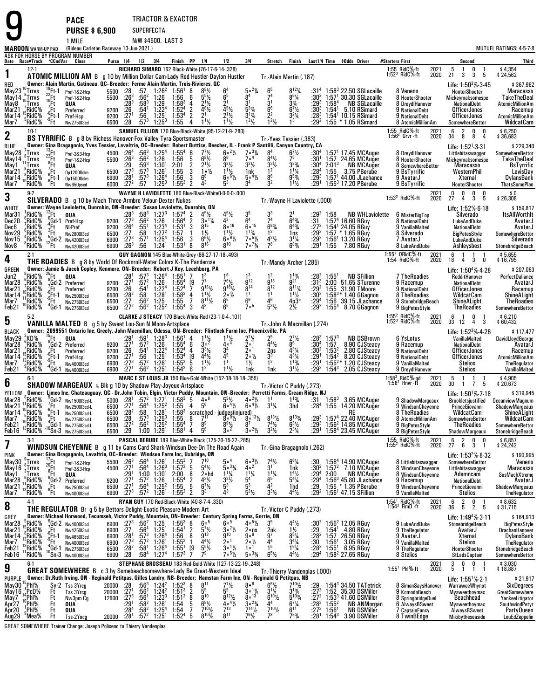| <b>MAROON</b> WARM-UP PAD                                                                                                    |                                                                                                                         |                                                                                                | <b>PACE</b><br><b>PURSE \$6,900</b><br>1 MILE<br>(Rideau Carleton Raceway 13-Jun-2021)                                                                                                                                                                                                                                                                                                                                                                                                                                                                                                                                    |                                      |                                                                                                   | SUPERFECTA                                                                                                                               | N/W \$4500. LAST 3                                                                                                 | TRIACTOR & EXACTOR                                                                                                                                                                                                                                         |                                                                                                                                                                                    |                                                                                                                                                   |                                                                                                                                                                             |                                                                                                                 |                                                                                                                                                                |                                                                                                             |                                            |                                                                                                                                                                                                                                                                                     |                                                                                                                    |              |                                                                                                                                                                          | MUTUEL RATINGS: 4-5-7-8                                                                                                           |
|------------------------------------------------------------------------------------------------------------------------------|-------------------------------------------------------------------------------------------------------------------------|------------------------------------------------------------------------------------------------|---------------------------------------------------------------------------------------------------------------------------------------------------------------------------------------------------------------------------------------------------------------------------------------------------------------------------------------------------------------------------------------------------------------------------------------------------------------------------------------------------------------------------------------------------------------------------------------------------------------------------|--------------------------------------|---------------------------------------------------------------------------------------------------|------------------------------------------------------------------------------------------------------------------------------------------|--------------------------------------------------------------------------------------------------------------------|------------------------------------------------------------------------------------------------------------------------------------------------------------------------------------------------------------------------------------------------------------|------------------------------------------------------------------------------------------------------------------------------------------------------------------------------------|---------------------------------------------------------------------------------------------------------------------------------------------------|-----------------------------------------------------------------------------------------------------------------------------------------------------------------------------|-----------------------------------------------------------------------------------------------------------------|----------------------------------------------------------------------------------------------------------------------------------------------------------------|-------------------------------------------------------------------------------------------------------------|--------------------------------------------|-------------------------------------------------------------------------------------------------------------------------------------------------------------------------------------------------------------------------------------------------------------------------------------|--------------------------------------------------------------------------------------------------------------------|--------------|--------------------------------------------------------------------------------------------------------------------------------------------------------------------------|-----------------------------------------------------------------------------------------------------------------------------------|
|                                                                                                                              |                                                                                                                         |                                                                                                | ASK FOR HORSE BY PROGRAM NUMBER                                                                                                                                                                                                                                                                                                                                                                                                                                                                                                                                                                                           |                                      |                                                                                                   | Purse 1/4 1/2 3/4                                                                                                                        |                                                                                                                    |                                                                                                                                                                                                                                                            | Finish PP 1/4                                                                                                                                                                      |                                                                                                                                                   | 3 4                                                                                                                                                                         |                                                                                                                 |                                                                                                                                                                |                                                                                                             |                                            |                                                                                                                                                                                                                                                                                     | #Starters First                                                                                                    |              |                                                                                                                                                                          |                                                                                                                                   |
| 1                                                                                                                            | $12-1$                                                                                                                  |                                                                                                | Date Race#Track "CCndVar Class                                                                                                                                                                                                                                                                                                                                                                                                                                                                                                                                                                                            |                                      |                                                                                                   |                                                                                                                                          |                                                                                                                    |                                                                                                                                                                                                                                                            |                                                                                                                                                                                    | 1/2<br>RICHARD SIMARD 162 Black-White (76-17-6-14-.328)                                                                                           |                                                                                                                                                                             | Stretch                                                                                                         | Finish                                                                                                                                                         |                                                                                                             |                                            | Last1/4 Time \$0dds Driver                                                                                                                                                                                                                                                          | 1:55 RidC%-ft<br>1:52 <sup>3</sup> RidC%-ft                                                                        | 2021<br>2020 | Second<br>-5<br>0<br>$\overline{1}$                                                                                                                                      | Third<br>\$4,354<br>\$24,562                                                                                                      |
| RED<br>May 23 $^{10}_{8}$ Trrvs<br>May 14 $^{8}_{10}$ Trrvs<br>May 8 $^{7}_{7}$ Trrvs<br>Mar <sub>21</sub><br>Mar 14<br>Mar7 | $\frac{7}{15}$ RidC%<br>°RidC%                                                                                          | 22 Ft<br>10 Ft<br>7 Ft<br>6 Ft<br>1<br>9 Ft<br>1                                               | <b>ATOMIC MILLION AM</b> B g 10 by Million Dollar Cam-Lady Rod Hustler-Daylon Hustler<br>Owner: Alain Martin, Gatineau, QC--Breeder: Ferme Alain Martin, Trois-Rivieres, QC<br>$^{18}_{22}$ Ft-1 Pref-1&2-Hcp<br>Pref-1&2-Hcp<br>QUA<br>Preferred<br>Pref-Hcp<br>Nw275013cd                                                                                                                                                                                                                                                                                                                                               | 6500 :28                             | $5500$ :28<br>5500 :26 <sup>3</sup><br>$9200$ :26<br>9200 :27                                     | :57.562<br>$:28^3$ $:58^3$<br>$:54^1$<br>:56<br>$:57^3$                                                                                  | $1:26^2$<br>1:26<br>1:29<br>$1:224$<br>$1:251$<br>$1:25^{3}$                                                       | $1:56^1$ 8<br>1:56<br>$1:58^3$ 4<br>1:52 <sup>4</sup><br>$1:53^{4}$<br>1:55                                                                                                                                                                                | 6<br>$2^{1}\frac{1}{2}$<br>$4^6\frac{1}{2}$<br>$\frac{2}{4}$<br>2 <sup>1</sup><br>$1^{11}$                                                                                         | 6 <sup>5</sup><br>2 <sup>1</sup><br>$2^{11/2}$<br>$1^{11}/2$                                                                                      | $50^{2}$ %<br>3 <sup>1</sup><br>$\frac{5^{3}\%}{3^{1}\%}$<br>$\frac{1^{2}\%}{2^{2}\%}$                                                                                      | Tr. Alain Martin (.187)<br>$7^4$<br>$6^6$<br>$6^6$<br>$2^2$<br>$\frac{2}{1^2}$                                  | $8^{12}\%$<br>861/4<br>$3\frac{3}{4}$<br>$6^{7}\frac{1}{2}$<br>3 <sup>2</sup> / <sub>4</sub>                                                                   | :30 <sup>2</sup><br>$: 29^3$ 1:58 <sup>4</sup><br>$:30^3$<br>$:28^{3}$                                      |                                            | $1:583$ 22.50 SGLacaille<br>1:57 <sup>1</sup> 30.30 SGLacaille<br><b>NB SGLacaille</b><br>$1:54^1$ 5.10 RSimard<br>1:54 <sup>1</sup> 10.15 RSimard<br>:29 <sup>2</sup> 1:55 $*$ 1.05 RSimard                                                                                        | 8 Veneno<br>8 HooterShooter<br>8 DreydlHanover<br>9 NationalDebt<br>9 NationalDebt<br>8 AtomicMillionAm            |              | 21<br>3<br>3<br>- 5<br>Life: 1:50 <sup>3</sup> % 3.45<br>HooterShooter<br>Mickeymaksomespe<br>NationalDebt<br><b>OfficerJones</b><br>OfficerJones<br>SomewhereBettor     | \$367,962<br><b>Maracasso</b><br>TakeTheDeal<br><b>AtomicMillionAm</b><br>Racemup<br><b>AtomicMillionAm</b><br>WildcatCam         |
| $\mathbf 2$                                                                                                                  | $10-1$                                                                                                                  |                                                                                                | BS TYRRIFIC B g 8 by Richess Hanover-Fox Valley Tyra-Sportsmaster                                                                                                                                                                                                                                                                                                                                                                                                                                                                                                                                                         |                                      |                                                                                                   |                                                                                                                                          |                                                                                                                    |                                                                                                                                                                                                                                                            |                                                                                                                                                                                    | SAMUEL FILLION 170 Blue-Black-White (95-12-21-9-.280)                                                                                             |                                                                                                                                                                             |                                                                                                                 |                                                                                                                                                                |                                                                                                             |                                            |                                                                                                                                                                                                                                                                                     | 1:55 RidC%-ft<br>$1.562$ Grvr -ft                                                                                  | 2021<br>2020 | 6<br>$\overline{2}$<br>0<br>0<br>8<br>34<br>8<br>-4                                                                                                                      | $$6,250$<br>\$36,683                                                                                                              |
| BLUE                                                                                                                         |                                                                                                                         |                                                                                                | Owner: Gina Bragagnolo, Yves Tessier, Lavaltrie, QC-Breeder: Robert Buttice, Beecher, IL - Frank P Santilli, Canyon Country, CA                                                                                                                                                                                                                                                                                                                                                                                                                                                                                           |                                      |                                                                                                   |                                                                                                                                          |                                                                                                                    |                                                                                                                                                                                                                                                            |                                                                                                                                                                                    |                                                                                                                                                   |                                                                                                                                                                             | Tr. Yves Tessier (.383)                                                                                         |                                                                                                                                                                |                                                                                                             |                                            |                                                                                                                                                                                                                                                                                     |                                                                                                                    |              | Life: $1:52^1.3.31$                                                                                                                                                      | \$229,340                                                                                                                         |
| May28 $\frac{7}{6}$ Trrvs<br>May $14 \int_{11}^{9}$ Trrvs<br>May1<br>Mar21<br>Mar14<br>Mar7                                  | $^{11}_{8}$ Trrvs<br>"°RidC%<br>°RidC%                                                                                  | $^{13}_{22}$ Ft<br>$^{2}_{8}$ Ft<br>,Ft<br>7Ft<br><sup>6</sup> Ft-1<br><sup>9</sup> Ft-1<br>Ft | Pref-2&3-Hcp<br>Pref-1&2-Hcp<br>QUA<br>0p12000clm<br>0p15000clm<br>Nw650pscd                                                                                                                                                                                                                                                                                                                                                                                                                                                                                                                                              |                                      | $29.6500$ $:27^{3}$                                                                               | $5500 : 26^3 : 56^2$ 1:26<br>$:59^3$<br>$:57^3$<br>6900 :28 <sup>1</sup> :57 <sup>3</sup><br>6000 :27 <sup>2</sup> :57 1:25 <sup>3</sup> | 4500 :26 <sup>4</sup> :56 <sup>3</sup> 1:25 <sup>4</sup><br>$1:301$<br>$1:261$<br>1:26 <sup>4</sup>                | $1:55^4$ 6<br>1:56<br>2:01<br>1:55<br>1:56<br>$1:55^3$ 2                                                                                                                                                                                                   | $7^{7}\frac{1}{2}$<br>- 5<br>$6^{8}$ <sup>1/2</sup><br>$2^{1}\frac{1}{2}$<br>$1 \cdot \frac{1}{2}$<br>$\frac{2}{3}$<br>3<br>6 <sup>8</sup><br>$4^3$                                | $6 \cdot \frac{21}{2}$<br>$3^{3}\frac{1}{2}$<br>$1^{1}\frac{1}{2}$<br>$60^{61/2}$<br>53                                                           | $7 \circ 3\frac{1}{4}$<br>7 <sup>0</sup><br>$3^{3}$ <sup>1</sup> / <sub>2</sub><br>1nk<br>$5 \circ 4\frac{1}{2}$<br>34                                                      | 8 <sup>4</sup><br>$8^{4}$ <sup>1</sup> / <sub>2</sub><br>$3^{3}\frac{1}{2}$<br>8 <sup>6</sup><br>3 <sup>2</sup> | $6^{7}$ <sup>1</sup> / <sub>2</sub><br>75<br>$3^{23}/4$<br>$\frac{11\frac{1}{4}}{9^{5\frac{3}{4}}}$<br>$1^{11}$                                                | $:30^1$<br>:30ª<br>$:28^{4}$<br>$:29^{3}$                                                                   | $2:01^{3}$<br>$\overline{1:}55$            | :30 <sup>4</sup> 1:57 <sup>1</sup> 17.45 MCAuger<br>1:57 24.65 MCAuger<br><b>NB MCAuger</b><br>3.75 PBerube<br>$1:571$ 44.00 JLachance<br>:29 <sup>1</sup> 1:55 <sup>3</sup> 17.20 PBerube                                                                                          | 8 DreydlHanover<br>8 HooterShooter<br>8 SomewhereBettor<br>9 BsTyrrific<br>9 AvatarJ<br>9 BsTyrrific               |              | Littlebitaswagger<br>Mickeymaksomespe<br><b>Maracasso</b><br>WesternPhil<br>Xternal<br>HooterShooter                                                                     | SomewhereBettor<br><b>TakeTheDeal</b><br>BsTyrrific<br>LevisDay<br>DylansBank<br><b>ThatsSomePlan</b>                             |
| 3                                                                                                                            | $9-2$                                                                                                                   |                                                                                                | SILVERADO B g 10 by Mach Three-Armbro Velour-Dexter Nukes                                                                                                                                                                                                                                                                                                                                                                                                                                                                                                                                                                 |                                      |                                                                                                   |                                                                                                                                          |                                                                                                                    |                                                                                                                                                                                                                                                            |                                                                                                                                                                                    | WAYNE H LAVIOLETTE 180 Blue-Black-WhiteO-0-0-0-.000                                                                                               |                                                                                                                                                                             | Tr. Wayne H Laviolette (.000)                                                                                   |                                                                                                                                                                |                                                                                                             |                                            |                                                                                                                                                                                                                                                                                     | 1:53 $^2$ RidC $%$ -ft                                                                                             | 2021<br>2020 | 0<br>0<br>0<br>0<br>4<br>3<br>27<br>-5                                                                                                                                   | \$0<br>\$26,308                                                                                                                   |
| <b>WHITE</b><br>Mar31<br>Dec20<br>Dec <sub>6</sub><br>Nov29<br>Nov15<br>Nov8                                                 | RidC%<br>RidC%;<br>$\frac{7}{6}$ RidC%<br><sup>4</sup> RidC%<br><sup>8</sup> RidC%                                      | $^{12}$ Ft                                                                                     | Owner: Wayne Laviolette, Dunrobin, ON-Breeder: Susan Laviolette, Dunrobin, ON<br>QUA<br>$^{14}_{2}$ Gd-1 Pref-Hcp<br>$^{2}$ Ft NI-Pref<br>$^{5}$ Ft Nw280013d<br>Nw2800I3cd<br>$12^{5}$ Gd-2 Nw420013cd<br>Ft Nw420013cd<br>Nw4200I3cd                                                                                                                                                                                                                                                                                                                                                                                    | 6900                                 | $\frac{1273}{26^3}$                                                                               | :56                                                                                                                                      | $1:25^4$<br>$1:24^1$                                                                                               | $228^3$ $-58^3$ $1:27^3$ $1:57^4$ 2<br>$9200$ $\cdot 27^3$ $-56^2$ $1:26$ $1:56^4$ 2<br>$9200$ $\cdot 26^4$ $-56^3$ $1:23^2$ $1:57$ 1<br>$6500$ $\cdot 27^3$ $-58$ $1:27^2$ $1:57$ 1<br>$6800$ $\cdot 27^3$ $-57^1$ $1:25^4$ $1:56$ 3<br>1:53 <sup>1</sup> | $4^5\frac{1}{2}$<br>$30^{11}/4$<br>$\bar{8}^{15}$<br>$1\frac{1}{2}$<br>$6^{6}\frac{1}{2}$<br>8                                                                                     | $4^{5}$ <sup>1</sup> / <sub>2</sub><br>$4^3$<br>$8^{\circ}$ <sup>16</sup><br>$1^{1}\frac{1}{2}$<br>$6^{0}\frac{1}{2}$<br>$8^{10}$                 | 35<br>6 <sup>4</sup><br>$\tilde{\mathbf{6}} \circ^{15}$<br>$\frac{1^{13}}{7^{6}}\frac{1^{9}}{2}$<br>$7 \cdot 7 \frac{3}{4}$                                                 | 7 <sup>4</sup><br>$6^{8}$ <sup>3</sup> / <sub>4</sub><br>$\frac{4^2}{7^8}$                                      | $\bar{6}^{4}_{4}$<br>$\bar{6}^{4}_{4}$<br>1ns<br>$3^{1}/4$<br>$6^{8}/4$                                                                                        | $:29^2$ 1:58<br>:31<br>$:27^{2}$<br>:29 $^3$<br>$:29^{2}$<br>$:29^{1}$                                      |                                            | <b>NB WHLaviolette</b><br>$1:574$ 16.60 RGuy<br>$1:54^{\circ}$ 24.05 RGuy<br>1:57 * 1.65 RGuy<br>1:56 <sup>1</sup> 13.20 RGuy<br>1:55 7.80 RGuy                                                                                                                                     | 6 MisterBigTop<br>8 NationalDebt<br>9 VanillaMalted<br>8 Silverado<br>7 AvatarJ<br>8 LukeAndDuke                   |              | Life: 1:52%-6-18<br>Silverado<br><b>LukeAndDuke</b><br>NationalDebt<br><b>BigPetesStyle</b><br>LukeAndDuke<br>Ashleysbest                                                | \$159,817<br><b>ItsAllWorthIt</b><br>AvatarJ<br>AvatarJ<br>SomewhereBettor<br>Silverado<br>StonebridgeBeach                       |
| 4                                                                                                                            | $2-1$                                                                                                                   |                                                                                                | <b>THE ROADIES</b> B g 8 by World Of Rocknroll-Water Colors K-The Panderosa                                                                                                                                                                                                                                                                                                                                                                                                                                                                                                                                               |                                      |                                                                                                   |                                                                                                                                          |                                                                                                                    |                                                                                                                                                                                                                                                            |                                                                                                                                                                                    | GUY GAGNON 145 Blue-White-Grey (86-27-17-18-.493)                                                                                                 |                                                                                                                                                                             | Tr.-Mandy Archer (.285)                                                                                         |                                                                                                                                                                |                                                                                                             |                                            |                                                                                                                                                                                                                                                                                     | $1:55^1$ QRidC%-ft<br>1:54 RidC%-ft                                                                                | 2021<br>2020 | 6<br>$\overline{1}$<br>$\overline{1}$<br>18<br>4<br>3<br>0                                                                                                               | \$5,655<br>\$16,795                                                                                                               |
| GREEN<br>Jun2<br>Mar <sub>28</sub><br>Mar21<br>Mar14<br>Mar7<br>Feb21                                                        | $\degree$ RidC%<br>$\frac{6}{7}$ RidC%<br>′RidC%<br><sup>10</sup> RidC%<br><sub>10</sub> RidC%<br>°RidC%                | $^{25}$ Ft                                                                                     | Owner: Jamie & Jacob Copley, Kenmore, ON-Breeder: Robert J Key, Leechburg, PA<br>QUA<br>$^{9}$ Gd-2 Preferred<br>$\begin{array}{cc} \n\cdot & \text{Ft} \\ \cdot & \text{Ft-1} \\ \cdot & \text{Ft-1} \\ \cdot & \text{Ft} \\ \cdot & \text{A} & \text{A} \\ \cdot & \text{B} & \text{A} \\ \cdot & \text{B} & \text{A} \\ \cdot & \text{B} & \text{A} \\ \cdot & \text{B} & \text{A} \\ \cdot & \text{B} & \text{B} \\ \cdot & \text{B} & \text{B} \\ \cdot & \text{B} & \text{B} \\ \cdot & \text{B} & \text{B} \\ \cdot & \text{B} & \text{B} \\ \cdot & \text{B} & \text{B} \\ \cdot$<br><sup>4</sup> Gd-1 Nw275013cd | $6500$ $:28^2$<br>6500 $:27$         | 9200 : 271<br>9200 :26 :541<br>6500 :272                                                          | $:57^{3}$<br>:57 <sup>2</sup><br>:58.562<br>:56 $^2$                                                                                     | $1:26^4$<br>$1:26$<br>1:22 <sup>4</sup><br>$\frac{1.28}{1.25}$<br>1:25<br>1:25 <sup>2</sup>                        | $1:55^1$ 7<br>$1:55^{4}$<br>$1:52^4$ 7<br>$1:58^3$ 4<br>1.55<br>$1:55^{4}$ 3                                                                                                                                                                               | [9<br>7 <sup>7</sup><br>$9^{15}$ %<br>$1^{11}$<br>$8^{11}\%$<br>7<br>$4^3$                                                                                                         | 16<br>$7^{6}\frac{1}{2}$<br>9 <sup>18</sup> <sup>1</sup> / <sub>2</sub><br>$2^{\circ}\%$<br>6 <sup>5</sup>                                        | 9 <sup>12</sup><br>$8^{14}$<br>1 <sup>1</sup><br>7 <sub>o</sub> 5                                                                                                           | $9^{18}$<br>$\bar{8}^{12}$<br>1 <sup>1</sup><br>$\overline{A}^6$<br>$5^{3}$ <sup>1</sup> / <sub>2</sub>         | $1^{13/4}$<br>$8^{11}$ %<br>$11\frac{1}{2}$<br>4p35<br>$2\frac{1}{2}$                                                                                          | $: 282$<br>$: 313$<br>$:29^{2}$<br>:30ª<br>$:29^{4}$                                                        | $1:55^{\circ}$                             | <b>NB SFillion</b><br>2:00 51.65 STurenne<br>1:55 31.90 TMoore<br>$1.58^3*$ $1.40$ GGagnon<br>$1.56$ <sub>,</sub> $39.15$ JLachance<br>:29 <sup>2</sup> 1:55 <sup>4</sup> 8.70 GGagnon                                                                                              | 7 TheRoadies<br>9 Racemup<br>9 NationalDebt<br>8 TheRoadies<br>9 StonebridgeBeach<br>9 BigPetesStyle               |              | Life: $1:504% - 4.28$<br>RedditHanover<br>NationalDebt<br><b>OfficerJones</b><br>WildcatCam<br>ShineALight<br><b>TheRoadies</b>                                          | \$207,063<br>PerfectDaliance<br>AvatarJ<br>Racemup<br>ShineALight<br>TheRoadies<br>SomewhereBettor                                |
| 5                                                                                                                            | $5-2$                                                                                                                   |                                                                                                | VANILLA MALTED B g 5 by Sweet Lou-Sun N Moon-Artsplace                                                                                                                                                                                                                                                                                                                                                                                                                                                                                                                                                                    |                                      |                                                                                                   |                                                                                                                                          |                                                                                                                    |                                                                                                                                                                                                                                                            |                                                                                                                                                                                    | CLARKE J STEACY 170 Black-White-Red (23-1-0-4-.101)                                                                                               |                                                                                                                                                                             | Tr.-John A Macmillan (.274)                                                                                     |                                                                                                                                                                |                                                                                                             |                                            |                                                                                                                                                                                                                                                                                     | 1:55 <sup>2</sup> RidC%-ft<br>1:52 <sup>3</sup> RidC%-ft                                                           | 2021<br>2020 | 6<br>0<br>$\overline{1}$<br>$\overline{4}$<br>3<br>33<br>12                                                                                                              | \$6,210<br>\$60,432                                                                                                               |
| <b>BLACK</b><br>May29<br>Mar28<br>Mar21<br>Mar14<br>Mar7<br>Feb21                                                            | $^{3}_{6}$ KD%<br>$^{6}_{7}$ RidC%<br>$^{15}_{15}$ RidC%<br>$^{15}_{13}$ RidC%<br>"RidC%                                | ຳFt∃<br>"Ft                                                                                    | Owner: 2099551 Ontario Inc, Greely, John Macmillan, Odessa, ON-Breeder: Flintlock Farm Inc, Phoenixville, PA<br>QUA<br>$^{9}$ <sub>7</sub> Gd-2 Preferred<br>Ft Preferred<br>$^{6}$ Ft-1 Pref-Hcp<br>Nw4000l3cd<br>"Gd-1 Nw400013cd                                                                                                                                                                                                                                                                                                                                                                                       |                                      | $9200 \begin{array}{l} .26 \\ 9200 \\ .271 \\ 6900 \\ .273 \end{array}$<br>6900 : 27 <sup>1</sup> | $:29^1$ $:59^1$<br>9200 $:27^1$ $:57^2$<br>$^{154}_{-56}$<br>:57 <sup>2</sup><br>:56 $^2$                                                | $1:28^{3}$<br>1:26<br>$1:224$<br>$1:251$<br>$1:26^{1}$<br>$1:25^{1}$                                               | $1:56^1$ 4<br>$1:55^{4}$ 6<br>$1:52^{4}$<br>$1:53^{4}$<br>$1:55^{2}$<br>$1:54^2$ 6                                                                                                                                                                         | $\frac{1^{1}\frac{1}{2}}{3^{o^2}}$<br>$3^{3}\frac{1}{2}$<br>4 <sup>4</sup> $\frac{1}{2}$<br>4<br>$^{[9}_{5}$<br>$1^{11}/2$<br>$1^2$                                                | $\frac{1^{1}\frac{1}{2}}{4^{04}}$<br>$3^{4}_{4}$<br>1 <sup>1</sup><br>$1^{11}/2$                                                                  | $2^{2}\frac{1}{4}$<br>$2^{01}$<br>20 <sup>1</sup><br>$20\frac{1}{2}$<br>$1\frac{1}{2}$<br>1nk                                                                               | $4^{4}$ <sup>1</sup> / <sub>2</sub><br>$\frac{2ns}{3^3}$<br>$\overline{1}^2$<br>1nk                             | $2^{7}\frac{1}{2}$<br>$4^{3}\frac{1}{4}$<br>4 <sup>3</sup> $\frac{1}{4}$<br>$1^{13}/4$<br>$3^{1}/2$                                                            | $:28^3$ 1:57 <sup>3</sup><br>$:30^4$ 1:57<br>$:30^2$ 1:53 <sup>2</sup><br>$:29^1$ 1:54 <sup>2</sup><br>:291 |                                            | <b>NB DSBrown</b><br>8.90 CJSteacy<br>2.80 CJSteacy<br>8.20 CJSteacy<br>$1:55^{2*}$ 1.20 CJSteacy<br>:29 <sup>2</sup> 1:54 <sup>3</sup> 2.05 CJSteacy                                                                                                                               | 6 YsLotus<br>9 Racemup<br>9 NationalDebt<br>9 NationalDebt<br>9 VanillaMalted<br>9 DreydlHanover                   |              | Life: $1:523% - 4.26$<br>VanillaMalted<br>NationalDebt<br><b>OfficerJones</b><br><b>OfficerJones</b><br>Stelios<br><b>Stelios</b>                                        | \$117,477<br>DavidLloydGeorge<br>AvatarJ<br>Racemup<br><b>AtomicMillionAm</b><br>TheRegulator<br>VanillaMalted                    |
| 6                                                                                                                            | $6-1$                                                                                                                   |                                                                                                | SHADOW MARGEAUX L Blk g 10 by Shadow Play-Joyeux-Artsplace                                                                                                                                                                                                                                                                                                                                                                                                                                                                                                                                                                |                                      |                                                                                                   |                                                                                                                                          |                                                                                                                    |                                                                                                                                                                                                                                                            |                                                                                                                                                                                    | MARC E ST LOUIS JR 150 Blue-Gold-White (152-38-18-18-.355)                                                                                        |                                                                                                                                                                             | Tr. Victor C Puddy (.273)                                                                                       |                                                                                                                                                                |                                                                                                             |                                            |                                                                                                                                                                                                                                                                                     | 1:58 <sup>3</sup> RidC <sup>5</sup> %-gd<br>1:58 <sup>2</sup> Hnvr -ft                                             | 2021<br>2020 | 5<br>$\overline{1}$<br>$\overline{1}$<br>30<br>$1 \quad 7$<br>5                                                                                                          | \$4,905<br>20,673 \$                                                                                                              |
| Mar28<br>Mar21<br>Mar14<br>Mar <sub>7</sub><br>Feb21<br>Feb16                                                                | <sup>1</sup> °RidC%<br>RidC%<br>RidC%<br><sup>"0</sup> RidC%<br><sup>13</sup> RidC%                                     | $7.67$<br>$+6.19$<br>$+6.14$<br>$+6.14$<br><sup>4</sup> Gd 1<br><sup>10</sup> Sn 3             | YELLOW Owner: Limco Inc, Chateauguay, QC - Dr.John Tobin, Elgin, Victor Puddy, Mountain, ON-Breeder: Perretti Farms, Cream Ridge, NJ<br>Nw250013cd-L<br>Nw2500l3cd-L<br>Nw275013cd-L<br>Nw275013cd-L<br>Nw275013cd-L                                                                                                                                                                                                                                                                                                                                                                                                      | 6500<br>6500<br>6500<br>6500<br>6500 | $\frac{.27}{.28^2}$<br>:28<br>:27 <sup>2</sup><br>:29                                             | $:56^4$<br>:58<br>$:57^{3}$                                                                                                              | $1:25^2$<br>$1:28^1$<br>$1:25^3$<br>$:56^2$ 1:25 <sup>2</sup><br>1:00 1:29 <sup>1</sup>                            | $1:55$<br>$1:58^3$<br>1:55<br>$1:55^{4}$<br>1:58 <sup>1</sup>                                                                                                                                                                                              | $7^{11}$<br>8<br>8 <sup>9</sup><br>7<br>5 <sup>6</sup><br>4                                                                                                                        | $4$ $5^6$ $6^6$ $6^4$ $9$ $6^6$<br>scratched judges(injured)<br>$6^{\circ 4}$ %<br>$8^{\circ}$ <sup>91</sup> / <sub>2</sub><br>$3^{9\frac{1}{2}}$ | $6^{\circ 4}$ %<br>$8^{\circ}$ <sup>13</sup> <sup>/2</sup><br>8 <sup>7</sup><br>$3^{\circ 2}\frac{1}{2}$                                                                    | $3^{1}/4$<br>$8^{13}$ %<br>$7^{4}\frac{1}{2}$<br>$3^{2}\frac{1}{2}$                                             | 3hd<br>$8^{13}$ %<br>$6^{3}\frac{1}{2}$<br>$2^{3}\frac{1}{4}$                                                                                                  | :28ª<br>:293<br>$:29^{3}$<br>$:29^{1}$                                                                      |                                            | RidC% 9Gd-2 Nw150013cd-L 5000 :28] :57? 1:52] 1:583 5 4c6 5 <sup>51</sup> /2 4o <sup>21</sup> /2 11 1 <sup>1</sup> % :31 1:58 <sup>3</sup> 3.65 MCAuger<br>1:55 14.20 MCAuger<br>RE<br>1:57 $4$ 22.40 MCAuger<br>1:56 <sup>2</sup> 14.85 MCAuger<br>1:58 <sup>4</sup> 23.45 MCAuger | 9 WindsunCheyenne<br>8 TheRoadies<br>8 AtomicMillionAm<br>9 BigPetesStyle<br>8 BigPetesStyle                       |              | Life: $1:50^{1}\%$ 7 18<br>9 ShadowMargeaux Brookletsjustified OceanviewMagnum<br>PrinceGiovanni<br>WildcatCam<br>SomewhereBettor<br><b>TheRoadies</b><br>ShadowMargeaux | \$319,945<br>ShadowMargeaux<br>ShineALight<br>WildcatCam<br>SomewhereBettor<br>StonebridgeBeach                                   |
| 7                                                                                                                            | $3-1$                                                                                                                   |                                                                                                | <b>WINDSUN CHEYENNE B</b>                                                                                                                                                                                                                                                                                                                                                                                                                                                                                                                                                                                                 |                                      |                                                                                                   |                                                                                                                                          |                                                                                                                    |                                                                                                                                                                                                                                                            |                                                                                                                                                                                    | PASCAL BERUBE 189 Blue-White-Black (125-20-15-22-.285)<br>g 11 by Cams Card Shark-Windsun Dee-On The Road Again                                   |                                                                                                                                                                             | Tr.-Gina Bragagnolo (.262)                                                                                      |                                                                                                                                                                |                                                                                                             |                                            |                                                                                                                                                                                                                                                                                     | 1:55 RidC%-ft<br>1:55 <sup>2</sup> RidC%-ft                                                                        | 2021<br>2020 | 6<br>$\frac{2}{6}$<br>$\frac{0}{3}$<br>0<br>27<br>-1                                                                                                                     | \$ 6,857<br>\$ 24,242                                                                                                             |
| <b>PINK</b><br>May30<br>May16<br>May1<br>Mar28 <sup>6</sup> RidC%<br>Mar21 1RidC%<br>Mar7                                    | ្លឺ $Trrvs$<br>$\int_{0}^{\infty}$ Trrvs<br>Trrvs,<br><sup>'3</sup> RidC%                                               | $^{17}_{20}$ Et<br>$\int_{R}^{\infty}$ Ft                                                      | Owner: Gina Bragagnolo, Lavaltrie, QC--Breeder: Windsun Farm Inc, Uxbridge, ON<br>Pref-1&2-Hcp<br>Pref-2&3-Hcp<br>${}^{8}_{9}$ Ft QUA<br>${}^{7}_{7}$ Gd-2 Preferred<br>${}^{9}_{9}$ Ft Nw250013c<br>${}^{9}$ Ft Nw400013c<br>Nw2500I3cd<br>Nw4000I3cd                                                                                                                                                                                                                                                                                                                                                                    | 5500<br>4500<br>9200<br>6500<br>6900 | $^{1263}_{1271}$<br>:291<br>$\frac{271}{271}$<br>$:27^{3}$                                        | $^{156^4}_{.56^4}$<br>$1:00$ $1:301$<br>$:57^2$<br>:56 <sup>4</sup><br>:57 <sup>2</sup>                                                  | $1:261$<br>$1:263$<br>$1:26$<br>$1:252$<br>$1:26^{1}$                                                              | $1:55^{3}$<br>$1:57^{2}$<br>2:00<br>$1:55^{4}$<br>$1:55$<br>$1:55^2$ 2                                                                                                                                                                                     | 5<br>$5^4$ <sup>1</sup> / <sub>2</sub><br>8<br>2∘hd<br>$4^{3}\frac{1}{2}$<br>6 <sup>7</sup> / <sub>2</sub><br>$\frac{2}{5}$<br>3 <sup>3</sup>                                      | $5\circ 4$<br>$50^{3}/4$<br>$1^{11}/4$<br>$3^{3}\frac{1}{2}$<br>43                                                                                | $6^{\circ 3}$ <sup>1</sup> / <sub>2</sub><br>40 <sup>2</sup><br>$1^{1}$ <sup>/</sup> / <sub>4</sub><br>5 <sup>4</sup><br>$\bar{5}^3$<br>$5^{3}$ <sup>1</sup> / <sub>2</sub> | $\frac{11}{6^5}$<br>$\tilde{4}^2$<br>$3^{3}$ <sup>1</sup> / <sub>2</sub>                                        | 6"%<br>1nk<br>$14$ %<br>$5^{4}\%$<br>1hd<br>$4^{4}$ <sup>1</sup> / <sub>2</sub>                                                                                | $\frac{.30}{.30^2}$<br>$: 29^4$<br>$: 29^4$<br>$: 29$<br>:292                                               | 2:00                                       | $1:564$ 14.90 MCAuger<br>$1:572$ 7.10 MCAuger<br><b>NB MCAuger</b><br>1:56 <sup>3</sup> 45.80 JLachance<br>1:55 * 1.35 PBerube<br>$1:561$ 47.15 SFillion                                                                                                                            | 8 Littlebitaswagger<br>8 WindsunCheyenne<br>8 WindsunChevenne<br>9 Racemup<br>9 WindsunCheyenne<br>9 VanillaMalted |              | Life: $1:532% 8.32$<br>SomewhereBettor<br>Littlebitaswagger<br>Adamncam<br>NationalDebt<br>PrinceGiovanni<br><b>Stelios</b>                                              | \$190,995<br>Veneno<br><b>Maracasso</b><br>SosMachXtreme<br>AvatarJ<br>ShadowMargeaux<br><b>TheRegulator</b>                      |
| 8                                                                                                                            | $4-1$                                                                                                                   |                                                                                                | THE REGULATOR Br g 5 by Bettors Delight-Exotic Pleasure-Modern Art                                                                                                                                                                                                                                                                                                                                                                                                                                                                                                                                                        |                                      |                                                                                                   |                                                                                                                                          |                                                                                                                    |                                                                                                                                                                                                                                                            | RYAN GUY 170 Red-Black-White (40-8-7-4-.330)                                                                                                                                       |                                                                                                                                                   |                                                                                                                                                                             | Tr. Victor C Puddy (.273)                                                                                       |                                                                                                                                                                |                                                                                                             |                                            |                                                                                                                                                                                                                                                                                     | 1:54 <sup>1</sup> RidC%-ft<br>1:54 <sup>3</sup> FlmD -ft                                                           | 2021<br>2020 | 6<br>$\frac{2}{5}$<br>0<br>$\overline{2}$<br>36<br>5                                                                                                                     | \$8,632<br>\$31,715                                                                                                               |
| GREY<br>Mar28<br>Mar21<br>Mar 14<br>Mar 7<br>Feb21<br>Feb16                                                                  | $\,{}^{\circ}_{\textrm{e}}$ RidC %<br>$\degree$ RidC%<br>°RidC%<br>$\frac{3}{3}$ RidC $\frac{6}{8}$<br>,RidC%<br>'RidC% | $\frac{6}{9}$ Ft 1<br>$\frac{9}{4}$ Ft 1                                                       | Owner: Michael Horwood, Tecumseh, Victor Puddy, Mountain, ON-Breeder: Century Spring Farms, Gorrie, ON<br>$\frac{9}{7}$ Gd-2 Nw400013cd<br>Nw425013cd<br>Nw4650l3cd<br>Nw4000I3cd<br>$\int_{0}^{4}$ Gd-1 Nw275013cd<br>Sn-3 Nw400013cd                                                                                                                                                                                                                                                                                                                                                                                    | 6900<br>6900<br>6900<br>6500<br>6900 | 6900 :273<br>$\frac{27}{2}$<br>$\frac{.28}{.273}$<br>:28 $^{2}$<br>:28                            | $:57^{3}_{2}$<br>$:58^1$<br>:58 $^4$                                                                                                     | $:56^2$ 1:25<br>:56 <sup>4</sup> 1:25 <sup>1</sup><br>$1:264$<br>$1:261$<br>1:26 <sup>4</sup><br>1:27 <sup>4</sup> | $1:55^3$ 8<br>1:54 <sup>1</sup><br>1:56<br>$1:55^{2}$<br>$1:55^{1}$<br>$1:57^{3}$                                                                                                                                                                          | 600<br>$\frac{5^{7}1}{9^{13}}$<br>$\overline{2}$<br>8<br>$\overline{1}$<br>$4^{4}$ <sup>1</sup> / <sub>2</sub><br>[9<br>$5^{5}$ <sup>1</sup> / <sub>2</sub><br>7 <sup>9</sup><br>7 | 60 <sup>5</sup><br>$3^{\circ}2\frac{1}{2}$<br>$9^{10}$<br>200 <sup>1</sup><br>$30^{11}$<br>$7 \cdot 5\frac{1}{2}$                                 | $4 \circ 5\frac{1}{2}$<br>$2 \circ ns$<br>9°3<br>$20\frac{1}{2}$<br>1 <sup>0</sup><br>$503\frac{3}{4}$                                                                      | 3 <sup>5</sup><br>2nk<br>9 <sup>7</sup><br>$\frac{4}{1^5}$<br>$6^{5}$ <sup>1</sup> / <sub>2</sub>               | $4^{4}$ <sup>1</sup> / <sub>2</sub><br>$1\frac{1}{2}$<br>$8^{5}\frac{1}{4}$<br>$3^{4}\frac{1}{4}$<br>$1^{6}\frac{1}{4}$<br>$4^{4}$ <sup>1</sup> / <sub>2</sub> | :30 $^2$<br>:29<br>$^{128^2}_{.30}$<br>:282<br>:29ª                                                         |                                            | $1:562$ 12.05 RGuy<br>$1:54^1$ 4.80 RGuy<br>1:57 26.50 RGuy<br>1:56 <sup>1</sup> 3.05 RGuy<br>$1:55^1$ 6.95 RGuy<br>1:58 <sup>2</sup> 27.65 RGuy                                                                                                                                    | 9 LukeAndDuke<br>9 TheRegulator<br>9 AvatarJ<br>9 VanillaMalted<br>9 TheRegulator<br>8 Stelios                     |              | Life: $1.49^{4}\%$ 3.11<br>StonebridgeBeach<br>AvatarJ<br>Xternal<br><b>Stelios</b><br>HooterShooter<br>StLadsCaptain                                                    | \$164,913<br><b>BigPetesStyle</b><br>DrachanHanover<br>DylansBank<br>TheRegulator<br>StonebridgeBeach<br>SomewhereBettor          |
| 9                                                                                                                            | $6-1$                                                                                                                   |                                                                                                | <b>GREAT SOMEWHERE</b> B c 3 by Somebeachsomewhere-Lady Be Great-Western Ideal                                                                                                                                                                                                                                                                                                                                                                                                                                                                                                                                            |                                      |                                                                                                   |                                                                                                                                          |                                                                                                                    |                                                                                                                                                                                                                                                            |                                                                                                                                                                                    | STEPHANE BROSSEAU 183 Red-Gold-White (127-13-22-19-.248)                                                                                          |                                                                                                                                                                             | Tr. Thierry Vandenplas (.000)                                                                                   |                                                                                                                                                                |                                                                                                             |                                            |                                                                                                                                                                                                                                                                                     | $1:55^1$ PhI%-ft                                                                                                   | 2021<br>2020 | $\frac{3}{5}$<br>$\begin{matrix} 0 & 0 & 1 \\ 1 & 1 & 1 \end{matrix}$                                                                                                    | \$3,030<br>\$18,887                                                                                                               |
| May 30 <sup>15</sup> Phl%<br>May 16 $^{1}_{14}$ PcD%<br>May 7 $^{1}_{10}$ Phl%<br>Apr27<br>Apr20<br><u>Aug29</u>             | ¦°Phl%<br>¦Phl%<br><sup>9</sup> Mea <sup>5</sup>                                                                        | Fť<br>Ft<br>Ft<br>Ft<br>Ft                                                                     | PURPLE _ Owner: Dr.Ruth Irving, ON - Reginald Petitpas, Gilles Landry, NB-Breeder: Hamstan Farm Inc, ON - Reginald G Petitpas, NB<br>$Sy-2$ Tss $3Yrcg$<br><b>Tss 3Yrcg</b><br>Nw3pm Cg<br>QUA<br>QUA<br>Tss-2Yocg                                                                                                                                                                                                                                                                                                                                                                                                        | 20000<br>20000<br>12600<br>20000     | $\frac{.28}{.27^{1}}$<br>$\frac{.27^{3}}{.27^{3}}$<br>:29 <sup>1</sup><br>:284<br>$:28^{1}$       | :56 $^3$<br>$\frac{156^2}{156^1}$<br>$\frac{156^2}{158^2}$<br>$:58^2$<br>:57 <sup>2</sup>                                                | $1:24^2$<br>$1:24^2$<br>$1:23^3$<br>$1:26^1$<br>$1:254$<br>1:25 <sup>1</sup>                                       | $1:52^3$ 8<br>$1.51^{3}$<br>$1.51^{2}$<br>1:54<br>$1:54$<br>$1:524$                                                                                                                                                                                        | $8^{11}$<br>5 <sup>5</sup><br>$\begin{array}{c}\n 8 \\  5 \\  7 \\  5\n \end{array}$<br>$8^{10}$<br>$6^{9}$ <sup>1/2</sup><br>$7^{10}$ <sup>1/2</sup><br>$8^{10}\frac{1}{2}$       | $7^{7}\frac{1}{2}$<br>$8^{12}\%$<br>$4 \circ 4\frac{1}{2}$<br>$7^{13}$<br>$8^{11}$                                                                | 8• <sup>6</sup><br>$3^{\circ}$ <sup>11/4</sup><br>8 <sup>°13</sup><br>$30^{23}$<br>$7^{14}\%$<br>$76\frac{1}{2}$                                                            | $6^{6}\frac{1}{2}$<br>3 <sup>1</sup> / <sub>4</sub><br>6 <sup>10</sup> <sup>/2</sup><br>44<br>$7^{10}$ %<br>78  | $7^{10}$ <sup>1</sup> / <sub>2</sub><br>$3^{13/4}$<br>5 <sup>103</sup> / <sub>4</sub><br>$6^{7}$ <sup>%</sup><br>$6^{11}$<br>783/4                             | $\frac{129}{27^2}$<br>$:28^{3}$<br>:273<br>:28 <sup>1</sup>                                                 | $1:55^{2}$<br>$1:561$<br>1:54 <sup>3</sup> | 1:543 34.50 TATetrick<br>1:52 35.30 DSMiller<br>$1:533$ 41.60 DSMiller<br><b>NB ANMorgan</b><br><b>NB DSMiller</b><br>3.90 DSMiller                                                                                                                                                 | 8 SimonSaysHanover<br>9 KomodoBeach<br>8 SpringbridgeDuel<br>6 AlwaysBSweet<br>7 CaptainFancy<br>8 TwinBEdge       |              | Life: $1:55^{1}\%$ 2-1<br>WarraweeWhynot<br>Mysweetboymax<br><b>Beachhead</b><br>Mysweetboymax<br>AlwaysBSweet<br>Mikibytheseaside                                       | \$21,917<br><b>SixDegrees</b><br><b>GreatSomewhere</b><br>YankeeLitigator<br>SouthwindPetyr<br><b>PartyQueen</b><br>LouEdZeppelin |

 Ft **QUA** :28 Ft Tss-2Yocg <sup>20000</sup> :28 GREAT SOMEWHERE Trainer Change: Joseph Poliseno to Thierry Vandenplas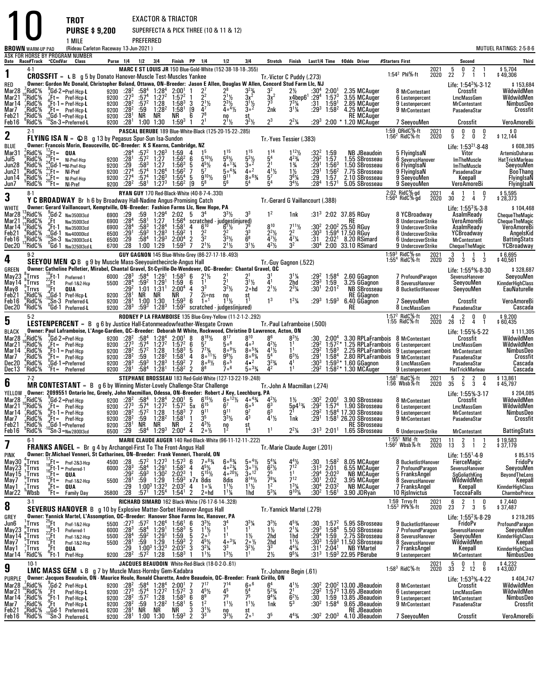| <b>BROWN</b> WARM-UP PAD                                     |                                                                                            |                                                                 | <b>TROT</b><br>1 MILE                                                                                                                                                                                                                                                                                                           | <b>PURSE \$9,200</b><br>(Rideau Carleton Raceway 13-Jun-2021) |                                                                                              | PREFERRED                                                                                        |                                                                                                                                                                 | EXACTOR & TRIACTOR                                                                                                                                                  |                                      |                                                                                                                         | SUPERFECTA & PICK THREE (10 & 11 & 12)                                                                                                                                                         |                                                                                                                         |                                                                                                         |                                                                                                                                  |                                                                       |                                                                                                  |                                                                                                                                                                                                                                                                                                                                                                                                                                                                                                                                           |                                                                                      |                                                                                                                            |                                                                                                                                  | <b>MUTUEL RATINGS: 2-5-8-6</b>                                                                                           |
|--------------------------------------------------------------|--------------------------------------------------------------------------------------------|-----------------------------------------------------------------|---------------------------------------------------------------------------------------------------------------------------------------------------------------------------------------------------------------------------------------------------------------------------------------------------------------------------------|---------------------------------------------------------------|----------------------------------------------------------------------------------------------|--------------------------------------------------------------------------------------------------|-----------------------------------------------------------------------------------------------------------------------------------------------------------------|---------------------------------------------------------------------------------------------------------------------------------------------------------------------|--------------------------------------|-------------------------------------------------------------------------------------------------------------------------|------------------------------------------------------------------------------------------------------------------------------------------------------------------------------------------------|-------------------------------------------------------------------------------------------------------------------------|---------------------------------------------------------------------------------------------------------|----------------------------------------------------------------------------------------------------------------------------------|-----------------------------------------------------------------------|--------------------------------------------------------------------------------------------------|-------------------------------------------------------------------------------------------------------------------------------------------------------------------------------------------------------------------------------------------------------------------------------------------------------------------------------------------------------------------------------------------------------------------------------------------------------------------------------------------------------------------------------------------|--------------------------------------------------------------------------------------|----------------------------------------------------------------------------------------------------------------------------|----------------------------------------------------------------------------------------------------------------------------------|--------------------------------------------------------------------------------------------------------------------------|
|                                                              |                                                                                            |                                                                 | ASK FOR HORSE BY PROGRAM NUMBER                                                                                                                                                                                                                                                                                                 |                                                               |                                                                                              |                                                                                                  |                                                                                                                                                                 |                                                                                                                                                                     |                                      |                                                                                                                         |                                                                                                                                                                                                |                                                                                                                         |                                                                                                         |                                                                                                                                  |                                                                       |                                                                                                  |                                                                                                                                                                                                                                                                                                                                                                                                                                                                                                                                           |                                                                                      |                                                                                                                            |                                                                                                                                  |                                                                                                                          |
| Date Race#Track CCndVar                                      | 4-1                                                                                        |                                                                 | Class                                                                                                                                                                                                                                                                                                                           |                                                               |                                                                                              | Purse 1/4 1/2 3/4                                                                                |                                                                                                                                                                 | Finish PP 1/4                                                                                                                                                       |                                      |                                                                                                                         | 1/2<br><b>MARC E ST LOUIS JR</b> 150 Blue-Gold-White (152-38-18-18-.355)                                                                                                                       | 3 4                                                                                                                     | Stretch Finish                                                                                          |                                                                                                                                  |                                                                       |                                                                                                  | Last1/4 Time \$0dds Driver                                                                                                                                                                                                                                                                                                                                                                                                                                                                                                                | #Starters First                                                                      | 2021                                                                                                                       | Second<br>5<br>0<br>$\overline{2}$                                                                                               | Third<br>\$5,704                                                                                                         |
| 1<br>RED<br>Mar28<br>Mar21<br>Mar 14<br>Mar7<br>Feb21        | $6$ RidC $%$<br>RidC%;<br>$\frac{1}{2}$ RidC%<br>$\frac{7}{3}$ RidC <sup>5</sup><br>°RidC% |                                                                 | <b>CROSSFIT</b> = L B g 5 by Donato Hanover-Muscle Test-Muscles Yankee<br>Owner: Gordon Mc Donald, Christopher Boland, Ottawa, ON-Breeder: Jason E Allen, Douglas W Allen, Concord Stud Farm Llc, NJ<br>Gd-2=Pref-Hcp-L<br>$^{16}_{6}$ Ft = Pref-Hcp-L<br>$^{16}_{6}$ Ft-1 = Pref-Hcp-L<br>$B = Pref-Hcp-L$<br>,Gd-1=Pref-Hcp-L |                                                               | 9200 $:28^2$<br>9200 $:27^3$                                                                 | 9200 :28 <sup>2</sup> :57 <sup>2</sup> 1:28<br>$9200$ $:28^2$ $:59$ $1:28$<br>9200 $:28^1$ NR NR | $:58^4$ 1:28 <sup>4</sup><br>:57 <sup>4</sup> 1:27 <sup>2</sup><br>$1:28^2$                                                                                     | $2:00^{1}$<br>$1:57^{2}$<br>$1:58^3$ 3<br>1:58 <sup>1</sup><br>NR                                                                                                   | [9<br>6                              | $\frac{2^7}{2^2}$<br>$2^{11/2}$<br>$4^7$<br>78                                                                          | $2^{11/2}$<br>$2^{3}$ <sup>1</sup> / <sub>2</sub><br>$4 \circ 4\frac{1}{2}$<br>no                                                                                                              | $\frac{3^{23}}{3x^{2}}$<br>$3^{11/2}$<br>$3^{02}$<br>st                                                                 | Tr. Victor C Puddy (.273)<br>$\frac{3x^2}{7^3}$<br>2nk                                                  | $2\frac{1}{2}$<br>$x4$ bep $6^1:29^4$<br>$7^{3}\%$<br>$3^{11/4}$                                                                 | $:30^{4}$<br>:31<br>$:29^{3}$                                         | $2:00^{1}$<br>1:57 <sup>3</sup><br>$1:59^{\circ}$<br>$1:58^{2}$                                  | 2.35 MCAuger<br>3.55 MCAuger<br>2.85 MCAuger<br>4.25 MCAuger<br>RE MCAuger                                                                                                                                                                                                                                                                                                                                                                                                                                                                | 1:54 $^2$ PhI%-ft                                                                    | 2020<br>8 MrContestant<br>6 Lestenpercent<br>9 Lestenpercent<br>9 MrContestant                                             | 22<br>7<br>$\mathbf{1}$<br>-1<br>Life: 1:54 <sup>2</sup> % 3-12<br>Crossfit<br>LmcMassGem<br><b>MrContestant</b><br>PasadenaStar | \$49,306<br>\$153,684<br>WildwildMen<br>WildwildMen<br>NimbusDeo<br>Crossfit                                             |
| Feb16                                                        | °RidC%                                                                                     |                                                                 | $10\overline{S}n-3 =$ Preferred-L                                                                                                                                                                                                                                                                                               |                                                               | 9200 :28 <sup>1</sup>                                                                        |                                                                                                  | 1:00 1:30                                                                                                                                                       | $1:59^3$ 1                                                                                                                                                          |                                      | 2 <sup>1</sup>                                                                                                          | $2^{11/2}$                                                                                                                                                                                     | $3^2\frac{1}{2}$                                                                                                        | $2^3$                                                                                                   | $2^2\frac{1}{4}$                                                                                                                 |                                                                       |                                                                                                  | :293 2:00 * 1.20 MCAuger                                                                                                                                                                                                                                                                                                                                                                                                                                                                                                                  |                                                                                      | 7 SeeyouMen                                                                                                                | Crossfit                                                                                                                         | VeroAmoreBi                                                                                                              |
| $\mathbf 2$                                                  | $2-1$                                                                                      |                                                                 | <b>FLYING ISA N</b> = $\bigcirc$ B $\bigcirc$ 13 by Pegasus Spur-Sun Isa-Sundon                                                                                                                                                                                                                                                 |                                                               |                                                                                              |                                                                                                  |                                                                                                                                                                 |                                                                                                                                                                     |                                      |                                                                                                                         | PASCAL BERUBE 189 Blue-White-Black (125-20-15-22-.285)                                                                                                                                         |                                                                                                                         | Tr.-Yves Tessier (.383)                                                                                 |                                                                                                                                  |                                                                       |                                                                                                  |                                                                                                                                                                                                                                                                                                                                                                                                                                                                                                                                           | 1:59 QRidC%-ft<br>1:56 <sup>2</sup> RidC%-ft                                         | 2021<br>2020                                                                                                               | $\frac{0}{5}$<br>0<br>0<br>$\frac{0}{2}$<br>$\frac{5}{2}$<br>$\mathbf 0$                                                         | \$0<br>\$12,144                                                                                                          |
| BLUE<br>Mar31<br>Jul5<br>Jun28<br>Jun21<br>Jun 14<br>Jun7    | $2$ RidC <sup>5</sup> %<br>RidC%:<br>$^{4}_{6}$ RidC%<br>RidC%<br>"RidC%<br>'RidC%         | $^{12}_{29}$ Ft = QUA<br>$^{20}$ Ft = $\frac{1}{N}$ I-Pref      | Owner: Francois Morin, Beauceville, QC--Breeder: K S Kearns, Cambridge, NZ<br>$^{29}_{24}$ Ft = NI-Pref-Hcp<br>$^{24}_{32}$ Gd-1 =NI-Pref-Hcp<br>$^{32}_{21}$ Ft = NI-Pref<br>$^{21}_{20}$ Ft = NI-Pref-Hcp                                                                                                                     | 9200<br>9200<br>9200                                          | :284<br>$9200 \t : 28^1$<br>$\frac{.29}{.274}$<br>:27 <sup>4</sup><br>9200 : 28 <sup>2</sup> | $:58^{3}$<br>:57 <sup>4</sup><br>:57 <sup>4</sup><br>:58 $^{\rm 1}$                              | $:57^2$ 1:26 <sup>3</sup><br>$:57^2$ 1:27<br>$1:27$<br>$1:264$<br>$1:26^{3}$<br>$1:27^{3}$                                                                      | $1:59$ 4<br>$1:56^2$ 6<br>$1:56^{3}$<br>1:56 <sup>2</sup><br>$1:55^{4}$ 5<br>$1:56^{2}$                                                                             | [9                                   | 15<br>$5^{10}$ %<br>$4^{5}_{2}$<br>$9^{10}\%$<br>$5^8$                                                                  | $1^{15}$<br>$5^{6}$ %<br>$40^{13}/4$<br>$50^{43}$<br>9 <sup>11</sup>                                                                                                                           | $1^{15}$<br>$\frac{5^{3}\%}{3^{0}}$<br>40 <sup>2</sup><br>$80^{63}$<br>5 <sup>4</sup>                                   | 114<br>5 <sup>4</sup><br>2 <sup>1</sup><br>$\bar{4}^{1}\frac{1}{2}$<br>5 <sup>7</sup>                   | $1^{12}\%$<br>$4^{23}/4$<br>$1\frac{3}{4}$<br>$1\frac{1}{2}$<br>$3^{6}$ <sup>%</sup><br>$3^4$ <sup>1</sup> / <sub>2</sub>        | $:32^2$ 1:59<br>:292<br>$\frac{1}{2}$ . $\frac{29}{1}$<br>:29<br>:284 | 1:57<br>$1:56^{3}$<br>$1:56^{2}$<br>1:57<br>1:57 <sup>1</sup>                                    | <b>NB JBeaudoin</b><br>1.55 SBrosseau<br>1.50 SBrosseau<br>7.75 SBrosseau<br>2.10 SBrosseau<br>5.05 SBrosseau                                                                                                                                                                                                                                                                                                                                                                                                                             |                                                                                      | 5 FlyingIsaN<br>6 SeverusHanover<br>6 FlyingIsaN<br>9 FlyingIsaN<br>9 SeevouMen<br>9 SeeyouMen                             | Life: $1:53^{21}$ 8.48<br>Vitor<br><b>ImTheMuscle</b><br><b>ImTheMuscle</b><br>PasadenaStar<br>Keepall<br>VeroAmoreBi            | \$608,385<br><b>ArtemisDuharas</b><br><b>HatTrickMarleau</b><br>SeeyouMen<br><b>BooThang</b><br>FlyingIsaN<br>FlyingIsaN |
| 3                                                            | $8-1$                                                                                      |                                                                 | <b>Y C BROADWAY</b> Br h 6 by Broadway Hall-Nadine Angus-Promising Catch                                                                                                                                                                                                                                                        |                                                               |                                                                                              |                                                                                                  |                                                                                                                                                                 | RYAN GUY 170 Red-Black-White (40-8-7-4-.330)                                                                                                                        |                                      |                                                                                                                         |                                                                                                                                                                                                |                                                                                                                         | Tr. Gerard G Vaillancourt (.388)                                                                        |                                                                                                                                  |                                                                       |                                                                                                  |                                                                                                                                                                                                                                                                                                                                                                                                                                                                                                                                           | 2:02 RidC%-gd<br>1:56 <sup>4</sup> RidC%-gd                                          | 2021<br>2020                                                                                                               | $\mathbf{1}$<br>$\frac{0}{7}$<br>30 <sup>°</sup><br>2<br>4                                                                       | \$ 5,595<br>\$ 28,373                                                                                                    |
| WHITE                                                        |                                                                                            |                                                                 | Owner: Gerard Vaillancourt, Kemptville, ON-Breeder: Fashion Farms Llc, New Hope, PA                                                                                                                                                                                                                                             |                                                               |                                                                                              |                                                                                                  |                                                                                                                                                                 |                                                                                                                                                                     |                                      |                                                                                                                         |                                                                                                                                                                                                |                                                                                                                         |                                                                                                         |                                                                                                                                  |                                                                       |                                                                                                  |                                                                                                                                                                                                                                                                                                                                                                                                                                                                                                                                           |                                                                                      |                                                                                                                            | Life: $1:55^3\% \cdot 3.8$                                                                                                       | \$104,468                                                                                                                |
| Mar28<br>Mar21<br>Mar 14<br>Feb21<br>Feb16<br>Dec20          | RidC%<br>$^{14}_{13}$ RidC %<br>RidC%;<br>7RidC%<br>,°RidC%<br>°RidC%                      | $E_{\rm s}$ Et<br>"Ft-1                                         | $\frac{3}{2}$ Gd-2 Nw350013cd<br>Nw3500I3cd<br>Nw3500I3cd<br>Gd-1 Nw40000lcd<br>$^{10}$ Sn-3 Nw40000icu<br>'Gd-1 Nw325013cd-L                                                                                                                                                                                                   | 6500<br>6500<br>6700                                          | 6900 :29<br>$6900$ $:28^4$<br>6900 $:28^4$<br>:29 <sup>1</sup><br>$\frac{.29}{.28}$          | :59<br>$:581$<br>:58 <sup>3</sup><br>:593                                                        | $1:29^{4}$<br>$1:27$<br>$1:284$<br>$1:28^{3}$<br>$:58^4$ $:29^3$<br>1:00 1:29                                                                                   | $2:02 \quad 5 \quad 3^4$<br>$1:56^{4}$<br>1:58 <sup>1</sup><br>$1:59^{2}$<br>$2:00^4$ 2<br>1:59 <sup>3</sup> 7                                                      | -1                                   | $6^{10}$<br>3 <sup>2</sup><br>$2^{1}$ %                                                                                 | $3^{3}$ <sup>1</sup> / <sub>2</sub><br>scratched - judges(injured)<br>$A = B^{10} = B^{7}/2$<br>$6^{7}$ <sup>1</sup> / <sub>2</sub><br>2<br>$3^{3}\frac{1}{2}$<br>2 <sup>1</sup> $\frac{1}{2}$ | 3 <sup>3</sup><br>3 <sup>3</sup><br>$6^8$<br>$3^{1}/2$                                                                  | $1^2$<br><b>810</b><br>$2^{2}\frac{1}{2}$<br>$4^{7}\frac{1}{2}$<br>4 <sup>2</sup> $\frac{1}{2}$         | 1nk<br>$7^{11}$ <sup>1</sup> / <sub>2</sub><br>2 <sup>2</sup><br>$\frac{4}{3^2}\frac{7}{4}$                                      | :30ª<br>:31<br>:30ª                                                   |                                                                                                  | :31 <sup>3</sup> 2:02 37.85 RGuy<br><b>RE</b><br>:30 <sup>2</sup> 2:00 <sup>2</sup> 25.50 RGuy<br>1:59 <sup>4</sup> 17.50 RGuy<br>2:02 <sup>1</sup> 8.20 RSimard<br>2:00 33.10 RSimard                                                                                                                                                                                                                                                                                                                                                    |                                                                                      | 8 YCBroadway<br>8 UndercoverStrike<br>9 UndercoverStrike<br>8 UndercoverStrike<br>6 UndercoverStrike<br>9 UndercoverStrike | AsalmReady<br>VeroAmoreBi<br>AsalmReady<br>YCBroadway<br><b>MrContestant</b><br>ChequeTheMagic                                   | <b>ChequeTheMagic</b><br><b>ChequeTheMagic</b><br><b>VeroAmoreBi</b><br>AngelsKid<br><b>BattingStats</b><br>YCBroadway   |
| 4                                                            | $9-2$                                                                                      |                                                                 | SEEYOU MEN © B g 9 by Muscle Mass-Seeyouinthecircle-Angus Hall                                                                                                                                                                                                                                                                  |                                                               |                                                                                              |                                                                                                  |                                                                                                                                                                 |                                                                                                                                                                     |                                      |                                                                                                                         | GUY GAGNON 145 Blue-White-Grey (86-27-17-18-.493)                                                                                                                                              |                                                                                                                         | Tr.-Guy Gagnon (.522)                                                                                   |                                                                                                                                  |                                                                       |                                                                                                  |                                                                                                                                                                                                                                                                                                                                                                                                                                                                                                                                           | 1:59 <sup>3</sup> RidC <sup>5</sup> %-sn<br>1:55 <sup>4</sup> RidC <sup>5</sup> %-ft | 2021<br>2020                                                                                                               | 3<br>1<br>20 <sub>2</sub><br>$3^{\circ}$<br>3<br>5                                                                               | \$ 6,695<br>\$ 40,561                                                                                                    |
| <b>GREEN</b><br>May23<br>May 14<br>May8<br>Feb21             | $^8_9$ Trrvs<br>$\int_{0}^{\infty}$ Trrvs<br>្តTrrvs<br>$^{3}_{6}$ RidC%                   | :Ft<br>$^{10}$ Ft                                               | Owner: Catheline Pelletier, Mirabel, Chantal Gravel, St-Cyrille-De-Wendover, QC--Breeder: Chantal Gravel, QC<br>$^{18}_{22}$ Ft-1 Preferred-1<br>Pref-1&2-Hcp<br>QUA<br>$^{4}_{10}$ Gd-1 Pref-Hcp-L                                                                                                                             |                                                               | $:29^2$                                                                                      | NR NR                                                                                            | $1:01$ $1:31$ <sup>1</sup>                                                                                                                                      | 6000 :28 <sup>3</sup> :58 <sup>4</sup> 1:29 <sup>1</sup> 1:58 <sup>3</sup> 6<br>5500 :28 <sup>4</sup> :59 <sup>2</sup> 1:29 <sup>1</sup> 1:59 6<br>$2:00^4$ 4<br>NR |                                      | $2^{11/2}$<br>3 <sup>3</sup><br>2i∘ns                                                                                   | $\overline{2}1$<br>$3^2$ <sup>1</sup> / <sub>2</sub>                                                                                                                                           | $3^{1}/_{2}$<br>2∘hd<br>st                                                                                              | $\tilde{4}$ <sup>1</sup><br>$2^{11}/2$                                                                  | $3^{1}/4$<br>2hd<br>$2^{3}\frac{1}{4}$                                                                                           |                                                                       | $: 29^2$ 1:58 <sup>4</sup><br>:29 <sup>3</sup> 1:59<br>$:30^{1}$ 2:01 <sup>2</sup>               | 2.60 GGagnon<br>3.25 GGagnon<br>NB SBrosseau<br><b>RE GGagnon</b>                                                                                                                                                                                                                                                                                                                                                                                                                                                                         |                                                                                      | 7 ProfoundParagon<br>8 SeverusHanover<br>8 BucketlistHanover                                                               | Life: 1:55 <sup>4</sup> % 8-30<br>SeverusHanover<br>SeeyouMen<br>SeeyouMen                                                       | \$328,687<br>SeeyouMen<br>KinnderHighClass<br>EauNaturelle                                                               |
| Feb16<br>Dec20                                               | RidC%?<br>"RidC%                                                                           |                                                                 | Sn-3 Preferred-L<br><sup>0</sup> Gd-1 Preferred-L                                                                                                                                                                                                                                                                               |                                                               | $9200$ $:28^1$<br>$9200$ $:28^1$<br>9200 :28 <sup>3</sup>                                    |                                                                                                  | 1:00 1:30<br>$:59^3$ 1:28 <sup>3</sup>                                                                                                                          | $1:59^3$ 6                                                                                                                                                          |                                      | 1 <sup>0</sup>                                                                                                          | $n_1$<br>$n_2$<br>$1:592$ scratched - judges(injured)                                                                                                                                          |                                                                                                                         | 1 <sup>3</sup>                                                                                          | $1^2\frac{1}{4}$                                                                                                                 |                                                                       | $:29^3$ 1:59 <sup>3</sup>                                                                        | 6.40 GGagnon<br>RE                                                                                                                                                                                                                                                                                                                                                                                                                                                                                                                        |                                                                                      | 7 SeeyouMen<br>8 LmcMassGem                                                                                                | Crossfit<br>PasadenaStar                                                                                                         | VeroAmoreBi<br>Cascada                                                                                                   |
|                                                              | $5-2$                                                                                      |                                                                 |                                                                                                                                                                                                                                                                                                                                 |                                                               |                                                                                              |                                                                                                  |                                                                                                                                                                 |                                                                                                                                                                     |                                      |                                                                                                                         | RODNEY P LA FRAMBOISE 135 Blue-Grey-Yellow (11-2-1-2-.292)                                                                                                                                     |                                                                                                                         |                                                                                                         |                                                                                                                                  |                                                                       |                                                                                                  |                                                                                                                                                                                                                                                                                                                                                                                                                                                                                                                                           | 1:57 <sup>2</sup> RidC%-ft<br>1:55 RidC%-ft                                          | 2021                                                                                                                       | $\overline{4}$<br>2<br>$0\quad 0$                                                                                                | \$9,200<br>\$60,435                                                                                                      |
| 5<br><b>BLACK</b>                                            |                                                                                            |                                                                 | LESTENPERCENT = B g 6 by Justice Hall-Eatonmeadowfeather-Wesgate Crown<br>Owner: Paul Laframboise, L'Ange-Gardien, QC--Breeder: Deborah M White, Rockwood, Christine D Lawrence, Acton, ON                                                                                                                                      |                                                               |                                                                                              |                                                                                                  |                                                                                                                                                                 |                                                                                                                                                                     |                                      |                                                                                                                         |                                                                                                                                                                                                |                                                                                                                         | Tr. Paul Laframboise (.500)                                                                             |                                                                                                                                  |                                                                       |                                                                                                  |                                                                                                                                                                                                                                                                                                                                                                                                                                                                                                                                           |                                                                                      | 2020                                                                                                                       | $\overline{4}$<br>$\overline{1}$<br>26 12<br>Life: 1:55%-5-22                                                                    | \$111,305                                                                                                                |
| Mar28<br>Mar21<br>Mar14<br>Mar7<br>Dec20<br>Dec 13           | . <sup>7</sup> RidC%<br>°RidC%,<br>,RidC%<br>,RidC%<br>7RidC%<br>"RidC%                    |                                                                 | Gd-2=Pref-Hcp<br>Ft= Pref-Hcp<br>$\frac{6}{9}$ Et-1 = Pref-Hcp<br>$\int_{0}^{\infty}$ Ft = Pref-Hcp<br>$^0_\circ$ Gd-1=Preferred<br>$B = Preferred$                                                                                                                                                                             | 9200<br>9200<br>9200<br>9200                                  | :27 <sup>3</sup><br>$:28^{2}$<br>$:28^2$<br>:28 $^3$<br>9200 :28 <sup>1</sup>                | :574<br>:59 $^3$<br>:58 $^4$                                                                     | 9200 :28 <sup>2</sup> :58 <sup>4</sup> 1:28 <sup>4</sup><br>1:27 <sup>2</sup><br>$\frac{157^2}{159}$ 1:28<br>$1:28^{3}$<br>1:28 <sup>1</sup>                    | $2:00^{1}$ 8<br>$1:57^{2}$ 6<br>$1:58^{3}$ 5<br>1:58 <sup>1</sup><br>$1:59^2$ 7<br>$1:58^2$ 2                                                                       | 4                                    | $8^{18}\%$<br>$5^7$<br>$7^{73}$<br>$8^{\circ}$ <sup>11</sup> / <sub>2</sub><br>$8 \circ 8\frac{1}{2}$<br>8 <sup>8</sup> | $8^{17}$<br>500<br>$809\frac{1}{2}$<br>$9^{9}$ <sup>1</sup> / <sub>2</sub><br>60 <sup>5</sup><br>706                                                                                           | $8^{10}$<br>40 <sup>3</sup><br>$80^{53}$<br>$80^{61}/4$<br>4•2<br>$503\frac{3}{4}$                                      | $4^{2}\frac{1}{2}$<br>$4^{1}\frac{1}{2}$<br>5 <sup>4</sup><br>$3^{2}\frac{3}{4}$<br>$4^2$               | $8^{3}$ <sup>1</sup> / <sub>2</sub><br>1 <sup>1</sup><br>1 <sup>1</sup><br>$6^{3}$ <sup>1</sup> / <sub>2</sub><br>4 <sup>1</sup> | :29 <sup>2</sup><br>$: 29^2$<br>$: 29^1$<br>:303                      | $1:58^{3}$<br>$1:58^{4}$                                                                         | $:30$ $2:004$ 3.30 RPLaFrambois 8 MrContestant<br>$1:572$ * 1.25 RPLaFrambois 6 Lestenpercent<br>2.25 RPLaFrambois 9 Lestenpercent<br>2.80 RPLaFrambois 9 MrContestant<br>$1:59^{3*}$ 1.60 GGagnon<br>:29 <sup>2</sup> 1:58 <sup>2</sup> * 1.30 MCAuger                                                                                                                                                                                                                                                                                   |                                                                                      | 8 LmcMassGem<br>9 Lestenpercent                                                                                            | Crossfit<br><b>LmcMassGem</b><br><b>MrContestant</b><br>PasadenaStar<br>PasadenaStar<br>HatTrickMarleau                          | WildwildMen<br>WildwildMen<br><b>NimbusDeo</b><br>Crossfit<br>Cascada<br>Cascada                                         |
| 6                                                            | $7-2$                                                                                      |                                                                 | MR CONTESTANT = B g 6 by Winning Mister-Lovely Challenge-Star Challenge                                                                                                                                                                                                                                                         |                                                               |                                                                                              |                                                                                                  |                                                                                                                                                                 |                                                                                                                                                                     |                                      |                                                                                                                         | STEPHANE BROSSEAU 183 Red-Gold-White (127-13-22-19-.248)                                                                                                                                       |                                                                                                                         | Tr. John A Macmillan (.274)                                                                             |                                                                                                                                  |                                                                       |                                                                                                  |                                                                                                                                                                                                                                                                                                                                                                                                                                                                                                                                           | 1:58 <sup>1</sup> RidC $%$ -ft<br>1:56 Wbsb $%$ -ft                                  | 2021<br>2020                                                                                                               | 5<br>$\frac{2}{5}$<br>$\frac{2}{3}$<br>0<br>35<br>4                                                                              | \$13,861<br>\$45,797                                                                                                     |
| Mar21<br>Mar 14<br>Mar7<br>Feb21<br>Feb16                    | <sup>9</sup> RidC%<br>7RidC%<br>RidC%;<br>$Ee$ RidC%<br>°RidC%                             |                                                                 | YELLOW Owner: 2099551 Ontario Inc, Greely, John Macmillan, Odessa, ON-Breeder: Robert J Key, Leechburg, PA<br>$E_t = Pref-Hcp$<br>$\zeta$ Ft-1 = Pref-Hcp<br>$I = Pref-Hcp$<br>$^{4}_{10}$ Gd-1=Preferred                                                                                                                       | 9200<br>9200<br>9200<br>9200<br>6500                          | $:27^{3}_{2}$<br>$:28^2$<br>:28 <sup>1</sup><br>.29                                          | $:57^{4}$<br>:57 <sup>2</sup><br>:59<br>NR<br>.58 <sup>4</sup>                                   | $1:27^2$<br>1:28<br>1:28 <sup>2</sup><br>NR<br>$1:29^{3}$                                                                                                       | $1:572$<br>1:58 <sup>3</sup><br>1:58 <sup>1</sup><br>NR<br>$2:00^4$                                                                                                 | $\frac{5x}{7}$<br>1<br>$\frac{2}{4}$ | $\frac{6^{15}}{9^{11}}$<br>3 <sup>5</sup><br>$4^{3}$ <sup>1</sup> / <sub>2</sub><br>$20\frac{1}{2}$                     | $\bar{6}^7_{11}$<br>$3^{3}$ <sup>1</sup> / <sub>2</sub><br>$\frac{10}{12}$                                                                                                                     | 600<br>97<br>st                                                                                                         | $6^{3}_{6^{3}}$<br>$4^{1}\frac{1}{2}$<br>1 <sup>1</sup>                                                 | $5p4^{13/4}$<br>1nk<br>$2^2\frac{1}{4}$                                                                                          | :292<br>:29'                                                          |                                                                                                  | Mar28 ${}^{7}_{10}$ RidC% ${}^{9}_{2}$ Gd-2=Pref-Hcp 9200 :28 <sup>2</sup> :58 <sup>4</sup> 1:28 <sup>4</sup> 2:00 <sup>1</sup> 5 6 <sup>15</sup> 1/ <sub>2</sub> 6 <sup>-12</sup> 1/ <sub>2</sub> 4 <sup>-4</sup> <sup>3</sup> / <sub>4</sub> 4 <sup>2</sup> 1/ <sub>2</sub> 11/ <sub>2</sub> :30 <sup>2</sup> 2:00 <sup>1</sup> 3.90 SBrosseau<br>:29 $2$ 1:57 $4$ 1.90 SBrosseau<br>1:58 <sup>4</sup> 17.30 SBrosseau<br>1:58 <sup>1</sup> 26.20 SBrosseau<br><b>RE SBrosseau</b><br>:31 <sup>3</sup> 2:01 <sup>1</sup> 1.65 SBrosseau |                                                                                      | 8 MrContestant<br>6 Lestenpercent<br>9 Lestenpercent<br>9 MrContestant<br>6 UndercoverStrike                               | Life: 1:55% 3-17<br>Crossfit<br><b>LmcMassGem</b><br><b>MrContestant</b><br>PasadenaStar                                         | \$204,085<br>WildwildMen<br>WildwildMen<br>NimbusDeo<br>Crossfit<br><b>BattingStats</b>                                  |
|                                                              | $6-1$                                                                                      |                                                                 | °Sn-3= <sub>Nw2800l3cd</sub>                                                                                                                                                                                                                                                                                                    |                                                               |                                                                                              |                                                                                                  |                                                                                                                                                                 |                                                                                                                                                                     |                                      |                                                                                                                         | MARIE CLAUDE AUGER 140 Red-Black-White (96-11-12-11-.222)                                                                                                                                      |                                                                                                                         |                                                                                                         |                                                                                                                                  |                                                                       |                                                                                                  |                                                                                                                                                                                                                                                                                                                                                                                                                                                                                                                                           | $1:551$ Nfld -ft                                                                     | 2021                                                                                                                       | <b>MrContestant</b><br>11<br>2                                                                                                   | \$19,583                                                                                                                 |
| 7<br><b>PINK</b>                                             |                                                                                            |                                                                 | <b>FRANKS ANGEL</b> = Br g 4 by Archangel-First To The Front-Angus Hall<br>Owner: Dr.Michael Venneri, St Catharines, ON-Breeder: Frank Venneri, Thorold, ON                                                                                                                                                                     |                                                               |                                                                                              |                                                                                                  |                                                                                                                                                                 |                                                                                                                                                                     |                                      |                                                                                                                         |                                                                                                                                                                                                |                                                                                                                         | Tr.-Marie Claude Auger (.201)                                                                           |                                                                                                                                  |                                                                       |                                                                                                  |                                                                                                                                                                                                                                                                                                                                                                                                                                                                                                                                           | 1:56 <sup>2</sup> Wbsb $%$ -ft                                                       | 2020                                                                                                                       | $\overline{3}$<br>13<br>$\overline{2}$<br>1                                                                                      | \$37,179<br>\$85,515                                                                                                     |
| May30<br>May23<br>May 15<br>May7<br>May 1<br>Mar22           | $\int_a^a$ Trrvs<br>.Trrvs<br>. Trrvs<br>$\frac{5}{7}$ Trrvs<br>.Trrvs<br><b>Whsh</b>      | $^{16}_{.2}$ Ft = 00A                                           | ${}_{\circ}^{7}$ Ft = Pref-2&3-Hcp<br>Ft-1 = Preferred-1)<br>$13\text{ Ft}$ Pref-1&2-Hcp<br>°Ft= QUA<br>$F_t = F_{amily \, Day}$                                                                                                                                                                                                | 5500                                                          | $4500$ :28<br>6000 :28 <sup>3</sup><br>:292<br>:28 <sup>1</sup><br>:29<br>35800 :28          | :59 $^3$                                                                                         | $:57^2$ 1:27 <sup>3</sup><br>:58 <sup>4</sup> 1:29 <sup>1</sup><br>$1:30^{2}$<br>$:59$ 1:29<br>1:00 <sup>3</sup> 1:32 <sup>3</sup><br>$:57^1$ 1:25 <sup>4</sup> | $1:57^3$ 6<br>$1:58^{3}$<br>$2:02^3$ 1<br>$1:59^3$ x7x 8dis<br>2:03 <sup>2</sup> 4 1 <sup>1</sup><br>$1:54^{\circ}$ 2                                               | 4                                    | $7 \circ 8 \frac{3}{4}$<br>$4^{5}$ <sup>1/2</sup><br>$5^{15}$ <sup>1</sup> / <sub>2</sub><br>2∘hd                       | $6^{\circ}{}_{4}^{63}$<br>4 $^{\circ}{}_{23}^{24}$<br>$4^{\circ}^{20}\%$<br>$\frac{8}{1^{1}\frac{1}{2}}$<br>$1^{11}/4$                                                                         | $\frac{5 \cdot {}^{4} \frac{1}{2}}{3 \cdot {}^{1} \frac{1}{2}}$<br>3 $\circ {}^{12}$<br>$8^{14}$ %<br>$1^{11}/2$<br>1hd | $5^{4}\frac{1}{4}$<br>$6^{2}\frac{1}{2}$<br>2 <sup>5</sup><br>$\frac{5}{1^2}$ %<br>$5^{3}$ <sup>%</sup> | $\frac{4^4}{2^12^2}$<br>1 <sup>1</sup><br>$7^{12}$<br>$1^{3}$ <sup>1</sup> / <sub>4</sub><br>$9^{10}$ %                          | $^{130}_{1313}$<br>:29ª<br>:30 <sup>1</sup><br>:30 $4$                | $\frac{1.58^2}{2.01}$<br>2:02 <sup>3</sup><br>$\frac{2:02}{2:03^2}$<br>$:30^2$ 1:56 <sup>1</sup> | 8.05 MCAuger<br>6.55 MCAuger<br><b>NB MCAuger</b><br>3.95 MCAuger<br>NB MCAuger<br>3.90 JDRyan                                                                                                                                                                                                                                                                                                                                                                                                                                            |                                                                                      | 8 BucketlistHanover<br>7 ProfoundParagon<br>5 FranksAngel<br>8 SeverusHanover<br>7 FranksAngel<br>10 Rislnvictus           | Life: 1:55 <sup>1</sup> -4-9<br>FierceMagic<br>SeverusHanover<br>SgGoliathKing<br>WildwildMen<br>Keepall<br>ToccoaFalls          | FridoPv<br>SeeyouMen<br>BeyondTheLens<br>Keepall<br>KinnderHighClass<br><b>CharmboPrince</b>                             |
| 8                                                            | $3-1$                                                                                      |                                                                 | <b>SEVERUS HANOVER</b> B g 10 by Explosive Matter-Sorbet Hanover-Angus Hall                                                                                                                                                                                                                                                     |                                                               |                                                                                              |                                                                                                  |                                                                                                                                                                 | RICHARD SIMARD 162 Black-White (76-17-6-14-.328)                                                                                                                    |                                      |                                                                                                                         |                                                                                                                                                                                                |                                                                                                                         | Tr. Yannick Martel (.279)                                                                               |                                                                                                                                  |                                                                       |                                                                                                  |                                                                                                                                                                                                                                                                                                                                                                                                                                                                                                                                           | 1:59 Trrvs-ft<br>1:55 <sup>3</sup> PPk%-ft                                           | 2021<br>2020                                                                                                               | $\begin{smallmatrix} &6\ 23\end{smallmatrix}$<br>$\frac{2}{7}$<br>$\frac{1}{3}$<br>$\frac{0}{5}$                                 | \$7,440<br>\$37,487                                                                                                      |
| GREY<br>Jun6<br>May23<br>May 14<br>May7<br>May 1<br>Mar 14   | Trrvs<br>្ត $Trrus$<br>$\frac{9}{5}$ Trrvs<br>្ភTrrvs<br>.Trrvs<br>′RidC%                  | $^{25}$ Ft<br>:Ft-1<br>Ft<br>(Ft<br><sup>8</sup> Ft<br>$6$ Ft-1 | Owner: Yannick Martel, L'Assomption, QC--Breeder: Hanover Shoe Farms Inc, Hanover, PA<br>Pref-1&2-Hcp<br>Preferred-1<br>Pref-1&2-Hcp<br>Pref-1&2-Hcp<br>QUA<br>Pref-Hcp                                                                                                                                                         | 5500<br>6000<br>5500<br>5500                                  | $:27^{3}$<br>$:28^{3}$<br>$:28^{4}$<br>:28 <sup>1</sup><br>:29                               | $:57^2$<br>:584<br>$\frac{.59^2}{.59}$<br>9200 :28 <sup>2</sup> :57 <sup>2</sup> 1:28            | $1:26^4$<br>1:29 <sup>1</sup><br>1:29 <sup>1</sup><br>1:29<br>$1:00^3$ 1:32 $^3$                                                                                | 1:56 <sup>1</sup><br>$1:58^{3}$<br>1.59<br>1:59 <sup>3</sup><br>$2:03^{2}$ 3<br>$1:58^{3}$                                                                          | 6<br>5<br>-1                         | $3^{3}\frac{1}{2}$<br>$1^{11}$<br>2 <sup>0</sup><br>$4^{5}$ <sup>1</sup> / <sub>2</sub><br>$3^{2}\%$<br>$1^{11}/2$      | 3 <sup>4</sup><br>1 <sup>1</sup><br>1 <sup>1</sup><br>$403\frac{1}{4}$<br>3 <sup>3</sup><br>$1^{3}$ <sup>1</sup> / <sub>2</sub>                                                                | $3^{3}\frac{1}{4}$<br>$1\frac{1}{2}$<br>$2 \circ \frac{1}{2}$<br>$3^2\%$                                                | $3^{3}$ <sup>1</sup> / <sub>2</sub><br>$1\frac{1}{2}$<br>2hd<br>$\frac{2hd}{3^3}$<br>$2\frac{1}{2}$     | $4^{53}$ /4<br>$2^{11}/4$<br>$1hd$<br>$11%$<br>$4^{4}\%$<br>$9^5\%$                                                              | :30<br>:293<br>$\frac{.294}{.303}$<br>:31'<br>$:31^3$                 | $1:57^{2}$<br>$1:58^{4}$<br>2:04 <sup>1</sup>                                                    | 5.95 SBrosseau<br>5.50 SBrosseau<br>1:59 2.75 SBrosseau<br>1:59 <sup>3</sup> 11.50 SBrosseau<br><b>NB YMartel</b><br>$1:593$ 22.95 PBerube                                                                                                                                                                                                                                                                                                                                                                                                |                                                                                      | 9 BucketlistHanover<br>7 ProfoundParagon<br>8 SeverusHanover<br>8 SeverusHanover<br>7 FranksAngel<br>9 Lestenpercent       | Life: 1:55 <sup>2</sup> %-8-29<br>FridoPv<br>SeverusHanover<br>SeeyouMen<br>WildwildMen<br>Keepall<br><b>MrContestant</b>        | \$219,265<br>ProfoundParagon<br>SeeyouMen<br>KinnderHighClass<br>Keepall<br>KinnderHighClass<br>NimbusDeo                |
| 9                                                            | $10-1$                                                                                     |                                                                 | <b>LMC MASS GEM L B g 7 by Muscle Mass-Hornby Gem-Kadabra</b>                                                                                                                                                                                                                                                                   |                                                               |                                                                                              |                                                                                                  |                                                                                                                                                                 | JACQUES BEAUDOIN White-Red-Black (18-0-2-0-.61)                                                                                                                     |                                      |                                                                                                                         |                                                                                                                                                                                                |                                                                                                                         | Tr. Johanne Begin (.61)                                                                                 |                                                                                                                                  |                                                                       |                                                                                                  |                                                                                                                                                                                                                                                                                                                                                                                                                                                                                                                                           | $1:583$ RidC $%$ -ft                                                                 | 2021<br>2020                                                                                                               | $\begin{smallmatrix} 0 & 1 \\ 2 & 12 \end{smallmatrix}$<br>5<br>0<br>$3\bar{3}$<br>Ğ                                             | \$4,232<br>\$43,007                                                                                                      |
| PURPLE<br>Mar28<br>Mar21<br>Mar 14<br>Mar7<br>Feb21<br>Feb16 | ¦RidC%<br>$\frac{10}{7}$ RidC%<br>$\frac{1}{2}$ RidC%<br>',RidC%<br>RidC%<br>°RidC%        | $E_{\rm B}$<br>ှိFt-1<br>"Ft                                    | Owner: Jacques Beaudoin, ON - Maurice Houle, Ronald Charette, Andre Beaudoin, QC--Breeder: Frank Cirillo, ON<br>Gd-2 Pref-Hcp-L<br>Pref-Hcp-L<br>Pref-Hcp-L<br>Pref-Hcp-L<br>$^{4}_{10}$ Gd-1 Preferred-L<br>'Sn-3 Preferred-L                                                                                                  | 9200<br>9200<br>9200<br>9200<br>9200<br>9200                  | $:28^2$<br>$\frac{1273}{282}$<br>$:28^2$<br>$\frac{.28}{.28}$ <sup>1</sup>                   | $:57^{4}$<br>:57 <sup>2</sup><br>:59<br><b>NR</b>                                                | $:58^4$ 1:28 <sup>4</sup><br>1:27 <sup>2</sup><br>1:28<br>$1:28^{2}$<br>NR<br>1:00 1:30                                                                         | 2:00 <sup>1</sup><br>1:57 <sup>2</sup><br>$1.58^{3}$<br>1:58 <sup>1</sup><br>NR<br>$1:59^{3}$                                                                       | 7<br>$^3_6\,$<br>5<br>$\overline{2}$ | $7^{17}$<br>$\frac{4^{5}1}{8^{9}}$<br>1 <sup>2</sup><br>$3^{11/2}$                                                      | 714<br>$\frac{4^5}{7^9}$<br>$1^{11}/2$<br>$\frac{10}{3^{3}\%}$                                                                                                                                 | 60 <sup>6</sup><br>$\frac{5^4}{7^5}$<br>$1^{11}/2$<br>st<br>2 <sup>0</sup>                                              | 6 <sup>4</sup><br>$\frac{5^{23}}{9^{4}/4}$<br>1nk<br>3 <sup>5</sup>                                     | $4^{1}\frac{1}{2}$<br>$6^{2}\frac{1}{2}$<br>$5^3$<br>$4^{43}$ /4                                                                 | :30ª<br>$:29^{2}$<br>:30ª                                             | $1:58^4$                                                                                         | $2:002$ 13.00 JBeaudoin<br>$1:573$ 13.65 JBeaudoin<br>:30  1:59  13.85  JBeaudoin<br>9.65 JBeaudoin<br><b>RE JBeaudoin</b><br>:30 $^{2}$ 2:00 $^{3}$ 4.10 JBeaudoin                                                                                                                                                                                                                                                                                                                                                                       |                                                                                      | 8 MrContestant<br>6 Lestenpercent<br>9 Lestenpercent<br>9 MrContestant<br>7 SeeyouMen                                      | Life: $1:53^{3}\%$ 4.22<br>Crossfit<br><b>LmcMassGem</b><br><b>MrContestant</b><br>PasadenaStar<br>Crossfit                      | \$404,747<br>WildwildMen<br>WildwildMen<br>NimbusDeo<br>Crossfit<br>VeroAmoreBi                                          |
|                                                              |                                                                                            |                                                                 |                                                                                                                                                                                                                                                                                                                                 |                                                               |                                                                                              |                                                                                                  |                                                                                                                                                                 |                                                                                                                                                                     |                                      |                                                                                                                         |                                                                                                                                                                                                |                                                                                                                         |                                                                                                         |                                                                                                                                  |                                                                       |                                                                                                  |                                                                                                                                                                                                                                                                                                                                                                                                                                                                                                                                           |                                                                                      |                                                                                                                            |                                                                                                                                  |                                                                                                                          |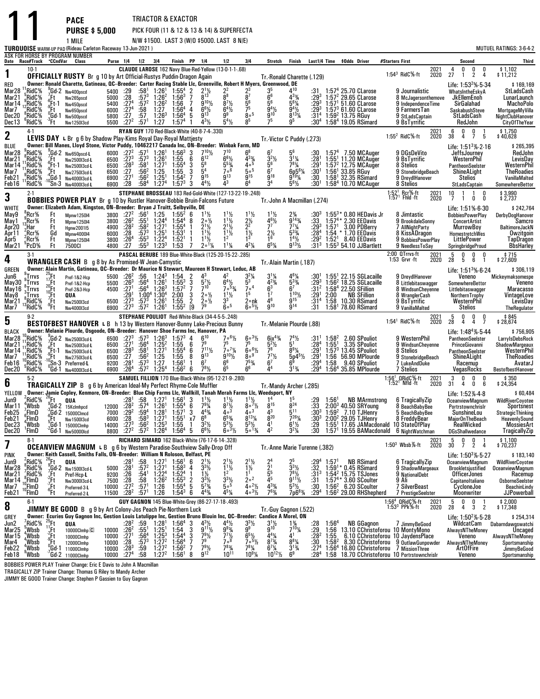**PURSE \$ 5,000**PICK FOUR (11 & 12 & 13 & 14) & SUPERFECTA

**PACE**

11

N/W \$1500. LAST 3 (W/O \$5000. LAST 8 N/E)

|                                                                              |                                                                                                                                              |                                                                   | 1 MILE<br><b>TURQUOISE</b> warm up pap (Rideau Carleton Raceway 13-Jun-2021 )                                                                                                                                                                                                       |                                              |                                                                                                 |                                                                                             |                                                                                                                               |                                                                                                   |                                                                                |                                                                                                                                                 | N/W \$1500. LAST 3 (W/O \$5000. LAST 8 N/E)                                                                                                            |                                                                                                                                                   |                                                                                                                                                   |                                                                                                                                                                           |                                                                 |                                                   |                                                                                                                                                                                                                            |                                                          |                                                                                                  |                                                                                                                                                             | MUTUEL RATINGS: 3-6-4-2                                                                                                       |
|------------------------------------------------------------------------------|----------------------------------------------------------------------------------------------------------------------------------------------|-------------------------------------------------------------------|-------------------------------------------------------------------------------------------------------------------------------------------------------------------------------------------------------------------------------------------------------------------------------------|----------------------------------------------|-------------------------------------------------------------------------------------------------|---------------------------------------------------------------------------------------------|-------------------------------------------------------------------------------------------------------------------------------|---------------------------------------------------------------------------------------------------|--------------------------------------------------------------------------------|-------------------------------------------------------------------------------------------------------------------------------------------------|--------------------------------------------------------------------------------------------------------------------------------------------------------|---------------------------------------------------------------------------------------------------------------------------------------------------|---------------------------------------------------------------------------------------------------------------------------------------------------|---------------------------------------------------------------------------------------------------------------------------------------------------------------------------|-----------------------------------------------------------------|---------------------------------------------------|----------------------------------------------------------------------------------------------------------------------------------------------------------------------------------------------------------------------------|----------------------------------------------------------|--------------------------------------------------------------------------------------------------|-------------------------------------------------------------------------------------------------------------------------------------------------------------|-------------------------------------------------------------------------------------------------------------------------------|
|                                                                              | Date Race#Track *CCndVar                                                                                                                     |                                                                   | ASK FOR HORSE BY PROGRAM NUMBER<br>Class                                                                                                                                                                                                                                            |                                              | Purse 1/4 1/2 3/4                                                                               |                                                                                             |                                                                                                                               | Finish PP 1/4                                                                                     |                                                                                |                                                                                                                                                 | 1/2                                                                                                                                                    | 3 4                                                                                                                                               | Stretch                                                                                                                                           | Finish                                                                                                                                                                    |                                                                 |                                                   | Last1/4 Time \$0dds Driver                                                                                                                                                                                                 | #Starters First                                          |                                                                                                  | Second                                                                                                                                                      | Third                                                                                                                         |
| 1                                                                            | $10-1$                                                                                                                                       |                                                                   |                                                                                                                                                                                                                                                                                     |                                              |                                                                                                 |                                                                                             |                                                                                                                               |                                                                                                   |                                                                                |                                                                                                                                                 | CLAUDE LAROSE 162 Navy Blue-Red-Yellow (13-0-1-1-.68)                                                                                                  |                                                                                                                                                   |                                                                                                                                                   |                                                                                                                                                                           |                                                                 |                                                   |                                                                                                                                                                                                                            | $1:54^3$ RidC $%$ -ft                                    | 2021<br>2020                                                                                     | 0<br>4<br>0<br>0<br>27                                                                                                                                      | $$1,102$<br>$$11,212$                                                                                                         |
| red<br>Mar28<br>Mar21<br>Mar14<br>Mar7<br>Dec20<br>Dec13                     | RidC%<br>RidC%<br>$\degree$ RidC%<br>RidC%<br>RidC%:<br><sup>6</sup> RidC%                                                                   | .Ft ∶<br>$-\frac{6}{9}$ Ft-1<br>.Ft<br>្ភGd-1<br>$\frac{3}{1}$ Ft | <b>OFFICIALLY RUSTY</b> Br g 10 by Art Official Rustys Puddin Dragon Again<br>Owner: Ronald Charette, Gatineau, QC-Breeder: Carter Racing Stable Llc, Greenville, Robert H Myers, Greenwood, DE<br>Gd-2 Nw400pscd<br>Nw265pscd<br>Nw450pscd<br>Nw650pscd<br>Nw500pscd<br>Nw125013cd | 5400<br>5000<br>5400<br>6000<br>5800<br>5500 | :29<br>: 28<br>:27 <sup>4</sup><br>:27 <sup>4</sup><br>$\overline{.27}$<br>:27 <sup>2</sup>     | :58 $1$<br>$:57^3$<br>:57 <sup>2</sup><br>:58<br>:57<br>:57 <sup>1</sup>                    | 1:26 <sup>1</sup><br>$1:26^2$<br>$1:26^2$<br>1:27<br>$1:26^{3}$<br>1:27                                                       | $1:55^{4}$<br>$1:56^{3}$<br>1:56<br>1:56 <sup>4</sup><br>1:56 <sup>4</sup><br>1:57 <sup>4</sup>   | 7<br>4<br>5                                                                    | $9^{10}$ %<br>$6^{6}\frac{1}{2}$<br>$4^{3}\frac{1}{2}$                                                                                          | $\frac{2^2}{8^8}$<br>$8^{7}$ <sup>1</sup> / <sub>2</sub><br>$6^{4}$ <sup>1</sup> / <sub>2</sub><br>9 <sup>9</sup><br>$5^{4}$ %                         | $\frac{23}{87}$<br>5 <sup>6</sup><br>7 <sup>5</sup><br>800<br>85                                                                                  | Tr.-Ronald Charette (.129)<br>$3^{5}_{6^{6}}$<br>5 $^{6}$<br>$\frac{9^{4}y_{2}}{9^{10}}$<br>75                                                    | $\mathbf{\Lambda}^{10}$<br>433/4<br>$5^6\%$<br>$9^{4}\frac{1}{2}$<br>$8^{13}\frac{1}{4}$                                                                                  | :31<br>:293<br>:293<br>:293<br>:314<br>:30ª                     |                                                   | 1:57 <sup>4</sup> 25.70 CLarose<br>$1:572$ 29.65 CLarose<br>$1:571 51.60$ CLarose<br>$1:573$ 61.60 CLarose<br>1:59 $^{2}$ 13.75 RGuy<br>1:58 <sup>4</sup> 19.05 RSimard                                                    | 9 Journalistic<br>9 BsTyrrifíc                           | 8 McJagersonthemove<br>9 IndependenceTime<br>9 FarmersTan<br>9 StLadsCaptain                     | $\overline{1}$<br>2<br>4<br>Life: $1:532%-5.34$<br>WhatsIntheEskyA<br>JkEllemEnoh<br>SirGalahad<br>SaskabushSteve<br>StLadsCash<br>RedJohn                  | \$169,169<br>StLadsCash<br>LunarLaunch<br><b>MachoPolo</b><br>MortgageMyVilla<br>NightClubHanover<br>CityOfTheYear            |
| 2                                                                            | $4-1$                                                                                                                                        |                                                                   | LEVIS DAY L Br g 6 by Shadow Play-Kims Royal Day-Royal Mattjesty                                                                                                                                                                                                                    |                                              |                                                                                                 |                                                                                             |                                                                                                                               |                                                                                                   |                                                                                | RYAN GUY 170 Red-Black-White (40-8-7-4-.330)                                                                                                    |                                                                                                                                                        |                                                                                                                                                   | Tr. Victor C Puddy (.273)                                                                                                                         |                                                                                                                                                                           |                                                                 |                                                   |                                                                                                                                                                                                                            | 1:55 $^2$ RidC $%$ -ft                                   | 2021<br>2020                                                                                     | 0<br>- 6<br>0<br>$\overline{1}$<br>38<br>4<br>$\overline{7}$<br>5                                                                                           | \$1,750<br>\$40,628                                                                                                           |
| BLUE<br>Mar28<br>Mar21<br>Mar 14<br>Mar7<br>Feb21<br>Feb16                   | RidC%<br>RidC%<br>RidC%<br>RidC%<br>RidC%<br>RidC%                                                                                           | ′.Ft<br>ະFt-1<br>:Ft∵                                             | Owner: Bill Manes, Lloyd Stone, Victor Puddy, 10462217 Canada Inc, ON-Breeder: Winbak Farm, MD<br><sup>9</sup> Gd-2 Nw650pscd-L<br>Nw250013cd-L<br>Nw250013cd-L<br>Nw275013cd-L<br>$-4$ Gd-1 Nw4000l3cd-L<br>Sn-3 Nw400013cd-L                                                      | 6000<br>6500<br>6500<br>6500<br>6900         | $:27^{2}$<br>$:27^{3}$<br>:28 <sup>3</sup><br>:27<br>$:27^{1}$<br>6900 :28                      | :57 <sup>1</sup><br>$:57^3$<br>$:58^1$<br>:56 $^2$<br>:56ª<br>:58 <sup>4</sup>              | $1:26^{1}$<br>1:26 <sup>1</sup><br>1.271<br>1:25<br>$1:25^{1}$<br>1:27 <sup>4</sup>                                           | $1:56^{3}$<br>1:55<br>$1:55^{4}$<br>1:55<br>1:54 <sup>2</sup><br>$1:57^{3}$                       | $^3_6\,$<br>3<br>3<br>$\overline{7}$<br>3                                      | $7^{10}$ <sup>1</sup> / <sub>2</sub><br>$6^{12}$<br>$\frac{5^{8}}{5^{4}}$<br>$9^{15}$<br>$4^{4}$ <sup>1</sup> / <sub>2</sub>                    | 710<br>$6^{6}$ <sup>1</sup> / <sub>2</sub><br>$5^{53}$<br>$7°$ 6<br>$9^{13}$<br>43                                                                     | $6^8$<br>$4^{3}\%$<br>40 <sup>5</sup><br>50 <sup>5</sup><br>$9^{15}$<br>$6^4$                                                                     | $\frac{3^2\%}{5^6}$<br>6 <sup>7</sup><br>$9^{18}$<br>3 <sup>4</sup>                                                                               | $3^{11}/4$<br>$78\frac{1}{4}$<br>6p561/4<br>$9^{19}$ %<br>$5^6\%$                                                                                                         | :30<br>:28<br>:291<br>$:30^1$<br>:30<br>:30'                    |                                                   | $1:574$ 7.50 MCAuger<br>$1:551$ 11.20 MCAuger<br>1:57 $2$ 12.75 MCAuger<br>$1:56^{\textdegree}$ 33.85 RGuy<br>1:58 <sup>1</sup> 32.35 RSimard<br>$1:584$ 10.70 MCAuger                                                     | 9 DGsDeVito<br>9 BsTyrrific<br>8 Stelios<br>8 Stelios    | 9 StonebridgeBeach<br>9 DreydlHanover                                                            | Life: $1:513% - 2.16$<br>JeffsJourney<br>WesternPhil<br>PantheonSeelster<br>ShineALight<br><b>Stelios</b><br>StLadsCaptain                                  | \$265,395<br>RedJohn<br>LevisDay<br>WesternPhil<br><b>TheRoadies</b><br>VanillaMalted<br>SomewhereBettor                      |
| 3                                                                            | $2-1$                                                                                                                                        |                                                                   | <b>BOBBIES POWER PLAY</b> Br g 10 by Rustler Hanover-Bobbie Bruin-Falcons Future                                                                                                                                                                                                    |                                              |                                                                                                 |                                                                                             |                                                                                                                               |                                                                                                   |                                                                                |                                                                                                                                                 | STEPHANE BROSSEAU 183 Red-Gold-White (127-13-22-19-.248)                                                                                               |                                                                                                                                                   | Tr. John A Macmillan (.274)                                                                                                                       |                                                                                                                                                                           |                                                                 |                                                   |                                                                                                                                                                                                                            | 1:52 <sup>1</sup> Rcr%-ft<br>1:57 <sup>1</sup> Fhld -ft  | 2021<br>2020                                                                                     | 10<br>1<br>0<br>$\overline{7}$<br>0<br>0                                                                                                                    | \$3,990<br>\$2,737                                                                                                            |
| <b>WHITE</b><br>May9<br>May 1<br>Apr20<br>Apr 11<br>Apr5<br>Mar21            | Rcr%<br>:Rcr%<br>Har:<br>$2$ Rcr $%$<br>FRcr%<br>°PcD%                                                                                       | Ft<br>Ft<br>Ft<br>Gd<br>Ft<br>Ft                                  | Owner: Elizabeth Adam, Kingston, ON-Breeder: Bryan J Truitt, Selbyville, DE<br>Mpnw1250I4<br>Mpnw1250I4<br>Hgnw2001I5<br>Mpnw4000l4<br><b>Mpnw1250I4</b><br><b>7500CI</b>                                                                                                           | 3800<br>3800<br>4900<br>6000<br>3800<br>4800 | $:27^{2}$<br>:26 <sup>2</sup><br>$:28^{2}$<br>:28<br>:26 <sup>4</sup><br>:27                    | $:56^1$<br>:55 <sup>1</sup><br>:58 <sup>2</sup><br>$:57^{3}$<br>$:55^3$<br>:55 <sup>3</sup> | 1:25<br>1.244<br>1:27 <sup>1</sup><br>$1:25^{1}$<br>1:22 <sup>4</sup><br>$1:23^{3}$                                           | $1:55^2$ 6<br>1:54 <sup>4</sup> 8<br>$1:55^{4}$<br>1:53 <sup>1</sup><br>1:52 <sup>1</sup><br>1:53 | -1<br>7                                                                        | $1\frac{1}{2}$<br>$2 \circ \frac{1}{2}$<br>$2^{11/2}$<br>$1^{11}$<br>$1^{11}/2$<br>$2^{\circ 1}/4$                                              | $1\frac{1}{2}$<br>$1\frac{1}{2}$<br>$2^{11/2}$<br>$1^{11}/2$<br>$1^{11/4}$                                                                             | $1^{11}/2$<br>$\frac{2}{2^{2}}$<br>$1\frac{1}{2}$<br>13<br>$4^{2}\%$                                                                              | $1\frac{1}{2}$<br>4 <sup>6</sup> $\frac{1}{2}$<br>77<br>$2\frac{1}{2}$<br>16<br>$6^{5}$ <sup>%</sup>                                              | $2\frac{3}{4}$<br>$\bar{9}^{14}$ <sup>3</sup> / <sub>4</sub><br>$7^{7}$ <sup>1</sup> / <sub>4</sub><br>$5^{3}$ <sup>%</sup><br>$\frac{1}{9}$ <sup>14</sup> / <sub>2</sub> | :30 <sup>3</sup><br>:33<br>$:29^{3}$<br>:284<br>:292<br>$:31^3$ | 1:57 <sup>1</sup><br>$1:52^{1}$                   | $1:55^{3*}$ 0.80 HEDavis Jr<br>1:57 <sup>4</sup> * 2.30 EEDavis<br>3.00 PDBerry<br>1:54 * 1.70 EEDavis<br>8.40 EEDavis<br>$1:553$ 54.10 JJBartlett                                                                         | 8 Jimtastic<br>7 AllNightParty                           | 9 BrookdaleSonny<br>8 KissADragon<br>9 BobbiesPowerPlay<br>9 NeedlessToSay                       | Life: 1:51% 6-30<br><b>BobbiesPowerPlay</b><br><b>ConcertArtist</b><br><b>MurrowBoy</b><br>HomestretchWes<br>LittlePower<br><b>SpringbridgeProud</b>        | \$242,764<br>DerbyDogHanover<br>Samcro<br>BaltimoreJackN<br>Owzitgoin<br><b>TapDragon</b><br><b>BbsHarley</b>                 |
| 4                                                                            | $3-1$                                                                                                                                        |                                                                   | <b>WRANGLER CASH</b> B g 8 by As Promised W Jean-Camystic                                                                                                                                                                                                                           |                                              |                                                                                                 |                                                                                             |                                                                                                                               |                                                                                                   |                                                                                |                                                                                                                                                 | PASCAL BERUBE 189 Blue-White-Black (125-20-15-22-.285)                                                                                                 |                                                                                                                                                   | Tr. Alain Martin (.187)                                                                                                                           |                                                                                                                                                                           |                                                                 |                                                   |                                                                                                                                                                                                                            | 2:00 QTrrvs-ft<br>1:53 Grvr -ft                          | 2021<br>2020                                                                                     | $\begin{smallmatrix} &5\28\end{smallmatrix}$<br>0<br>0<br>0<br>5<br>6<br>1                                                                                  | \$715<br>\$27,609                                                                                                             |
| <b>GREEN</b><br>Jun6<br>May30<br>May 16<br>May8<br>Mar <sub>21</sub><br>Mar7 | Trrvs<br>:Trrvs<br>$^{\circ}$ Trrvs<br>្លTrrvs<br>,RidC%<br>°RidC%                                                                           | 1/20 Ft t To Ft t Ft ft Ft ft Ft                                  | Owner: Alain Martin, Gatineau, QC--Breeder: Dr Maurice N Stewart, Maureen H Stewart, Leduc, AB<br>Pref-1&2-Hcp<br>Pref-1&2-Hcp<br>Pref-2&3-Hcp<br>QUA<br>Nw2500I3cd<br>Nw4000I3cd                                                                                                   | 5500<br>5500<br>4500<br>6500                 | $:26^2$<br>$:26^{3}$<br>:27 <sup>1</sup><br>:29'<br>$: 27^{3}$<br>6900 :27 <sup>3</sup>         | :56<br>:56 <sup>4</sup><br>$:57^{3}$<br>:57 <sup>2</sup>                                    | $1:24^{3}$<br>1:26 <sup>1</sup><br>$:56^4$ 1:26 <sup>3</sup><br>$1:00^4$ 1:30 <sup>4</sup><br>1:26 <sup>1</sup><br>$1:26^{1}$ | 1:54<br>$1:55^{3}$<br>$1:57^{2}$<br>2:00<br>1.55<br>$1:55^{2}$                                    | $\begin{array}{c} 2 \\ 3 \\ 7 \end{array}$<br>3<br>$\overline{2}$<br><b>19</b> | $\frac{5^{7}\%}{7^{10}}$<br>$20\frac{1}{2}$<br>$2 \circ \frac{1}{2}$<br>7 <sup>9</sup>                                                          | $6^{4}$ <sup>1</sup> / <sub>2</sub><br>$705\%$<br>$1^{11}/2$<br>3 <sup>3</sup><br>$6\circ^5$                                                           | $3^{2}\frac{1}{4}$<br>7 <sup>0</sup><br>15<br>2∘nk<br>$60^{5}$ %                                                                                  | $3^{1}\frac{1}{4}$<br>4 <sup>2</sup> <sup>3</sup> / <sub>4</sub><br>6 <sup>3</sup><br>1 <sup>7</sup><br>46<br>$9^{10}$                            | $4^{6}\frac{1}{4}$<br>$5^{3}\frac{1}{4}$<br>$1^{10}$ %<br>g <sub>15</sub><br>$9^{14}$                                                                                     | :293<br>:312<br>:29'<br>:314<br>:31                             | 2:00<br>1:58                                      | $1:551$ 22.15 SGLacaille<br>$1:562$ 18.25 SGLacaille<br>1:58 <sup>4</sup> 22.50 SFillion<br><b>NB SFillion</b><br>10.30 RSimard<br>$1:581$ 78.60 RSimard                                                                   | 9 BsTyrrific                                             | 9 DreydlHanover<br>8 Littlebitaswagger<br>8 WindsunCheyenne<br>8 WranglerCash<br>9 VanillaMalted | Life: $1:513%-6.24$<br>Veneno<br>SomewhereBettor<br>Littlebitaswagger<br>NorthernTrophy<br>WesternPhil<br>Stelios                                           | \$306,119<br>Mickeymaksomespe<br>Veneno<br>Maracasso<br>VintageLove<br>LevisDay<br>TheRegulator                               |
| 5                                                                            | $9-2$                                                                                                                                        |                                                                   | BESTOFBEST HANOVER L B h 13 by Western Hanover-Bunny Lake-Precious Bunny                                                                                                                                                                                                            |                                              |                                                                                                 |                                                                                             |                                                                                                                               |                                                                                                   |                                                                                |                                                                                                                                                 | STEPHANE POULIOT Red-White-Black (34-4-5-5-.248)                                                                                                       |                                                                                                                                                   | Tr. Melanie Plourde (.88)                                                                                                                         |                                                                                                                                                                           |                                                                 |                                                   |                                                                                                                                                                                                                            | 1:54 <sup>1</sup> RidC <sup>5</sup> %-ft                 | 2021<br>2020                                                                                     | - 5<br>0<br>0<br>0<br>28<br>4<br>4<br>7                                                                                                                     | \$845<br>\$28,674                                                                                                             |
| <b>BLACK</b><br>Mar28<br>Mar21<br>Mar 14<br>Mar7<br>Feb16<br>Dec20           | RidC%<br>RidC%<br>RidC <sup>%</sup><br>RidC%<br>RidC%<br>"RidC%                                                                              | '.Ft<br>(Ft-1<br>Ft                                               | Owner: Melanie Plourde, Osgoode, ON-Breeder: Hanover Shoe Farms Inc, Hanover, PA<br>Gd-2 Nw250013cd-L<br>Nw2500l3cd-L<br>Nw250013cd-L<br>Nw275013cd-L<br><sup>-10</sup> Sn-3 Preferred-L<br>"Gd-1 Nw400013cd-L                                                                      | 6500<br>6500<br>6500<br>6500<br>9200         | $:27^{3}$<br>$:27^{1}$<br>:28 <sup>3</sup><br>:27<br>:28 <sup>1</sup><br>6900 : 26 <sup>4</sup> | :57 $3$<br>:56ª<br>:581<br>:564<br>$:57^{3}$<br>:57 <sup>2</sup>                            | $1:25^2$<br>$1:27^1$<br>1:25<br>1:27<br>$1:25^{4}$                                                                            | $1:26^3$ $1:57^3$<br>1:55<br>$1:55^{4}$<br>1:55<br>1:56 <sup>1</sup><br>$1:56^{2}$                | 4<br>6<br>6<br>8<br>$\mathbf{1}$<br>6                                          | $6^{10}$<br>7 <sup>9</sup><br>$7^{11}$ %<br>9 <sup>13</sup><br>6 <sup>7</sup><br>$7^{8}$ <sup>1</sup> / <sub>2</sub>                            | $7 \cdot 6\frac{1}{2}$<br>75<br>$7 \cdot 7\frac{1}{4}$<br>g <sup>101</sup> / <sub>2</sub><br>6 <sup>6</sup><br>6 <sup>5</sup>                          | $6 \cdot \frac{31}{2}$<br>75<br>$60^{6}$ %<br>8°9<br>$7^{\frac{53}{4}}$<br>66                                                                     | $6ix^{4}\%$<br>$5^2\frac{1}{2}$<br>78<br>7 <sup>7</sup><br>6 <sup>7</sup><br>44                                                                   | $7^4\frac{1}{2}$<br>$8^{9}$ <sup>1</sup> / <sub>4</sub><br>$5p45\%$<br>$3^{13}/4$                                                                                         | :31'<br>:284<br>:29'<br>:291<br>:29ª<br>:29ª                    | $1:58^{2}$<br>1:55 <sup>1</sup><br>1:56<br>1:58   | 2.60 SPouliot<br>3.35 SPouliot<br>$1:573$ 13.45 SPouliot<br>56.90 MPlourde<br>9.40 SPouliot<br>$1:564$ 35.85 MPlourde                                                                                                      | 8 Stelios<br>7 Stelios                                   | 9 WesternPhil<br>9 WindsunCheyenne<br>9 StonebridgeBeach<br>7 LukeAndDuke                        | Life: $1:48^4\%$ 5.44<br>PantheonSeelster<br>PrinceGiovanni<br>PantheonSeelster<br>ShineALight<br>Racemup<br>VegasRocks                                     | \$756,905<br>LarryIsDebsRock<br><b>ShadowMargeaux</b><br>WesternPhil<br><b>TheRoadies</b><br>AvatarJ<br>BestofbestHanover     |
| 6                                                                            | $5-2$                                                                                                                                        |                                                                   | <b>TRAGICALLY ZIP</b> B g 6 by American Ideal-My Perfect Rhyme-Cole Muffler                                                                                                                                                                                                         |                                              |                                                                                                 |                                                                                             |                                                                                                                               |                                                                                                   |                                                                                |                                                                                                                                                 | SAMUEL FILLION 170 Blue-Black-White (95-12-21-9-.280)                                                                                                  |                                                                                                                                                   | Tr.-Mandy Archer (.285)                                                                                                                           |                                                                                                                                                                           |                                                                 |                                                   |                                                                                                                                                                                                                            | 1:56 <sup>1</sup> , QRidC %-ft<br>$1:521$ Nfld -ft       | 2021<br>2020                                                                                     | 0<br>0<br>0<br>3<br>31<br>4<br>0<br>6                                                                                                                       | \$350<br>\$24.354                                                                                                             |
| YELLOW<br>Jun9<br>Mar 11<br>Feb25<br>Feb21<br>Dec23<br>Dec20                 | RidC%<br>, Wbsb<br>,FlmD<br>P.FImD<br>'Wbsb<br>'FimD                                                                                         | $^{26}$ Ft<br>°Ft                                                 | Owner: Jamie Copley, Kenmore, ON-Breeder: Blue Chip Farms Llc, Wallkill, Tanah Merah Farms Llc, Weedsport, NY<br>QUA<br>Gd-2 15Kclmhpcd<br>$Gd-2$ 15000 Clmcd<br>Nw1500I3cd<br>Gd-1 15000Clmhp<br>"Gd-1 Nw50000lcd                                                                  | 12000<br>7000<br>6000<br>14000<br>8800       | :281<br>:28 <sup>2</sup><br>:29 <sup>2</sup><br>:28<br>$:27^{3}$<br>$.27^{2}$                   | :58<br>:57 <sup>4</sup><br>$:59^4$<br>$:58^3$<br>:56ª<br>:57 <sup>2</sup>                   | 1:27 <sup>1</sup><br>1:26 <sup>1</sup><br>$1:28^{1}$<br>1:27 <sup>1</sup><br>$1:25^{3}$<br>1.264                              | $1:56^{1}$<br>$1.55^{4}$<br>1:57 <sup>1</sup><br>$1:55^{1}$<br>1:55<br>1:56 <sup>4</sup>          | 3<br>6<br>3<br>x7<br>$\mathbf{1}$<br>5                                         | $\frac{1^{1}}{2^{9}}\frac{1}{4}$<br>$4^{43}$<br>6 <sup>8</sup><br>$3^{2}\%$<br>$6^{61/2}$                                                       | $8^{7}\frac{1}{2}$<br>4 <sup>o</sup> <sup>3</sup><br>$6^{5}_{4}$<br>$5^{31/2}$<br>$6^{31/2}$                                                           | $\frac{1^{1}\frac{1}{2}}{8^{\circ}\frac{7}{2}}$<br>403<br>$8^{13}$ <sup>1</sup> / <sub>4</sub><br>$5^{3}\frac{1}{2}$<br>$5^{\circ}$ $\frac{1}{4}$ | $8^{15}$<br>43<br>820<br>$\mathbf{A}^1$<br>$\mathbf{A}^2$                                                                                         | $8^{24}\,$<br>$5^{11}$<br>7261/<br>$6^{11}/2$<br>$3^{2}\%$                                                                                                                | :29<br>:33<br>$:30^3$<br>$:30^{3}$<br>:29<br>:30                | 1:56 <sup>1</sup><br>$1:59^{2}$<br>$1:55^{\circ}$ | <b>NB MArmstrong</b><br>$2:003$ 40.50 SRYoung<br>7.10 TJHenry<br>$2:002$ 29.05 TJHenry<br>17.65 JAMacdonald 10 StateOfPlay<br>1:57 <sup>1</sup> 19.55 BAMacdonald 6 NightWatchman                                          | 8 FreddyBear                                             | 6 TragicallyZip<br>8 BeachBabyBee<br>5 BeachBabyBee                                              | Life: 1:52% 4-8<br>OceanviewMagnum<br>Portrstownchrislr<br>SunshineLou<br>MajorOnTheBeach<br>RealWicked<br><b>DGsShallwedance</b>                           | \$60,484<br><b>WildRiverCoyotee</b><br>Sportsnest<br><b>StrategicThinking</b><br>HeavenlySound<br>MossiesArt<br>TragicallyZip |
| 7                                                                            | $8-1$                                                                                                                                        |                                                                   | <b>OCEANVIEW MAGNUM LB</b> g 6 by Western Paradise-Southview Sally-Drop Off                                                                                                                                                                                                         |                                              |                                                                                                 |                                                                                             |                                                                                                                               |                                                                                                   |                                                                                | RICHARD SIMARD 162 Black-White (76-17-6-14-.328)                                                                                                |                                                                                                                                                        |                                                                                                                                                   | Tr. Anne Marie Turenne (.382)                                                                                                                     |                                                                                                                                                                           |                                                                 |                                                   |                                                                                                                                                                                                                            | $1:50^3$ Wbsb%-ft                                        | 2021<br>2020                                                                                     | $\frac{5}{30}$<br>0<br>0<br>$\overline{2}$<br>$\overline{7}$<br>4                                                                                           | \$1,100<br>\$70,237                                                                                                           |
| PINK<br>Jun9<br>Mar28<br>Mar21<br>Mar <sub>14</sub><br>Mar7<br>Feb21         | $\lambda$ RidC $\%$<br>$\frac{8}{7}$ RidC $\frac{6}{8}$<br>$\frac{7}{8}$ RidC%<br>¦FlmD<br><sup>10</sup> FlmD<br><sup>10</sup> FlmD<br>$6-1$ | $^{26}$ Ft                                                        | Owner: Keith Cassell, Smiths Falls, ON-Breeder: William N Roloson, Belfast, PE<br>QUA<br>efale 2<br>Pref-Hcp-L<br>-Ft Pref-Hcp-L<br>-Ft Nw300013cd-L<br>-Ft Preferred-3-L<br>Ft Preferred-2-L                                                                                       | 5000<br>9200<br>7500<br>10000<br>11500       | :281<br>:28 <sup>1</sup><br>:26<br>$\frac{.28}{.272}$<br>$:28^2$                                | :58.572<br>$\frac{154}{58}$<br>$\frac{158}{57}$<br>$:57^{1}$                                | $1:271$<br>$1:271$<br>$\frac{1:22^4}{1:26^2}$<br>1:26 <sup>2</sup><br>1:26                                                    | $1:56^{1}$<br>$1.58^{3}$<br>$1:524$<br>$1:553$<br>$1.55^{4}$<br>$1:54^{3}$                        | 6<br>$\overline{4}$<br>$\overline{1}$<br>$\frac{2}{5}$<br>6                    | $\frac{2^{1}\frac{1}{2}}{3^{3}\frac{1}{2}}$<br>$\frac{1\frac{1}{2}}{3^{3}\frac{1}{2}}$<br>$\frac{5^{7}\frac{3}{4}}{5^{4}}$<br>$4^{43}$ /4       | $2^{1}\frac{1}{2}$<br>$1^{1}\frac{1}{2}$<br>$1^{2}$<br>$3^{3}\frac{1}{5}$<br>$4^{5}$ <sup>%</sup><br>GUY GAGNON 145 Blue-White-Grey (86-27-17-18-.493) | $2^{1}\frac{1}{2}$<br>$1\frac{1}{2}$<br>$1^{1}$<br>$2^{o^2}$<br>$4^{o^2}$<br>$4 \cdot \frac{3 \cdot \pi}{2}$                                      | $\frac{2^4}{2^1}$<br>$\frac{5^5}{4^5}$<br>$4^{3}\frac{3}{4}$<br>$7^{6}_{4}$                                                                       | $\frac{2^5}{3^3\%}$<br>$7^{8}\frac{1}{2}$<br>9 <sup>11</sup> / <sub>2</sub><br>$5^{3}\frac{1}{2}$<br>7p6 <sup>83</sup> /4                                                 | $:29^4$<br>$:32$<br>:313<br>:31<br>:30<br>$:29^{4}$             | 1:57                                              | <b>NB RSimard</b><br>$1:59^{1*}$ 0.45 RSimard<br>1:54 <sup>2</sup> 15.75 TSJones<br>$1:57^{4*}$ 3.60 SCoulter<br>$1:562$ 6.20 SCoulter<br>$1:562$ 29.00 RHShepherd                                                         | 9 NationalDebt<br>9 Ali<br><b>7 SilverBeast</b>          | 6 TragicallyZip<br>9 ShadowMargeaux<br>7 PrestigeSeelster                                        | Life: $1:50^3\% \cdot 5.27$<br><b>OceanviewMagnum</b><br>Brookletsjustified<br>OfficerJones<br>Capitanoltaliano<br>CycloneJoe<br>Moonwriter<br>-5<br>0<br>0 | \$183,140<br><b>WildRiverCovotee</b><br>OceanviewMagnum<br>Racemup<br>OsborneSeelster<br>BeachinLindy<br>JJPowerball          |
| 8                                                                            |                                                                                                                                              |                                                                   | <b>JIMMY BE GOOD</b> B g 9 by Art Colony-Jos Peach Pie-Northern Luck<br>Owner: Ecuries Guy Gagnon Inc, Gestion Louis Latulippe Inc, Gestion Bruno Blouin Inc, QC-Breeder: Candice A Morel, ON                                                                                       |                                              |                                                                                                 |                                                                                             |                                                                                                                               |                                                                                                   |                                                                                |                                                                                                                                                 |                                                                                                                                                        |                                                                                                                                                   | Tr.-Guy Gagnon (.522)                                                                                                                             |                                                                                                                                                                           |                                                                 |                                                   |                                                                                                                                                                                                                            | 1:56 <sup>4</sup> ORidC%-ft<br>1:53 <sup>3</sup> PPk%-ft | 2021<br>2020                                                                                     | 3<br>28<br>4<br>$\overline{2}$                                                                                                                              | \$2,000<br>\$17,348                                                                                                           |
| GREY<br>Jun2<br>Mar25<br>Mar 15<br>Mar4<br>Feb22<br>Feb18                    | RidC%<br>, Wbsb<br>*Wbsb<br>Wbsb;<br><sup>4</sup> Wbsb<br>Wbsb                                                                               |                                                                   | <b>Example 1000</b><br>25 Ft<br>11 Ft<br>10000Clmhp<br><sub>2</sub> Ft<br>10000Clmhp<br>6d-1 11000Clmhp<br>7 Gd-2 11000Clmhp<br>7 Gd-2 11000Clmhp<br>10000Clmhp <sup>C</sup>                                                                                                        | 10000<br>10000<br>10000<br>10000<br>10000    | :282<br>$\frac{.26^2}{.27^1}$<br>$\frac{.28}{.28}$<br>:27 <sup>4</sup>                          | :59<br>$:55^{1}$<br>$:56^{4}$<br>$:57^{3}$<br>$\frac{59}{58}$                               | 1:28 <sup>1</sup><br>$1:25^{1}$<br>$1:25^{3}$<br>$1:27^{2}$<br>$1:27^{2}$<br>1:27 <sup>2</sup>                                | 1:56 <sup>4</sup><br>$1:54$<br>$1:54^4$<br>$1:56^4$<br>$1:56^2$<br>1:56 <sup>1</sup>              | 3<br>3<br>7<br>$\frac{7}{8}$                                                   | $4^{3}\frac{1}{2}$<br>9 <sup>11</sup> / <sub>2</sub><br>$\frac{79}{2}$ / <sub>9</sub><br>$7^{9}$ <sup>1</sup> / <sub>2</sub><br>9 <sup>12</sup> | $4^{4}\frac{1}{2}$<br>9 <sup>93</sup> / <sub>4</sub><br>7 <sup>7</sup> / <sub>2</sub><br>7 <sup>9</sup><br>$7^{83}$<br>$10^{11}$                       | $3^{3}\frac{1}{9}$<br>$\frac{6^{5}\frac{1}{2}}{7^{6}\frac{5}{2}}$<br>$7^{8}\frac{1}{4}$<br>$10^{9}\frac{1}{4}$                                    | $3^{1}/_{2}$<br>$9^{10}$<br>$4^{4}\frac{1}{4}$<br>8 <sup>73</sup> / <sub>4</sub><br>$6^{7}$ <sup>%</sup><br>$10^{12}$ <sup>1</sup> / <sub>2</sub> | $\frac{1\frac{3}{4}}{7^{10}\frac{1}{4}}$<br>4 <sup>1</sup><br>$8^{8}$ <sup>1</sup> / <sub>4</sub><br>$3^{13/4}$                                                           | :28<br>: 29<br>:28 <sup>2</sup><br>:30<br>:274<br>:28ª          | $1:56^{4}$<br>1:56<br>1:55<br>$1:58^{2}$          | <b>NB GGagnon</b><br>13.10 CChristoforou 10 MontyMono<br>6.10 CChristoforou 10 JaydensPlace<br>8.30 CChristoforou<br>1:56 <sup>4</sup> 16.80 CChristoforou 7 MissionThree<br>1:58 18.70 CChristoforou 10 Portrstownchrislr |                                                          | 7 JimmyBeGood<br>9 OutlawGunpowder                                                               | Life: 1:50 <sup>2</sup> % 5-28<br>WildcatCam<br>AlwaysNTheMoney<br>Veneno<br>AlwaysNTheMoney<br><b>ArtOfFire</b><br>Veneno                                  | \$254,314<br>Dabarndawgswatchi<br>Uncaged<br>AlwaysNTheMoney<br>Sportsmanship<br><b>JimmyBeGood</b><br>Sportsmanship          |

BOBBIES POWER PLAY Trainer Change: Eric E Davis to John A Macmillan TRAGICALLY ZIP Trainer Change: Thomas G Riley to Mandy Archer JIMMY BE GOOD Trainer Change: Stephen P Gassien to Guy Gagnon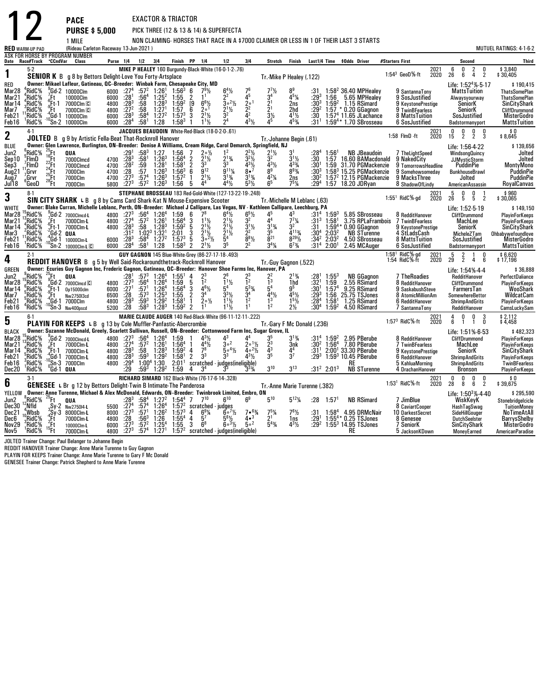|                                                                             |                                                                                           |                                                                                              | <b>PACE</b>                                                                                                                                                                                                                                                                                                     |                                                                                   |                                                                                                |                                                                                 |                                                                                                                                                                                      | <b>EXACTOR &amp; TRIACTOR</b>                                                  |                                                                                                                                                                           |                                                                     |                                                                                                       |                                                                                                                   |                                                                                    |                                                                                                         |                                                               |                                                                                                              |                                                                                                                                                        |                                                                                                                                                |              |                                               |                                                                                                                                        |                                              |                                                                                                                                                       |
|-----------------------------------------------------------------------------|-------------------------------------------------------------------------------------------|----------------------------------------------------------------------------------------------|-----------------------------------------------------------------------------------------------------------------------------------------------------------------------------------------------------------------------------------------------------------------------------------------------------------------|-----------------------------------------------------------------------------------|------------------------------------------------------------------------------------------------|---------------------------------------------------------------------------------|--------------------------------------------------------------------------------------------------------------------------------------------------------------------------------------|--------------------------------------------------------------------------------|---------------------------------------------------------------------------------------------------------------------------------------------------------------------------|---------------------------------------------------------------------|-------------------------------------------------------------------------------------------------------|-------------------------------------------------------------------------------------------------------------------|------------------------------------------------------------------------------------|---------------------------------------------------------------------------------------------------------|---------------------------------------------------------------|--------------------------------------------------------------------------------------------------------------|--------------------------------------------------------------------------------------------------------------------------------------------------------|------------------------------------------------------------------------------------------------------------------------------------------------|--------------|-----------------------------------------------|----------------------------------------------------------------------------------------------------------------------------------------|----------------------------------------------|-------------------------------------------------------------------------------------------------------------------------------------------------------|
|                                                                             |                                                                                           |                                                                                              | <b>PURSE \$5,000</b>                                                                                                                                                                                                                                                                                            |                                                                                   |                                                                                                |                                                                                 |                                                                                                                                                                                      |                                                                                | PICK THREE (12 & 13 & 14) & SUPERFECTA                                                                                                                                    |                                                                     |                                                                                                       |                                                                                                                   |                                                                                    |                                                                                                         |                                                               |                                                                                                              |                                                                                                                                                        |                                                                                                                                                |              |                                               |                                                                                                                                        |                                              |                                                                                                                                                       |
|                                                                             | <b>RED WARM-UP PAD</b>                                                                    |                                                                                              | 1 MILE<br>(Rideau Carleton Raceway 13-Jun-2021)                                                                                                                                                                                                                                                                 |                                                                                   |                                                                                                |                                                                                 |                                                                                                                                                                                      |                                                                                |                                                                                                                                                                           |                                                                     |                                                                                                       |                                                                                                                   |                                                                                    |                                                                                                         |                                                               |                                                                                                              | NON CLAIMING-HORSES THAT RACE IN A \$7000 CLAIMER OR LESS IN 1 OF THEIR LAST 3 STARTS                                                                  |                                                                                                                                                |              |                                               |                                                                                                                                        |                                              | MUTUEL RATINGS: 4-1-6-2                                                                                                                               |
|                                                                             | Date Race#Track CCndVar                                                                   |                                                                                              | ASK FOR HORSE BY PROGRAM NUMBER<br>Class                                                                                                                                                                                                                                                                        |                                                                                   | Purse 1/4 1/2 3/4                                                                              |                                                                                 |                                                                                                                                                                                      |                                                                                | Finish PP 1/4                                                                                                                                                             | 1/2                                                                 |                                                                                                       | 3I4                                                                                                               | Stretch Finish                                                                     |                                                                                                         |                                                               |                                                                                                              | Last1/4 Time \$0dds Driver                                                                                                                             | #Starters First                                                                                                                                |              |                                               | Second                                                                                                                                 |                                              | Third                                                                                                                                                 |
| 1                                                                           | $5-2$                                                                                     |                                                                                              | <b>SENIOR K</b> B g 8 by Bettors Delight-Love You Forty-Artsplace                                                                                                                                                                                                                                               |                                                                                   |                                                                                                |                                                                                 |                                                                                                                                                                                      |                                                                                | MIKE P HEALEY 160 Burgundy-Black-White (16-0-1-2-.76)                                                                                                                     |                                                                     |                                                                                                       |                                                                                                                   | Tr. Mike P Healey (.122)                                                           |                                                                                                         |                                                               |                                                                                                              |                                                                                                                                                        | $1:54^3$ GeoD%-ft                                                                                                                              | 2021<br>2020 | $\begin{smallmatrix} &6\ 26\end{smallmatrix}$ | $\frac{2}{4}$<br>0<br>6                                                                                                                | $\begin{smallmatrix} 0\\2 \end{smallmatrix}$ | \$3,840<br>\$30,405                                                                                                                                   |
| RED<br>Mar28<br>Mar21<br>Mar14<br>Mar7<br>Feb21<br>Feb16                    | *RidC%<br>RidC%<br>RidC%<br>RidC%<br>RidC%<br>'RidC%                                      | $E_{\rm B}$<br>$^{\circ}_{.9}$ Ft-1<br>"Ft.                                                  | Owner: Mikael Lafleur, Gatineau, OC-Breeder: Winbak Farm, Chesapeake City, MD<br>$^{\texttt{M}}$ Gd-2 10000Clm<br>10000Clm<br>7000Clm C<br>7000Clm C<br>Gd-1 10000Clm',<br>$^{10}$ Sn-2 $\frac{10000C}{m}$                                                                                                      | 6000<br>6000<br>4800<br>4800<br>6000<br>6000                                      | :27 <sup>4</sup><br>$\frac{.28}{.28}$ <sup>1</sup><br>$:27^{2}$<br>:28 <sup>3</sup><br>$:28^4$ | .58<br>:58<br>:58 <sup>4</sup><br>:58 $^1$                                      | $:57^2$ 1:26 <sup>1</sup><br>:56 <sup>4</sup> 1:25 <sup>2</sup><br>$1:28^{3}$<br>1:27 <sup>1</sup><br>$1:27^{2}$<br>1:28                                                             | $1:56^{3}$<br>1:55<br>1:59 <sup>2</sup><br>$\frac{1:57}{1:57^3}$<br>$1:58^{3}$ | 6<br>$\overline{2}$<br>Ī9<br>$6^{6}$ <sup>1</sup> / <sub>2</sub><br>2 <sup>0</sup><br>6<br>$2^{11}$<br>$1^{11}$                                                           | $\frac{5}{2}$                                                       | $\frac{6^4}{2^2}$<br>$3.2\%$<br>$\frac{2^{1}\frac{1}{2}}{3^{2}}$                                      | $\frac{7^6}{4^5}$<br>$\frac{2}{2^2}$ <sup>1</sup><br>$4^{3}$ <sup>1</sup> / <sub>2</sub>                          | $7^{7}\frac{1}{2^{4}}$<br>$2^{1}$<br>$2^{1}$<br>$\frac{5}{4^5}$                    | 45%<br>2ns<br>2hd<br>$4^{1}\frac{1}{4}$<br>4 <sup>53</sup> / <sub>4</sub>                               | :31.293<br>$:30^{3}$<br>$:29^2$<br>:30<br>:31 <sup>1</sup>    | 1:59 <sup>2</sup>                                                                                            | 1:58 <sup>2</sup> 36.40 MPHealey<br>1:56 5.65 MPHealey<br>1.15 RSimard<br>1:57 * 0.20 GGagnon<br>$1:574$ 11.65 JLachance<br>$1:59^{4*}$ 1.70 SBrosseau | 9 SantannaTony<br>9 SosJustified<br>9 KeystonePrestige<br>9 TwinBFearless<br>8 MattsTuition<br>6 SosJustified                                  |              |                                               | Life: 1:52 <sup>4</sup> %-5-17<br><b>MattsTuition</b><br>Alwaysyourway<br>SeniorK<br><b>SeniorK</b><br>SosJustified<br>Badstormanyport |                                              | \$190,415<br><b>ThatsSomePlan</b><br><b>ThatsSomePlan</b><br>SinCityShark<br>CliffDrummond<br>MisterGodro<br><b>MattsTuition</b>                      |
| $\mathbf 2$                                                                 | $4-1$                                                                                     |                                                                                              | JOLTED B g 9 by Artistic Fella-Beat That-Rocknroll Hanover                                                                                                                                                                                                                                                      |                                                                                   |                                                                                                |                                                                                 |                                                                                                                                                                                      |                                                                                | JACQUES BEAUDOIN White-Red-Black (18-0-2-0-.61)                                                                                                                           |                                                                     |                                                                                                       |                                                                                                                   | Tr. Johanne Begin (.61)                                                            |                                                                                                         |                                                               |                                                                                                              |                                                                                                                                                        | 1:58 FlmD -ft                                                                                                                                  | 2021<br>2020 | 0<br>$1\bar{5}$                               | $\mathbf 0$<br>0<br>$\overline{2}$<br>$\overline{2}$                                                                                   | 0<br>3                                       | \$0<br>\$8,645                                                                                                                                        |
| <b>BLUE</b><br>Jun2<br>Sep10<br>Sep3<br>Aug21<br>Aug7<br>J <sub>ul</sub> 18 | RidC%<br>:FimD<br>FlmD<br>',Grvr<br>'Grvr<br>°GeoD                                        | $^{25}$ Ft<br>$^{16}_{22}$ Ft<br>$^{22}_{24}$ Ft<br>$\frac{24}{25}$ Ft<br>$\frac{25}{28}$ Ft | Owner: Glen Lawrence, Burlington, ON-Breeder: Denise A Williams, Cream Ridge, Carol Demarch, Springfield, NJ<br><b>QUA</b><br>7000Clmcd<br>7000Clmcd<br>7000Clm<br>7000Clm<br>7000Clm                                                                                                                           | 4700<br>4700<br>4700<br>4700<br>5800                                              | $:29^{1}$<br>$:28^{3}$<br>:28 <sup>2</sup><br>$\frac{.28}{.273}$<br>$:27^{3}$                  | $:58^3$ 1:27<br>.58 <sup>1</sup><br>:59<br>:57<br>:57 <sup>4</sup><br>$:57^{2}$ | $1:26^{3}$<br>1:28 <sup>1</sup><br>$1:26^{3}$<br>$1:26^{3}$<br>$1:26^{3}$                                                                                                            | 1.56<br>1:56 <sup>4</sup><br>$1:58^{1}$<br>$1:56^{3}$<br>$1:57^{2}$<br>1:56    | $2 \circ \frac{1}{2}$<br>$\overline{7}$<br>$2^{11/2}$<br>$\overline{2}$<br>$\overline{2}$<br>$\tilde{g}$ <sup>12</sup><br>6<br>$2^{11/2}$<br>$\mathbf{1}$<br>44<br>5      |                                                                     | $2^{13}/4$<br>$\bar{q}$ <sup>11</sup> %<br>$3^{13}$<br>$4^{4}$ <sup>1</sup> / <sub>2</sub>            | $2^{2}\frac{1}{2}$<br>$\frac{4^3}{8^2}$<br>$3^{13}/4$<br>$5^3\%$                                                  | $\frac{2^{1}1}{3^{2}}$<br>431/2<br>8 <sup>9</sup><br>421/4                         | 3 <sup>1</sup><br>$\frac{3^{1}1}{4^{3}3/4}$<br>$8^{93/4}$<br>2ns<br>$7^{5}$ <sup>1</sup> / <sub>4</sub> | :28ª<br>:30<br>:301<br>$:30^3$<br>:30ª<br>:29ª                | $1:56^{1}$<br>1:57<br>$1:59$<br>$1:583$                                                                      | <b>NB JBeaudoin</b><br>31.70 PGMackenzie<br>15.25 PGMackenzie<br>$1:572$ 12.15 PGMackenzie<br>1:57 18.20 JDRyan                                        | NB JBeaudoin 7 The Light Speed<br>16.60 BAMacdonald 9 Naked City<br>9 TomorrowsHeadline<br>9 Somehowsomeday<br>9 MacksThree<br>8 ShadowOfLindy |              |                                               | Life: 1:56-4-22<br><b>WindsongQuincy</b><br><b>JJMysticStorm</b><br><b>PuddinPie</b><br>BunkhouseBrawl<br>Jolted<br>AmericanAssassin   |                                              | \$139,656<br>Jolted<br>Jolted<br>MontyMono<br>PuddinPie<br><b>PuddinPie</b><br>RoyalCanvas                                                            |
| 3                                                                           | $8-1$                                                                                     |                                                                                              | SIN CITY SHARK L B g 8 by Cams Card Shark-Kat N Mouse-Expensive Scooter                                                                                                                                                                                                                                         |                                                                                   |                                                                                                |                                                                                 |                                                                                                                                                                                      |                                                                                | STEPHANE BROSSEAU 183 Red-Gold-White (127-13-22-19-.248)                                                                                                                  |                                                                     |                                                                                                       |                                                                                                                   | Tr.-Michelle M Leblanc (.63)                                                       |                                                                                                         |                                                               |                                                                                                              |                                                                                                                                                        | $1:551$ RidC $%$ ad                                                                                                                            | 2021<br>2020 | $\frac{5}{26}$                                | 0<br>0<br>5<br>5                                                                                                                       | $\overline{2}$                               | \$960<br>\$30,065                                                                                                                                     |
| WHITE<br>Mar28<br>Mar21<br>Mar 14<br>Mar3<br>Feb <sub>21</sub><br>Feb16     | $^{15}_{.6}$ RidC%<br>?RidC%<br>"*RidC%<br>RidC%<br>RidC%<br>RidC%                        | ′.Ft<br>$\int_{0}^{6}$ Ft-1<br>$2^2$ Gd 2                                                    | Owner: Blake Curran, Michelle Leblanc, Perth, ON-Breeder: Michael J Callipare, Las Vegas, NV - Kathleen Callipare, Leechburg, PA<br>Gd-2 7000Clmcd-L<br>7000Clm-L<br>7000Clm-L<br><b>QUA</b><br>$10^{4}$ Gd-1 $10000$ Clm-L<br>$10^{4}$ Sn-2 $10000$ Clm-L<br>10000Clm-L C                                      | 4800<br>4800<br>4800<br>$\begin{array}{r} 6000 & .283 \\ 6000 & .284 \end{array}$ | $:27^{3}$<br>:27 <sup>4</sup><br>$:28^{3}$<br>$:31^2$                                          |                                                                                 | $:56^4$ 1:26 <sup>4</sup><br>$:57^2$ 1:26 <sup>1</sup><br>:58 1:28 <sup>3</sup><br>$1:02^3$ 1:32 <sup>1</sup><br>$:58^{\overline{4}}$ $1:27^{\overline{2}}$<br>:58 <sup>1</sup> 1:28 | 1:59<br>$1:564$<br>1:59 <sup>2</sup><br>2:01<br>$1:57^{3}$<br>$1.58^{3}$       | 6<br>7 <sup>8</sup><br>$1\frac{1}{2}$<br>$\frac{3}{5}$<br>3<br>5<br>$\overline{2}$<br>$2^{11}/2$                                                                          | $\frac{2^{1}\sqrt{2}}{3^{0}2\sqrt{2}}$<br>$\bar{5}^4$ <sub>35</sub> | $6^{4}$ <sup>1</sup> / <sub>2</sub><br>$2^{1}\frac{1}{2}$<br>$2^{1}\frac{1}{2}$<br>$2^{1}\frac{1}{2}$ | $6^{5}$ <sup>1</sup> / <sub>2</sub><br>$3^{1}$ %<br>2 <sup>2</sup><br>$\frac{8}{2^2}$ <sup>8</sup> <sup>1/2</sup> | 45<br>$\dot{A}^4$<br>$3^{13}/4$<br>$\bar{3}^5$<br>$\frac{8}{2}$<br>$\bar{3}^{4}\%$ | $4^3$<br>$\frac{7^7}{3^2}$<br>$4^{113}$<br>$8^{29}$ %<br>$6^{7}$ <sup>3/4</sup>                         | $\frac{131^3}{31}$<br>$:30^4$<br>$\frac{134^2}{31^4}$         | $:31^4$ 1:59 <sup>3</sup><br>1:58 <sup>1</sup><br>$1.59^{4}$<br>2:03 <sup>2</sup><br>$\frac{2:03^2}{2:00^1}$ | 5.85 SBrosseau<br>0.90 GGagnon<br><b>NB STurenne</b><br>4.50 SBrosseau<br>2.45 MCAuger                                                                 | 8 RedditHanover<br>3.75 RPLaFrambois 7 TwinBFearless<br>9 KeystonePrestige<br>4 StLadsCash<br>8 MattsTuition<br>6 SosJustified                 |              |                                               | Life: 1:52-5-19<br><b>CliffDrummond</b><br>MachLee<br>SeniorK<br>MicheleZTam<br>SosJustified<br>Badstormanyport                        |                                              | \$149,150<br><b>PlavinForKeeps</b><br><b>PlayinForKeeps</b><br>SinCityShark<br>Ohbabywefoundlove<br><b>MisterGodro</b><br><b>MattsTuition</b>         |
| 4                                                                           | $2-1$                                                                                     |                                                                                              | <b>REDDIT HANOVER</b> B g 5 by Well Said-Rockaroundthetrack-Rocknroll Hanover                                                                                                                                                                                                                                   |                                                                                   |                                                                                                |                                                                                 |                                                                                                                                                                                      |                                                                                | GUY GAGNON 145 Blue-White-Grey (86-27-17-18-.493)                                                                                                                         |                                                                     |                                                                                                       |                                                                                                                   | Tr.-Guy Gagnon (.522)                                                              |                                                                                                         |                                                               |                                                                                                              |                                                                                                                                                        | 1:58 <sup>1</sup> RidC%-gd<br>1:54 RidC%-ft                                                                                                    | 2021<br>2020 | $\begin{smallmatrix} &5\29\end{smallmatrix}$  | $\frac{2}{2}$<br>$\mathbf{1}$<br>$\overline{4}$                                                                                        | 0<br>6                                       | \$6,620<br>\$17,196                                                                                                                                   |
| <b>GREEN</b><br>Jun2<br>Mar28<br>Mar14<br>Mar7<br>Feb21<br>Feb16            | RidC <sup>%</sup><br><sup>8</sup> RidC<br><sup>6</sup> RidC%<br>RidC%<br>,RidC%<br>*RidC% | $\frac{25}{9}$ Ft<br>$\frac{9}{9}$ Gd-2<br>$\frac{6}{9}$ Ft-1<br>:Ft<br>(Gd-1                | Owner: Ecuries Guy Gagnon Inc, Frederic Gagnon, Gatineau, QC-Breeder: Hanover Shoe Farms Inc, Hanover, PA<br><b>QUA</b><br>7000Clmcd <sup>C</sup><br>Op15000clm<br>Nw2750I3cd<br>7000Clm<br>$10\overline{S}n-3$ Nw400pscd                                                                                       | 4800<br>6000<br>6500<br>4800<br>5200                                              | $: 281$<br>$: 273$<br>$: 271$<br>$\frac{.28}{.28}$<br>:28                                      | $:57^{3}$<br>$\frac{1564}{.57}$<br>$:57^{3}$<br>$:58^3$                         | $1:264$<br>1:26 <sup>4</sup><br>1:26 <sup>4</sup><br>$1:25^{3}$<br>$:59^3$ 1:29 <sup>2</sup><br>$1:28^{3}$                                                                           | $1:55^{1}$<br>$1:59$<br>1:56 <sup>4</sup><br>$\frac{1.55}{1.58}$<br>$1:59^{2}$ | 4<br>$\frac{2^3}{1^2}$<br>5<br>$4^{6}\frac{1}{2}$<br>3<br>3 <sup>4</sup><br>$\frac{2}{1}$<br>$2 \circ \frac{1}{2}$<br>$\overline{2}$                                      | 5 <sup>4</sup>                                                      | $\bar{1}^{1}\frac{1}{2}$<br>$3^{3}\frac{1}{2}$<br>$1^{1}\frac{1}{2}$<br>$1^{11}/2$                    | 23<br>12<br>$5^{3}$ %<br>$\frac{5}{1^2}$<br>1 <sup>1</sup>                                                        | $\frac{2^2}{1^3}$<br>$4^{4}\frac{1}{3}$<br>$1^{3}$<br>$1^{2}$                      | $2^{13/4}$<br>1hd<br>95<br>451/2<br>$1^{5}$<br>2 <sub>2</sub>                                           | $: 281$<br>$: 321$<br>$:30^1$<br>$:29^{3}$<br>:284<br>$:30^4$ | $\begin{array}{c} 1:55^3 \\ 1:59 \\ 1:57^4 \end{array}$<br>$1:56$<br>$1:581$<br>$1:59^{2}$                   | <b>NB GGagnon</b><br>2.55 RSimard<br>9.25 RSimard<br>25.75 TSJones<br>1.25 RSimard<br>4.50 RSimard                                                     | 7 TheRoadies<br>8 RedditHanover<br>9 SaskabushSteve<br>8 AtomicMillionAm<br>6 RedditHanover<br>7 SantannaTony                                  |              |                                               | Life: 1:54%-4-4<br>RedditHanover<br>CliffDrummond<br>FarmersTan<br>SomewhereBettor<br><b>ShrimpAndGrits</b><br>RedditHanover           |                                              | \$36,888<br>PerfectDaliance<br>PlayinForKeeps<br>.<br>WooShark<br>WildcatCam<br><b>PlayinForKeeps</b><br>CamsLuckySam                                 |
| 5                                                                           | $6-1$                                                                                     |                                                                                              | PLAYIN FOR KEEPS L B g 13 by Cole Muffler-Panfastic-Abercrombie                                                                                                                                                                                                                                                 |                                                                                   |                                                                                                |                                                                                 |                                                                                                                                                                                      |                                                                                | MARIE CLAUDE AUGER 140 Red-Black-White (96-11-12-11-.222)                                                                                                                 |                                                                     |                                                                                                       |                                                                                                                   | Tr.-Gary F Mc Donald (.236)                                                        |                                                                                                         |                                                               |                                                                                                              |                                                                                                                                                        | 1:573 RidC %-ft                                                                                                                                | 2021<br>2020 | $\overline{4}$<br>6                           | 0<br>0<br>$\overline{1}$<br>$\mathbf{1}$                                                                                               | Ō                                            | $$2,112$<br>$$4,458$                                                                                                                                  |
| <b>BLACK</b><br>Mar28<br>Mar21<br>Mar 14<br>Feb21<br>Feb16<br>Dec20         | RidC%<br>RidC%<br>$^4$ RidC%<br>RidC%<br>?RidC%<br>'RidC%                                 |                                                                                              | Owner: Suzanne McDonald, Greely, Scarlett Sullivan, Russell, ON-Breeder: Cottonwood Farm Inc, Sugar Grove, IL<br><sup>9</sup> ,Gd-2 7000Clmcd-L<br>7 Ft 7000Clmcd-<br>6 Ft 7000Clm-L<br>4 Ft 1 7000Clm-L<br>10 Sn 3 7000Clm-L<br>0 Sn 3 7000Clm<br>7000Clm-L<br>7000Clm-L<br>7000Clm-L<br>$^0$ Gd $\cdot$ 1 QUA | 4800<br>4800<br>4800<br>4800<br>4800                                              | $:27^{3}$<br>:27 <sup>4</sup><br>$\frac{.283}{.283}$<br>$:29^{4}$<br>:29                       | $:57^2$<br>$:59^{3}$                                                            | $:56^4$ 1:26 <sup>4</sup><br>$1:26^{1}$<br>$:58$ 1:28 <sup>3</sup><br>$1:29^{2}$<br>$1:00^4$ 1:30<br>$:59^3$ 1:29 <sup>2</sup>                                                       | 1:59<br>1:56 <sup>4</sup><br>$1:59^2$ 4<br>1.58 <sup>1</sup><br>1:59           | $4^{3}\frac{1}{2}$<br>$\frac{4^4}{7^8}$<br>$\overline{1}$<br>3 <sup>3</sup><br>$\overline{2}$<br>$2:011$ scratched judges(ineligible)<br>3 <sup>4</sup><br>$\overline{a}$ | 43<br>3 <sup>3</sup>                                                | $3^{\circ 2}$<br>$\bar{5} \circ 4\frac{1}{2}$                                                         | $20^{11/2}$<br>$40^{21}/2$<br>431/2<br>$3^{3}\%$                                                                  | $\frac{3^5}{2^3}$<br>$\frac{4^3}{3^5}$<br>3 <sup>10</sup>                          | $3^{13}/4$<br>3nk<br>$\frac{4^4}{3^7}$<br>$3^{13}$                                                      | $:31^{1}$<br>$:29^{3}$                                        | $:31^4$ 1:59 <sup>2</sup><br>$:30^2$ 1:56 $^4$<br>2:00 <sup>1</sup><br>:31 <sup>2</sup> 2:01 <sup>3</sup>    | 2.95 PBerube<br>7.80 PBerube<br>33.30 PBerube<br>1:59 <sup>3</sup> 10.45 PBerube<br>RE<br><b>NB STurenne</b>                                           | 8 RedditHanover<br>7 TwinBFearless<br>9 KeystonePrestige<br>6 RedditHanover<br>5 KahluaMorning<br>4 DrachanHanover                             |              |                                               | Life: 1:51% 6-53<br><b>CliffDrummond</b><br>MachLee<br>SeniorK<br><b>ShrimpAndGrits</b><br><b>ShrimpAndGrits</b><br>Bronson            |                                              | \$482.323<br><b>PlayinForKeeps</b><br><b>PlavinForKeeps</b><br>SinCityShark<br><b>PlayinForKeeps</b><br><b>TwinBFearless</b><br><b>PlayinForKeeps</b> |
| 6                                                                           | $3-1$                                                                                     |                                                                                              | <b>GENESEE</b> L Br g 12 by Bettors Delight-Twin B Intimate-The Panderosa                                                                                                                                                                                                                                       |                                                                                   |                                                                                                |                                                                                 |                                                                                                                                                                                      |                                                                                | RICHARD SIMARD 162 Black-White (76-17-6-14-.328)                                                                                                                          |                                                                     |                                                                                                       |                                                                                                                   | Tr. Anne Marie Turenne (.382)                                                      |                                                                                                         |                                                               |                                                                                                              |                                                                                                                                                        | 1:53 <sup>1</sup> RidC <sup>5</sup> %-ft                                                                                                       | 2021<br>2020 | $\begin{smallmatrix} 0\ 28 \end{smallmatrix}$ | 0<br>$_{6}^{0}$<br>8                                                                                                                   | $\frac{0}{2}$                                | $\frac{$0}{$39,675}$                                                                                                                                  |
| YELLOW<br>Jun2<br>Dec30<br>Dec21<br>Dec6<br>Nov29<br>Nov5                   | $\degree$ RidC%<br>:Nfld<br>:Wbsb<br>RidC%<br>$3$ RidC $%$<br>RidC%                       | $^{25}$ Ft<br>$3Sy-2$<br>$4Sy-3$<br>$2Ft$<br>$2Ft$<br>$^{15}$ Ft                             | Owner: Anne Turenne, Michael & Alex McDonald, Edwards, ON-Breeder: Twinbrook Limited, Embro, ON<br>QUA<br>Nw275014-L<br>8000Clm-L<br>7000Clm-L<br>10000Clm-L<br>7000Clm-L                                                                                                                                       | 5500<br>8000<br>4800<br>6000<br>4800                                              | :283<br>:27 <sup>4</sup><br>$:27^{3}$<br>:28<br>$\frac{1273}{27^3}$                            | $:56^{3}$<br>$:57^2$<br>.574                                                    | $:58^4$ 1:27 <sup>2</sup><br>$:57^4$ 1:26 <sup>4</sup><br>:57 <sup>1</sup> 1:26 <sup>2</sup><br>1:26<br>$\frac{1:25^4}{1:27^1}$                                                      | $1:54^{4}$ 7<br>$\frac{1:57^2}{1:57^3}$<br>$1:55^{4}$<br>$\frac{1:55}{1:57^2}$ | 710<br>scratched - judges<br>4 $6^9\frac{1}{4}$ $6^0\frac{71}{4}$<br>$5^7$<br>4<br>6 <sup>8</sup><br>3                                                                    | scratched - judges(ineligible)                                      | $6^{10}$<br>$5^{6}$ %<br>$60^{31/2}$                                                                  | 6 <sup>9</sup><br>$7 \cdot 63/4$<br>$4 \cdot 3$<br>$5^{\circ 2}$                                                  | $5^{10}$<br>$7^5\%$<br>2 <sup>1</sup><br>$\frac{1}{5}43_4$                         | $5^{12}$ %<br>$76$ <sup>1</sup> / <sub>2</sub><br>1ns<br>$4^{3}\%$                                      | :31<br>:291                                                   | $: 28$ 1:57 <sup>1</sup><br>$1:58^{4}$                                                                       | <b>NB RSimard</b><br>4.95 DRMcNair<br>$1:55^{4*}$ 0.25 TSJones<br>$:29^2$ 1:55 <sup>3</sup> 14.95 TSJones<br>RE                                        | 7 JimBlue<br>8 CaviartCooper<br>10 DarkestSecret<br>8 Genesee<br>7 SeniorK<br>5 JacksonKDown                                                   |              |                                               | Life: 1:50 <sup>3</sup> %-4-40<br>WiskKeyK<br>HashTagSwag<br>SideHillGouger<br><b>DutchSeelster</b><br>SinCityShark<br>MoneyEarned     |                                              | \$295,590<br>Stonebridaelcicle<br><b>TuitionMoney</b><br>NoTimeAtAll<br>BarrysShelby<br>MisterGodro<br><b>AmericanParadise</b>                        |

Nov5 1RidC% 15Ft 7000Clm-L 4800 :273 :574 1:271<br>JOLTED Trainer Change: Paul Belanger to Johanne Begin<br>REDDIT HANOVER Trainer Change: Anne Marie Turenne to Guy Gagnon<br>PLAYIN FOR KEEPS Trainer Change: Anne Marie Turenne to G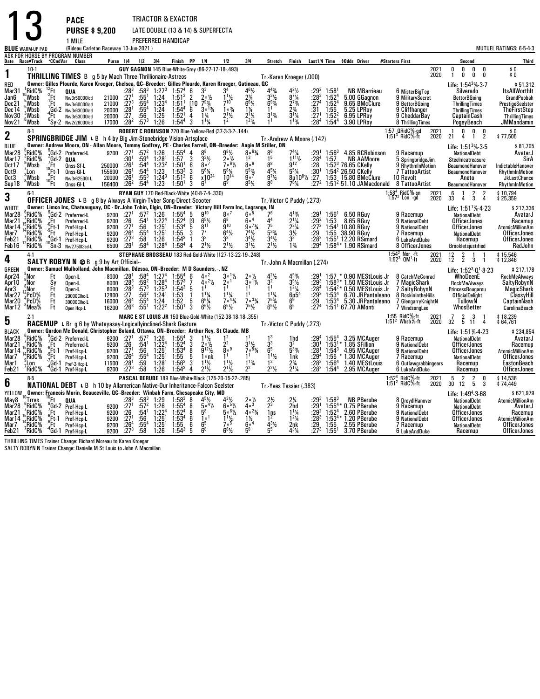|                            |                                         |                                        | <b>PACE</b>                                                                                                                                                         |                  |                                                      |                               |                                 | TRIACTOR & EXACTOR                                                |                                        |                                                   |                                                            |                                            |                                                                            |                                                       |                               |                                        |                                                                                                |                 |                                                                    |              |                                                                                    |                   |                                             |
|----------------------------|-----------------------------------------|----------------------------------------|---------------------------------------------------------------------------------------------------------------------------------------------------------------------|------------------|------------------------------------------------------|-------------------------------|---------------------------------|-------------------------------------------------------------------|----------------------------------------|---------------------------------------------------|------------------------------------------------------------|--------------------------------------------|----------------------------------------------------------------------------|-------------------------------------------------------|-------------------------------|----------------------------------------|------------------------------------------------------------------------------------------------|-----------------|--------------------------------------------------------------------|--------------|------------------------------------------------------------------------------------|-------------------|---------------------------------------------|
|                            |                                         |                                        | <b>PURSE \$9,200</b>                                                                                                                                                |                  |                                                      |                               |                                 | LATE DOUBLE (13 & 14) & SUPERFECTA                                |                                        |                                                   |                                                            |                                            |                                                                            |                                                       |                               |                                        |                                                                                                |                 |                                                                    |              |                                                                                    |                   |                                             |
|                            |                                         |                                        | 1 MILE                                                                                                                                                              |                  |                                                      |                               |                                 | PREFERRED HANDICAP                                                |                                        |                                                   |                                                            |                                            |                                                                            |                                                       |                               |                                        |                                                                                                |                 |                                                                    |              |                                                                                    |                   |                                             |
|                            | <b>BLUE</b> WARM-UP PAD                 |                                        | (Rideau Carleton Raceway 13-Jun-2021)                                                                                                                               |                  |                                                      |                               |                                 |                                                                   |                                        |                                                   |                                                            |                                            |                                                                            |                                                       |                               |                                        |                                                                                                |                 |                                                                    |              |                                                                                    |                   | MUTUEL RATINGS: 6-5-4-3                     |
|                            | Date Race#Track °CCndVar                |                                        | ASK FOR HORSE BY PROGRAM NUMBER<br>Class                                                                                                                            |                  | Purse 1/4 1/2 3/4                                    |                               |                                 | Finish PP                                                         |                                        | 1/4                                               | 1/2                                                        | 3 4                                        | Stretch                                                                    | Finish                                                |                               |                                        | Last1/4 Time \$0dds Driver                                                                     | #Starters First |                                                                    |              | Second                                                                             |                   | <b>Third</b>                                |
| 1                          | $10-1$                                  |                                        | <b>THRILLING TIMES</b> B g 5 by Mach Three-Thrillionaire-Astreos                                                                                                    |                  |                                                      |                               |                                 |                                                                   |                                        |                                                   | GUY GAGNON 145 Blue-White-Grey (86-27-17-18-.493)          |                                            |                                                                            |                                                       |                               |                                        |                                                                                                |                 |                                                                    | 2021<br>2020 | U.<br>0<br>n<br>0<br>0<br>1                                                        | 0<br>0            | \$0<br>\$0                                  |
| <b>RED</b>                 |                                         |                                        | Owner: Gilles Plourde, Karen Kroeger, Chelsea, QC-Breeder: Gilles Plourde, Karen Kroeger, Gatineau, QC                                                              |                  |                                                      |                               |                                 |                                                                   |                                        |                                                   |                                                            |                                            | Tr.-Karen Kroeger (.000)                                                   |                                                       |                               |                                        |                                                                                                |                 |                                                                    |              | Life: $1:543%37$                                                                   |                   | \$51,312                                    |
| Mar31                      | ¦RidC%                                  | $2$ Ft                                 | QUA                                                                                                                                                                 |                  | :283                                                 | $:58^3$                       | $1:27^{3}$                      | $1.57^{4}$                                                        | 6                                      | 3 <sup>3</sup>                                    |                                                            | $4^6\frac{1}{2}$                           | $4^{43}$ /4                                                                |                                                       |                               | 1:58                                   | <b>NB MBarrieau</b>                                                                            |                 | 6 MisterBiaTop                                                     |              | Silverado                                                                          |                   | <b>ItsAllWorthIt</b>                        |
| Jan6<br>Dec21              | Wbsb<br>. Wbsb                          | :Ft<br>:Ft                             | Nw3r50000lcd<br>Nw3r60000lcd                                                                                                                                        | 21000<br>21000   | :27 <sup>1</sup><br>$:27^{3}$                        | $:55^{1}$<br>$:55^4$          | 1:24<br>1:23 <sup>4</sup>       | 1:51 <sup>2</sup><br>$1:51^{1}$                                   | $\frac{2}{10}$                         | $20\frac{1}{2}$<br>$7^9\frac{3}{4}$               | $7^{10}$                                                   | $2\frac{3}{4}$<br>$6^{6}$ <sup>%</sup>     | $3^{3}$ <sup>1</sup> / <sub>2</sub><br>$6^{9}$ <sup>3</sup> / <sub>4</sub> | $8^{7}$ <sup>1</sup> / <sub>4</sub><br>$2^{73/4}$     | $:28^{3}$<br>:27 <sup>4</sup> | 1:52 <sup>4</sup><br>1:52 <sup>4</sup> | 5.00 GGagnon<br>9.65 BMcClure                                                                  |                 | 9 MilitarySecret<br>9 BettorBGoing                                 |              | <b>BettorBGoing</b><br><b>Thrilling Times</b>                                      |                   | GrandPoobah<br>PrestigeSeelster             |
| Dec 14                     | °.Wbsb                                  |                                        | $^{1}_{4}$ Gd-2 Nw3r63000lcd<br>Ft Nw3r53000lcd                                                                                                                     | 20000            | :28 <sup>1</sup>                                     | $:55^{4}$                     | 1:24                            | 1:54 <sup>4</sup>                                                 | 6                                      | $30^{13}$ /4                                      | $1 \circ \frac{3}{4}$                                      | $\frac{1\frac{1}{4}}{2^{1\frac{1}{4}}}$    |                                                                            | $\frac{2\frac{3}{4}}{3^{1}\frac{1}{4}}$               | $\frac{.31}{.27}$             | $1:55$<br>$1:52^2$                     | 5.25 LPRoy                                                                                     |                 | 9 Cliffhanger                                                      |              | <b>Thrilling Times</b>                                                             |                   | <b>TheFirstStep</b>                         |
| Nov30<br>Nov21             | $3W$ bsb<br>'Wbsb                       |                                        | Sy-2 Nw2r26000lcd                                                                                                                                                   | 20000<br>17000   | $\overline{.27}$<br>:28 <sup>2</sup>                 | :56<br>$:57^{3}$              | 1:25<br>1:26                    | 1:52 <sup>1</sup><br>$1:54^{4}$                                   | 4<br>3                                 | $1\frac{3}{4}$<br>$1^{11}/4$                      | $2^{11/2}$                                                 | $\frac{1}{2}$ <sup>23</sup> / <sub>4</sub> | $3^{13}$ / <sub>4</sub>                                                    | $1\frac{1}{4}$                                        | :28 <sup>4</sup>              | $1:54^{4}$                             | 6.95 LPRoy<br>3.90 LPRov                                                                       |                 | 9 CheddarBav<br>8 Thrilling Times                                  |              | CaptainCash<br>PogeyBeach                                                          |                   | <b>Thrilling Times</b><br><b>JMMandamin</b> |
|                            | $8-1$                                   |                                        |                                                                                                                                                                     |                  |                                                      |                               |                                 |                                                                   |                                        |                                                   | ROBERT C ROBINSON 220 Blue-Yellow-Red (37-3-3-2-.144)      |                                            |                                                                            |                                                       |                               |                                        |                                                                                                |                 | 1:57 QRidC%-gd<br>1:51 <sup>3</sup> RidC%-ft                       | 2021         | 0<br>$\mathbf{1}$                                                                  | $\mathbf{0}$<br>0 | \$0                                         |
| $\overline{\mathbf{2}}$    |                                         |                                        | <b>SPRINGBRIDGE JIM L B</b> h 4 by Big Jim-Stonebridge Vision-Artsplace                                                                                             |                  |                                                      |                               |                                 |                                                                   |                                        |                                                   |                                                            |                                            | Tr.-Andrew A Moore (.142)                                                  |                                                       |                               |                                        |                                                                                                |                 |                                                                    | 2020         | 4<br>$\overline{1}$<br>21                                                          | $\overline{2}$    | \$77,505                                    |
| <b>BLUE</b><br>Mar28       | PaidC%                                  |                                        | Owner: Andrew Moore, ON - Allan Moore, Tommy Godfrey, PE - Charles Farrell, ON--Breeder: Angie M Stiller, ON<br>Gd-2 Preferred-L                                    |                  | 9200 : 27 <sup>1</sup>                               |                               | $:57^2$ 1:26                    | $1:55^4$ 4                                                        |                                        | 8 <sup>8</sup>                                    | $98$ %                                                     | $80^{63}$                                  | 8 <sup>6</sup>                                                             |                                                       | :291                          | $1:56^{3}$                             | 4.85 RCRobinson                                                                                |                 | 9 Racemup                                                          |              | Life: $1:51^{3}\%$ 3.5<br><b>NationalDebt</b>                                      |                   | \$81,705<br>AvatarJ                         |
| Mar <sub>17</sub>          | RidC%                                   | $^{2}_{7}$ Gd-2 QUA                    |                                                                                                                                                                     |                  | :30†                                                 | $:59^{4}$                     | $1:28$ <sup>1</sup>             | 1:57                                                              | 3                                      | $3^{3}\frac{1}{2}$                                | $2 \circ \frac{1}{2}$                                      | 1 <sup>3</sup>                             | $\overline{1}5$                                                            | $111\frac{1}{2}$<br>Q <sub>12</sub>                   | :28 <sup>4</sup>              | 1:57                                   | <b>NB AAMoore</b>                                                                              |                 | 5 SpringbridgeJim                                                  |              | Steelmeatreasure                                                                   |                   | SirA                                        |
| 0ct 17<br>Oct <sub>9</sub> | Wbsb:<br>lon:                           | $\frac{7}{18}$ Et<br>.′Ft-1            | Onss-Sf-L<br>Onss-GI-L                                                                                                                                              | 250000<br>155600 | $:26^{1}$<br>$\frac{1}{2}$ <sub>6</sub> <sup>1</sup> | $:54^{4}$<br>$:54^{4}$        | 1:23 <sup>2</sup><br>1:23       | 1:50 <sup>1</sup><br>$1:53^{2}$                                   | 6<br>3                                 | 800<br>561/4                                      | $7.6\%$<br>$5^{6}$ %                                       | $8\circ ^6$<br>$\frac{5^{53}}{90^{7}}$     | 8 <sup>8</sup><br>45%                                                      | 55%                                                   | :28<br>$:30^{1}$              |                                        | $1:52^3$ 76.65 CKelly<br>$1:54^2$ 26.50 CKelly                                                 |                 | 9 RhythmInMotion<br><b>7 TattooArtist</b>                          |              | BeaumondHanover<br>BeaumondHanover                                                 |                   | IndictableHanover<br><b>RhythmInMotion</b>  |
| Oct <sub>3</sub>           | Wbsb!                                   | $\int_{0}^{8}$ Ft<br>10 <sub>rt</sub>  | Nw3r62500I-L                                                                                                                                                        | 20000            | $:26^{1}$                                            | $:55^{3}$                     | $1:24^{3}$                      | 1.51 <sup>2</sup>                                                 | 6                                      | $x10^{24}$                                        | $10^{14}$                                                  |                                            | $9^{7}$ <sup>1</sup> / <sub>2</sub>                                        | $8p10^{8}\%$                                          | :27                           |                                        | 1:53 15.80 BMcClure                                                                            |                 | 10 Revolt                                                          |              | Aneto                                                                              |                   | JkLastChance                                |
| Sep18                      | °Wbsb<br>$6-1$                          |                                        | Onss-GI-L                                                                                                                                                           | 156400           | :26 <sup>2</sup>                                     | $:54^4$                       | 1:23                            | 1:50 <sup>1</sup><br>RYAN GUY 170 Red-Black-White (40-8-7-4-.330) | 3                                      | 6                                                 | 6 <sup>9</sup>                                             | $8^{5}$ <sup>%</sup>                       | 88                                                                         | 761/4                                                 | :27 <sup>2</sup>              |                                        | 1:51 <sup>2</sup> 51.10 JAMacdonald 8 TattooArtist                                             |                 | 1:58 <sup>4</sup> RidC%-sn                                         |              | BeaumondHanover<br>6<br>2<br>$\mathbf{1}$                                          | $\overline{2}$    | RhythmInMotion                              |
| 3                          |                                         |                                        | OFFICER JONES L B g 8 by Always A Virgin-Tyber Song-Direct Scooter                                                                                                  |                  |                                                      |                               |                                 |                                                                   |                                        |                                                   |                                                            |                                            | Tr.-Victor C Puddy (.273)                                                  |                                                       |                               |                                        |                                                                                                |                 | $1.572$ Lon $-gd$                                                  | 2021<br>2020 | $\bar{3}$<br>33<br>4                                                               | $\overline{4}$    | \$10,794<br>\$25,359                        |
| <b>WHITE</b>               |                                         |                                        | Owner: Limco Inc, Chateauguay, QC - Dr.John Tobin, Elgin, ON-Breeder: Victory Hill Farm Inc, Lagrange, IN                                                           |                  |                                                      |                               |                                 |                                                                   |                                        |                                                   |                                                            |                                            |                                                                            |                                                       |                               |                                        |                                                                                                |                 |                                                                    |              | Life: 1:51 <sup>1</sup> %-4-23                                                     |                   | \$212,336                                   |
| Mar28<br>Mar21             | RidC%<br>'RidC%                         | .Ft                                    | Gd-2 Preferred-L<br>Preferred-L                                                                                                                                     | 9200<br>9200     | :27 <sup>1</sup>                                     | $:57^2$<br>$:54^{1}$          | 1:26                            | $1:55^{4}$                                                        | 5                                      | $9^{10}$<br>$6^9\%$                               | 80 <sup>7</sup><br>68                                      | 60 <sup>5</sup><br>60 <sup>4</sup>         | 76                                                                         | $4^{13}$ /4<br>$2^{1}$ <sup>1</sup> / <sub>4</sub>    | :291<br>$:29^{2}$             | 1:56 <sup>1</sup><br>1:53              | 6.50 RGuy<br>8.65 RGuv                                                                         |                 | 9 Racemup<br>9 NationalDebt                                        |              | <b>NationalDebt</b><br><b>OfficerJones</b>                                         |                   | AvatarJ<br>Racemup                          |
| Mar 14                     | 15HidC%<br>14RidC%<br>,RidC%            | $\frac{6}{9}$ Ft-1<br>$\frac{4}{9}$ Ft | Pref-Hcp-L                                                                                                                                                          | 9200             | $\frac{.26}{.271}$<br>$\frac{.264}{.264}$            | :56                           | $1:224$<br>1:25 <sup>1</sup>    | $1:524$<br>1:53 <sup>4</sup>                                      | $\begin{bmatrix} 9 \\ 5 \end{bmatrix}$ | 8 <sup>11</sup><br>7 <sup>7</sup>                 | $9^{10}$                                                   | $9^{\circ}$ <sup>73</sup> / <sub>4</sub>   | $\frac{4^4}{7^5}$<br>$5^{3}$ %                                             | $\bar{2}^{2}\%$                                       | :27 <sup>2</sup>              | 1:54 <sup>1</sup>                      | 10.80 RGuy                                                                                     |                 | 9 NationalDebt                                                     |              | <b>OfficerJones</b>                                                                |                   | <b>AtomicMillionAm</b>                      |
| Mar7<br>Feb21              | RidC%                                   |                                        | Pref-Hcp-L<br>Gd-1 Pref-Hcp-L                                                                                                                                       | 9200<br>9200     | $:27^{3}$                                            | $:55^{4}$<br>:58              | $1:25^{1}$<br>1:26              | 1:55<br>$1:54^{3}$                                                | 3                                      | 3 <sup>3</sup>                                    | $6^{4}$ %                                                  | $7^4$ <sup>1</sup> / <sub>2</sub>          | $3^4\%$                                                                    | $3\frac{1}{2}$<br>3 <sup>3</sup>                      | :29<br>:28 <sup>2</sup>       |                                        | 1:55 38.90 RGuy<br>$1:551$ 12.20 RSimard                                                       |                 | 7 Racemup<br>6 LukeAndDuke                                         |              | <b>NationalDebt</b><br>Racemup                                                     |                   | <b>OfficerJones</b><br><b>OfficerJones</b>  |
| Feb16                      | 'RidC%                                  |                                        | 10 Sn-3 Nw275013cd-L                                                                                                                                                | 6500             | :29 <sup>1</sup>                                     | $:58^4$                       | 1:28 <sup>4</sup>               | 1:58 <sup>4</sup>                                                 | 4                                      | $2^{11}$                                          | $21\frac{1}{2}$                                            | $3^{4}\frac{1}{2}$<br>$3^{1}\frac{1}{2}$   | $2^{11/2}$                                                                 | $1\frac{3}{4}$                                        | :29 <sup>4</sup>              |                                        | $1:58^{4*}$ 1.90 RSimard                                                                       |                 | 8 OfficerJones                                                     |              | Brookletsjustified                                                                 |                   | RedJohn                                     |
| 4                          | $4-1$                                   |                                        | <b>SALTY ROBYN N ØB</b> g 9 by Art Official-                                                                                                                        |                  |                                                      |                               |                                 |                                                                   |                                        |                                                   | STEPHANE BROSSEAU 183 Red-Gold-White (127-13-22-19-.248)   |                                            | Tr. John A Macmillan (.274)                                                |                                                       |                               |                                        |                                                                                                |                 | 1:54 <sup>2</sup> Nor -ft<br>1:52 <sup>3</sup> OM <sup>1</sup> -ft | 2021<br>2020 | $\begin{array}{c} 12 \\ 12 \end{array}$<br>$\frac{2}{2}$<br>1<br>3                 | -1                | \$15,546<br>\$12,846                        |
| <b>GREEN</b>               |                                         |                                        | Owner: Samuel Mulholland, John Macmillan, Odessa, ON-Breeder: M D Saunders, -, NZ                                                                                   |                  |                                                      |                               |                                 |                                                                   |                                        |                                                   |                                                            |                                            |                                                                            |                                                       |                               |                                        |                                                                                                |                 |                                                                    |              | Life: 1:52 <sup>3</sup> -0 <sup>1</sup> -8-23                                      |                   | \$217,178                                   |
| Apr24                      | Nor!<br>."Nor                           | Ft                                     | Open-L                                                                                                                                                              | 8000             | :28 <sup>1</sup><br>$:28^{3}$                        | $:58^4$<br>:59 <sup>2</sup>   | 1:27 <sup>4</sup><br>$1.28^{4}$ | $1:55^{4}$<br>$1:57^{3}$                                          | $\frac{6}{7}$                          | 40 <sup>2</sup><br>$40^{21}$                      | 20 <sup>1</sup>                                            | $2 \frac{3}{14}$                           | 421/2<br>32                                                                | 453/4                                                 | $:29^{1}$<br>$:29^{3}$        | 1:57                                   | * 0.90 MEStLouis Jr<br>$1:583* 1.50 MEStLouis Jr$                                              |                 | 8 CatchMeConrad                                                    |              | WhoDeenE                                                                           |                   | RockMeAlways                                |
| Apr10<br>Apr3              | Nor:                                    | Sy<br>Fť                               | Open-L<br>Open-L                                                                                                                                                    | 8000<br>8000     | $:28^{3}$                                            | $:57^3$                       | $1:25^{3}$                      | $1:54^{2}$                                                        | 5                                      | 1 <sup>1</sup>                                    |                                                            | 1 <sup>1</sup>                             | 11                                                                         | $3^{5}\frac{\sqrt{2}}{1^{2}\frac{\sqrt{4}}{4}}$       | :284                          |                                        | $1:54^{2*}$ 0.50 MEStLouis Jr                                                                  |                 | 7 MagicShark<br>7 SaltyRobynN                                      |              | RockMeAlways<br>PrincessRougarou                                                   |                   | SaltyRobynN<br>MagicShark                   |
| Mar27<br>Mar20             | <sup>12</sup> PcD%<br><sub>4</sub> PcD% | Ft<br>Ft                               | 20000Clhc-L                                                                                                                                                         | 12800            | $\frac{.27}{.264}$                                   | :56 <sup>2</sup><br>$:55^{4}$ | 1:24 <sup>1</sup><br>1:24       | $\frac{1.53}{1.52}$                                               | 5                                      | $1^{11}/4$<br>$6^{6}$ <sup>1</sup> / <sub>4</sub> | $1^{11}/4$<br>$70^{43}$                                    | $7^{\circ}3\frac{1}{4}$                    | $1^{11/4}$<br>$7^{53}$                                                     | $69^{54}$                                             | $\frac{129}{29}$              | $1.53^{4}$<br>1:53 <sup>4</sup>        | 6.70 JRPantaleano<br>5.30 JRPantaleano                                                         |                 | 8 RockinIntheHills                                                 |              | <b>OfficialDelight</b><br>TullowN                                                  |                   | ClassyHill<br>CaptainNash                   |
| Mar12                      | 'Mea%                                   | Ft                                     | 30000Clhc-L<br>Open Hcp-L                                                                                                                                           | 16000<br>16200   | $:26^{3}$                                            | $:55^1$                       | 1:22 <sup>2</sup>               | 1:50 <sup>1</sup>                                                 | 3                                      | $6^{6}$ <sup>1</sup> / <sub>2</sub>               | $65\frac{1}{2}$                                            | $7^5$ <sup>1</sup> / <sub>2</sub>          | $65\%$                                                                     | $\tilde{6}^5$                                         | :27 <sup>4</sup>              |                                        | $1:511$ 67.70 AMonti                                                                           |                 | 7 Glengarry Knight N<br>7 WindsongLeo                              |              | WhosBetter                                                                         |                   | <b>CarolinaBeach</b>                        |
| 5                          | $2-1$                                   |                                        |                                                                                                                                                                     |                  |                                                      |                               |                                 |                                                                   |                                        |                                                   | MARC E ST LOUIS JR 150 Blue-Gold-White (152-38-18-18-.355) |                                            |                                                                            |                                                       |                               |                                        |                                                                                                |                 | 1:55 RidC <sup>5</sup> ft<br>$1:512$ Wbsb%-ft                      | 2021<br>2020 | $\begin{smallmatrix}2&&3\\5&11\end{smallmatrix}$<br>$\overline{7}$<br>$32^{\circ}$ | $\overline{4}$    | \$18,239<br>\$64,761                        |
| <b>BLACK</b>               |                                         |                                        | <b>RACEMUP</b> L Br g 6 by Whatayasay-Logicallyinclined-Shark Gesture<br>Owner: Gordon Mc Donald, Christopher Boland, Ottawa, ON-Breeder: Arthur Rey, St Claude, MB |                  |                                                      |                               |                                 |                                                                   |                                        |                                                   |                                                            |                                            | Tr. Victor C Puddy (.273)                                                  |                                                       |                               |                                        |                                                                                                |                 |                                                                    |              |                                                                                    |                   | \$234,854                                   |
| Mar28                      | <sub>s</sub> RidC%                      |                                        | <sup>9</sup> Gd-2 Preferred-L                                                                                                                                       | 9200             | :27 <sup>1</sup>                                     | :57 <sup>2</sup>              | 1:26                            | $1:55^{4}$                                                        | 3                                      | $1^{11}$ / <sub>2</sub>                           |                                                            |                                            | 1 <sup>3</sup>                                                             | 1hd                                                   | $^{129^4}_{.30^1}$            |                                        | $1:55^4$ 3.25 MCAuge<br>$1:53^{1*}$ 1.85 SFillion<br>3.25 MCAuger                              |                 | 9 Racemup                                                          |              | Life: 1:51%-4-23<br><b>NationalDebt</b>                                            |                   | AvatarJ                                     |
| Mar21                      | RidC <sup>%</sup><br>$\mathrm{PridC\%}$ | $_{6}^{\prime}$ Ft                     | Preferred-L                                                                                                                                                         | 9200<br>9200     | :26<br>:27 <sup>1</sup>                              | :54 <sup>1</sup><br>:56       | 1:22 <sup>4</sup>               | 1:52 <sup>4</sup><br>$1.53^{4}$                                   | 3<br>8                                 | $20\frac{1}{2}$<br>$9^{12}\%$                     | $2^2$<br>$8^{\circ}$ <sup>9</sup>                          | $3^{11}/2$<br>$70^{53}$                    | 3 <sup>3</sup><br>6 <sup>5</sup>                                           | 32<br>$53\frac{3}{4}$                                 |                               |                                        |                                                                                                |                 | 9 NationalDebt                                                     |              | <b>OfficerJones</b>                                                                |                   | Racemup                                     |
| Mar 14<br>Mar7             | RidC%!                                  | °Ft∙1<br>°Ft                           | Pref-Hcp-L<br>Pref-Hcp-L                                                                                                                                            | 9200             | :26 <sup>4</sup>                                     | :55 <sup>4</sup>              | $\frac{1:25}{1:25}$             | 1.55                                                              | 5                                      | 1∘nk                                              |                                                            | 1 <sup>1</sup>                             | $11\frac{1}{2}$                                                            | 1nk                                                   | $\frac{.28}{.294}$            |                                        | $1:54^3$ 4.95 MCAuger<br>1:55 $*$ 1.30 MCAuger                                                 |                 | 9 NationalDebt<br>7 Racemup                                        |              | <b>OfficerJones</b><br><b>NationalDebt</b>                                         |                   | <b>AtomicMillionAm</b><br>OfficerJones      |
| Mar 1<br>Feb21             | lon:<br>RidC%                           | Gd-1:                                  | Pref-2-Hcp-L<br>"Gd-1 Pref-Hcp- <b>L</b>                                                                                                                            | 11500<br>9200    | :28 <sup>1</sup><br>$:27^{3}$                        | :59<br>:58                    | 1:28 <sup>1</sup><br>1:26       | $1:56^{3}$<br>$1:54^{3}$                                          | 3<br>4                                 | $1^{11}$<br>$2^{11}/2$                            | $1^{11}/2$<br>$21$ %                                       | $1^{13}/4$<br>2 <sup>2</sup>               | 1 <sup>2</sup><br>$2^2$ <sup>1</sup> / <sub>2</sub>                        | $2\frac{3}{4}$<br>$2^{1}$ <sup>1</sup> / <sub>4</sub> | :283<br>:28 <sup>2</sup>      | $1:56^{4}$<br>$1:54^{4}$               | 1.40 MEStLouis<br>2.95 MCAuger                                                                 |                 | 6 Outlawarabbingears<br>6 LukeAndDuke                              |              | Racemup<br>Racemup                                                                 |                   | <b>EastonBeach</b><br><b>OfficerJones</b>   |
|                            | $8-5$                                   |                                        |                                                                                                                                                                     |                  |                                                      |                               |                                 |                                                                   |                                        |                                                   | PASCAL BERUBE 189 Blue-White-Black (125-20-15-22-.285)     |                                            |                                                                            |                                                       |                               |                                        |                                                                                                |                 |                                                                    |              |                                                                                    |                   |                                             |
| 6                          |                                         |                                        | <b>NATIONAL DEBT</b> L B h 10 by Allamerican Native-Our Inheritance-Falcon Seelster                                                                                 |                  |                                                      |                               |                                 |                                                                   |                                        |                                                   |                                                            |                                            | Tr. Yves Tessier (.383)                                                    |                                                       |                               |                                        |                                                                                                |                 | 1:52 <sup>4</sup> RidC%-ft<br>1:51 <sup>2</sup> RidC%-ft           | 2021<br>2020 | $\frac{2}{5}$<br>$\begin{smallmatrix}5&2\\30&12\end{smallmatrix}$                  | $\frac{0}{3}$     | \$14,536<br>\$74,449                        |
| YELLOW                     | Trrvs                                   | .′Ft                                   | Owner: Francois Morin, Beauceville, QC-Breeder: Winbak Farm, Chesapeake City, MD                                                                                    |                  | :283                                                 | $:58^3$                       |                                 | $1:58^{3}$                                                        | 8                                      | $4^{5}$ <sup>1</sup> / <sub>2</sub>               |                                                            |                                            |                                                                            |                                                       |                               | $1:58^{3}$                             | <b>NB PBerube</b>                                                                              |                 |                                                                    |              | Life: 1:49 <sup>4</sup> 3-68                                                       |                   | \$621,979                                   |
| May8<br>Mar28              | ${}^6$ RidC ${}^{\%}$                   |                                        | QUA<br>$7\frac{1}{7}$ Gd-2 Pref-Hcp-L<br>$7\frac{1}{7}$ Ft Pref-Hcp-L                                                                                               | 9200             | :27 <sup>1</sup>                                     | :57 <sup>2</sup>              | 1:29<br>$1:26$<br>$1:224$       | $1:55^{4}$<br>1:52 <sup>4</sup>                                   | 8                                      | $5 \circ 4\frac{1}{2}$                            | 605%                                                       | $2 \cdot \frac{1}{2}$<br>4.3               | $\frac{2\frac{1}{2}}{2^{3}}$                                               | $2hd$<br>$1^{1}$ <sup>1</sup> / <sub>4</sub>          | $\frac{129}{292}$             |                                        |                                                                                                |                 | 8 DreydlHanover<br>9 Racemup                                       |              | <b>NationalDebt</b><br><b>NationalDebt</b>                                         |                   | <b>AtomicMillionAm</b><br>AvatarJ           |
| Mar21                      | $7$ RidC $%$                            |                                        |                                                                                                                                                                     | 9200             | $\overline{26}$<br>:27 <sup>1</sup>                  | :54 <sup>1</sup><br>:56       | $1:25^{1}$                      | 1:53 <sup>4</sup>                                                 | 8<br>6                                 | 5 <sup>8</sup><br>1 <sup>0</sup>                  | $5.6\%$                                                    | $40^{23}$<br>$1\frac{1}{2}$                | 1ns<br>1 <sup>2</sup>                                                      | $1^2\frac{1}{4}$                                      | $:28^{3}$                     |                                        | 1:55 <sup>4</sup> * 0.75 PBerube<br>1:52 <sup>4</sup> 2.60 PBerube<br>$1:53^{4*}$ 1.20 PBerube |                 | 9 NationalDebt                                                     |              | <b>OfficerJones</b>                                                                |                   | Racemup                                     |
| Mar 14<br>Mar7             | RidC%;<br>'RidC%                        | "Ft-1<br>?Ft∶                          | Pref-Hcp-L<br>Pref-Hcp-L                                                                                                                                            | 9200<br>9200     | $\frac{1}{2}$ 6 <sup>4</sup>                         | $:55^{4}$                     | $1:25^{1}$                      | 1:55                                                              | $\frac{6}{5}$                          | $6^{5}_{6}$                                       | $1^{11}/2$<br>$7\cdot 5$                                   | 600                                        | $4^{3}$ <sup>1</sup> / <sub>2</sub>                                        | 2nk                                                   | $\frac{129}{273}$             | 1.55.                                  | 2.55 PBerube                                                                                   |                 | 9 NationalDebt<br>7 Racemup                                        |              | <b>OfficerJones</b><br><b>NationalDebt</b>                                         |                   | <b>AtomicMillionAm</b><br>OfficerJones      |
| Feb21                      | 'RidC%                                  | 'Gd-1                                  | Pref-Hcp-L                                                                                                                                                          | 9200             | : 27 <sup>3</sup>                                    | :58                           | 1:26                            | $1:54^{3}$                                                        |                                        |                                                   | $6^{6}$ <sup>1</sup> / <sub>2</sub>                        | 58                                         |                                                                            | $4^{3}$ <sup>1</sup> / <sub>a</sub>                   |                               | $1:55^{1}$                             | 3.70 PBerube                                                                                   |                 | 6 LukeAndDuke                                                      |              | Racemup                                                                            |                   | OfficerJones                                |

THRILLING TIMES Trainer Change: Richard Moreau to Karen Kroeger SALTY ROBYN N Trainer Change: Danielle M St Louis to John A Macmillan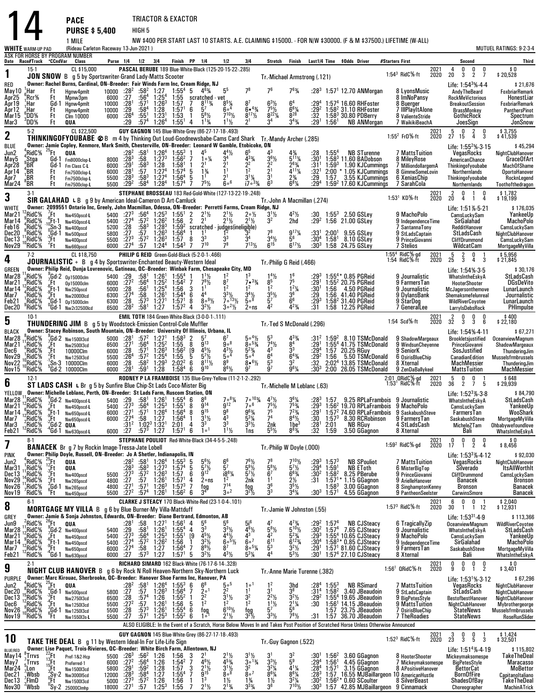14 ASK FOR HORSE BY PROGRAM NUMBER **Date Race#Track**F**CCndVar ClassWHITE** WARM-UP PAD**PACE** TRIACTOR & EXACTOR **PURSE \$ 5,400** HIGH 5 1 MILE NW \$400 PER START LAST 10 STARTS. A.E. CLAIMING \$15000. - FOR N/W \$30000. (F & M \$37500.) LIFETIME (W-ALL) (Rideau Carleton Raceway 13-Jun-2021 ) MUTUEL RATINGS: 9-2-3-4 **Purse 1/4 1/2 3/4 Finish PP 1/4 1/2 3/4 Stretch Finish Last1/4 Time \$Odds Driver #Starters First Second Third 1**15-1 CL \$15,000 **PASCAL BERUBE** 189 Blue-White-Black (125-20-15-22-.285)<br>**JON SNOW** B g 5 by Sportswriter-Grand Lady-Matts Scooter<br> **DESCRIPTION SCOOTER SCOOTER** FOR MEADOW FOR SCOOTER PLACE IN PROPIECT IN PROPIECT IN PROP RED May10 Tr.-Michael Armstrong (.121) **Owner: Rachel Burns, Cardinal, ON--Breeder: Fair Winds Farm Inc, Cream Ridge, NJ** Life: 1:54**Andy The Beard** Life: 1:54<sup>3</sup>%-4-4 21,676<br>FoxbriarRemark 2021 2020 $\begin{array}{ccccccc}\n1 & 4 & 0 & 0 & 0 & & \text{\$0} \\
0 & 20 & 3 & 2 & 7 & \text{\$20,528}\n\end{array}$ 1:54 $^3\,$  RidC  $\%$  ft Apr25  $1$ Har Ft Hgnw4pmlt 10000 $0.38^{2}$ :27  $2:58^2$  1:27 7 :56<sup>4</sup><br>8<sup>1</sup> :57<sup>1</sup><br>9 :58<sup>4</sup><br>04 :58  $\frac{7}{54}$   $\frac{1:55^4}{5}$  5  $\frac{4^6\%}{5}$ scratched - vet 5 78 766  $7^{6}$ <sup>3</sup>/<sub>4</sub>  $\frac{3}{4}$  :28<sup>3</sup> 1:57<sup>1</sup> 12.70 May10 <mark>kHar Ft Hgnw4pmlt 10000 28<sup>2</sup> 58<sup>2</sup> 1:27 1:55<sup>4</sup> 5 4<sup>6</sup>% 5<sup>5</sup> 7<sup>6</sup> 7<sup>6</sup> 7<sup>6</sup>% 1:28 1:57 12.70 ANMorgan 8 LyonsMusic AndyTheBeard FoxbriarRemark<br>Apr25 Rcr% Ft Mpnw3pm 6000 27 56<sup>4</sup> 1:25<sup>4</sup> 1:55 scratched vet \_ \_ \_ \_ </mark> Apr19<br>مصطف 'Rcr% Mpnw3pm 6000<br>Hanw4nmlt 10000  $4$  1:25 $4$  $1:26^3$  1:555 scratched vet 8 ImNoPansy RockMeVictorious HonestLiar<br>En 1980 RockMeVictorious HonestLiar 'Har Gd-1 Hgnw4pmlt <sup>10000</sup> :28 0 :28<sup>1</sup><br>0 :29<br>0 :384 <sup>4</sup> 1:28 1:57 $7 \t 7 \t 8^{11}\%$ <br>  $7^{1} \t 6 \t 5^{7}$ <br>  $2^{1} \t 5^{11}\%$  $\frac{3}{4}$   $\frac{8^{5}\%}{6^{4}}$  8 87  $^{7}_{\bullet}\substack{43\%\\ \bullet}\substack{43\%\\7^{5}\%}\substack{76\\6}$  $6<sup>4</sup>$  $^{4}$   $:29^{4}$  2 1:57<sup>4</sup> 16.60 $2$  1:58<sup>2</sup> 31.10 Apr19 ¦Har Gd-1 Hgnw4pmlt 10000 :28' :57' 1:26<sup>3</sup> 1:57 7 8'<sup>13</sup>4 8<sup>3</sup>½ 8′ 63½ 6<sup>3</sup>½ 6° :29ª 1:57ª16.60 RHFoster 8 Buerger – BreakoutSession FoxbriarRemark<br>Apr12 <sub>e</sub>Har Ft Hgnw4pmlt 10000 :29 :58ª 1:28 1:57' 6 5½ 6s<sup>4</sup> 6s<sup>4</sup> Mar15 Mar3<sup>1</sup>HarFt<br>Ft<br>Ft Hgnw4pmlt 10000 $\frac{8}{21}$   $\frac{1:57}{1:52}$  6 $6$  $\frac{1}{7}$ <sup>10</sup><sup>1</sup>/<sub>2</sub>  $\frac{4}{11}$   $\frac{6 \cdot 43}{8}$  7<br> $\frac{171}{8}$  8  $\frac{1}{2}$   $\frac{7^{10}\frac{1}{2}}{2}$   $\frac{8^{17}\frac{1}{2}}{3^4}$   $\frac{8^{28}}{3^4\frac{3}{4}}$   $\frac{32}{156}$ <br> $\frac{11}{2}$   $\frac{21}{2}$   $\frac{3^4}{4}$   $\frac{3^4\frac{1}{4}}{2^1}$   $\frac{156}{45}$  $\frac{1}{2}$   $\frac{6^{6}1}{23}$ 29: 24<br>3<sup>4</sup>: 29  $1.58^{3}$ Published BrassMonkey<br>
PanthersPinot<br>
BrassMonkey PanthersPinot<br>
BrassMonkey PanthersPinot<br>
Spectrum  $,00\%$  $\frac{C \text{Im} 10000}{1000}$  6000 :26  $:26$ 1 55<sup>1</sup>:<br>574 <sup>1</sup> 1:23<sup>1</sup><br><sup>4</sup> 1:26<sup>4</sup> <sup>1</sup> 1:53 1 5<br><sup>4</sup> 1:55<sup>1</sup> 4 1 81/2<br>13/4 30.80 PDBerry 8 ValienteStride GothicRock<br>7 WaikikiBeachA JoesSign JonSnow  $3\bar{D}\bar{D}\%$  Ft **QUA** :29 :57  $6^4$  1:55<sup>1</sup> 4 1<sup>13</sup>/<sub>4</sub> 1<sup>1</sup><sup>1</sup>/<sub>2</sub> 2 4 $11\frac{1}{2}$  $^{82}_{34}$ 4  $3^{4}\frac{3}{4}$  $\frac{3}{4}$  :29<sup>1</sup> 1:56**NB ANMorgan**  ANMorgan <sup>7</sup> WaikikiBeachA JoesSign JonSnow**2**5-2 F. 2005 CL \$22,500 **GUY GAGNON** 145 Blue-White-Grey (86-27-17-18-493)<br>The Sammer Lamin Could **Babe** B and the Thinking Out Loud-Goodnewsbabe-Cams Card Shark Tr.-Mandy Archer (.285)<br>Rike Campion Cardin Kempere Mark Smit BLUEJun2<br>Mavl **Owner: Jamie Copley, Kenmore, Mark Smith, Chesterville, ON--Breeder: Leonard W Gamble, Etobicoke, ON**<sup>4</sup>RidCJ <sup>25</sup>Ft **QUA** :28 2 :58 1 1:26 4 1:55 3 1 <sup>4</sup> 5 4 <sup>4</sup>L <sup>6</sup> 5 4 3 STurenne <sup>7</sup> MattsTuition VegasRocks NightClubHanover May5<sup>4</sup>Stga Gd-1 Fm8000clop-**<sup>L</sup>** <sup>8000</sup> :28 3 :58 1:27 3 1:562 7 <sup>1</sup>FM <sup>3</sup> 4 4<sup>3</sup>N <sup>3</sup> Life: 1:55VegasRocks Life: 1:55<sup>2</sup>%-3-15 45,294<br>NightClubHanover<br>GraceOfArt 2021 <sup>5</sup> <sup>0</sup> <sup>2</sup> <sup>0</sup> \$ 3,755 <sup>27</sup> <sup>15</sup> <sup>4</sup> <sup>3</sup> \$ 41,539 1:55<sup>2</sup> FrD%-ft 2020 $\begin{array}{cccc}^3 & 4\frac{3}{4} & .28\ 6\frac{1}{2} & 5^{11}\frac{1}{4} & .30\ 2 & 2^{6}\frac{3}{4} & .31\ 1 & 4^{11}\frac{1}{4} & .32\ \end{array}$ <sup>3</sup>⁄4 :28 1:55<sup>4</sup> NB<br><sup>11</sup>⁄4 :30<sup>1</sup> 1:58<sup>3</sup> 11.60 Apr28 $\frac{8}{74}$  1:58<sup>1</sup>  $^{22}_{12}$  $\begin{array}{ccc} 33\cancel{4} & 3^{6}\cancel{2} & 5 \\ 2 & 2^{2} & 2 \\ 2 & 2^{1} & 4 \end{array}$ 1<br>1 1:597 MattsTuition ChangesRocks NightClubHanover<br>8 MileyRose AmericanChance GraceOfArt<br>7 MilliondollargemA Thinkingofyoubabe MachOfShame יי<br>ל <sup>4</sup>Stga<br><sub>4</sub>BR Gd-1 Fm Class C-L 6000<br>Ft Fm 7500clop-L 6000<br>Ft Fm 7500clop-L 5500  $:29$ <sup>1</sup> :58<sup>3</sup><br><sup>1</sup> :57<br>3 :58<sup>3</sup> 8<sup>3</sup> 1:28<br>7 1:27<sup>4</sup><br>8<sup>3</sup> 1:27<sup>4</sup>  $\mathbf{i}$  $\frac{1}{2}$   $\frac{2}{3}$  $\frac{3}{4}$   $\frac{2}{1}$  1<br>  $\frac{1}{2}$  1<br>  $\frac{1}{3}$  $1\,2:00$ 1.90 KJCummings<br>1.05 KJCummings<br>3.55 KJCummings 7 MilliondollargemA<br>8 GimmeSomeLovin Thinkingofyoubabe MachOfShame Apr14 $\rm _1^{4}$ BR $\rm _1^{1}$ BR Ft Fm7500clop-**<sup>L</sup>** <sup>6000</sup> :28 ا<br>3 <sup>4</sup> 1:57<sup>4</sup><br><sup>4</sup> 1:56<sup>4</sup>  $\begin{array}{cc} 4 & 5 & 1 \\ 4 & 5 & 1 \\ 4 & 7 & -1 \end{array}$ 5 1<sup>3</sup> 1<br>5 1<sup>1</sup> 2  $3^{1}$ %  $\overline{3}$ <sup>2</sup>4 :32<sup>1</sup><br>29. Apr14 "BR Ft <sub>Fm7500clop-L</sub> 6000 :28' :57 1:27ª 1:57ª 5 1¾ 1' 1<sup>2</sup> 2' 4''¼ :32' 2:00 \*1.05 KJCummings 8 GimmeSomeLovin Northernlands OportoHanover<br>Apr7 <mark>.</mark>BR Ft <sub>Fm7500clop-L 5500 :28<sup>3</sup> :58<sup>3</sup> 1:27ª 1:56ª 5 1<u>'</u> 2' 3'¼ 3'</sub> Ft Fm7500clop-L 5500<br>Ft Fm7500clop-L 5500  $2.158^{4}$  $4$  1:28 $4$ <sup>4</sup> 1:57<sup>4</sup> 7  $a_{\alpha}6$ 6  $\frac{3^{1}\frac{1}{4}}{17\degree^{3}\frac{1}{4}}$  6  $\frac{1}{3}$   $\frac{2\frac{3}{4}}{6^8\frac{1}{4}}$ Apr7 'BR Ft <sub>Fm7500clop-L</sub> 5500 :28<sup>3</sup> :58<sup>3</sup> 1:27<sup>4</sup> 1:56<sup>4</sup> 5 1<sup>1</sup> 2<sup>1</sup> 3<sup>1</sup>% 3<sup>1</sup> 2% :29 1:57 3.55 KJCummings 6.XeniasChip Thinkingofyoubabe RocknLegend<br>Mar24 BR Ft <sub>Fm7500clop-L 5500 :29<sup>2</sup> :58<sup>4</sup> 1:28<sup>4</sup> 1:57<sup>4</sup> 7 7<sup>5</sub></sup>  $^8$ BR Ft Fm7500clop-**<sup>L</sup>** <sup>5500</sup> :29  $-292$  $\frac{8^4}{1:28^4}$  1:57<sup>4</sup> 7  $\frac{7^5}{2}$  6<sup>°</sup> 6<sup>°</sup>  $7 \frac{7^{5}\%}{2^{5}}$  $\tilde{R}^3$  $\frac{1}{4}$  :29<sup>4</sup>  $4.1:59<sup>2</sup>17.60$ SarahCola Morthernlands Toothofthedragon<br>
2021 2 0 1 0 \$1,782<br>
KD<sup>5</sup>%-ft 2020 2 4 1 4 \$19.199 **3**STEPHANE BROSSEAU 183 Red-Gold-White (127-13-22-19-248)<br>**SIR GALAHAD** L B g 9 by American Ideal-Cameron D Art-Camluck Tr.-John A Macmillan (.274)<br>William Campace 2000EE1 Optorio Inc. Grocky John Macmillan Odosee ON Procede **WHITE**  Mar21**Owner: 2099551 Ontario Inc, Greely, John Macmillan, Odessa, ON--Breeder: Perretti Farms, Cream Ridge, NJ** Life: 1:51K-5-21 \$ 176,035 2021 2020 <sup>2</sup> <sup>0</sup> <sup>1</sup> <sup>0</sup> \$ 1,782 <sup>20</sup> <sup>4</sup> <sup>1</sup> <sup>4</sup> \$ 19,199 1:53<sup>1</sup> KD%-ft  $12$ RidC $%$  <sup>9</sup>RidCJ% <sup>7</sup>Ft Nw450pscd-L 5400 :27<sup>3</sup> :56<br>% <sup>6</sup>Ft-1 Nw450pscd-L 5400 :27<sup>4</sup> :57<br>% 0Sn-3 Nw400pscd 5200 :28 :58<br>% <sup>9</sup>Gd-1 Nw500pscd 5600 :27<br><sup>2Ft</sup> Nw660pscd 5500 :27<sup>4</sup> :57<br>% <sup>2</sup>Ft Nw660pscd 65000 :27<sup>4</sup> :57 Nw450pscd-**<sup>L</sup>**5400<br>5400  $0.27^{3}$  4 $^3\;$  :56 $^4\;$  $4:57^2$  $4$  1:25 $^3$  $2^{2}$  1:26<sup>2</sup>  $^3$  1:55 $^1$ <sup>2</sup> 1:56  $\frac{2}{2}$  $\begin{array}{ccc} 2 & 2^1\frac{1}{2} & 2 \\ 2 & 2^1 & 2 \end{array}$ 11/2<br>11/2  $\frac{1}{2}$   $\frac{2 \cdot 1}{2}$  3<br> $\frac{1}{2}$  3  $\frac{1}{2}$  4<br>2 2  $\frac{11}{2}$   $\frac{4^2}{2}$ hd :30 1:55 <sup>3</sup> 2.50 :292 1:56 21.009 MachoPolo CamsLuckySam<br>9 IndependenceTime SirGalahad YankeeUp<br>MachoPolo Mar<sub>14</sub> Feb16 QЗ <sup>3</sup> 1:28<sup>3</sup><br>3.3e3  $\frac{6}{9^2}$  scratch<br> $\frac{63}{9^4}$  scratch 2 2<sup>1</sup> 2<sup>1</sup>½ 2<sup>1</sup>½ 3<br><sup>2</sup> scratched - judges(ineligible)<br><sup>4</sup> 1 1<sup>1</sup> 1<sup>2</sup> 3<sup>2</sup> 7<br>8 3<sup>3</sup> 3<sup>3</sup> 3<sup>4</sup> 3 Mar14 "RidC% "CFt-1 nw450psc4-L 5400 :27<sup>4</sup> :57<sup>2</sup> 1:26<sup>2</sup> 1:56 2 2<sup>1</sup> 2<sup>1</sup>½ 2<sup>1</sup>½ 3<sup>2</sup> 2hd :29<sup>2</sup> 1:56 21.00 GSLey 9 IndependenceTime SirGalahad MachoPolo Dec20 4RidC%<br>RidC% <sup>3</sup> 1:59<sup>2</sup> s<br><sup>3</sup> 1:56<sup>4</sup> 1  $\frac{1}{2}$   $\frac{1}{2}$   $\frac{1}{2}$   $\frac{1}{2}$   $\frac{1}{2}$   $\frac{1}{2}$   $\frac{1}{2}$   $\frac{1}{2}$   $\frac{1}{2}$   $\frac{1}{2}$   $\frac{1}{2}$   $\frac{1}{2}$   $\frac{1}{2}$   $\frac{1}{2}$   $\frac{1}{2}$   $\frac{1}{2}$   $\frac{1}{2}$   $\frac{1}{2}$   $\frac{1}{2}$   $\frac{1}{2}$   $\frac{1}{2}$   $\frac{1}{2}$  SantannaTony RedditHanover CamsLuckySamDec20 ."RidC% "Gd-1 nw500nscd = 5800 :27 :57 1:26<sup>3</sup> 1:56<sup>4</sup> 1 1<sup>1</sup> 1<sup>2</sup> 3<sup>2</sup> 7<sup>8</sup> 9<sup>17</sup>¼ :33<sup>1</sup> 2:00' 9.55 GSLev = 9 StLadsCantain = StLadsCash = NightClubHanov Dec13  $3^{11}$ RidC % Nw500pscd 5800<br>Nw400pscd 5500 <sup>3</sup> 1:57 8  $\frac{1}{2}$   $\frac{3^{4}\frac{1}{2}}{6^{15}}$   $\frac{5^{6}}{6^{17}\frac{1}{2}}$  :30 8 9<sup>17</sup>M33<sup>1</sup> *1*4<br>304 2:00 $4$  1:58 $1$  8.10 9.55 GSLey Dec20 "RidC% "Gd-1 nw500pscd 5800 :27 :57 1:26<sup>3</sup> 1:56<sup>4</sup> 1 1<sup>1</sup> 1<sup>2</sup> 3<sup>2</sup> 7<sup>8</sup> 9<sup>1/</sup>% :33' 2:00' 9.55 GSLey 9 StLadsCaptain StLadsCash NightClubHan  $\frac{128}{127}$ <br> $\frac{27}{127^3}$  $3 \tcdot 57^2$  :57 $2^{2}$  1:26<sup>3</sup> <u>7 1:24<sup>4</sup></u> <sup>3</sup> 1:57 8 3<br><sup>4</sup> 1:54<sup>3</sup> 7 7 3 88  $7^{13}\frac{1}{2}$ F<sub>6</sub> :304n3 <sup>3</sup> 1:58 24.75 GSLey <sup>9</sup> PrinceGiovanni CliffDrummond CamsLuckySamNov29 "RidC% ft <sub>Nw66Nescd</sub> 6000 :27<sup>4</sup> :57 1:24ª 1:54<sup>3</sup> 7 7™ 7<sup>8</sup> 7<sup>131</sup>½ 6<sup>15</sup> 6<sup>17</sup>½ :30<sup>3</sup> 1:58 24.75 GSLev 7 Stelios WildcatCam MortoageMyVil  $\frac{\text{Nov29}}{4} \frac{\text{°RidC\%}}{7.2}$  Nw660pscd660pscd 6000 <u>0 :274</u> 7 $7^{10}$  GSLey <sup>7</sup> Stelios WildcatCam $\frac{1}{\text{Gamma}} = \frac{\text{MortgageMyVilla}}{5.956}$ <br>4 3 \$ 21.845 **4** 7-2 CL \$18,750 **PHILIP G REID** Green-Gold-Black (5-2-0-1-.466) **JOURNALISTIC** + B g 4 by Sportswriter-Enchanted Beauty-Western Ideal Tr.-Philip G Reid (.466)GREEN Mar28**Owner: Philip Reid, Dunja Lovrenovic, Gatineau, QC--Breeder: Winbak Farm, Chesapeake City, MD**<u>n</u><br>And the contract of the contract of the contract of the contract of the contract of the contract of the contract Life: 1:54%-3-5<br>WhatsIntheEskyA StLadsCash  $1:55^{4}$ 4 RidC%-gd 2021 5 2 0 1 \$5,956.<br>1:54 RidC%-ft 2020 25 3 4 3 \$21.845 <sup>2021</sup> $2020$ 5 2 0 1 \$ 5,956<br>25 3 4 3 \$ 21,845 Mar28 <sup>11</sup>RidC%<br>Mar21 ..RidC%  $\mathrm{RidC}$  % % <sup>9</sup>Gd-2 0p15000clm 5400 :29 :58<br>% <sub>9</sub>Ft 0p15000clm 6000 :27<sup>2</sup> :56<br>% <sub>9</sub>Ft-1 Nw250pscd 5000 :28 :56<br>% <sub>9</sub>Gd-1 0p15000clm 6300 :27<sup>4</sup> :587<br>% Gd-1 0pv2:32500lcd 6500 :28<sup>2</sup> :58<br>% Gd-1 0pv2:32500lcd 6500 :28<sup>2</sup> :58 Op15000clm5400 :29  $.581$  $1:26<sup>1</sup>$  $4$  1:25<sup>2</sup>  $1.1:55<sup>4</sup>$  $2 \quad 1:54^2$  11 1½ 1<br>7 7<sup>8</sup>½ 8<br>3 1<sup>1</sup> 1  $11\frac{1}{2}$ 22 13  $\begin{array}{ccc} 7 & 7 \cdot 33/4 & 8 \\ 2 & 1^2 & 1 \end{array}$  $\begin{array}{cccc} 3 & 14\frac{1}{2} & 1 \\ -33\frac{1}{4} & 8^5 & 7 \\ 2 & 1^2 & 1 \end{array}$  $\frac{16}{7^5}$ <br>1<sup>2</sup>  $\frac{1}{4^2}$ 6 :293<sup>5</sup> :29<br><sup>2</sup> /4 :30<br><sup>6</sup> :29  $3\quad1:55^{4*}$  0.85 1:55 <sup>2</sup> 20.75 PGReid <sup>9</sup> FarmersTan HooterShooter DGsDeVito 1:56 4.50**9 Journalistic WhatsIntheEskyA**<br>**9 FarmersTan HonterShooter** Mar28 '<sub>9</sub>RidC% -,Gd-2 op15000clm - 5400 :29 :58<sup>1</sup> 1:26<sup>1</sup> 1:55<sup>4</sup> 1 1<sup>1</sup>½ 1<sup>3</sup> 1<sup>4</sup>½ 1<sup>6</sup> :29<sup>3</sup> 1:55<sup>4</sup> 0.85 PGReid - 9 Journalistic - WhatsIntheEskyA - StLadsCash - StLadsCash - 11% 152 1:564 - 11% 11% 11% 11% 11% 11% Mar14Op15000clm<br>Nw250nscd 6000<br>5000  $:27^{2}$  $^2$  :56 $^4$ 56:<br>58: <sup>4</sup>  $1:25^4$ <sup>4</sup> 1:56<br><sup>1</sup> 1:54<sup>4</sup> 77<br>2 RidC  $\frac{8}{73}$  1:26<sup>1</sup> <sup>3</sup> <sup>1</sup> 6 $\frac{3^{3}\frac{1}{2}}{2^{6}}$   $\frac{3^{4}}{1^{6}}$   $\frac{3^{4}}{2^{6}}$   $\frac{3^{6}}{2^{6}}$  $3^{4}\frac{1}{2}$  3<br>5.8 5  $3^{5}\%$  3<br>5<sup>7</sup> 6Mar14 "RidC% "Ft-1 <sub>Nw250pscd</sub> 5000 :28 :56' 1:25<sup>4</sup> 1:56 3 1' 1<sup>2</sup> 1<sup>2</sup> 1<sup>2</sup>4 :30' 1:56 4.50 PGReid 9Journalistic McJagersonthemove LunarLaunch<br>Mar7 "RidC% Ft ww?nnnned 6300 :27<sup>4</sup> :58 1:26' 1:54ª 6 4<sup>4</sup> Feb21RidC<sup>5</sup>  $\frac{128}{274}$ 7<sup>1</sup> 1:57<sup>1</sup><br>7 1:57<sup>2</sup>  $\begin{array}{ccccc} 6 & 4^4 & 3^3 \ 8 & 8 \circ 9 &\hspace*{-0.6ex}\ell_2 & 7 \circ \ 4 & 3^2 &\hspace*{-0.6ex}\ell_2 & 3 \circ \end{array}$  $\frac{1}{4}$ 1:56 9 Journalistic McJagersonthemove<br>1:56 Mars Shemaksmefelunreal Journalistic<br>1:5 StarDog WildRiverCovotee LunarLaunch Dec20 1RidC%<br><sup>9</sup>RidC%  $.573$  $3 \quad 1:27^1$  $1:27$  $\begin{smallmatrix}1&&8\&2&4\end{smallmatrix}$  $\frac{8}{10}$  5<sup>7</sup>  $^{\prime}$  6 :293:31 1:58 <sup>3</sup><br>1:50 31.40 PGReid<br>12.25 PGReid PGReid <sup>9</sup> StarDog WildRiverCoyotee LunarLaunch Dec20Nw2r32500lcd 6500  $:28<sup>2</sup>$  :581EMIL TOTH 184 Green-White-Black (3-0-0-1-.111)  $3.2\%$  $2 \circ$ ns <sup>2</sup> 4  $23/4$  :31 1:58 12.25 PGReid <sup>7</sup> GeneralLee LarryIsDebsRock PHImpulse **5**EMIL TOTH 184 Green-White-Black (3-0-0-1-.111)<br>**THUNDERING JIM** B g 5 by Woodstock-Emission Control-Cole Muffler<br>RIACK **Reprised Participal Stutt Mountain ON Proceder: University Of Wingis Urbana** BLACK Mar28 Tr.-Ted S McDonald (.296) **Owner: Stacey Robinson, South Mountain, ON--Breeder: University Of Illinois, Urbana, IL**Life: 1:54%-4-11 \$67,27<br>  $16.4\%$  5<sup>3</sup> 4<sup>3</sup>% 3<sup>4</sup> :29<sup>1</sup> 1:55<sup>4</sup> 41.75 TSMcDonald 9 ShadowMargeaux Brookletsjustified OceanviewMagnum<br>
1.4 5<sup>2</sup>% 4<sup>3</sup> 3<sup>3</sup> :29<sup>4</sup> 1:57 20.25 RGuy 9 SeniorK SosJustified ThunderingJim<br>
4.5<sup>4</sup> \$ 67,271 \$ 1:54%-4-11<br>Brookletsjustified OceanviewMagnum 2021 <sup>2</sup> <sup>0</sup> <sup>0</sup> <sup>0</sup> \$ 400 <sup>32</sup> <sup>3</sup> <sup>3</sup> <sup>6</sup> \$ 22,180 1:54 Scd%-ft 2020Mar21 8.<br>RidC % 9Gd-2 Nw1500l3cd - 5000 :28<sup>1</sup> :57<br>% 1ft Nw2500l3cd - 6500 :27<sup>1</sup> :56<br>% 1ft 10000Clm - 6000 :28 :57<br>% 1Sn-3 10000Clm - 6000 :28 :58<br>% <sup>1</sup>Sn-3 10000Clm - 6000 :28 :58<br>% <sup>5</sup>Gd-2 10000Clm - 6000 :28 :59 0 :28<sup>1</sup><br>0 :27<sup>1</sup><br>0 :29  $1 \tcdot 57^2$  :56 41 :572 $2^{2}$  1:27 $1$  $4$  1:25<sup>2</sup>  $1.58^{3}$ <sup>2</sup> 1:55<br><sup>3</sup> 1:56<sup>2</sup> 2 $8^3$  2  $5^7$  6<sup>7</sup><br>5 8 9<sup>13</sup> 9.<br>6<sup>2</sup> [9 4<sup>51</sup>/<sub>2</sub> 4<sup>3</sup><br>5 5 5<sup>7</sup>/<sub>2</sub> 5.<br>2<sup>2</sup> 6 8<sup>11</sup>/<sub>2</sub> 8<sup>9</sup><br>8<sup>4</sup> 6 9<sup>10</sup> 8<sup>6</sup> 8 م0  $6<sup>7</sup>$  $\begin{array}{ccc} 7 & 5 \circ 4 \gamma_2 & 5 \ \circ 8 & 8 \circ 5 \gamma_4 & 7 \ 3 \gamma_2 & 5 \cdot 3 \gamma_4 & 4 \ 5 \circ 4 & 6 \end{array}$  $\frac{4}{3}\frac{4}{3}$  8<br>3 4<sup>33</sup>⁄4<br>8<sup>4</sup><br>23 33⁄4 :31<sup>2</sup><br>4 :29<sup>1</sup><br>29<sup>4</sup> : 1:591:55<br><sup>4</sup> נוב Mar21 ''.RidC% '.Ft nw250013cd 6500 :27' :56\* 1:25<sup>2</sup> 1:55 8 9<sup>13</sup> 9<sup>08</sup> 8<sup>05</sup>% 7<sup>4</sup>½ 8<sup>4</sup> :29' 1:55<sup>4</sup> 41.75 TSMcDonald 9 WindsunChevenne PrinceGiovanni ShadowMargear RidC 5....<br>RidC% <sup>6500</sup> $1:26^3$  $\frac{31}{9}$ <br>9 Mar21 "RidC% Ft <sub>Nw250013cd</sub> 6500 :27' :56ª 1:25<sup>2</sup> 1:55 8 9<sup>13</sup> 9°<sup>8</sup> 8°<sup>53</sup>4 7°½ 8ª :29' 1:55ª41.75 TSMcDonald 9.WindsunCheyenne PrinceGiovanni ShadowMargeaux<br>Dec6 "RidC% Ft 10000Clm 6000 :28 :57' 1:26<sup>3</sup> 1:56<sup>2</sup> 19 4<sup>51</sup> Nov29 <sup>2</sup> 1:25<sup>4</sup><br>2 1:29<sup>3</sup> <sup>4</sup> 1:55<br><sup>3</sup> 2:02<sup>2</sup>  $\frac{5}{9}$  $\frac{4}{3}$   $\frac{6^{4}34}{3^{2}}$  :29 2 :32 :30 3Som Summan Shadow Margeaux<br>
1 Senior K SosJustified ThunderingJim<br>
1 Senior SosJustified ThunderingJim<br>
1 CanadianEdition Mussels frmbrussels 00029 AnidC% ^Ft Nw125013cd 5500 :26<sup>4</sup> :57<sup>2</sup> 1:25<sup>4</sup> 1:55 5 5<sup>1 /</sup>2 5<sup>0 4</sup> 5<sup>0 4</sup> 5<sup>0 4</sup> 6<sup>4</sup> 6<sup>4</sup> 1:25 1:56 5.50 TSMcDonald 6.0sirisBlueChin CanadianEdition Musselsfrmbrusse RidC%<br>RidC% 2 <sup>10</sup>RidC%<br>5 <sup>10</sup>RidC%<br>5 <sup>10</sup>RidC<mark>%</mark> <sup>5500</sup> $0.36^4$ o<br>01  $1 \frac{.58^2}{.59^1}$ ° 5°<sup>4</sup> 6<br>° 8∙<sup>61</sup>½ 5<br>° 9<sup>7</sup> 9  $\frac{6^4}{5^3}$ Nov29 ||RidC% |Ft <sub>Nw125013cd</sub> 5500 :26<sup>4</sup> :57<sup>2</sup> 1:25<sup>4</sup> 1:55 5 5<sup>7</sup>½ 5×<sup>4</sup> 5<sup>4</sup> 6<sup>4</sup> 6<sup>4</sup>% :29<sup>2</sup> 1:56 5.50 TSMcDonald 6 OsirisBlueChip CanadianEdition Musselsfrmbrussels<br>Nov22 !|RidC% .Sn-3 10000Cl  $1:28$  $8 \t1:58^4$ 5<br>6 7  $9^{6}\frac{1}{4}$ Nov22 ¦°RidC% ¦Sn·3 10000Clm 6000 :28 58<sup>2</sup> 1:29<sup>3</sup> 2:02<sup>2</sup> 6 8<sup>111</sup>½ 8<sup>y</sup> 8\*<sup>61</sup>½ 5<sup>3</sup> 3<sup>2</sup> 32 2:02° 13.85 TSMcDonald 8 Xternal MachMessier ThunderingJi<br>Nov15 <sup>10</sup>RidC%  $9^1$  1:28 1:58<sup>4</sup> 6  $9^{10}$  8<sup>61</sup>/<sub>2</sub> 9 6 $86\frac{1}{2}$ 9 XenDaBallykeel MattsTuition MachMessier<br>| ORidC%-gd 2021 5 0 0 1 \$648<br>| RidC%-ft 2020 36 2 7 5 \$29,939 **6**RODNEY P LA FRAMBOISE 135 Blue-Grey-Yellow (11-2-1-2-.292)<br>**ST LADS CASH** L Br g 5 by Sunfire Blue Chip-St Lads Coco-Mister Big Tr.-Michelle M Leblanc (.63)<br>VELLOW Deveney Michelle Leblanc Perth, ON Breader: St Lads Earn B YELLOW Mar28**Owner: Michelle Leblanc, Perth, ON--Breeder: St Lads Farm, Ruscom Station, ON** Life: 1:52WhatsIntheEskyA Life:  $1:52^3\% \cdot 3.8$ 84,790 \$<br>StLadsCash 2:01 QRidCJ-gd <sup>5</sup> <sup>0</sup> <sup>0</sup> <sup>1</sup> \$ 648 1:53<sup>1</sup> RidCJ-ft1<sup>d</sup> 2021<br>t 2020 <sup>36</sup> <sup>2</sup> <sup>7</sup> <sup>5</sup> \$ 29,939 Mar28 <sup>11</sup>RidC%<br>Mar21 <sup>12</sup>RidC%  $1^{12}$ RidC % % <sup>9</sup>Gd-2 Nw400pscd-L 5400 :29 :58<br>% <sup>5</sup>Ft Nw450pscd-L 5400 :27<sup>3</sup> :56<br>% <sup>5</sup>Ft-1 Nw650pscd-L 6000 :27<sup>1</sup> :57<br>% <sup>2</sup>Gd-2 QUA<br>% <sup>4</sup>Gd-1 Nw630pscd-L 6000 :27 :57<br>% <sup>4</sup>Gd-1 Nw630pscd-L 6000 :27 :57 58<sup>1</sup> :<br>56<sup>4</sup> : <sup>1</sup> 1:26<sup>1</sup><br><sup>4</sup> 1:25<sup>3</sup>  $1:55^4$  $3 \quad 1:55^1$  $\begin{smallmatrix} 4 & 6 \ 1 & 8 \end{smallmatrix}$  $6 \t 8^8 \t 7^3$  $9^{12}$  $8\frac{1}{4}$  $\frac{1}{4}$  7<sup>°</sup> 10<sup>3</sup>/<sub>4</sub> 4<br>7° 6 <sup>7</sup>½ 3<br><sup>5</sup>½ 7  $\begin{array}{ccc} 1^{10}\frac{3}{4} & 4^{7}\frac{1}{2} & 3^{6}\frac{1}{4} \\ 6 & 7^{5}\frac{1}{2} & 7^{5}\frac{1}{4} \\ \frac{3}{4} & 7^{5} & 7^{2}\frac{1}{4} \\ \frac{1}{2} & 2\frac{1}{4} & 8^{4}\frac{1}{2} \\ \frac{1}{2} & 2\frac{1}{4} & 16^{3} \\ \frac{1}{2} & 5^{5}\frac{1}{4} & 8^{8}\frac{1}{4} \end{array}$ <sup>1⁄4</sup> :28<sup>3</sup><br>3⁄4 :203 Mar28 'RidC% "Gd-2 <sub>W</sub>w400pscd-L 5400 :29 :58' 1:26' 1:55<sup>4</sup> 6 8<sup>8</sup> 7°<sup>81</sup>⁄4 7°<sup>10</sup>⁄4 4′½ 3°<sup>1</sup>⁄4 :28° 1:57 9.25 RPLaFrambois 9.Journalistic WhatsIntheEskyA StLadsCash<br>Mar21 2RidC% .Ft <sub>Nw450nscd-L</sub>  $^6$ RidC $\%$  <sup>5400</sup> $0.27^{3}$  $7^1$  :57 1 :58 $\frac{1}{1.26^4}$ 1:56<sup>4</sup><br>1:564  $\begin{array}{llll} 8 & 9^{14} & 9^{12} & 7\, \circ \ 8 & 9^{15} & 9^{8} & 9^{6} \ 1 & 3^{1}\_2 & 4^{3} & 5^{3} \ 4 & 3^{3} & 3^{3} & 3^{3} \end{array}$  $\begin{array}{ccc} 8 & & 9^{6}3_{4} & & 7 \ 3 & & 5^{3}3_{4} & & 7 \ 3 & & 3^{3}3_{2} & & 2 \end{array}$ % :29<sup>3</sup> 1:56<br>% :29<sup>1</sup> 1:57<br>% :30 1:57<br>e<sup>3</sup> :28<sup>1</sup> 2:01 1:56 <sup>2</sup> 19.70 RPLaFrambois <sup>9</sup> MachoPolo CamsLuckySam 1:57 <sup>2</sup> 74.60 RPLaFrambois <sup>9</sup> SaskabushSteve FarmersTan WooShark <sup>3</sup> 8.30CamsLuckySam YankeeUp<br>FarmersTan WooShark Mar<sub>14</sub> <sup>4</sup> 8<br><sup>4</sup> 1 8<br>3 5Mar7<br>Mar3 7 <sup>12</sup>RidC%<br>3 <sup>2</sup>RidC% <sup>4</sup> :58 1:27 1:56<br><sup>2</sup> 1:02<sup>3</sup> 1:32<sup>1</sup> 2:01 4 RCRobinson <sup>9</sup> FarmersTan SaskabushSteve MortgageMyVilla Mar3Feb21  $\frac{2}{31^2}$  3 1:27 2:012<sup>1</sup> 2:01 4 3<br>7 1:57<sup>1</sup> 6 1  $1<sup>1</sup>$ /<sub>2</sub>  $3<sup>3</sup>$  $\frac{1}{2}$  1ns 5 :32  $2:01$ <br>1:59 NB RGuy<br>3.50 GGagnon RGuy <sup>4</sup> StLadsCash MicheleZTam Ohbabywefoundlove Feb21 $\frac{1}{2}$ RidC<sup>5</sup>/<sub>8</sub> 6 $6 \t10^{1} \t1$  $55\frac{1}{2}$  $\frac{1}{2}$  8<sup>83</sup>/<sub>4</sub> MicheleZTam Ohbabywefoundlove<br>
Bali WhatsIntheEskyA<br>
0 0 0 0 \$ 0<br>
7 1 2 4 \$ 8.456 **7** 8-1 **STEPHANE POULIOT** Red-White-Black (34-4-5-5-.248) **BANACEK** Br g 7 by Rockin Image-Tressa-Jate Lobell Tr.-Philip W Doyle (.000)PINK Jun2**Owner: Philip Doyle, Russell, ON--Breeder: Jo A Shetler, Indianapolis, IN**n<br>- 2000 - 2000 - 2000 - 2000 - 2000 - 2000 - 2000 - 2000 - 2000 - 2000 - 2000 - 2000 - 2000 - 2000 - 2000 - 20 **VegasRocks** Life: 1:53<sup>3</sup>%-4-12 92,030 \$<br>NightClubHanover 2021 <sup>2020</sup> <sup>0</sup> <sup>0</sup> <sup>0</sup> <sup>0</sup> \$ 0 <sup>17</sup> <sup>1</sup> <sup>2</sup> <sup>4</sup> \$ 8,456 1:59<sup>2</sup> RidC%<sub>\*</sub>gd Mar31 RidC% 25 Ft **QUA** :28<br>
<sup>25</sup><sub>3</sub> Ft **QUA** :28<br>
<sup>25</sup><sub>3</sub> Ft Nw400pscd 5500 :27<br>
<sup>5</sup>% <sub>8</sub> Gd-1 Nw265pscd 4800 :27<br>
<sup>26</sup> 6 Pt Nw450pscd 4800 :27<br>
25 Pt Nw450pscd 4800 :27  $:28<sup>2</sup>$ <sup>2</sup>:581 8<sup>3</sup> :58<sup>3</sup> 1:27<br>7<sup>3</sup> :57<sup>2</sup> 1:26<br>7 :57 1:26<br>71 :571 1:26 <sup>1</sup> 1:26<sup>4</sup><br><sup>3</sup> 1:27<sup>3</sup><br><sup>2</sup> 1:26<sup>3</sup>  $4$  1:55 $3$  $3\quad1:57^4$  $\frac{3}{4}$  5 5  $5^{6}$ <sup>1</sup>/<sub>2</sub>  $\frac{1}{2}$   $\frac{1}{2}$   $\frac{5}{2}$   $\frac{1}{6}$   $\frac{8}{4}$   $\frac{5}{2}$ <br>  $\frac{1}{2}$   $\frac{2}{3}$ 6 $7\frac{6}{5}\frac{1}{2}$  $\begin{array}{ccc} \frac{1}{2} & 7^8 & 7 \\ \frac{1}{2} & 5^8\frac{1}{2} & 5^8 \\ \frac{1}{2} & 6^7 & 6 \\ \frac{1}{2} & 1 & 2^8 & 2 \end{array}$ 8  $7^{10}\%$  $\frac{1}{2}$   $\frac{1}{2}$   $\frac{1}{2}$   $\frac{1}{3}$   $\frac{1}{4}$   $\frac{1}{3}$   $\frac{1}{3}$   $\frac{1}{2}$   $\frac{1}{3}$   $\frac{1}{4}$   $\frac{1}{3}$   $\frac{1}{2}$  $:29<sup>3</sup>$  $3 \quad 1:57^3$  $\begin{array}{llll} \frac{7\frac{1}{2}}{2} & \frac{1.59^4}{1.58^3} \ \frac{1\frac{1}{2}}{2} & \frac{1.30^2}{1.58^3} \ \frac{1\frac{1}{2}}{3} & \frac{1.57^4}{1.58^3} \ \frac{1\frac{1}{2}}{3} & \frac{1}{2} & \frac{1}{2} \end{array}$ **NB SPouliot**  SPouliot <sup>7</sup> MattsTuition VegasRocks NightClubHanover Mar31Dec13 RidC%  $28^3$ <br>373:<br>37: 0 <sup>3</sup> 1:57<br><sup>1</sup> 1:57 5 $\frac{5}{6}$   $\frac{5^{7}\%}{9^{12}}$  5  $\frac{5^9}{2^7}$ 71/2 **NB** EToth EToth <sup>6</sup> MisterBigTop Silverado ItsAllWorthIt Dec13 $3^{11}$ RidC $\%$ <br> $9^{14}$ RidC $\%$  17 6  $9^{12}$  i8<br>
7<sup>1</sup> 4 2 ° ns 1<sup>2</sup>  $\frac{7}{1}$  6<sup>63</sup>/<sub>2</sub> 8.25 PRoruho PBerube <sup>9</sup> PrinceGiovanni CliffDrummond CamsLuckySamNov29 "RidC% "Ft nw265nscd = 4800 :27 :57 1:26 1:57 4 2.pns 1<sup>2</sup> = 2nk 1<sup>1</sup> = 2½ :31 1:57 \* 1.15 GGagnon = 9 ArielleHanover = Banacek = = = = Bronsc  $6\,$   $7\,$  RidC  $\%$  Nw265pscd4800<br>4800  $3\quad1:57^3$  $\frac{1}{3}$  4  $2n$ ვ<sub>6</sub><br>23 0.29 Pocraso GGagnon <sup>9</sup> ArielleHanover Banacek Bronson Nov26 $7^7$ Rid $C\%$ Nw265pscd 0 :27<sup>1</sup><br>0 :27<sup>2</sup> :57 1 :574 $1:26^3$  $4$  1:26 $1$  $1:56^2$ 7 fog  $7^{14}$  fog 3<br>6 3<sup>4</sup> 3 ° 3<sup>2</sup> 3 <sup>6</sup> 3<sup>51</sup>/<sub>2</sub><br>3 3<sup>4</sup>1/<sub>4</sub> 1:58 1:57<sup>3</sup> 3.00<br><sup>1</sup> 4.55 Nov26 ',RidC% 'Gd-1 <sub>Nw265pscd</sub> 4800 :27' :57' 1:26<sup>3</sup> 1:57° 7 fog 7<sup>14</sup> fog 3°½ 1:58° 3.00 GGagnon 8 SinghamptonKenny Bronson Banacek<br>Nov19 RidC% Ft Nw450psco <sup>5500</sup> 6 $4^\circ$   $3^\circ$ 2  $3^{2}\frac{1}{2}$  $\frac{1}{2}$  3  $\frac{1}{4}$  :30<sup>3</sup> GGagnon <sup>9</sup> PantheonSeelster CarwinsSmore Banacek **86-1 CLARKE J STEACY** 170 Black-White-Red (23-1-0-4-.101)<br>**MORTGAGE MY VILLA** B g 6 by Blue Burner-My Villa-Mattduff<br> **MORTGAGE MY SCRIP Lehrsten, Education M** Broadge: Disne Bestrand, Education AP GREY Jun9 Tr.-Jamie W Johnston (.55) **Owner: Jamie & Sonja Johnston, Edwards, ON--Breeder: Diane Bertrand, Edmonton, AB** <sup>26</sup>Ft **QUA** :28 1Life: 1:53<sup>31</sup>-4-9<br>G TragicallyZip DceanviewMagnun \$ 113,366<br>WildRiverCoyotee 2021 <sup>6</sup> <sup>0</sup> <sup>0</sup> <sup>1</sup> \$ 2,040 1:57<sup>3</sup> RidC%-ft 2020 $$12,931$ Mar<sub>28</sub> RidC<sup>5</sup>% :58.<br>أدمة.  $8, 1:27$ <sup>1</sup>  $1:56^{1}$ <sup>1</sup> 1:55<sup>4</sup><br>3 1:55<sup>1</sup> <sup>1</sup><br><sup>4</sup> 4  $\begin{array}{ccc} 4 & 5^6 & 5 \\ 4 & 3^3 & 3 \\ 19 & 4^5\frac{1}{2} & 4 \\ 1 & 2^2\frac{1}{2} & 5 \end{array}$  $\frac{5^6}{2^3}$  $\begin{array}{ccc} 6 & & 5 \mathrm{i}^6 & & 4 \ 3 \frac{\gamma_2}{3} & & 4 \mathrm{^6}\frac{\gamma_2}{3} & & 5 \ 4 \frac{\gamma_2}{3} & & 4 \end{array}$  $\frac{5}{2}$   $\frac{4^7}{5^8}$   $\frac{4}{5}$  5<br> $\frac{4^2}{5^8}$  5  $\begin{array}{ccc} & & 4^{7} \frac{3}{4} & : 29 \ \frac{15}{10} & \frac{10}{2} & : 30 \ 5^{2} \frac{3}{4} & : 29 \end{array}$  $^{3/4}_{9/2}$  :29<sup>2</sup><br> $^{3/2}_{3/2}$  :30<sup>2</sup> <sup>2</sup> 1:57<sup>4</sup><br>2 1:57<sup>4</sup> <sup>4</sup> NB<br><sup>4</sup> 7.65 **6 TragicallyZip** OceanviewMagnum<br>9 Journalistic WhatsIntheEskyA WildRiverCoyotee Mar28Mar28 ''RidC%<br>Mar21 '<sub>°</sub>RidC% 9.uu0 %<br>RidC 9Gd-2 Nw400pscd 5400 :229 :58<br>
9Gd-2 Nw450pscd 5400 :27<sup>3</sup> :56<br>
9Gft-1 Nw650pscd 5400 :27<sup>4</sup> :57<br>
9Gd-1 Nw650pscd 6000 :274 :58<br>
9Gd-1 Nw630pscd 6000 :27 :57<br>
9Gd-1 Nw630pscd 6000 :27 Nw400pscd 5400 1:26 $4$  1:25<sup>3</sup>  $\frac{1}{2}$   $\frac{1}{2}$   $\frac{4^3}{2}$   $\frac{4^3}{6}$   $\frac{5^5}{2}$   $\frac{6^5}{8}$   $\frac{6^5}{8}$   $\frac{8^5}{8}$   $\frac{8^5}{8}$   $\frac{8^5}{16}$   $\frac{8^5}{16}$   $\frac{8^5}{16}$   $\frac{8^5}{16}$   $\frac{8^5}{16}$   $\frac{8^5}{16}$   $\frac{8^5}{16}$   $\frac{8^5}{16}$   $\frac{8^5}{16}$   $3$  1:55<sup>4</sup> 10.65 9 Journalistic WhatsIntheEskyA<br>9 MachoPolo CamsLuckySam Mar28 ','RidC% "Gd-2 nw400pscd 5400 :29 :58' 1:26' 1:55<sup>4</sup> 4 3<sup>3</sup> 4<sup>33</sup> 4<sup>3</sup>½ 5<sup>81</sup>½ 5<sup>81</sup>½ 50<sup>2</sup> 1:5<sup>4</sup> 502 1:57<sup>4</sup> 7.65 CJSteacy 9 Journalistic WhatsIntheEskyA <sup>12</sup>RidC<sup>J</sup> Nw450pscd <sup>5400</sup>0 :27<sup>3</sup><br>0 :27<sup>4</sup><br>274 0  $: 29.273$  :56 4 :57 2 :58 1:26 2 1:27 1:56  $\frac{2}{1.56}$  1 3<br>1.564 7 9  $\overline{19}$  $\frac{1}{4}$   $\frac{5^3}{4^4}$   $\frac{3}{5}$  $\begin{array}{cccc} 7 & 4^2 & 5^{2} \gamma_{4} & : 29 \ 6^{11} & 6^{12} \gamma_{4} & : 30 \ 5 \gamma_{4} & 5^{3} & 3^{2} \gamma_{2} & : 29 \end{array}$ Mar14 "RidC% "Ft-1 <sub>Nw450pscd</sub> 5400 :27<sup>4</sup> :57<sup>2</sup> 1:26<sup>2</sup> 1:56 1 3<sup>2</sup>½ 6×<sup>51</sup>½ 6×5<sup>7</sup> 6<sup>1</sup> 6<sup>123</sup>% :30<sup>4</sup> 1:58<sup>3 #</sup> 0.85 CJSteacy 9 IndependenceTime SirGalahad MachoPolo<br>Mar7 :RidC% Ft Nw630pscd 6000 :27 :58 1:27 1:57<sup>1</sup> 5 CJSteacy <sup>9</sup> MachoPolo CamsLuckySamYankeeUp<br>MachoPolo Mar<sub>14</sub>  $\frac{1}{7}$   $\frac{3^{2}\frac{1}{2}}{8^{9}\frac{1}{2}}$  $\frac{1}{2}$   $\frac{6}{8}$ 3% :30<sup>4</sup><br>29<sup>1</sup> :29<sup>1</sup><br>מרי אי Mar7 <sup>12</sup>RidC%<br>Feb21 <sup>12</sup>RidC%  $\frac{1}{7}$  $8.5\%$  $^2$ RidC $\%$  $:57^{3}$  1:27 $7 \quad 1:57$  5 $\tilde{3}^2$  $\eta$ RICHARD SIMARD 162 Black-White (76-17-6-14-.328)  $\frac{3\frac{1}{2}}{5}$  $3\frac{1}{4}$  $\frac{1}{4}$  4  $74$  5 $\frac{3}{2}$  $\frac{1}{2}$  :30<sup>1</sup> EXTERNAL BALI BALL WhatsIntheEskyA<br>
1 ORidC%-ft 2020 9 0 1 2 \$ 3,401 **9**RICHARD SIMARD 162 Black-White (76-17-6-14-.328)<br>**NIGHT CLUB HANOVER** B g 6 by Rock N Roll Heaven-Northern Sky-Northern Luc<br>PURPLE Owner: Marc Kirouac, Sherbrooke, QC--Breeder: Hanover Shoe Farms Inc, Hanover, PA PURPLE**NIGHT CLUB HANOVER** B g 6 by Rock N Roll Heaven-Northern Sky-Northern Luck Tr.-Anne Marie Turenne (.382) Life: 1:53VenasRocks Life: 1:53<sup>1</sup>%-3-12 67,296 \$<br>NightClubHanover 2021 2020 <sup>0</sup> <sup>0</sup> <sup>0</sup> <sup>0</sup> \$ 0 <sup>9</sup> <sup>0</sup> <sup>1</sup> <sup>2</sup> \$ 3,401 1:56<sup>1</sup> QRidC%-ft Jun2Dec20  $\degree$ RidC $\%$ <sup>5% 25</sup>Ft **QUA** :28<sup>2</sup> :58<br><sup>5% 0</sup> 3Gd-1 Nw500pscd 6500 :27 :57<br><sup>5% 3</sup>Ft Nw2750l3cd 6500 :28 :57<br><sup>5% 6</sup>6t Nw1550l3cd 5500 :28 :57<br><sup>5% 6</sup>Ft Nw1550l3cJ 5500 :27 :57<br><sup>5% 6</sup>Ft Nw1550l3cJ 5500 :27 :57  $:28<sup>2</sup>$  :581:57  $1:26^4$ **c**3  $4$  1:55 $^3$  $3 \t1:56^4$ <sup>3</sup> 6<br><sup>4</sup> 7  $\begin{array}{ccc} 6 & 6^8 & 5 \circ \\ 7 & 2 \circ^1 & 2^2 \\ 1 & 2^2 & 3^1 \\ 5 & 1^2 & 1^2 \end{array}$  2。<sup>5</sup> 1。<sup>1</sup> 1<br><sup>2</sup> 1<sup>1</sup> 3 1 12<sup>2</sup> 3hd<br><sup>1</sup> 3<sup>8</sup> :28 1:55 :31 4 :29 2 :30 1:56  $:28<sup>4</sup>$  1:583**NB RSimard**  RSimard <sup>7</sup> MattsTuition VegasRocks NightClubHanover Dec20Dec<sub>13</sub> <sup>8</sup>RidCJ <sup>15</sup>RidC<sup>J</sup> <sup>12</sup>RidC<sup>J</sup>Nw500pscd 5800 :27<br>Nw2750l3cd 6500 :28 6 1:55<sup>2</sup><br>6<sup>1</sup> 1:56  $3^{1}\frac{1}{2}$  3<br>1<sup>2</sup> 1  $\frac{3^2}{1^2}$  2  $\begin{array}{ccc} 2 & 2^2\frac{1}{2} & 3 \\ 2 & 1^1\frac{1}{2} & 2 \end{array}$  $\frac{1}{2}$   $\frac{3^2}{2^1}$ <br> $\frac{2^1}{4^8}$  $^{2}$  1:55<br>1:50 3.40 JBeaudoin Dec20 <mark>"BidC% "Gd 1 nw500pscd</mark> = 5800 :27 :57 1:26<sup>3</sup> 1:56<sup>4</sup> 7 2° <sup>1</sup> 2<sup>2</sup> 1<sup>1</sup> 3<sup>1</sup> 3<sup>8</sup> :31<sup>4</sup> 1:58<sup>2</sup> 3.40 Decaudoin 9 StLadsCaptain = StLadsCash NightClubHanover<br>Dec13 BidC% Ft nw275013cd = 6500 :28 :57<sup>4</sup> 1:26 1:55<sup>2</sup>  $2 \begin{array}{c} .57^4 \ .57 \ .57^3 \ \end{array}$ 7<sup>4</sup> 1:26<br>7 1:26<sup>1</sup><br>73 1:301 5<sup>2</sup> 1 2<br>6 5 1<br>54 0 1 19.65 JBeaudoin Dec13 "RidC% "Ft <sub>Nw275013cd</sub> 6500 :28 :57<sup>4</sup> 1:26 1:55<sup>2</sup> 1 2<sup>2</sup> 3<sup>11</sup>½ 3<sup>21</sup>½ 3<sup>21</sup>½ 3.29<sup>2</sup> 1:55<sup>4</sup> 19.65 DBeaudoin 9 BigPetesStyle BestofbestHanover NightClubHanover NightClubHanover<br>Dec6 2.RidC% Ft <sub>Nw125</sub>  $\frac{28}{27^2}$  $\frac{6}{6}$  fog  $\frac{6^{10}}{21}$  $\frac{1}{2}$  fog 5<br> $\frac{1}{2}$  3<sup>2</sup> /<sub>2</sub> 3 Б7 14.15 JBeaudoin Dec6 "GRidC% "Ft nw125013cd 5500 :27<sup>2</sup> :57 1:26' 1:56 5 1<sup>2</sup> 1<sup>2</sup> 1<sup>.1</sup>% 2<sup>.1</sup>% :30 1:56' 14.15 JBeaudoin 9 MattsTuition NightClubHanover Mybrothergeorge<br>Nov26 RidC% Gd:1 nw125013cd 5500 :28 :57<sup>3</sup> 1:26' 1:55<sup>4</sup> 6 fog 6<sup>1</sup>  $Nov19$  $2$ Rid $C\%$  $9^{10}$ RidC $%$ NW1250l3cd 5500 :28  $3 \quad 1:26^1$  $1:25^3$  $1.1:55<sup>4</sup>$  $^{\rm 3}$  1:55 $^{\rm 2}$  6 6 5 $7<sup>8</sup>$ ត្ថ 1:57 23.75Nov26 iSRidC% GGd-1 <sub>Nw125013cd</sub> 5500 :28 :57<sup>3</sup> 1:26<sup>1</sup> 1:55<sup>4</sup> 6 fog 6<sup>101</sup>½ fog 5<sup>7</sup> 5<sup>7</sup> 5<sup>7</sup> 57<sup>9</sup> 1:55<sup>2</sup> 5519 1:55<sup>2</sup> 5619 561 561 571 1:55<sup>2</sup> 571 1:55<sup>2</sup> 571 1:55<sup>2</sup> Nw1550l3s-**<sup>L</sup>** <sup>5500</sup> :27 $7 \tcdot 57^1$  <sup>3</sup> <sup>3</sup> <sup>7</sup> :31 1:57 36.70 JBeaudoin <sup>7</sup> TheRoadies StateNews RoseRunSlider ALSO ELIGIBLE: In the Event of a Scratch, Horse Below Moves In and Takes Post Position of Scratched Horse Unless Otherwise Announced $6 \sqrt{16}$ fog  $1^1$   $2^1$   $\frac{1}{2}$  $3^{3}$ <sup>1</sup>/<sub>2</sub> **10CUY GAGNON** 145 Blue-White-Grey (86-27-17-18-.493)<br>**Current Life Beauet Traje Biviores OC Brooder: White Life Sign**<br>Current Life Beauet Traje Biviores OC Brooder: White Birch Form Allottown N.I. **BLUE/RED** May 14<br>May 7 Tr.-Guy Gagnon (.522) **Owner: Lise Paquet, Trois-Rivieres, QC--Breeder: White Birch Farm, Allentown, NJ** Life: 1:51Mickeymaksomespe Life:  $1:51<sup>4</sup>%-4-19$ \$ 115,802<br>TakeTheDeal  $202$  <sup>3</sup> <sup>0</sup> <sup>0</sup> <sup>1</sup> \$ 1,424 <sup>23</sup> <sup>3</sup> <sup>5</sup> <sup>3</sup> \$ 32,501 1:52<sup>3</sup> RidC%-ft 2020<sup>8</sup>Trrvs $\begin{array}{cccc} \text{rvs} & \frac{22}{15}\text{Ft} & \text{Pref-1&82-Hcp} & 5500\ \text{rvs} & \frac{15}{15}\text{Ft} & \text{Nw1}50013\text{cd} & 5800\ \text{b3}& \frac{23}{15}\text{V-2} & \text{Nw3}10013\text{cd} & 12000\ \text{m} & \text{Ft} & \text{W-1}50013\text{cd} & 5000\ \text{b3}& \text{Sy-2} & \text{z5000C} & 18000\ \end{array}$  $0^{+263}_{-272}$ 0:27 :56 2 :564 1:26 1:56 <sup>3</sup> <sup>2</sup> 1:54 2 1:57 <sup>3</sup> <sup>2</sup>  $\begin{array}{cc} 3 & 2^1 & 2^1 \ 7 & 4^6\frac{1}{2} & 4^5 \ 3 & 2^1\frac{1}{2} & 3^1 \ 7 & 9^{15} & 8 \ \end{array}$  $\frac{11}{2}$   $\frac{11}{2}$   $\frac{11}{3}$   $\frac{11}{2}$   $\frac{31}{2}$   $\frac{11}{2}$   $\frac{31}{2}$   $\frac{31}{2}$   $\frac{31}{2}$   $\frac{31}{2}$   $\frac{31}{2}$   $\frac{31}{2}$   $\frac{31}{2}$   $\frac{31}{2}$   $\frac{31}{2}$   $\frac{31}{2}$   $\frac{31}{2}$  $\begin{array}{ccc} \frac{1}{2} & 3^{1}\frac{1}{2} & 3 \ \frac{3}{4} & \frac{3}{3} & \ \frac{1}{2} & \frac{3}{4} & \ \frac{3}{2} & \ \frac{3}{2} & \ \frac{3}{2} & \ \frac{3}{2} & \ \frac{3}{2} & \ \frac{3}{2} & \ \frac{3}{2} & \ \frac{3}{2} & \ \frac{3}{2} & \ \frac{3}{2} & \ \frac{3}{2} & \ \frac{3}{2} & \ \frac{3}{2} & \ \frac{3}{2} & \ \frac{3}{2} & \ \frac{3}{2} & \ \frac{3}{2} & \ \frac{$  $\frac{3}{2}\frac{3}{4}$ <br> $\frac{2}{4}$  4  $\begin{array}{cccc} 1 & 3^2 & 0.30 \ 3\frac{1}{2} & 5^9 & 0.29 \ 6\frac{1}{4} & 4\frac{1}{4} & 0.28 \ 6\frac{1}{4} & 8^6\frac{1}{4} & 0.30 \ 7^{10}\frac{1}{2} & 0.30 \end{array}$  $^{01}_{04}$  1:56 1:56<sup>2</sup> 3.60<br><sup>1</sup> 4.45<br><sup>1</sup> 3.15 May14 ,Trrvs -aft pref-182-Hcp 5500 :26<sup>3</sup> :56<sup>2</sup> 1:26 1:56 3 2<sup>1</sup> 2<sup>1½</sup> 3<sup>1½</sup> 3<sup>1</sup> 3<sup>2</sup> :30<sup>1</sup> 1:56<sup>2</sup> 3.60GGagnon 8 HooterShooter Mickeymaksomespe TakeTheDeal<br>May7 ,Trrvs <sub>te</sub>Ft preferred-1 6000 :27<sup>2</sup> :56<sup>4</sup> 1:26 1:54  $Mar24$ Trrvs Preferred-1 6000<br>Nw1500l3cd 5800 1 $1.59^{2}$  1:2627 9<sup>4</sup><br>94 1:57May7 'Trrvs 'SFt <sub>Preferred</sub>.1 6000 :27<sup>2</sup> :56<sup>4</sup> 1:26 1:54<sup>2</sup> 7 4<sup>5½</sup> 4<sup>5½</sup> 3<sup>31</sup>½ 5<sup>y</sup> :29ª 1:56' 4.45 GGagnon 7 Mickeymaksomespe BigPetesStyle Maracasso<br>Mar24 -Lon Ft  $\frac{5}{3}$  Lon 0 :29<br>0 :28<sup>3</sup><br>0 :27<sup>3</sup> 1:28Mar24 Jun 'sFt ww150013cd 5800 :291 :59<sup>2</sup> 1:28 1:57 3 2<sup>11</sup>/2 3<sup>1</sup>/2 3<sup>2</sup>/3 3<sup>2</sup>/4 4<sup>11</sup>/4 :28<sup>4</sup> 1:57 3.15 GGagnon 8 APositiveHanover BettorCat MoBettor<br>Dec21 Wbsb oSy-2 ww300015cd 12000 :283 :584 1:27 1:554 7 915 8×8 8×

 $^{7}$  8<sup>6</sup>1/<sub>4</sub>

 $3^8$ 

 $\frac{1}{2}$   $\frac{13}{4}$   $\frac{11}{2}$  3<br> $\frac{33}{4}$  3<sup>8</sup> 7  $1\frac{1}{2}$ 

 $\frac{3}{11}$   $\frac{11}{2}$   $\frac{11}{4}$   $\frac{1}{3}$ 

8 8.0<sup>7</sup>

1:57 <sup>-</sup><br>1:56 <sup>2</sup>

<sup>3</sup> 1:57 42.85 MJBaillargeon 9 Cinnamack Choreographer MachinATrick

28<sup>3</sup> (28<br>3חד ∡י

 $-30<sup>3</sup>$ 

 $Dec21$ 

wbsb) 7<br>FlmD

<sup>2</sup>Wbsb

Dec13

Nov30

:58 4 :572

 1:57

<sup>4</sup> 1:27<br><sup>2</sup> 1:26

 $7 \quad 1:25^3$ 

 1:55 4 1:56 <sup>1</sup> <sup>1</sup> 7

 1:555 7 2  $2^{11}$ 

Nw3000l5cd 12000

<sup>5000</sup>

Nw1500l3cd

25000Clmhn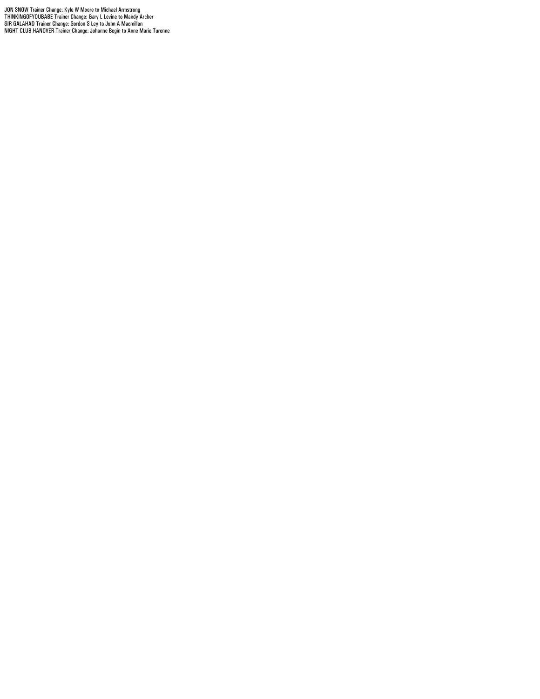JON SNOW Trainer Change: Kyle W Moore to Michael Armstrong<br>THINKINGOFYOUBABE Trainer Change: Gary L Levine to Mandy Archer<br>SIR GALAHAD Trainer Change: Gordon S Ley to John A Macmillan<br>NIGHT CLUB HANOVER Trainer Change: Joh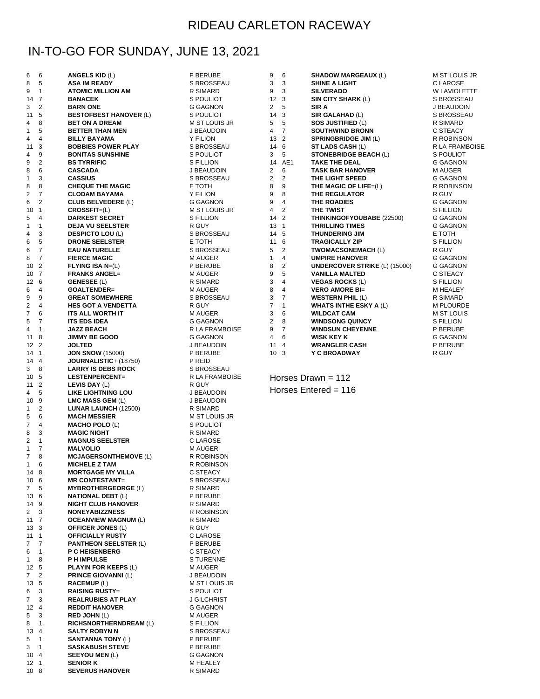## RIDEAU CARLETON RACEWAY

## IN-TO-GO FOR SUNDAY, JUNE 13, 2021

| 6            | 6                                  | <b>ANGELS KID (L)</b>                                | P BERUBE                   | 9                       | 6                    | SHADOW MARGEAUX (L)                             | M ST LOUIS JR            |
|--------------|------------------------------------|------------------------------------------------------|----------------------------|-------------------------|----------------------|-------------------------------------------------|--------------------------|
| 8            | 5                                  | <b>ASA IM READY</b>                                  | S BROSSEAU                 | 3                       | 3                    | SHINE A LIGHT                                   | C LAROSE                 |
| 9            | $\mathbf{1}$                       | <b>ATOMIC MILLION AM</b>                             | R SIMARD                   | 9                       | 3                    | <b>SILVERADO</b>                                | <b>W LAVIOLETTE</b>      |
|              | 14 7                               | <b>BANACEK</b>                                       | S POULIOT                  |                         | 12 <sub>3</sub><br>5 | SIN CITY SHARK (L)<br>SIR A                     | S BROSSEAU               |
| 3<br>11      | $\overline{2}$<br>5                | <b>BARN ONE</b><br><b>BESTOFBEST HANOVER (L)</b>     | G GAGNON<br>S POULIOT      | $\overline{2}$<br>14    | $\mathbf{3}$         | SIR GALAHAD (L)                                 | J BEAUDOIN<br>S BROSSEAU |
| 4            | 8                                  | <b>BET ON A DREAM</b>                                | <b>M ST LOUIS JR</b>       | 5                       | 5                    | SOS JUSTIFIED (L)                               | R SIMARD                 |
| $\mathbf{1}$ | 5                                  | <b>BETTER THAN MEN</b>                               | J BEAUDOIN                 |                         | 4 7                  | <b>SOUTHWIND BRONN</b>                          | C STEACY                 |
| 4            | 4                                  | <b>BILLY BAYAMA</b>                                  | <b>Y FILION</b>            |                         | 13 2                 | <b>SPRINGBRIDGE JIM (L)</b>                     | R ROBINSON               |
| 11           | 3                                  | <b>BOBBIES POWER PLAY</b>                            | S BROSSEAU                 |                         | 14 6                 | <b>ST LADS CASH (L)</b>                         | R LA FRAMBOISE           |
| 4            | 9                                  | <b>BONITAS SUNSHINE</b>                              | S POULIOT                  | 3                       | 5                    | <b>STONEBRIDGE BEACH (L)</b>                    | S POULIOT                |
| 9            | $\overline{2}$                     | <b>BS TYRRIFIC</b>                                   | S FILLION                  | 14                      | AE1                  | <b>TAKE THE DEAL</b>                            | G GAGNON                 |
| 8            | 6                                  | <b>CASCADA</b>                                       | J BEAUDOIN                 | 2                       | 6                    | <b>TASK BAR HANOVER</b>                         | M AUGER                  |
| 1            | 3                                  | <b>CASSIUS</b>                                       | S BROSSEAU                 | $\overline{\mathbf{c}}$ | 2                    | THE LIGHT SPEED                                 | <b>G GAGNON</b>          |
| 8            | 8                                  | <b>CHEQUE THE MAGIC</b>                              | E TOTH                     | 8                       | 9                    | THE MAGIC OF LIFE= $(L)$                        | R ROBINSON               |
| 2<br>6       | $\overline{7}$<br>2                | <b>CLODAM BAYAMA</b><br><b>CLUB BELVEDERE (L)</b>    | Y FILION<br>G GAGNON       | 9<br>9                  | 8<br>4               | <b>THE REGULATOR</b><br>THE ROADIES             | R GUY<br>G GAGNON        |
| 10           | $\overline{1}$                     | $CROSSFIT=(L)$                                       | M ST LOUIS JR              | 4                       | 2                    | <b>THE TWIST</b>                                | S FILLION                |
| 5            | 4                                  | <b>DARKEST SECRET</b>                                | S FILLION                  | 14                      | $\overline{2}$       | <b>THINKINGOFYOUBABE (22500)</b>                | G GAGNON                 |
| $\mathbf{1}$ | $\mathbf{1}$                       | <b>DEJA VU SEELSTER</b>                              | R GUY                      |                         | 13 1                 | <b>THRILLING TIMES</b>                          | G GAGNON                 |
| 4            | 3                                  | <b>DESPICTO LOU (L)</b>                              | S BROSSEAU                 |                         | 14 5                 | <b>THUNDERING JIM</b>                           | E TOTH                   |
| 6            | 5                                  | <b>DRONE SEELSTER</b>                                | E TOTH                     |                         | 11 6                 | <b>TRAGICALLY ZIP</b>                           | S FILLION                |
| 6            | 7                                  | <b>EAU NATURELLE</b>                                 | S BROSSEAU                 | 5                       | $\overline{2}$       | <b>TWOMACSONEMACH (L)</b>                       | R GUY                    |
| 8            | $\overline{7}$                     | <b>FIERCE MAGIC</b>                                  | M AUGER                    | $\mathbf{1}$            | 4                    | <b>UMPIRE HANOVER</b>                           | <b>G GAGNON</b>          |
|              | 10 <sub>2</sub>                    | $FLYING ISA N=(L)$                                   | P BERUBE                   | 8                       | 2                    | <b>UNDERCOVER STRIKE (L) (15000)</b>            | G GAGNON                 |
|              | 10 <sub>7</sub>                    | <b>FRANKS ANGEL=</b>                                 | M AUGER                    | 9                       | 5                    | <b>VANILLA MALTED</b>                           | C STEACY                 |
| 6            | 12 6<br>4                          | <b>GENESEE (L)</b><br>GOALTENDER=                    | R SIMARD<br>M AUGER        | 3<br>8                  | 4<br>4               | <b>VEGAS ROCKS (L)</b><br><b>VERO AMORE BI=</b> | S FILLION<br>M HEALEY    |
| 9            | 9                                  | <b>GREAT SOMEWHERE</b>                               | S BROSSEAU                 | 3                       | 7                    | <b>WESTERN PHIL (L)</b>                         | R SIMARD                 |
| 2            | 4                                  | <b>HES GOT A VENDETTA</b>                            | R GUY                      | 7                       | 1                    | <b>WHATS INTHE ESKY A (L)</b>                   | <b>M PLOURDE</b>         |
| 7            | 6                                  | ITS ALL WORTH IT                                     | M AUGER                    | 3                       | 6                    | <b>WILDCAT CAM</b>                              | M ST LOUIS               |
| 5            | $\overline{7}$                     | <b>ITS EDS IDEA</b>                                  | G GAGNON                   | 2                       | 8                    | <b>WINDSONG QUINCY</b>                          | <b>S FILLION</b>         |
| 4            | $\mathbf{1}$                       | <b>JAZZ BEACH</b>                                    | R LA FRAMBOISE             | 9                       | $\overline{7}$       | <b>WINDSUN CHEYENNE</b>                         | P BERUBE                 |
|              | $11 \t 8$                          | <b>JIMMY BE GOOD</b>                                 | G GAGNON                   | 4                       | 6                    | <b>WISK KEY K</b>                               | G GAGNON                 |
|              | $12 \quad 2$                       | <b>JOLTED</b>                                        | J BEAUDOIN                 | 11                      | $\overline{4}$       | <b>WRANGLER CASH</b>                            | P BERUBE                 |
|              | 14 1                               | <b>JON SNOW (15000)</b>                              | P BERUBE                   |                         | 10 <sub>3</sub>      | Y C BROADWAY                                    | R GUY                    |
| 3            | 14 4<br>8                          | $JOURNALISTIC+ (18750)$<br><b>LARRY IS DEBS ROCK</b> | P REID<br>S BROSSEAU       |                         |                      |                                                 |                          |
|              | 10 5                               | LESTENPERCENT=                                       | R LA FRAMBOISE             |                         |                      | Horses Drawn = $112$                            |                          |
|              | $11 \quad 2$                       | LEVIS DAY (L)                                        | R GUY                      |                         |                      |                                                 |                          |
| 4            | 5                                  | LIKE LIGHTNING LOU                                   | J BEAUDOIN                 |                         |                      | Horses Entered = $116$                          |                          |
| 10           | 9                                  | LMC MASS GEM (L)                                     | J BEAUDOIN                 |                         |                      |                                                 |                          |
| 1            | 2                                  | LUNAR LAUNCH (12500)                                 | R SIMARD                   |                         |                      |                                                 |                          |
| 5            | 6                                  | <b>MACH MESSIER</b>                                  | M ST LOUIS JR              |                         |                      |                                                 |                          |
| 7            | 4<br>3                             | <b>MACHO POLO (L)</b>                                | S POULIOT                  |                         |                      |                                                 |                          |
| 8<br>2       | $\mathbf{1}$                       | <b>MAGIC NIGHT</b><br><b>MAGNUS SEELSTER</b>         | R SIMARD<br>C LAROSE       |                         |                      |                                                 |                          |
| 1            | 7                                  | <b>MALVOLIO</b>                                      | M AUGER                    |                         |                      |                                                 |                          |
| 7            | 8                                  | <b>MCJAGERSONTHEMOVE (L)</b>                         | R ROBINSON                 |                         |                      |                                                 |                          |
| $\mathbf{1}$ | 6                                  | <b>MICHELE Z TAM</b>                                 | R ROBINSON                 |                         |                      |                                                 |                          |
|              | 14 8                               | <b>MORTGAGE MY VILLA</b>                             | C STEACY                   |                         |                      |                                                 |                          |
|              | 10 6                               | <b>MR CONTESTANT=</b>                                | S BROSSEAU                 |                         |                      |                                                 |                          |
| 7            | 5                                  | <b>MYBROTHERGEORGE (L)</b>                           | R SIMARD                   |                         |                      |                                                 |                          |
|              | 13 6                               | <b>NATIONAL DEBT (L)</b>                             | P BERUBE                   |                         |                      |                                                 |                          |
|              | 14 9<br>$2 \quad 3$                | <b>NIGHT CLUB HANOVER</b><br><b>NONEYABIZZNESS</b>   | R SIMARD<br>R ROBINSON     |                         |                      |                                                 |                          |
|              | $11 \t 7$                          | <b>OCEANVIEW MAGNUM (L)</b>                          | R SIMARD                   |                         |                      |                                                 |                          |
|              | 13 <sub>3</sub>                    | <b>OFFICER JONES (L)</b>                             | R GUY                      |                         |                      |                                                 |                          |
|              | $11 \quad 1$                       | <b>OFFICIALLY RUSTY</b>                              | C LAROSE                   |                         |                      |                                                 |                          |
| 7            | $\overline{7}$                     | <b>PANTHEON SEELSTER (L)</b>                         | P BERUBE                   |                         |                      |                                                 |                          |
| 6            | $\overline{1}$                     | <b>P C HEISENBERG</b>                                | C STEACY                   |                         |                      |                                                 |                          |
| 1            | 8                                  | <b>PH IMPULSE</b>                                    | <b>STURENNE</b>            |                         |                      |                                                 |                          |
|              | 12 5                               | <b>PLAYIN FOR KEEPS (L)</b>                          | M AUGER                    |                         |                      |                                                 |                          |
| 7            | $\overline{2}$<br>5                | <b>PRINCE GIOVANNI (L)</b>                           | J BEAUDOIN                 |                         |                      |                                                 |                          |
| 13<br>6      | 3                                  | <b>RACEMUP (L)</b><br><b>RAISING RUSTY=</b>          | M ST LOUIS JR<br>S POULIOT |                         |                      |                                                 |                          |
| 7            | 3                                  | <b>REALRUBIES AT PLAY</b>                            | J GILCHRIST                |                         |                      |                                                 |                          |
|              | $12 \quad 4$                       | <b>REDDIT HANOVER</b>                                | G GAGNON                   |                         |                      |                                                 |                          |
| 5            | 3                                  | <b>RED JOHN (L)</b>                                  | M AUGER                    |                         |                      |                                                 |                          |
| 8            | $\overline{1}$                     | <b>RICHSNORTHERNDREAM (L)</b>                        | S FILLION                  |                         |                      |                                                 |                          |
|              | 13 4                               | <b>SALTY ROBYN N</b>                                 | S BROSSEAU                 |                         |                      |                                                 |                          |
| 5            | $\overline{1}$                     | <b>SANTANNA TONY (L)</b>                             | P BERUBE                   |                         |                      |                                                 |                          |
| 3            | $\overline{1}$                     | <b>SASKABUSH STEVE</b>                               | P BERUBE                   |                         |                      |                                                 |                          |
|              | $10 \t 4$                          | <b>SEEYOU MEN (L)</b>                                | G GAGNON                   |                         |                      |                                                 |                          |
|              | 12 <sub>1</sub><br>10 <sub>8</sub> | <b>SENIOR K</b><br><b>SEVERUS HANOVER</b>            | M HEALEY<br>R SIMARD       |                         |                      |                                                 |                          |
|              |                                    |                                                      |                            |                         |                      |                                                 |                          |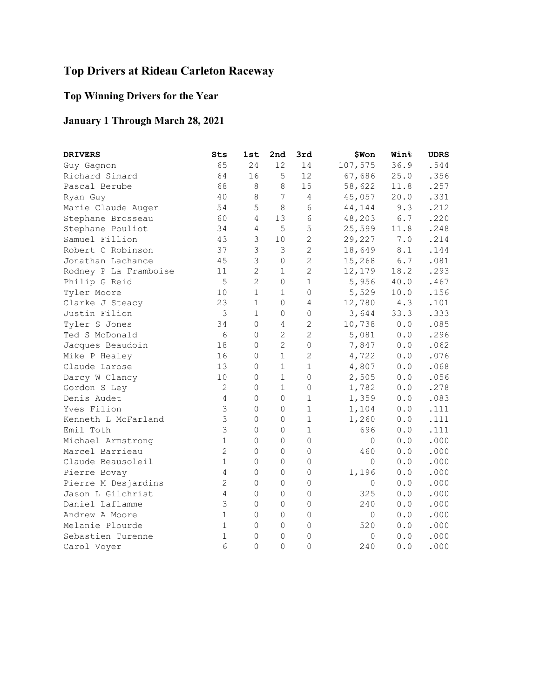## **Top Drivers at Rideau Carleton Raceway**

## **Top Winning Drivers for the Year**

## **January 1 Through March 28, 2021**

| <b>DRIVERS</b>        | Sts            | 1st            | 2nd            | 3rd            | \$Won        | <b>Win</b> %                                          | <b>UDRS</b> |
|-----------------------|----------------|----------------|----------------|----------------|--------------|-------------------------------------------------------|-------------|
| Guy Gagnon            | 65             | 24             | 12             | 14             | 107,575      | 36.9                                                  | .544        |
| Richard Simard        | 64             | 16             | 5              | 12             | 67,686       | 25.0                                                  | .356        |
| Pascal Berube         | 68             | 8              | 8              | 15             | 58,622       | 11.8                                                  | .257        |
| Ryan Guy              | 40             | 8              | 7              | 4              | 45,057       | 20.0                                                  | .331        |
| Marie Claude Auger    | 54             | 5              | 8              | 6              | 44,144       | 9.3                                                   | .212        |
| Stephane Brosseau     | 60             | 4              | 13             | $\epsilon$     | 48,203       | $6.7$                                                 | .220        |
| Stephane Pouliot      | 34             | $\overline{4}$ | 5              | 5              | 25,599       | 11.8                                                  | .248        |
| Samuel Fillion        | 43             | 3              | 10             | $\overline{c}$ | 29,227       | 7.0                                                   | .214        |
| Robert C Robinson     | 37             | $\mathfrak{Z}$ | $\mathfrak{Z}$ | $\overline{c}$ | 18,649       | $\,8$ . $1$                                           | .144        |
| Jonathan Lachance     | 45             | 3              | $\mathbb O$    | $\overline{2}$ | 15,268       | 6.7                                                   | .081        |
| Rodney P La Framboise | 11             | $\overline{c}$ | $1\,$          | $\overline{c}$ | 12,179       | 18.2                                                  | .293        |
| Philip G Reid         | 5              | $\overline{2}$ | 0              | $\mathbf 1$    | 5,956        | 40.0                                                  | .467        |
| Tyler Moore           | 10             | $\mathbf 1$    | $\mathbf{1}$   | $\overline{0}$ | 5,529        | 10.0                                                  | .156        |
| Clarke J Steacy       | 23             | $\mathbf 1$    | $\circ$        | $\overline{4}$ | 12,780       | 4.3                                                   | .101        |
| Justin Filion         | $\mathfrak{Z}$ | 1              | $\mathbb O$    | 0              | 3,644        | 33.3                                                  | .333        |
| Tyler S Jones         | 34             | $\mathbf 0$    | 4              | 2              | 10,738       | 0.0                                                   | .085        |
| Ted S McDonald        | $\epsilon$     | 0              | $\mathbf{2}$   | 2              | 5,081        | 0.0                                                   | .296        |
| Jacques Beaudoin      | 18             | 0              | $\overline{2}$ | 0              | 7,847        | 0.0                                                   | .062        |
| Mike P Healey         | 16             | 0              | $\mathbf{1}$   | $\mathbf{2}$   | 4,722        | 0.0                                                   | .076        |
| Claude Larose         | 13             | $\mathbb O$    | $1\,$          | $\mathbf 1$    | 4,807        | 0.0                                                   | .068        |
| Darcy W Clancy        | 10             | $\mathbf 0$    | $1\,$          | $\mathbf 0$    | 2,505        | 0.0                                                   | .056        |
| Gordon S Ley          | $\overline{c}$ | 0              | $1\,$          | 0              | 1,782        | 0.0                                                   | .278        |
| Denis Audet           | 4              | $\mathsf{O}$   | $\mathbb O$    | $\mathbf 1$    | 1,359        | $0.0$                                                 | .083        |
| Yves Filion           | 3              | 0              | 0              | $\mathbf 1$    | 1,104        | 0.0                                                   | .111        |
| Kenneth L McFarland   | 3              | 0              | 0              | $\mathbf 1$    | 1,260        | $\ensuremath{\mathbf 0}$ . $\ensuremath{\mathbf 0}$   | .111        |
| Emil Toth             | 3              | $\mathbf 0$    | 0              | $\mathbf 1$    | 696          | ${\bf 0}$ . ${\bf 0}$                                 | .111        |
| Michael Armstrong     | $\mathbf 1$    | 0              | 0              | $\Omega$       | $\circ$      | 0.0                                                   | .000        |
| Marcel Barrieau       | $\overline{c}$ | 0              | $\mathbb O$    | $\circ$        | 460          | $\ensuremath{\mathbf 0}$ . $\ensuremath{\mathbf 0}$   | .000        |
| Claude Beausoleil     | $\mathbf{1}$   | $\mathbf 0$    | $\overline{0}$ | $\Omega$       | $\circ$      | 0.0                                                   | .000        |
| Pierre Bovay          | $\overline{4}$ | $\mathbf 0$    | $\mathbf 0$    | 0              | 1,196        | 0.0                                                   | .000        |
| Pierre M Desjardins   | $\overline{c}$ | 0              | $\mathbb O$    | $\circ$        | 0            | 0.0                                                   | .000        |
| Jason L Gilchrist     | $\overline{4}$ | 0              | $\mathbf 0$    | $\mathbf{0}$   | 325          | 0.0                                                   | .000        |
| Daniel Laflamme       | 3              | $\mathsf{O}$   | $\mathbb O$    | 0              | 240          | $\ensuremath{\mathbf{0}}$ . $\ensuremath{\mathbf{0}}$ | .000        |
| Andrew A Moore        | $\mathbf{1}$   | $\mathbf 0$    | $\mathbf 0$    | $\mathbf 0$    | $\mathbf{0}$ | 0.0                                                   | .000        |
| Melanie Plourde       | $\mathbf 1$    | 0              | $\overline{0}$ | $\mathbf 0$    | 520          | 0.0                                                   | .000        |
| Sebastien Turenne     | $\mathbf{1}$   | 0              | $\mathbf 0$    | $\mathbf{0}$   | $\mathbb O$  | $\ensuremath{\mathbf 0}$ . $\ensuremath{\mathbf 0}$   | .000        |
| Carol Voyer           | 6              | $\Omega$       | $\mathbf{0}$   | $\Omega$       | 240          | 0.0                                                   | .000        |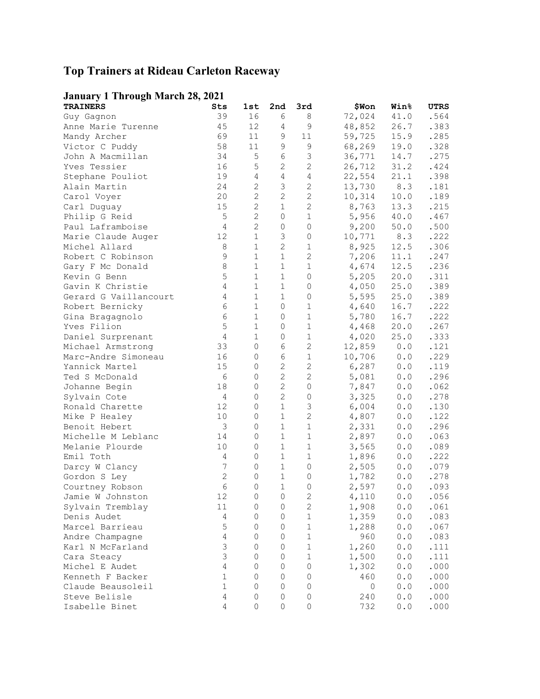## **Top Trainers at Rideau Carleton Raceway**

## **January 1 Through March 28, 2021**

| <b>TRAINERS</b>                     | Sts                           | 1st                 | 2nd            | 3rd                 | \$Won          | <b>Win%</b>                                           | UTRS         |
|-------------------------------------|-------------------------------|---------------------|----------------|---------------------|----------------|-------------------------------------------------------|--------------|
| Guy Gagnon                          | 39                            | 16                  | 6              | 8                   | 72,024         | 41.0                                                  | .564         |
| Anne Marie Turenne                  | 45                            | 12                  | 4              | 9                   | 48,852         | 26.7                                                  | .383         |
| Mandy Archer                        | 69                            | 11                  | 9              | 11                  | 59,725         | 15.9                                                  | .285         |
| Victor C Puddy                      | 58                            | 11                  | 9              | 9                   | 68,269         | 19.0                                                  | .328         |
| John A Macmillan                    | 34                            | $\mathsf S$         | 6              | $\mathsf 3$         | 36,771         | 14.7                                                  | .275         |
| Yves Tessier                        | 16                            | $\mathsf S$         | 2              | $\mathbf{2}$        | 26,712         | 31.2                                                  | .424         |
| Stephane Pouliot                    | 19                            | $\overline{4}$      | 4              | 4                   | 22,554         | 21.1                                                  | .398         |
| Alain Martin                        | 24                            | $\mathbf{2}$        | 3              | $\mathbf{2}$        | 13,730         | 8.3                                                   | .181         |
| Carol Voyer                         | 20                            | $\mathbf{2}$        | $\mathbf{2}$   | $\mathbf{2}$        | 10,314         | 10.0                                                  | .189         |
| Carl Duguay                         | 15                            | $\mathbf{2}$        | 1              | $\mathbf{2}$        | 8,763          | 13.3                                                  | .215         |
| Philip G Reid                       | 5                             | $\mathbf{2}$        | 0              | $\mathbf{1}$        | 5,956          | 40.0                                                  | .467         |
| Paul Laframboise                    | $\overline{4}$                | $\mathbf{2}$        | 0              | $\mathbf 0$         | 9,200          | 50.0                                                  | .500         |
| Marie Claude Auger                  | 12                            | $1\,$               | 3              | $\mathbb O$         | 10,771         | 8.3                                                   | .222         |
| Michel Allard                       | 8                             | $\mathbf 1$         | $\mathbf{2}$   | $\mathbf 1$         | 8,925          | 12.5                                                  | .306         |
| Robert C Robinson                   | $\mathsf 9$                   | $\mathbf 1$         | 1              | $\mathbf{2}$        | 7,206          | 11.1                                                  | .247         |
| Gary F Mc Donald                    | 8                             | $\mathbf 1$         | $\mathbf 1$    | 1                   | 4,674          | 12.5                                                  | .236         |
| Kevin G Benn                        | 5                             | $\mathbf{1}$        | 1              | 0                   | 5,205          | 20.0                                                  | .311         |
| Gavin K Christie                    | 4                             | $\mathbf{1}$        | 1              | 0                   | 4,050          | 25.0                                                  | .389         |
| Gerard G Vaillancourt               | 4                             | $\mathbf 1$         | $\mathbf 1$    | 0                   | 5,595          | 25.0                                                  | .389         |
| Robert Bernicky                     | 6                             | $\mathbf{1}$        | 0              | $\mathbf 1$         | 4,640          | 16.7                                                  | .222         |
| Gina Bragagnolo                     | $\epsilon$                    | $\mathbf 1$         | 0              | $\mathbf 1$         | 5,780          | 16.7                                                  | .222         |
| Yves Filion                         | 5                             | $\mathbf 1$         | 0              | $\mathbf 1$         | 4,468          | 20.0                                                  | .267         |
| Daniel Surprenant                   | 4                             | $\mathbf 1$         | $\mathbb O$    | $\mathbf 1$         | 4,020          | 25.0                                                  | .333         |
| Michael Armstrong                   | 33                            | $\circ$             | 6              | $\mathbf{2}$        | 12,859         | 0.0                                                   | .121         |
| Marc-Andre Simoneau                 | 16                            | 0                   | 6              | $\mathbf 1$         | 10,706         | 0.0                                                   | .229         |
| Yannick Martel                      | 15                            | $\circ$             | $\mathbf{2}$   | 2                   | 6,287          | 0.0                                                   | .119         |
| Ted S McDonald                      | 6                             | 0                   | $\mathbf{2}$   | 2                   | 5,081          | 0.0                                                   | .296         |
| Johanne Begin                       | 18                            | 0                   | $\overline{c}$ | $\mathbf 0$         | 7,847          | 0.0                                                   | .062         |
| Sylvain Cote                        | 4                             | 0                   | $\overline{c}$ | 0                   | 3,325          | 0.0                                                   | .278         |
| Ronald Charette                     | 12                            | 0                   | $\mathbf 1$    | $\mathsf 3$         | 6,004          | 0.0                                                   | .130         |
| Mike P Healey                       | 10                            | $\mathbf 0$         | $1\,$          | $\mathbf{2}$        | 4,807          | 0.0                                                   | .122         |
| Benoit Hebert                       | 3                             | 0                   | 1              | 1                   | 2,331          | 0.0                                                   | .296         |
| Michelle M Leblanc                  | 14                            | 0                   | 1              | $\mathbf 1$         | 2,897          | 0.0                                                   | .063         |
| Melanie Plourde                     | 10                            | 0                   | $\mathbf 1$    | $\mathbf{1}$        | 3,565          | 0.0                                                   | .089         |
| Emil Toth                           | 4                             | 0                   | 1              | 1                   | 1,896          | 0.0                                                   | .222         |
|                                     | 7                             | 0                   | 1              | 0                   |                |                                                       |              |
| Darcy W Clancy<br>Gordon S Ley      | $\mathbf{2}$                  | 0                   | 1              | 0                   | 2,505<br>1,782 | 0.0<br>0.0                                            | .079<br>.278 |
|                                     | $6\phantom{.}6$               | 0                   | $\mathbf 1$    | 0                   | 2,597          | 0.0                                                   | .093         |
| Courtney Robson<br>Jamie W Johnston | 12                            | $\mathbb O$         | $\overline{0}$ | $\sqrt{2}$          |                | 0.0                                                   | .056         |
| Sylvain Tremblay                    | 11                            | $\mathsf{O}$        | 0              | $\mathbf{2}$        | 4,110<br>1,908 | 0.0                                                   | .061         |
| Denis Audet                         | $\overline{4}$                | 0                   | $\mathsf O$    | $1\,$               | 1,359          | $0.0$                                                 | .083         |
|                                     | 5                             |                     |                |                     |                |                                                       |              |
| Marcel Barrieau                     |                               | 0                   | 0              | $1\,$               | 1,288          | 0.0                                                   | .067         |
| Andre Champagne                     | $\overline{4}$<br>$\mathsf 3$ | 0                   | 0              | $\mathbf 1$         | 960            | 0.0                                                   | .083         |
| Karl N McFarland                    | 3                             | 0                   | 0              | 1                   | 1,260          | 0.0                                                   | .111         |
| Cara Steacy                         |                               | 0                   | 0              | 1                   | 1,500          | $\ensuremath{\mathbf{0}}$ . $\ensuremath{\mathbf{0}}$ | .111         |
| Michel E Audet                      | $\sqrt{4}$                    | 0                   | 0              | 0                   | 1,302          | $\ensuremath{\mathbf{0}}$ . $\ensuremath{\mathbf{0}}$ | .000         |
| Kenneth F Backer                    | $\mathbf 1$                   | 0                   | 0              | $\mathbf 0$         | 460            | 0.0                                                   | .000         |
| Claude Beausoleil                   | $\mathbf 1$                   | 0                   | $\mathsf O$    | $\mathbf 0$         | $\circ$        | $\ensuremath{\mathbf 0}$ . $\ensuremath{\mathbf 0}$   | .000         |
| Steve Belisle                       | $\overline{4}$                | $\mathsf{O}\xspace$ | 0              | $\mathbf 0$         | 240            | ${\bf 0}$ . ${\bf 0}$                                 | .000         |
| Isabelle Binet                      | 4                             | $\circ$             | $\mathbb O$    | $\mathsf{O}\xspace$ | 732            | $\ensuremath{\mathbf 0}$ . $\ensuremath{\mathbf 0}$   | .000         |